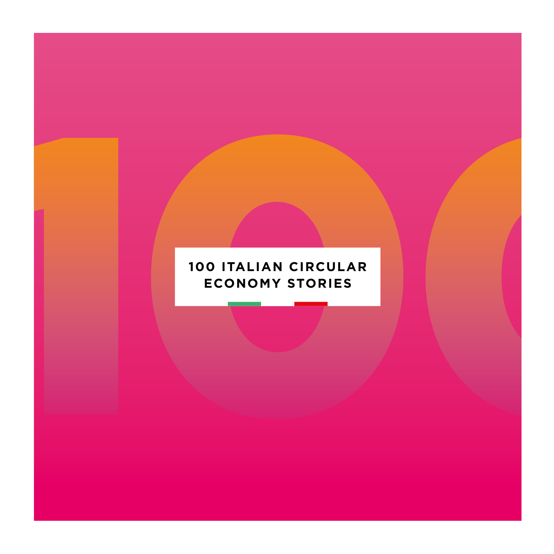### **100 ITALIAN CIRCULAR ECONOMY STORIES**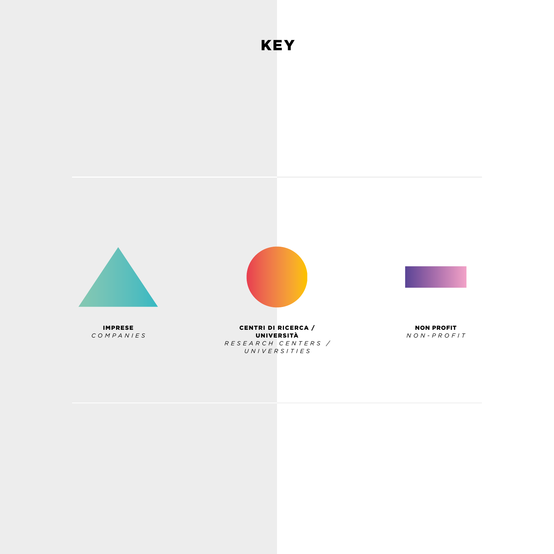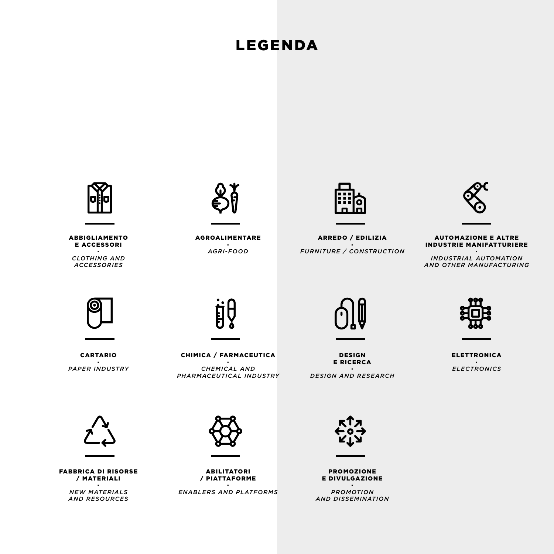### LEGENDA



ABBIGLIAMENTO E ACCESSORI

· *CLOTHING AND ACCESSORIES*



AGROALIMENTARE · *AGRI-FOOD*



ARREDO / EDILIZIA · *FURNITURE / CONSTRUCTION*



#### AUTOMAZIONE E ALTRE INDUSTRIE MANIFATTURIERE

· *INDUSTRIAL AUTOMATION AND OTHER MANUFACTURING*



CARTARIO · *PAPER INDUSTRY*



CHIMICA / FARMACEUTICA · *CHEMICAL AND PHARMACEUTICAL INDUSTRY*



DESIGN E RICERCA

· *DESIGN AND RESEARCH*



ELETTRONICA · *ELECTRONICS*



FABBRICA DI RISORSE / MATERIALI

· *NEW MATERIALS AND RESOURCES*



ABILITATORI / PIATTAFORME

· *ENABLERS AND PLATFORMS*



PROMOZIONE E DIVULGAZIONE

· *PROMOTION AND DISSEMINATION*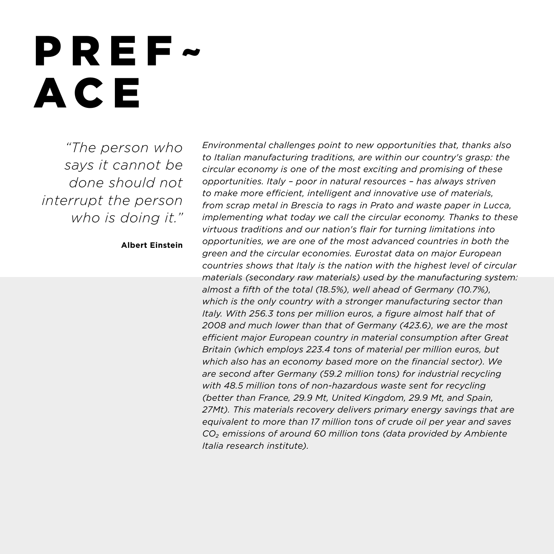### PREF ~ ACE

*"The person who says it cannot be done should not interrupt the person who is doing it."*

#### **Albert Einstein**

*Environmental challenges point to new opportunities that, thanks also to Italian manufacturing traditions, are within our country's grasp: the circular economy is one of the most exciting and promising of these opportunities. Italy – poor in natural resources – has always striven to make more efficient, intelligent and innovative use of materials, from scrap metal in Brescia to rags in Prato and waste paper in Lucca, implementing what today we call the circular economy. Thanks to these virtuous traditions and our nation's flair for turning limitations into opportunities, we are one of the most advanced countries in both the green and the circular economies. Eurostat data on major European countries shows that Italy is the nation with the highest level of circular materials (secondary raw materials) used by the manufacturing system: almost a fifth of the total (18.5%), well ahead of Germany (10.7%), which is the only country with a stronger manufacturing sector than Italy. With 256.3 tons per million euros, a figure almost half that of 2008 and much lower than that of Germany (423.6), we are the most efficient major European country in material consumption after Great Britain (which employs 223.4 tons of material per million euros, but which also has an economy based more on the financial sector). We are second after Germany (59.2 million tons) for industrial recycling with 48.5 million tons of non-hazardous waste sent for recycling (better than France, 29.9 Mt, United Kingdom, 29.9 Mt, and Spain, 27Mt). This materials recovery delivers primary energy savings that are equivalent to more than 17 million tons of crude oil per year and saves CO₂ emissions of around 60 million tons (data provided by Ambiente Italia research institute).*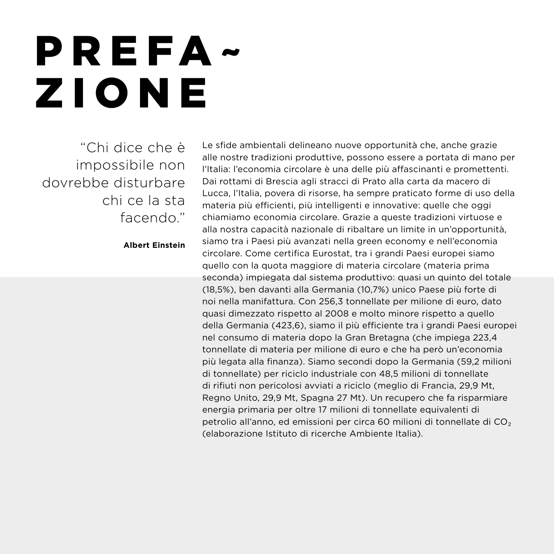## PREFA ~ ZIONE

"Chi dice che è impossibile non dovrebbe disturbare chi ce la sta facendo."

**Albert Einstein**

Le sfide ambientali delineano nuove opportunità che, anche grazie alle nostre tradizioni produttive, possono essere a portata di mano per l'Italia: l'economia circolare è una delle più affascinanti e promettenti. Dai rottami di Brescia agli stracci di Prato alla carta da macero di Lucca, l'Italia, povera di risorse, ha sempre praticato forme di uso della materia più efficienti, più intelligenti e innovative: quelle che oggi chiamiamo economia circolare. Grazie a queste tradizioni virtuose e alla nostra capacità nazionale di ribaltare un limite in un'opportunità, siamo tra i Paesi più avanzati nella green economy e nell'economia circolare. Come certifica Eurostat, tra i grandi Paesi europei siamo quello con la quota maggiore di materia circolare (materia prima seconda) impiegata dal sistema produttivo: quasi un quinto del totale (18,5%), ben davanti alla Germania (10,7%) unico Paese più forte di noi nella manifattura. Con 256,3 tonnellate per milione di euro, dato quasi dimezzato rispetto al 2008 e molto minore rispetto a quello della Germania (423,6), siamo il più efficiente tra i grandi Paesi europei nel consumo di materia dopo la Gran Bretagna (che impiega 223,4 tonnellate di materia per milione di euro e che ha però un'economia più legata alla finanza). Siamo secondi dopo la Germania (59,2 milioni di tonnellate) per riciclo industriale con 48,5 milioni di tonnellate di rifiuti non pericolosi avviati a riciclo (meglio di Francia, 29,9 Mt, Regno Unito, 29,9 Mt, Spagna 27 Mt). Un recupero che fa risparmiare energia primaria per oltre 17 milioni di tonnellate equivalenti di petrolio all'anno, ed emissioni per circa 60 milioni di tonnellate di CO₂ (elaborazione Istituto di ricerche Ambiente Italia).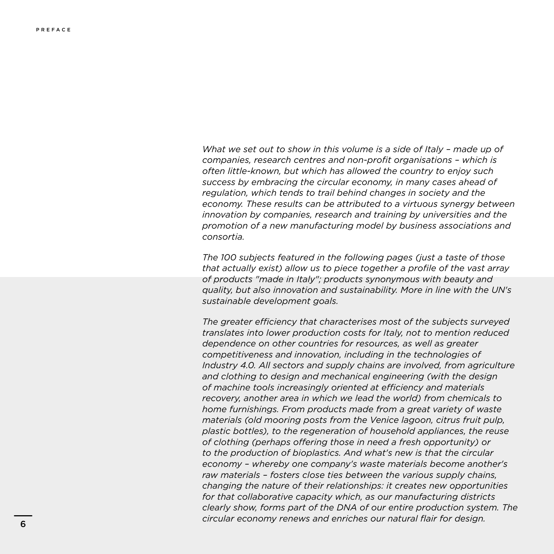*What we set out to show in this volume is a side of Italy – made up of companies, research centres and non-profit organisations – which is often little-known, but which has allowed the country to enjoy such success by embracing the circular economy, in many cases ahead of regulation, which tends to trail behind changes in society and the economy. These results can be attributed to a virtuous synergy between innovation by companies, research and training by universities and the promotion of a new manufacturing model by business associations and consortia.* 

*The 100 subjects featured in the following pages (just a taste of those that actually exist) allow us to piece together a profile of the vast array of products "made in Italy"; products synonymous with beauty and quality, but also innovation and sustainability. More in line with the UN's sustainable development goals.*

*The greater efficiency that characterises most of the subjects surveyed translates into lower production costs for Italy, not to mention reduced dependence on other countries for resources, as well as greater competitiveness and innovation, including in the technologies of Industry 4.0. All sectors and supply chains are involved, from agriculture and clothing to design and mechanical engineering (with the design of machine tools increasingly oriented at efficiency and materials recovery, another area in which we lead the world) from chemicals to home furnishings. From products made from a great variety of waste materials (old mooring posts from the Venice lagoon, citrus fruit pulp, plastic bottles), to the regeneration of household appliances, the reuse of clothing (perhaps offering those in need a fresh opportunity) or to the production of bioplastics. And what's new is that the circular economy – whereby one company's waste materials become another's raw materials – fosters close ties between the various supply chains, changing the nature of their relationships: it creates new opportunities for that collaborative capacity which, as our manufacturing districts clearly show, forms part of the DNA of our entire production system. The circular economy renews and enriches our natural flair for design.*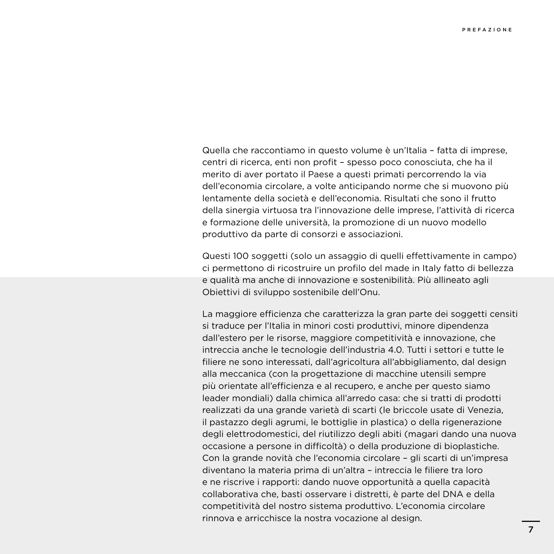Quella che raccontiamo in questo volume è un'Italia – fatta di imprese, centri di ricerca, enti non profit – spesso poco conosciuta, che ha il merito di aver portato il Paese a questi primati percorrendo la via dell'economia circolare, a volte anticipando norme che si muovono più lentamente della società e dell'economia. Risultati che sono il frutto della sinergia virtuosa tra l'innovazione delle imprese, l'attività di ricerca e formazione delle università, la promozione di un nuovo modello produttivo da parte di consorzi e associazioni.

Questi 100 soggetti (solo un assaggio di quelli effettivamente in campo) ci permettono di ricostruire un profilo del made in Italy fatto di bellezza e qualità ma anche di innovazione e sostenibilità. Più allineato agli Obiettivi di sviluppo sostenibile dell'Onu.

La maggiore efficienza che caratterizza la gran parte dei soggetti censiti si traduce per l'Italia in minori costi produttivi, minore dipendenza dall'estero per le risorse, maggiore competitività e innovazione, che intreccia anche le tecnologie dell'industria 4.0. Tutti i settori e tutte le filiere ne sono interessati, dall'agricoltura all'abbigliamento, dal design alla meccanica (con la progettazione di macchine utensili sempre più orientate all'efficienza e al recupero, e anche per questo siamo leader mondiali) dalla chimica all'arredo casa: che si tratti di prodotti realizzati da una grande varietà di scarti (le briccole usate di Venezia, il pastazzo degli agrumi, le bottiglie in plastica) o della rigenerazione degli elettrodomestici, del riutilizzo degli abiti (magari dando una nuova occasione a persone in difficoltà) o della produzione di bioplastiche. Con la grande novità che l'economia circolare – gli scarti di un'impresa diventano la materia prima di un'altra – intreccia le filiere tra loro e ne riscrive i rapporti: dando nuove opportunità a quella capacità collaborativa che, basti osservare i distretti, è parte del DNA e della competitività del nostro sistema produttivo. L'economia circolare rinnova e arricchisce la nostra vocazione al design.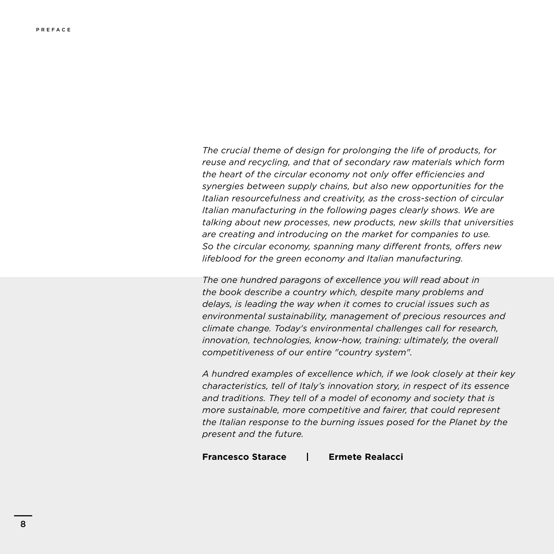*The crucial theme of design for prolonging the life of products, for reuse and recycling, and that of secondary raw materials which form the heart of the circular economy not only offer efficiencies and synergies between supply chains, but also new opportunities for the Italian resourcefulness and creativity, as the cross-section of circular Italian manufacturing in the following pages clearly shows. We are talking about new processes, new products, new skills that universities are creating and introducing on the market for companies to use. So the circular economy, spanning many different fronts, offers new lifeblood for the green economy and Italian manufacturing.* 

*The one hundred paragons of excellence you will read about in the book describe a country which, despite many problems and delays, is leading the way when it comes to crucial issues such as environmental sustainability, management of precious resources and climate change. Today's environmental challenges call for research, innovation, technologies, know-how, training: ultimately, the overall competitiveness of our entire "country system".* 

*A hundred examples of excellence which, if we look closely at their key characteristics, tell of Italy's innovation story, in respect of its essence and traditions. They tell of a model of economy and society that is more sustainable, more competitive and fairer, that could represent the Italian response to the burning issues posed for the Planet by the present and the future.* 

#### **Francesco Starace | Ermete Realacci**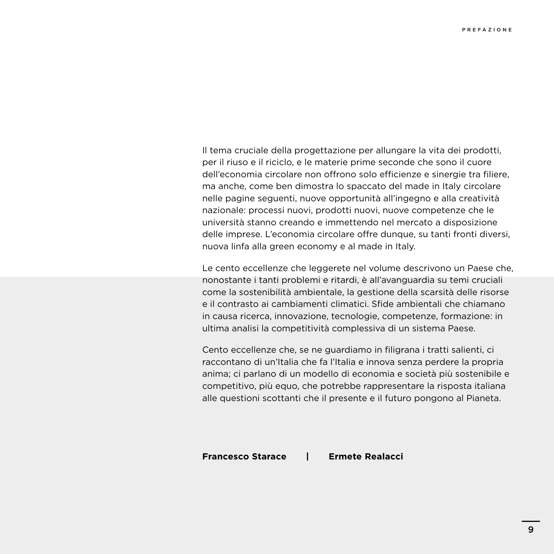Il tema cruciale della progettazione per allungare la vita dei prodotti, per il riuso e il riciclo, e le materie prime seconde che sono il cuore dell'economia circolare non offrono solo efficienze e sinergie tra filiere, ma anche, come ben dimostra lo spaccato del made in Italy circolare nelle pagine seguenti, nuove opportunità all'ingegno e alla creatività nazionale: processi nuovi, prodotti nuovi, nuove competenze che le università stanno creando e immettendo nel mercato a disposizione delle imprese. L'economia circolare offre dunque, su tanti fronti diversi, nuova linfa alla green economy e al made in Italy.

Le cento eccellenze che leggerete nel volume descrivono un Paese che, nonostante i tanti problemi e ritardi, è all'avanguardia su temi cruciali come la sostenibilità ambientale, la gestione della scarsità delle risorse e il contrasto ai cambiamenti climatici. Sfide ambientali che chiamano in causa ricerca, innovazione, tecnologie, competenze, formazione: in ultima analisi la competitività complessiva di un sistema Paese.

Cento eccellenze che, se ne guardiamo in filigrana i tratti salienti, ci raccontano di un'Italia che fa l'Italia e innova senza perdere la propria anima; ci parlano di un modello di economia e società più sostenibile e competitivo, più equo, che potrebbe rappresentare la risposta italiana alle questioni scottanti che il presente e il futuro pongono al Pianeta.

#### **Francesco Starace | Ermete Realacci**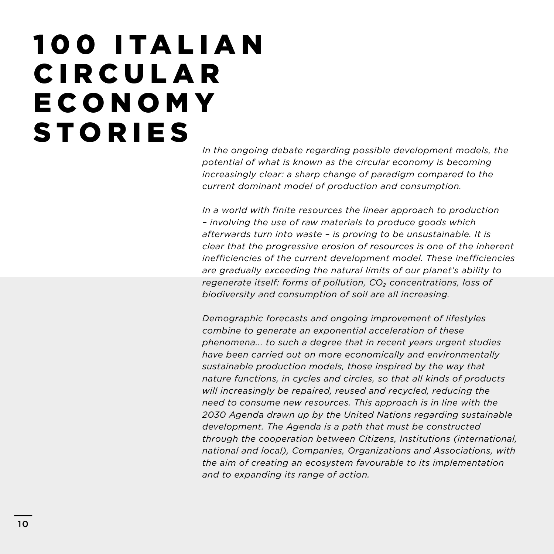### 1 0 0 I TA L I A N **CIRCULAR ECONOMY STORIES**

*In the ongoing debate regarding possible development models, the potential of what is known as the circular economy is becoming increasingly clear: a sharp change of paradigm compared to the current dominant model of production and consumption.* 

*In a world with finite resources the linear approach to production – involving the use of raw materials to produce goods which afterwards turn into waste – is proving to be unsustainable. It is clear that the progressive erosion of resources is one of the inherent inefficiencies of the current development model. These inefficiencies are gradually exceeding the natural limits of our planet's ability to regenerate itself: forms of pollution, CO₂ concentrations, loss of biodiversity and consumption of soil are all increasing.* 

*Demographic forecasts and ongoing improvement of lifestyles combine to generate an exponential acceleration of these phenomena... to such a degree that in recent years urgent studies have been carried out on more economically and environmentally sustainable production models, those inspired by the way that nature functions, in cycles and circles, so that all kinds of products will increasingly be repaired, reused and recycled, reducing the need to consume new resources. This approach is in line with the 2030 Agenda drawn up by the United Nations regarding sustainable development. The Agenda is a path that must be constructed through the cooperation between Citizens, Institutions (international, national and local), Companies, Organizations and Associations, with the aim of creating an ecosystem favourable to its implementation and to expanding its range of action.*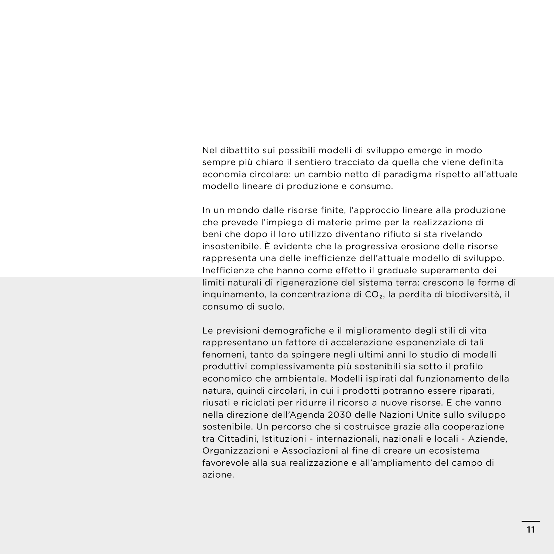Nel dibattito sui possibili modelli di sviluppo emerge in modo sempre più chiaro il sentiero tracciato da quella che viene definita economia circolare: un cambio netto di paradigma rispetto all'attuale modello lineare di produzione e consumo.

In un mondo dalle risorse finite, l'approccio lineare alla produzione che prevede l'impiego di materie prime per la realizzazione di beni che dopo il loro utilizzo diventano rifiuto si sta rivelando insostenibile. È evidente che la progressiva erosione delle risorse rappresenta una delle inefficienze dell'attuale modello di sviluppo. Inefficienze che hanno come effetto il graduale superamento dei limiti naturali di rigenerazione del sistema terra: crescono le forme di inquinamento, la concentrazione di CO₂, la perdita di biodiversità, il consumo di suolo.

Le previsioni demografiche e il miglioramento degli stili di vita rappresentano un fattore di accelerazione esponenziale di tali fenomeni, tanto da spingere negli ultimi anni lo studio di modelli produttivi complessivamente più sostenibili sia sotto il profilo economico che ambientale. Modelli ispirati dal funzionamento della natura, quindi circolari, in cui i prodotti potranno essere riparati, riusati e riciclati per ridurre il ricorso a nuove risorse. E che vanno nella direzione dell'Agenda 2030 delle Nazioni Unite sullo sviluppo sostenibile. Un percorso che si costruisce grazie alla cooperazione tra Cittadini, Istituzioni - internazionali, nazionali e locali - Aziende, Organizzazioni e Associazioni al fine di creare un ecosistema favorevole alla sua realizzazione e all'ampliamento del campo di azione.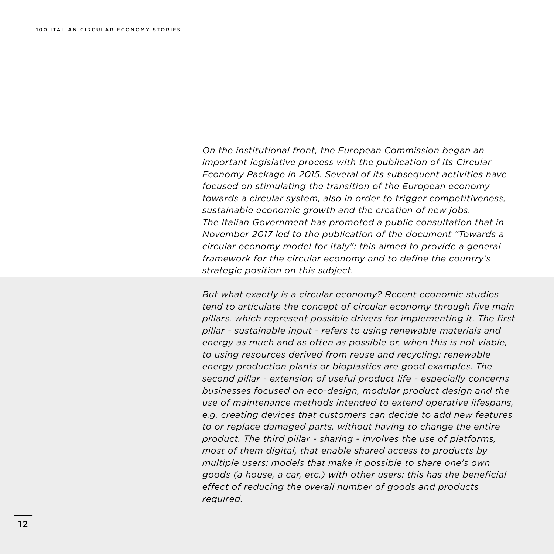*On the institutional front, the European Commission began an important legislative process with the publication of its Circular Economy Package in 2015. Several of its subsequent activities have focused on stimulating the transition of the European economy towards a circular system, also in order to trigger competitiveness, sustainable economic growth and the creation of new jobs. The Italian Government has promoted a public consultation that in November 2017 led to the publication of the document "Towards a circular economy model for Italy": this aimed to provide a general framework for the circular economy and to define the country's strategic position on this subject.* 

*But what exactly is a circular economy? Recent economic studies tend to articulate the concept of circular economy through five main pillars, which represent possible drivers for implementing it. The first pillar - sustainable input - refers to using renewable materials and energy as much and as often as possible or, when this is not viable, to using resources derived from reuse and recycling: renewable energy production plants or bioplastics are good examples. The second pillar - extension of useful product life - especially concerns businesses focused on eco-design, modular product design and the use of maintenance methods intended to extend operative lifespans, e.g. creating devices that customers can decide to add new features to or replace damaged parts, without having to change the entire product. The third pillar - sharing - involves the use of platforms, most of them digital, that enable shared access to products by multiple users: models that make it possible to share one's own goods (a house, a car, etc.) with other users: this has the beneficial effect of reducing the overall number of goods and products required.*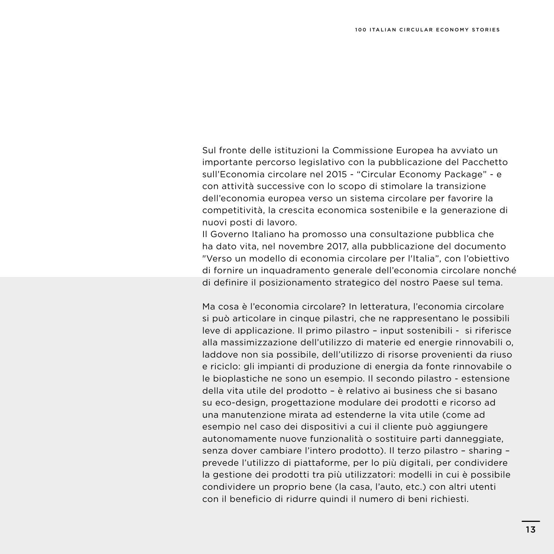Sul fronte delle istituzioni la Commissione Europea ha avviato un importante percorso legislativo con la pubblicazione del Pacchetto sull'Economia circolare nel 2015 - "Circular Economy Package" - e con attività successive con lo scopo di stimolare la transizione dell'economia europea verso un sistema circolare per favorire la competitività, la crescita economica sostenibile e la generazione di nuovi posti di lavoro.

Il Governo Italiano ha promosso una consultazione pubblica che ha dato vita, nel novembre 2017, alla pubblicazione del documento "Verso un modello di economia circolare per l'Italia", con l'obiettivo di fornire un inquadramento generale dell'economia circolare nonché di definire il posizionamento strategico del nostro Paese sul tema.

Ma cosa è l'economia circolare? In letteratura, l'economia circolare si può articolare in cinque pilastri, che ne rappresentano le possibili leve di applicazione. Il primo pilastro – input sostenibili - si riferisce alla massimizzazione dell'utilizzo di materie ed energie rinnovabili o, laddove non sia possibile, dell'utilizzo di risorse provenienti da riuso e riciclo: gli impianti di produzione di energia da fonte rinnovabile o le bioplastiche ne sono un esempio. Il secondo pilastro - estensione della vita utile del prodotto – è relativo ai business che si basano su eco-design, progettazione modulare dei prodotti e ricorso ad una manutenzione mirata ad estenderne la vita utile (come ad esempio nel caso dei dispositivi a cui il cliente può aggiungere autonomamente nuove funzionalità o sostituire parti danneggiate, senza dover cambiare l'intero prodotto). Il terzo pilastro – sharing – prevede l'utilizzo di piattaforme, per lo più digitali, per condividere la gestione dei prodotti tra più utilizzatori: modelli in cui è possibile condividere un proprio bene (la casa, l'auto, etc.) con altri utenti con il beneficio di ridurre quindi il numero di beni richiesti.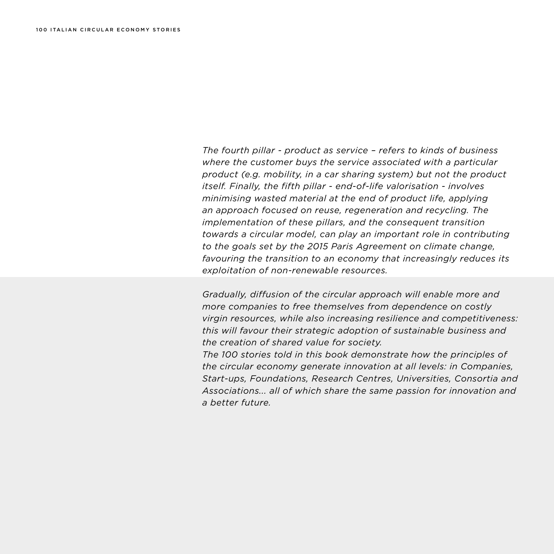*The fourth pillar - product as service – refers to kinds of business where the customer buys the service associated with a particular product (e.g. mobility, in a car sharing system) but not the product itself. Finally, the fifth pillar - end-of-life valorisation - involves minimising wasted material at the end of product life, applying an approach focused on reuse, regeneration and recycling. The implementation of these pillars, and the consequent transition towards a circular model, can play an important role in contributing to the goals set by the 2015 Paris Agreement on climate change, favouring the transition to an economy that increasingly reduces its exploitation of non-renewable resources.* 

*Gradually, diffusion of the circular approach will enable more and more companies to free themselves from dependence on costly virgin resources, while also increasing resilience and competitiveness: this will favour their strategic adoption of sustainable business and the creation of shared value for society.*

*The 100 stories told in this book demonstrate how the principles of the circular economy generate innovation at all levels: in Companies, Start-ups, Foundations, Research Centres, Universities, Consortia and Associations... all of which share the same passion for innovation and a better future.*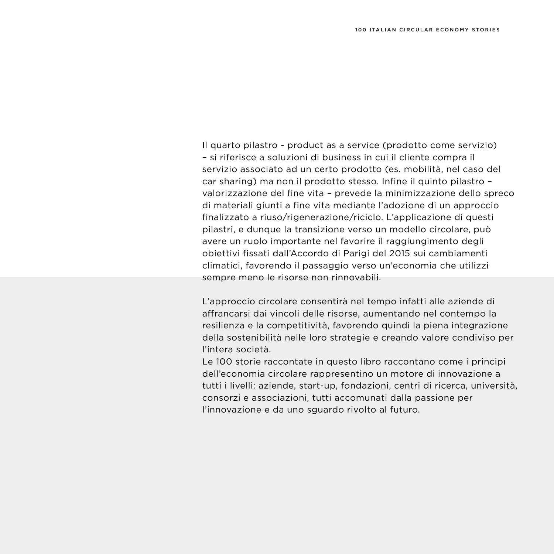Il quarto pilastro - product as a service (prodotto come servizio) – si riferisce a soluzioni di business in cui il cliente compra il servizio associato ad un certo prodotto (es. mobilità, nel caso del car sharing) ma non il prodotto stesso. Infine il quinto pilastro – valorizzazione del fine vita – prevede la minimizzazione dello spreco di materiali giunti a fine vita mediante l'adozione di un approccio finalizzato a riuso/rigenerazione/riciclo. L'applicazione di questi pilastri, e dunque la transizione verso un modello circolare, può avere un ruolo importante nel favorire il raggiungimento degli obiettivi fissati dall'Accordo di Parigi del 2015 sui cambiamenti climatici, favorendo il passaggio verso un'economia che utilizzi sempre meno le risorse non rinnovabili.

L'approccio circolare consentirà nel tempo infatti alle aziende di affrancarsi dai vincoli delle risorse, aumentando nel contempo la resilienza e la competitività, favorendo quindi la piena integrazione della sostenibilità nelle loro strategie e creando valore condiviso per l'intera società.

Le 100 storie raccontate in questo libro raccontano come i principi dell'economia circolare rappresentino un motore di innovazione a tutti i livelli: aziende, start-up, fondazioni, centri di ricerca, università, consorzi e associazioni, tutti accomunati dalla passione per l'innovazione e da uno sguardo rivolto al futuro.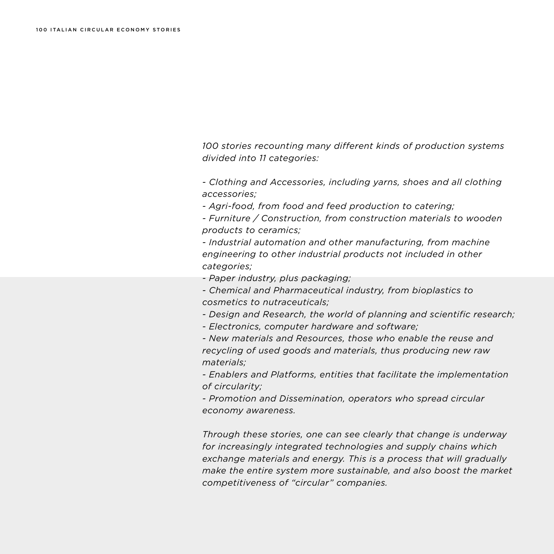*100 stories recounting many different kinds of production systems divided into 11 categories:* 

*- Clothing and Accessories, including yarns, shoes and all clothing accessories;* 

- *Agri-food, from food and feed production to catering;*
- *Furniture / Construction, from construction materials to wooden products to ceramics;*

*- Industrial automation and other manufacturing, from machine engineering to other industrial products not included in other categories;*

*- Paper industry, plus packaging;* 

*- Chemical and Pharmaceutical industry, from bioplastics to cosmetics to nutraceuticals;* 

*- Design and Research, the world of planning and scientific research;* 

*- Electronics, computer hardware and software;* 

*- New materials and Resources, those who enable the reuse and recycling of used goods and materials, thus producing new raw materials;* 

*- Enablers and Platforms, entities that facilitate the implementation of circularity;* 

*- Promotion and Dissemination, operators who spread circular economy awareness.* 

*Through these stories, one can see clearly that change is underway for increasingly integrated technologies and supply chains which exchange materials and energy. This is a process that will gradually make the entire system more sustainable, and also boost the market competitiveness of "circular" companies.*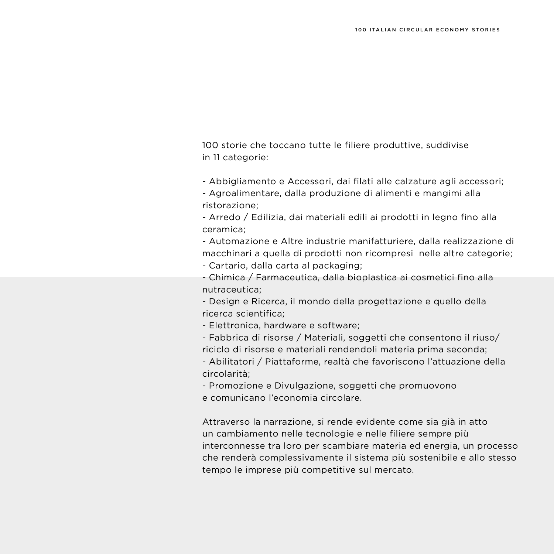100 storie che toccano tutte le filiere produttive, suddivise in 11 categorie:

- Abbigliamento e Accessori, dai filati alle calzature agli accessori;

- Agroalimentare, dalla produzione di alimenti e mangimi alla ristorazione;

- Arredo / Edilizia, dai materiali edili ai prodotti in legno fino alla ceramica;

- Automazione e Altre industrie manifatturiere, dalla realizzazione di macchinari a quella di prodotti non ricompresi nelle altre categorie;

- Cartario, dalla carta al packaging;

- Chimica / Farmaceutica, dalla bioplastica ai cosmetici fino alla nutraceutica;

- Design e Ricerca, il mondo della progettazione e quello della ricerca scientifica;

- Elettronica, hardware e software;

- Fabbrica di risorse / Materiali, soggetti che consentono il riuso/ riciclo di risorse e materiali rendendoli materia prima seconda;

- Abilitatori / Piattaforme, realtà che favoriscono l'attuazione della circolarità;

- Promozione e Divulgazione, soggetti che promuovono e comunicano l'economia circolare.

Attraverso la narrazione, si rende evidente come sia già in atto un cambiamento nelle tecnologie e nelle filiere sempre più interconnesse tra loro per scambiare materia ed energia, un processo che renderà complessivamente il sistema più sostenibile e allo stesso tempo le imprese più competitive sul mercato.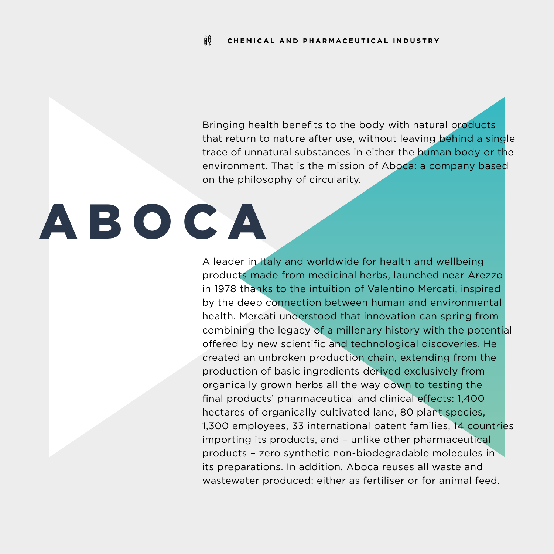Bringing health benefits to the body with natural products that return to nature after use, without leaving behind a single trace of unnatural substances in either the human body or the environment. That is the mission of Aboca: a company based on the philosophy of circularity.

# ABOCA

A leader in Italy and worldwide for health and wellbeing products made from medicinal herbs, launched near Arezzo in 1978 thanks to the intuition of Valentino Mercati, inspired by the deep connection between human and environmental health. Mercati understood that innovation can spring from combining the legacy of a millenary history with the potential offered by new scientific and technological discoveries. He created an unbroken production chain, extending from the production of basic ingredients derived exclusively from organically grown herbs all the way down to testing the final products' pharmaceutical and clinical effects: 1,400 hectares of organically cultivated land, 80 plant species, 1,300 employees, 33 international patent families, 14 countries importing its products, and – unlike other pharmaceutical products – zero synthetic non-biodegradable molecules in its preparations. In addition, Aboca reuses all waste and wastewater produced: either as fertiliser or for animal feed.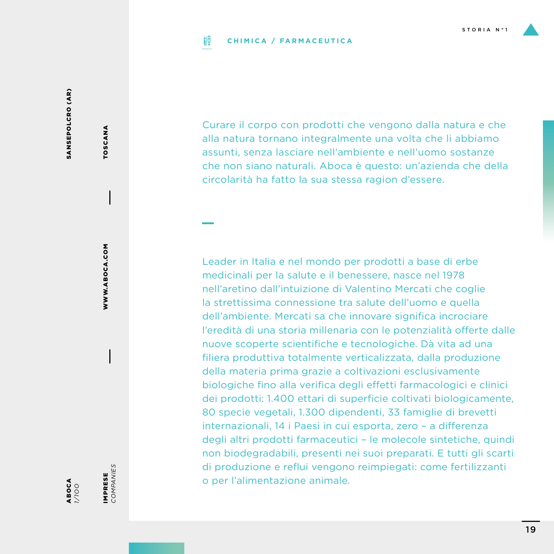#### ijθ **CHIMICA / FARMACEUTICA**

SANSEPOLCRO (AR) SANSEPOLCRO (AR)

TOSCANA

TOSCANA

WWW.ABOCA.COM

WWW.ABOCA.COM

ABOCA *1/1OO* IMPRESE<br>COMPANIES *COMPANIES* IMPRESE

Curare il corpo con prodotti che vengono dalla natura e che alla natura tornano integralmente una volta che li abbiamo assunti, senza lasciare nell'ambiente e nell'uomo sostanze che non siano naturali. Aboca è questo: un'azienda che della circolarità ha fatto la sua stessa ragion d'essere.

Leader in Italia e nel mondo per prodotti a base di erbe medicinali per la salute e il benessere, nasce nel 1978 nell'aretino dall'intuizione di Valentino Mercati che coglie la strettissima connessione tra salute dell'uomo e quella dell'ambiente. Mercati sa che innovare significa incrociare l'eredità di una storia millenaria con le potenzialità offerte dalle nuove scoperte scientifiche e tecnologiche. Dà vita ad una filiera produttiva totalmente verticalizzata, dalla produzione della materia prima grazie a coltivazioni esclusivamente biologiche fino alla verifica degli effetti farmacologici e clinici dei prodotti: 1.400 ettari di superficie coltivati biologicamente, 80 specie vegetali, 1.300 dipendenti, 33 famiglie di brevetti internazionali, 14 i Paesi in cui esporta, zero – a differenza degli altri prodotti farmaceutici – le molecole sintetiche, quindi non biodegradabili, presenti nei suoi preparati. E tutti gli scarti di produzione e reflui vengono reimpiegati: come fertilizzanti o per l'alimentazione animale.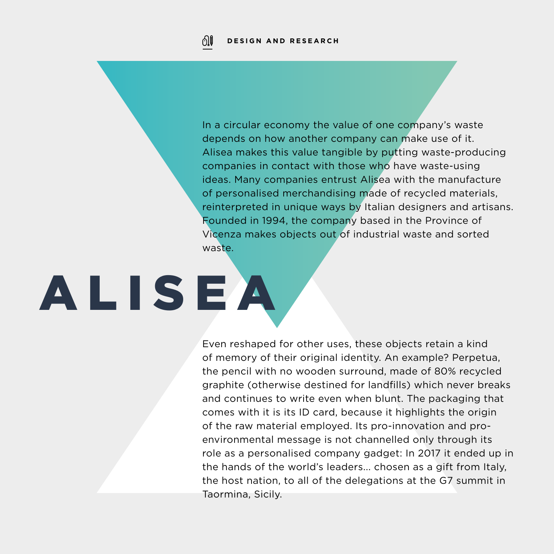In a circular economy the value of one company's waste depends on how another company can make use of it. Alisea makes this value tangible by putting waste-producing companies in contact with those who have waste-using ideas. Many companies entrust Alisea with the manufacture of personalised merchandising made of recycled materials, reinterpreted in unique ways by Italian designers and artisans. Founded in 1994, the company based in the Province of Vicenza makes objects out of industrial waste and sorted waste.

# ALISEA

Even reshaped for other uses, these objects retain a kind of memory of their original identity. An example? Perpetua, the pencil with no wooden surround, made of 80% recycled graphite (otherwise destined for landfills) which never breaks and continues to write even when blunt. The packaging that comes with it is its ID card, because it highlights the origin of the raw material employed. Its pro-innovation and proenvironmental message is not channelled only through its role as a personalised company gadget: In 2017 it ended up in the hands of the world's leaders... chosen as a gift from Italy, the host nation, to all of the delegations at the G7 summit in Taormina, Sicily.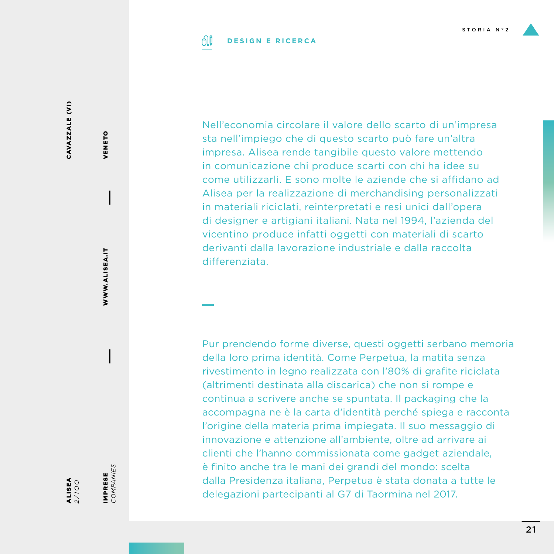

#### 01 **DESIGN E RICERCA**

CAVAZZALE (VI) CAVAZZALE (VI)

ALISEA *2/1OO*

WWW.ALISEA.IT

WWW.ALISEA.IT

VENETO

VENETO

IMPRESE<br>COMPANIES *COMPANIES* IMPRESE

Nell'economia circolare il valore dello scarto di un'impresa sta nell'impiego che di questo scarto può fare un'altra impresa. Alisea rende tangibile questo valore mettendo in comunicazione chi produce scarti con chi ha idee su come utilizzarli. E sono molte le aziende che si affidano ad Alisea per la realizzazione di merchandising personalizzati in materiali riciclati, reinterpretati e resi unici dall'opera di designer e artigiani italiani. Nata nel 1994, l'azienda del vicentino produce infatti oggetti con materiali di scarto derivanti dalla lavorazione industriale e dalla raccolta differenziata.

Pur prendendo forme diverse, questi oggetti serbano memoria della loro prima identità. Come Perpetua, la matita senza rivestimento in legno realizzata con l'80% di grafite riciclata (altrimenti destinata alla discarica) che non si rompe e continua a scrivere anche se spuntata. Il packaging che la accompagna ne è la carta d'identità perché spiega e racconta l'origine della materia prima impiegata. Il suo messaggio di innovazione e attenzione all'ambiente, oltre ad arrivare ai clienti che l'hanno commissionata come gadget aziendale, è finito anche tra le mani dei grandi del mondo: scelta dalla Presidenza italiana, Perpetua è stata donata a tutte le delegazioni partecipanti al G7 di Taormina nel 2017.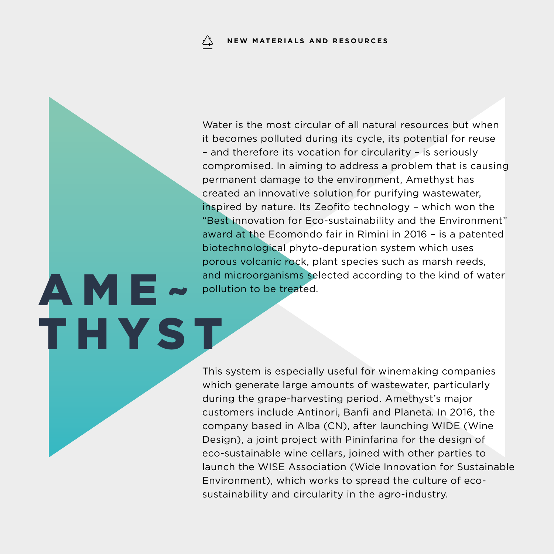AME~

THYST

Water is the most circular of all natural resources but when it becomes polluted during its cycle, its potential for reuse – and therefore its vocation for circularity – is seriously compromised. In aiming to address a problem that is causing permanent damage to the environment, Amethyst has created an innovative solution for purifying wastewater, inspired by nature. Its Zeofito technology – which won the "Best innovation for Eco-sustainability and the Environment" award at the Ecomondo fair in Rimini in 2016 – is a patented biotechnological phyto-depuration system which uses porous volcanic rock, plant species such as marsh reeds, and microorganisms selected according to the kind of water pollution to be treated.

This system is especially useful for winemaking companies which generate large amounts of wastewater, particularly during the grape-harvesting period. Amethyst's major customers include Antinori, Banfi and Planeta. In 2016, the company based in Alba (CN), after launching WIDE (Wine Design), a joint project with Pininfarina for the design of eco-sustainable wine cellars, joined with other parties to launch the WISE Association (Wide Innovation for Sustainable Environment), which works to spread the culture of ecosustainability and circularity in the agro-industry.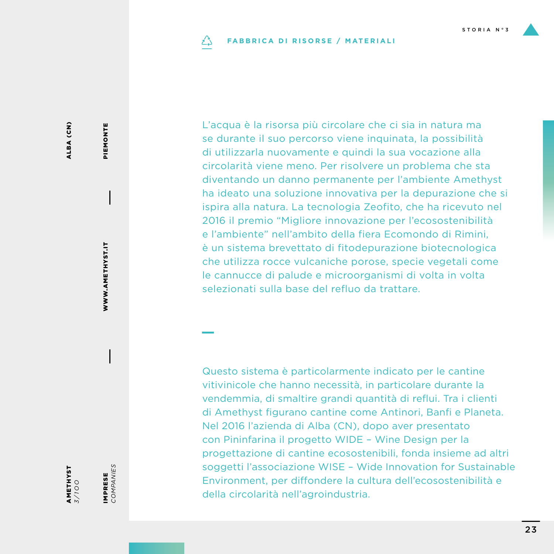#### **FABBRICA DI RISORSE / MATERIALI** دُے

L'acqua è la risorsa più circolare che ci sia in natura ma se durante il suo percorso viene inquinata, la possibilità di utilizzarla nuovamente e quindi la sua vocazione alla circolarità viene meno. Per risolvere un problema che sta diventando un danno permanente per l'ambiente Amethyst ha ideato una soluzione innovativa per la depurazione che si ispira alla natura. La tecnologia Zeofito, che ha ricevuto nel 2016 il premio "Migliore innovazione per l'ecosostenibilità e l'ambiente" nell'ambito della fiera Ecomondo di Rimini, è un sistema brevettato di fitodepurazione biotecnologica che utilizza rocce vulcaniche porose, specie vegetali come le cannucce di palude e microorganismi di volta in volta selezionati sulla base del refluo da trattare.

Questo sistema è particolarmente indicato per le cantine vitivinicole che hanno necessità, in particolare durante la vendemmia, di smaltire grandi quantità di reflui. Tra i clienti di Amethyst figurano cantine come Antinori, Banfi e Planeta. Nel 2016 l'azienda di Alba (CN), dopo aver presentato con Pininfarina il progetto WIDE – Wine Design per la progettazione di cantine ecosostenibili, fonda insieme ad altri soggetti l'associazione WISE – Wide Innovation for Sustainable Environment, per diffondere la cultura dell'ecosostenibilità e della circolarità nell'agroindustria.

WWW.AMETHYST.IT WWW.AMETHYST.IT

PIEMONTE

PIEMONTE

AMETHYST *3/1OO*

IMPRESE *COMPANIES*

IMPRESE<br>COMPANIES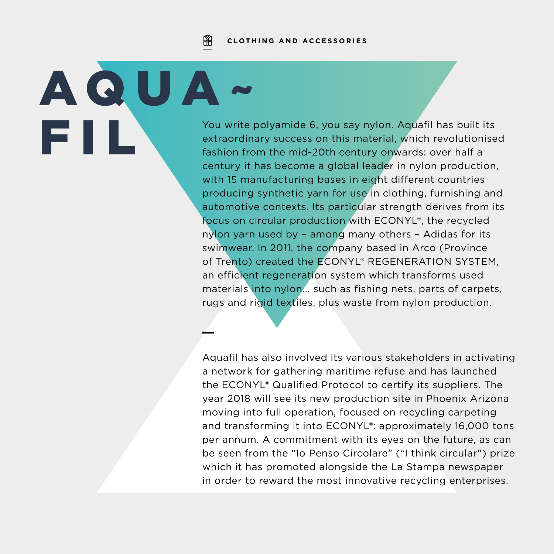阐 **CLOTHING AND ACCESSORIES**

AQUA~

You write polyamide 6, you say nylon. Aquafil has built its<br>extraordinary success on this material, which revolutionise<br>fashion from the mid-20th century onwards: over half a extraordinary success on this material, which revolutionised fashion from the mid-20th century onwards: over half a century it has become a global leader in nylon production, with 15 manufacturing bases in eight different countries producing synthetic yarn for use in clothing, furnishing and automotive contexts. Its particular strength derives from its focus on circular production with ECONYL®, the recycled nylon yarn used by – among many others – Adidas for its swimwear. In 2011, the company based in Arco (Province of Trento) created the ECONYL® REGENERATION SYSTEM, an efficient regeneration system which transforms used materials into nylon... such as fishing nets, parts of carpets, rugs and rigid textiles, plus waste from nylon production.

> Aquafil has also involved its various stakeholders in activating a network for gathering maritime refuse and has launched the ECONYL® Qualified Protocol to certify its suppliers. The year 2018 will see its new production site in Phoenix Arizona moving into full operation, focused on recycling carpeting and transforming it into ECONYL®: approximately 16,000 tons per annum. A commitment with its eyes on the future, as can be seen from the "Io Penso Circolare" ("I think circular") prize which it has promoted alongside the La Stampa newspaper in order to reward the most innovative recycling enterprises.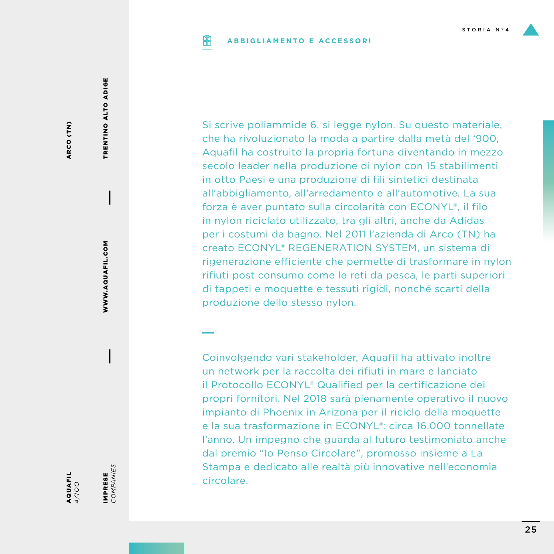#### **ABBIGLIAMENTO E ACCESSORI PIP**

ARCO (TN) ARCO (TN)

> WWW.AQUAFIL.COM WWW.AQUAFIL.COM

TRENTINO ALTO ADIGE

TRENTINO ALTO ADIGE

IMPRESE<br>COMPANIES

IMPRESE *COMPANIES*

AQUAFIL *4/1OO*

forza è aver puntato sulla circolarità con ECONYL®, il filo in nylon riciclato utilizzato, tra gli altri, anche da Adidas per i costumi da bagno. Nel 2011 l'azienda di Arco (TN) ha creato ECONYL® REGENERATION SYSTEM, un sistema di rigenerazione efficiente che permette di trasformare in nylon rifiuti post consumo come le reti da pesca, le parti superiori di tappeti e moquette e tessuti rigidi, nonché scarti della produzione dello stesso nylon. Coinvolgendo vari stakeholder, Aquafil ha attivato inoltre un network per la raccolta dei rifiuti in mare e lanciato

Si scrive poliammide 6, si legge nylon. Su questo materiale, che ha rivoluzionato la moda a partire dalla metà del '900, Aquafil ha costruito la propria fortuna diventando in mezzo secolo leader nella produzione di nylon con 15 stabilimenti in otto Paesi e una produzione di fili sintetici destinata all'abbigliamento, all'arredamento e all'automotive. La sua

il Protocollo ECONYL® Qualified per la certificazione dei propri fornitori. Nel 2018 sarà pienamente operativo il nuovo impianto di Phoenix in Arizona per il riciclo della moquette e la sua trasformazione in ECONYL®: circa 16.000 tonnellate l'anno. Un impegno che guarda al futuro testimoniato anche dal premio "Io Penso Circolare", promosso insieme a La Stampa e dedicato alle realtà più innovative nell'economia circolare.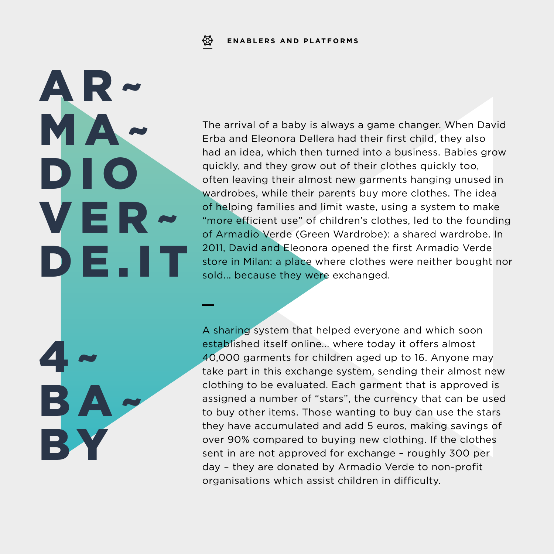The arrival of a baby is always a game changer. When David Erba and Eleonora Dellera had their first child, they also had an idea, which then turned into a business. Babies grow quickly, and they grow out of their clothes quickly too, often leaving their almost new garments hanging unused in wardrobes, while their parents buy more clothes. The idea of helping families and limit waste, using a system to make "more efficient use" of children's clothes, led to the founding of Armadio Verde (Green Wardrobe): a shared wardrobe. In 2011, David and Eleonora opened the first Armadio Verde store in Milan: a place where clothes were neither bought nor sold... because they were exchanged.

A sharing system that helped everyone and which soon established itself online... where today it offers almost 40,000 garments for children aged up to 16. Anyone may take part in this exchange system, sending their almost new clothing to be evaluated. Each garment that is approved is assigned a number of "stars", the currency that can be used to buy other items. Those wanting to buy can use the stars they have accumulated and add 5 euros, making savings of over 90% compared to buying new clothing. If the clothes sent in are not approved for exchange – roughly 300 per day – they are donated by Armadio Verde to non-profit organisations which assist children in difficulty.

AR~ MA~ DIO VER~ DE. I T  $4 -$ 

BA~

**B**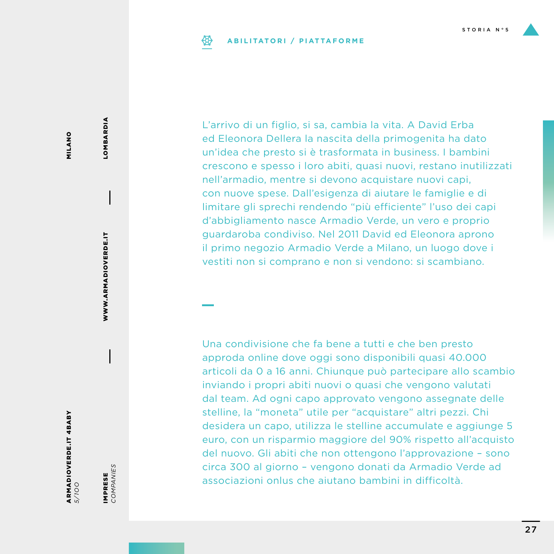#### **ABILITATORI / PIATTAFORME**

MILANO MILANO

ARMADIOVERDE.IT 4BABY *5/1OO*

IMPRESE<br>COMPANIES *COMPANIES* IMPRESE

WWW.ARMADIOVERDE.IT

WWW.ARMADIOVERDE.IT

LOMBARDIA LOMBARDIA

L'arrivo di un figlio, si sa, cambia la vita. A David Erba ed Eleonora Dellera la nascita della primogenita ha dato un'idea che presto si è trasformata in business. I bambini crescono e spesso i loro abiti, quasi nuovi, restano inutilizzati nell'armadio, mentre si devono acquistare nuovi capi, con nuove spese. Dall'esigenza di aiutare le famiglie e di limitare gli sprechi rendendo "più efficiente" l'uso dei capi d'abbigliamento nasce Armadio Verde, un vero e proprio guardaroba condiviso. Nel 2011 David ed Eleonora aprono il primo negozio Armadio Verde a Milano, un luogo dove i vestiti non si comprano e non si vendono: si scambiano.

Una condivisione che fa bene a tutti e che ben presto approda online dove oggi sono disponibili quasi 40.000 articoli da 0 a 16 anni. Chiunque può partecipare allo scambio inviando i propri abiti nuovi o quasi che vengono valutati dal team. Ad ogni capo approvato vengono assegnate delle stelline, la "moneta" utile per "acquistare" altri pezzi. Chi desidera un capo, utilizza le stelline accumulate e aggiunge 5 euro, con un risparmio maggiore del 90% rispetto all'acquisto del nuovo. Gli abiti che non ottengono l'approvazione – sono circa 300 al giorno – vengono donati da Armadio Verde ad associazioni onlus che aiutano bambini in difficoltà.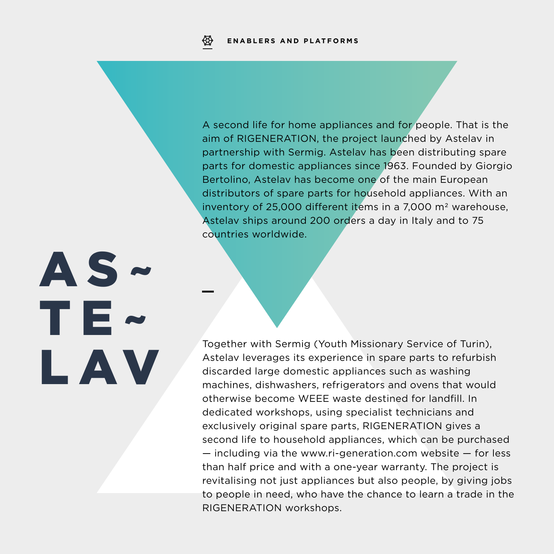A second life for home appliances and for people. That is the aim of RIGENERATION, the project launched by Astelav in partnership with Sermig. Astelav has been distributing spare parts for domestic appliances since 1963. Founded by Giorgio Bertolino, Astelav has become one of the main European distributors of spare parts for household appliances. With an inventory of 25,000 different items in a 7,000  $m<sup>2</sup>$  warehouse, Astelav ships around 200 orders a day in Italy and to 75 countries worldwide.

AS~ TE~ LAV

Together with Sermig (Youth Missionary Service of Turin), Astelav leverages its experience in spare parts to refurbish discarded large domestic appliances such as washing machines, dishwashers, refrigerators and ovens that would otherwise become WEEE waste destined for landfill. In dedicated workshops, using specialist technicians and exclusively original spare parts, RIGENERATION gives a second life to household appliances, which can be purchased — including via the www.ri-generation.com website — for less than half price and with a one-year warranty. The project is revitalising not just appliances but also people, by giving jobs to people in need, who have the chance to learn a trade in the RIGENERATION workshops.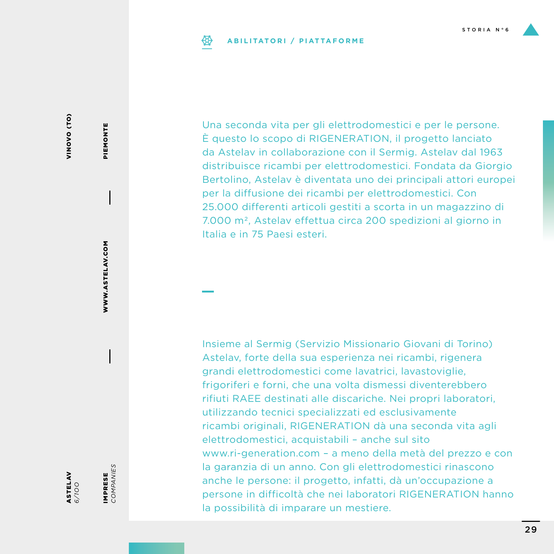#### **ABILITATORI / PIATTAFORME**

VINOVO (TO) VINO (CONDIN

ASTELAV *6/1OO* IMPRESE<br>COMPANIES *COMPANIES* IMPRESE

WWW.ASTELAV.COM

WWW.ASTELAV.COM

PIEMONTE

PIEMONTE

Una seconda vita per gli elettrodomestici e per le persone. È questo lo scopo di RIGENERATION, il progetto lanciato da Astelav in collaborazione con il Sermig. Astelav dal 1963 distribuisce ricambi per elettrodomestici. Fondata da Giorgio Bertolino, Astelav è diventata uno dei principali attori europei per la diffusione dei ricambi per elettrodomestici. Con 25.000 differenti articoli gestiti a scorta in un magazzino di 7.000 m2, Astelav effettua circa 200 spedizioni al giorno in Italia e in 75 Paesi esteri.

Insieme al Sermig (Servizio Missionario Giovani di Torino) Astelav, forte della sua esperienza nei ricambi, rigenera grandi elettrodomestici come lavatrici, lavastoviglie, frigoriferi e forni, che una volta dismessi diventerebbero rifiuti RAEE destinati alle discariche. Nei propri laboratori, utilizzando tecnici specializzati ed esclusivamente ricambi originali, RIGENERATION dà una seconda vita agli elettrodomestici, acquistabili – anche sul sito www.ri-generation.com – a meno della metà del prezzo e con la garanzia di un anno. Con gli elettrodomestici rinascono anche le persone: il progetto, infatti, dà un'occupazione a persone in difficoltà che nei laboratori RIGENERATION hanno la possibilità di imparare un mestiere.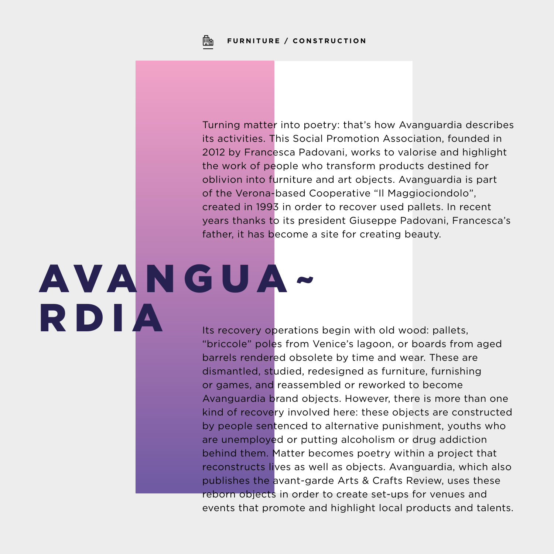**FURNITURE / CONSTRUCTION**

Turning matter into poetry: that's how Avanguardia describes its activities. This Social Promotion Association, founded in 2012 by Francesca Padovani, works to valorise and highlight the work of people who transform products destined for oblivion into furniture and art objects. Avanguardia is part of the Verona-based Cooperative "Il Maggiociondolo", created in 1993 in order to recover used pallets. In recent years thanks to its president Giuseppe Padovani, Francesca's father, it has become a site for creating beauty.

# AVANGUA-RDIA

Fb

Its recovery operations begin with old wood: pallets, "briccole" poles from Venice's lagoon, or boards from aged barrels rendered obsolete by time and wear. These are dismantled, studied, redesigned as furniture, furnishing or games, and reassembled or reworked to become Avanguardia brand objects. However, there is more than one kind of recovery involved here: these objects are constructed by people sentenced to alternative punishment, youths who are unemployed or putting alcoholism or drug addiction behind them. Matter becomes poetry within a project that reconstructs lives as well as objects. Avanguardia, which also publishes the avant-garde Arts & Crafts Review, uses these reborn objects in order to create set-ups for venues and events that promote and highlight local products and talents.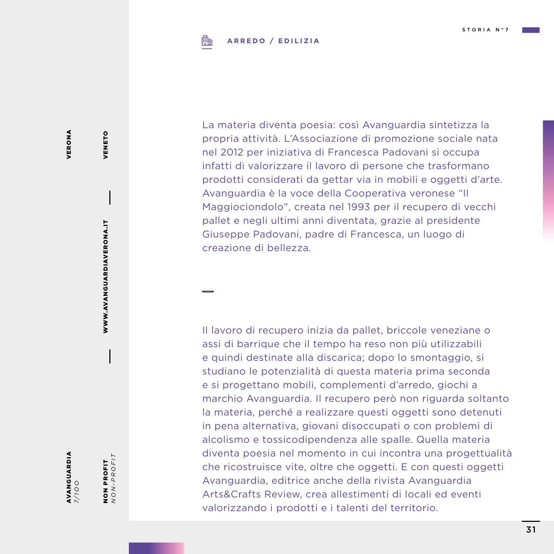#### **ARREDO / EDILIZIA**鶥

VERONA VERONA

VENETO

VENETO

WWW.AVANGUARDIAVERONA.IT

WWW.AVANGUARDIAVERONA.IT

AVANGUARDIA *7/ 1OO* NON PROFIT<br> $NON-PROFIT$ *NON-PROFIT* NON PROFIT

La materia diventa poesia: così Avanguardia sintetizza la propria attività. L'Associazione di promozione sociale nata nel 2012 per iniziativa di Francesca Padovani si occupa infatti di valorizzare il lavoro di persone che trasformano prodotti considerati da gettar via in mobili e oggetti d'arte. Avanguardia è la voce della Cooperativa veronese "Il Maggiociondolo", creata nel 1993 per il recupero di vecchi pallet e negli ultimi anni diventata, grazie al presidente Giuseppe Padovani, padre di Francesca, un luogo di creazione di bellezza.

Il lavoro di recupero inizia da pallet, briccole veneziane o assi di barrique che il tempo ha reso non più utilizzabili e quindi destinate alla discarica; dopo lo smontaggio, si studiano le potenzialità di questa materia prima seconda e si progettano mobili, complementi d'arredo, giochi a marchio Avanguardia. Il recupero però non riguarda soltanto la materia, perché a realizzare questi oggetti sono detenuti in pena alternativa, giovani disoccupati o con problemi di alcolismo e tossicodipendenza alle spalle. Quella materia diventa poesia nel momento in cui incontra una progettualità che ricostruisce vite, oltre che oggetti. E con questi oggetti Avanguardia, editrice anche della rivista Avanguardia Arts&Crafts Review, crea allestimenti di locali ed eventi valorizzando i prodotti e i talenti del territorio.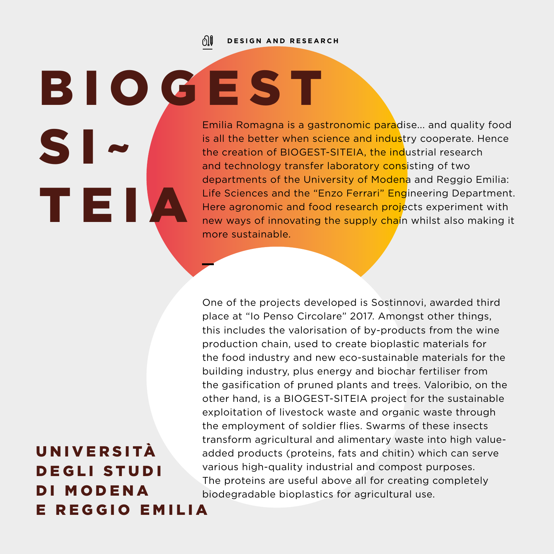ி⊫ **DESIGN AND RESEARCH**

Emilia Romagna is a gastronomic paradise... and quality food is all the better when science and industry cooperate. Hence the creation of BIOGEST-SITEIA, the industrial research and technology transfer laboratory consisting of two departments of the University of Modena and Reggio Emilia: Life Sciences and the "Enzo Ferrari" Engineering Department. Here agronomic and food research projects experiment with new ways of innovating the supply chain whilst also making it more sustainable. B I O G E S T  $S I$  ~ TEIA

> One of the projects developed is Sostinnovi, awarded third place at "Io Penso Circolare" 2017. Amongst other things, this includes the valorisation of by-products from the wine production chain, used to create bioplastic materials for the food industry and new eco-sustainable materials for the building industry, plus energy and biochar fertiliser from the gasification of pruned plants and trees. Valoribio, on the other hand, is a BIOGEST-SITEIA project for the sustainable exploitation of livestock waste and organic waste through the employment of soldier flies. Swarms of these insects transform agricultural and alimentary waste into high valueadded products (proteins, fats and chitin) which can serve various high-quality industrial and compost purposes. The proteins are useful above all for creating completely biodegradable bioplastics for agricultural use.

### **UNIVERSITÀ** DEGLI STUDI DI MODENA E REGGIO EMILIA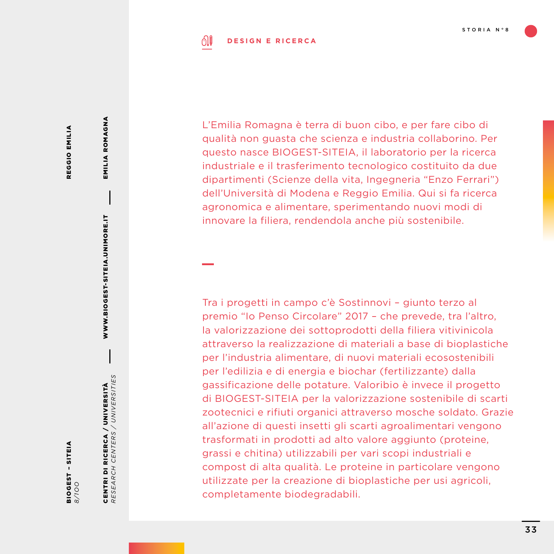#### ி **DESIGN E RICERCA**

REGGIO EMILIA REGGIO EMILIA EMILIA ROMAGNA

EMILIA ROMAGNA

WWW.BIOGEST-SITEIA.UNIMORE.IT

WWW.BIOGEST-SITEIA.UNIMORE.IT

BIOGEST – SITEIA **BIOGEST - SITEIA**<br>8/100 CENTRI DI RICERCA / UNIVERSITÀ *RESEARCH CENTERS / UNIVERSITIES*

CENTRI DI RICERCA / UNIVERSITÀ<br>RESEARCH CENTERS / UNIVERSITIES

L'Emilia Romagna è terra di buon cibo, e per fare cibo di qualità non guasta che scienza e industria collaborino. Per questo nasce BIOGEST-SITEIA, il laboratorio per la ricerca industriale e il trasferimento tecnologico costituito da due dipartimenti (Scienze della vita, Ingegneria "Enzo Ferrari") dell'Università di Modena e Reggio Emilia. Qui si fa ricerca agronomica e alimentare, sperimentando nuovi modi di innovare la filiera, rendendola anche più sostenibile.

Tra i progetti in campo c'è Sostinnovi – giunto terzo al premio "Io Penso Circolare" 2017 – che prevede, tra l'altro, la valorizzazione dei sottoprodotti della filiera vitivinicola attraverso la realizzazione di materiali a base di bioplastiche per l'industria alimentare, di nuovi materiali ecosostenibili per l'edilizia e di energia e biochar (fertilizzante) dalla gassificazione delle potature. Valoribio è invece il progetto di BIOGEST-SITEIA per la valorizzazione sostenibile di scarti zootecnici e rifiuti organici attraverso mosche soldato. Grazie all'azione di questi insetti gli scarti agroalimentari vengono trasformati in prodotti ad alto valore aggiunto (proteine, grassi e chitina) utilizzabili per vari scopi industriali e compost di alta qualità. Le proteine in particolare vengono utilizzate per la creazione di bioplastiche per usi agricoli, completamente biodegradabili.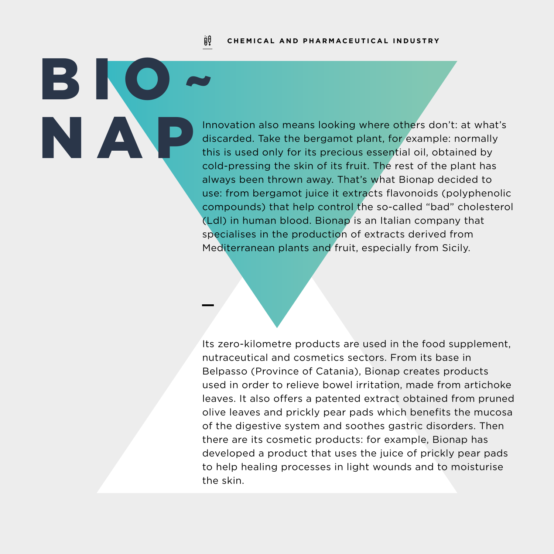#### jiŲ **CHEMICAL AND PHARMACEUTICAL INDUSTRY**

BIC<sup>®</sup>

Innovation also means looking where others don't: at what's discarded. Take the bergamot plant, for example: normally this is used only for its precious essential oil obtained by discarded. Take the bergamot plant, for example: normally this is used only for its precious essential oil, obtained by cold-pressing the skin of its fruit. The rest of the plant has always been thrown away. That's what Bionap decided to use: from bergamot juice it extracts flavonoids (polyphenolic compounds) that help control the so-called "bad" cholesterol (Ldl) in human blood. Bionap is an Italian company that specialises in the production of extracts derived from Mediterranean plants and fruit, especially from Sicily.

> Its zero-kilometre products are used in the food supplement, nutraceutical and cosmetics sectors. From its base in Belpasso (Province of Catania), Bionap creates products used in order to relieve bowel irritation, made from artichoke leaves. It also offers a patented extract obtained from pruned olive leaves and prickly pear pads which benefits the mucosa of the digestive system and soothes gastric disorders. Then there are its cosmetic products: for example, Bionap has developed a product that uses the juice of prickly pear pads to help healing processes in light wounds and to moisturise the skin.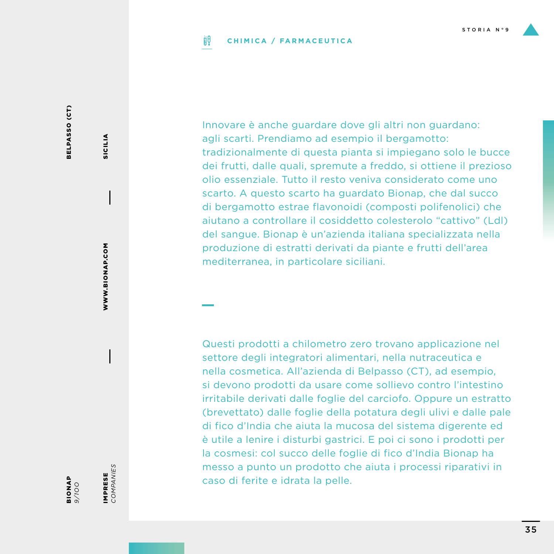#### ijθ **CHIMICA / FARMACEUTICA**

BELPASSO (CT) BELPASSO (CT)

> BIONAP **BIONAP**

IMPRESE<br>COMPANIES *COMPANIES* IMPRESE

WWW.BIONAP.COM

WWW.BIONAP.COM

SICILIA

**SICILIA** 

Innovare è anche guardare dove gli altri non guardano: agli scarti. Prendiamo ad esempio il bergamotto: tradizionalmente di questa pianta si impiegano solo le bucce dei frutti, dalle quali, spremute a freddo, si ottiene il prezioso olio essenziale. Tutto il resto veniva considerato come uno scarto. A questo scarto ha guardato Bionap, che dal succo di bergamotto estrae flavonoidi (composti polifenolici) che aiutano a controllare il cosiddetto colesterolo "cattivo" (Ldl) del sangue. Bionap è un'azienda italiana specializzata nella produzione di estratti derivati da piante e frutti dell'area mediterranea, in particolare siciliani.

Questi prodotti a chilometro zero trovano applicazione nel settore degli integratori alimentari, nella nutraceutica e nella cosmetica. All'azienda di Belpasso (CT), ad esempio, si devono prodotti da usare come sollievo contro l'intestino irritabile derivati dalle foglie del carciofo. Oppure un estratto (brevettato) dalle foglie della potatura degli ulivi e dalle pale di fico d'India che aiuta la mucosa del sistema digerente ed è utile a lenire i disturbi gastrici. E poi ci sono i prodotti per la cosmesi: col succo delle foglie di fico d'India Bionap ha messo a punto un prodotto che aiuta i processi riparativi in caso di ferite e idrata la pelle.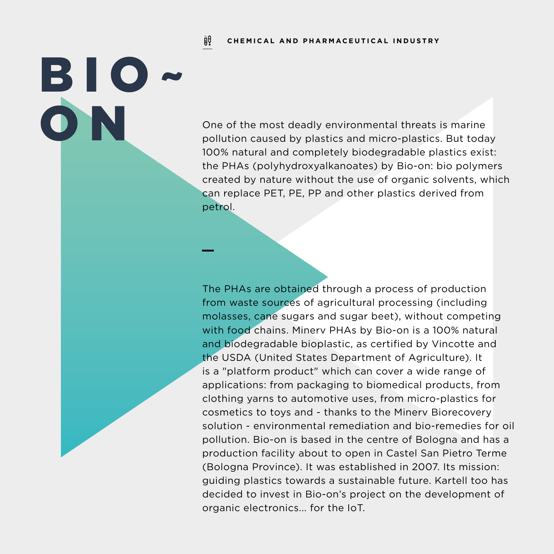jiŲ **CHEMICAL AND PHARMACEUTICAL INDUSTRY**

BIO~

O N One of the most deadly environmental threats is marine<br>pollution caused by plastics and micro-plastics. But toda<br>100% patural and completely biodegradable plastics evident pollution caused by plastics and micro-plastics. But today 100% natural and completely biodegradable plastics exist: the PHAs (polyhydroxyalkanoates) by Bio-on: bio polymers created by nature without the use of organic solvents, which can replace PET, PE, PP and other plastics derived from petrol.

> The PHAs are obtained through a process of production from waste sources of agricultural processing (including molasses, cane sugars and sugar beet), without competing with food chains. Minerv PHAs by Bio-on is a 100% natural and biodegradable bioplastic, as certified by Vincotte and the USDA (United States Department of Agriculture). It is a "platform product" which can cover a wide range of applications: from packaging to biomedical products, from clothing yarns to automotive uses, from micro-plastics for cosmetics to toys and - thanks to the Minerv Biorecovery solution - environmental remediation and bio-remedies for oil pollution. Bio-on is based in the centre of Bologna and has a production facility about to open in Castel San Pietro Terme (Bologna Province). It was established in 2007. Its mission: guiding plastics towards a sustainable future. Kartell too has decided to invest in Bio-on's project on the development of organic electronics... for the IoT.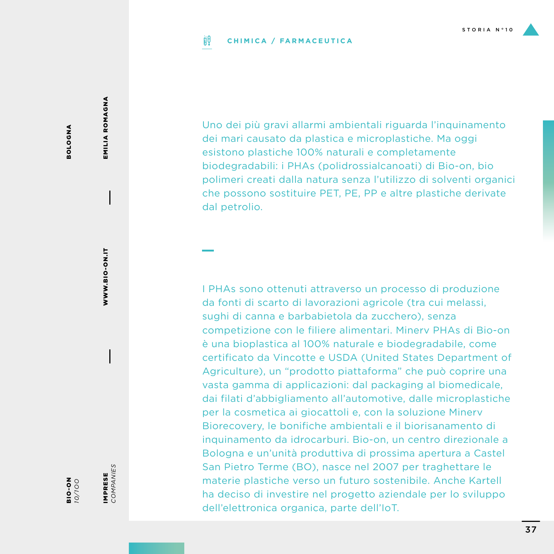### ijθ **CHIMICA / FARMACEUTICA**

Uno dei più gravi allarmi ambientali riguarda l'inquinamento dei mari causato da plastica e microplastiche. Ma oggi esistono plastiche 100% naturali e completamente biodegradabili: i PHAs (polidrossialcanoati) di Bio-on, bio polimeri creati dalla natura senza l'utilizzo di solventi organici che possono sostituire PET, PE, PP e altre plastiche derivate dal petrolio.

I PHAs sono ottenuti attraverso un processo di produzione da fonti di scarto di lavorazioni agricole (tra cui melassi, sughi di canna e barbabietola da zucchero), senza competizione con le filiere alimentari. Minerv PHAs di Bio-on è una bioplastica al 100% naturale e biodegradabile, come certificato da Vincotte e USDA (United States Department of Agriculture), un "prodotto piattaforma" che può coprire una vasta gamma di applicazioni: dal packaging al biomedicale, dai filati d'abbigliamento all'automotive, dalle microplastiche per la cosmetica ai giocattoli e, con la soluzione Minerv Biorecovery, le bonifiche ambientali e il biorisanamento di inquinamento da idrocarburi. Bio-on, un centro direzionale a Bologna e un'unità produttiva di prossima apertura a Castel San Pietro Terme (BO), nasce nel 2007 per traghettare le materie plastiche verso un futuro sostenibile. Anche Kartell ha deciso di investire nel progetto aziendale per lo sviluppo dell'elettronica organica, parte dell'IoT.

IMPRESE *COMPANIES*

IMPRESE<br>COMPANIES

WWW.BIO-ON.IT

WWW.BIO-ON.IT

EMILIA ROMAGNA

EMILIA ROMAGNA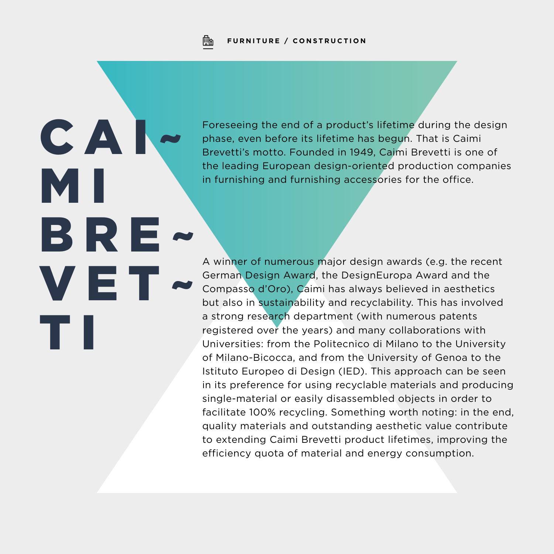Fb **FURNITURE / CONSTRUCTION**

 $CA$ 

VE"

T I

BRE~

M I

Foreseeing the end of a product's lifetime during the design phase, even before its lifetime has begun. That is Caimi Brevetti's motto. Founded in 1949, Caimi Brevetti is one of the leading European design-oriented production companies in furnishing and furnishing accessories for the office.

A winner of numerous major design awards (e.g. the recent German Design Award, the DesignEuropa Award and the Compasso d'Oro), Caimi has always believed in aesthetics but also in sustainability and recyclability. This has involved a strong research department (with numerous patents registered over the years) and many collaborations with Universities: from the Politecnico di Milano to the University of Milano-Bicocca, and from the University of Genoa to the Istituto Europeo di Design (IED). This approach can be seen in its preference for using recyclable materials and producing single-material or easily disassembled objects in order to facilitate 100% recycling. Something worth noting: in the end, quality materials and outstanding aesthetic value contribute to extending Caimi Brevetti product lifetimes, improving the efficiency quota of material and energy consumption.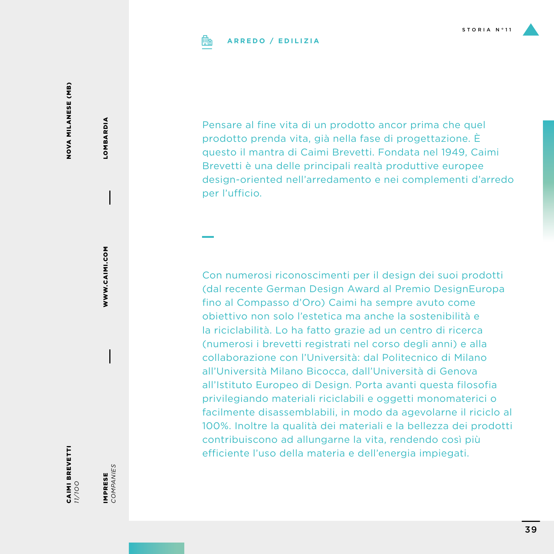

### **ARREDO / EDILIZIA**

NOVA MILANESE (MB) NOVA MILANESE (MB)

Pensare al fine vita di un prodotto ancor prima che quel prodotto prenda vita, già nella fase di progettazione. È questo il mantra di Caimi Brevetti. Fondata nel 1949, Caimi Brevetti è una delle principali realtà produttive europee design-oriented nell'arredamento e nei complementi d'arredo per l'ufficio.

Con numerosi riconoscimenti per il design dei suoi prodotti (dal recente German Design Award al Premio DesignEuropa fino al Compasso d'Oro) Caimi ha sempre avuto come obiettivo non solo l'estetica ma anche la sostenibilità e la riciclabilità. Lo ha fatto grazie ad un centro di ricerca (numerosi i brevetti registrati nel corso degli anni) e alla collaborazione con l'Università: dal Politecnico di Milano all'Università Milano Bicocca, dall'Università di Genova all'Istituto Europeo di Design. Porta avanti questa filosofia privilegiando materiali riciclabili e oggetti monomaterici o facilmente disassemblabili, in modo da agevolarne il riciclo al 100%. Inoltre la qualità dei materiali e la bellezza dei prodotti contribuiscono ad allungarne la vita, rendendo così più efficiente l'uso della materia e dell'energia impiegati.

CAIMI BREVETTI *11/1OO*

IMPRESE *COMPANIES*

IMPRESE<br>COMPANIES

WWW.CAIMI.COM

WWW.CAIMI.COM

LOMBARDIA

LOMBARDIA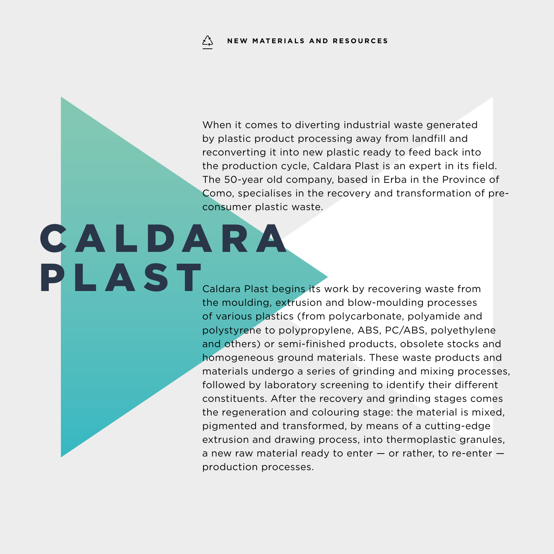When it comes to diverting industrial waste generated by plastic product processing away from landfill and reconverting it into new plastic ready to feed back into the production cycle, Caldara Plast is an expert in its field. The 50-year old company, based in Erba in the Province of Como, specialises in the recovery and transformation of preconsumer plastic waste.

### C A L D A R A PLAST<sub>Caldara</sub> Plast begins its work by recovering waste from

the moulding, extrusion and blow-moulding processes of various plastics (from polycarbonate, polyamide and polystyrene to polypropylene, ABS, PC/ABS, polyethylene and others) or semi-finished products, obsolete stocks and homogeneous ground materials. These waste products and materials undergo a series of grinding and mixing processes, followed by laboratory screening to identify their different constituents. After the recovery and grinding stages comes the regeneration and colouring stage: the material is mixed, pigmented and transformed, by means of a cutting-edge extrusion and drawing process, into thermoplastic granules, a new raw material ready to enter  $-$  or rather, to re-enter  $$ production processes.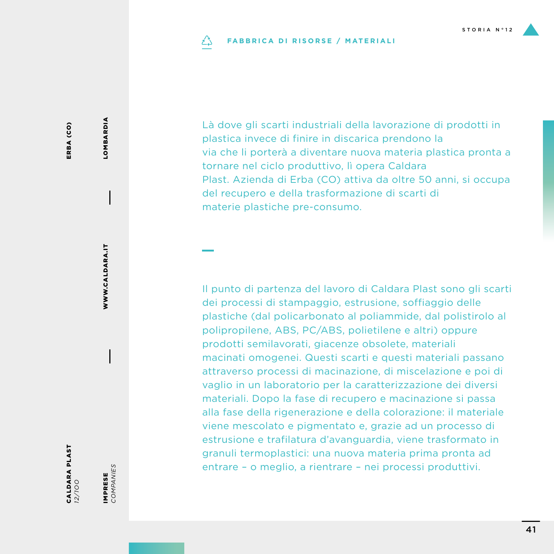### **FABBRICA DI RISORSE / MATERIALI** دُے

Là dove gli scarti industriali della lavorazione di prodotti in plastica invece di finire in discarica prendono la via che li porterà a diventare nuova materia plastica pronta a tornare nel ciclo produttivo, lì opera Caldara Plast. Azienda di Erba (CO) attiva da oltre 50 anni, si occupa del recupero e della trasformazione di scarti di materie plastiche pre-consumo.

Il punto di partenza del lavoro di Caldara Plast sono gli scarti dei processi di stampaggio, estrusione, soffiaggio delle plastiche (dal policarbonato al poliammide, dal polistirolo al polipropilene, ABS, PC/ABS, polietilene e altri) oppure prodotti semilavorati, giacenze obsolete, materiali macinati omogenei. Questi scarti e questi materiali passano attraverso processi di macinazione, di miscelazione e poi di vaglio in un laboratorio per la caratterizzazione dei diversi materiali. Dopo la fase di recupero e macinazione si passa alla fase della rigenerazione e della colorazione: il materiale viene mescolato e pigmentato e, grazie ad un processo di estrusione e trafilatura d'avanguardia, viene trasformato in granuli termoplastici: una nuova materia prima pronta ad entrare – o meglio, a rientrare – nei processi produttivi.

ERBA (CO) ERBA (CO)

IMPRESE<br>COMPANIES *COMPANIES* IMPRESE

WWW.CALDARA.IT

WWW.CALDARA.IT

LOMBARDIA

LOMBARDIA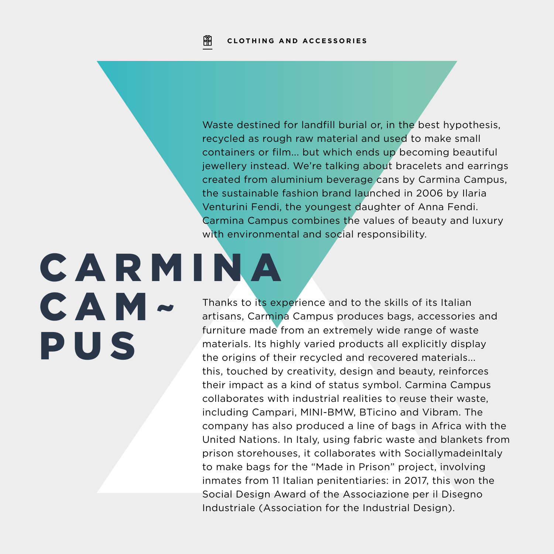Waste destined for landfill burial or, in the best hypothesis, recycled as rough raw material and used to make small containers or film... but which ends up becoming beautiful jewellery instead. We're talking about bracelets and earrings created from aluminium beverage cans by Carmina Campus, the sustainable fashion brand launched in 2006 by Ilaria Venturini Fendi, the youngest daughter of Anna Fendi. Carmina Campus combines the values of beauty and luxury with environmental and social responsibility.

### C A R M I N A CAM~ PUS

Thanks to its experience and to the skills of its Italian artisans, Carmina Campus produces bags, accessories and furniture made from an extremely wide range of waste materials. Its highly varied products all explicitly display the origins of their recycled and recovered materials... this, touched by creativity, design and beauty, reinforces their impact as a kind of status symbol. Carmina Campus collaborates with industrial realities to reuse their waste, including Campari, MINI-BMW, BTicino and Vibram. The company has also produced a line of bags in Africa with the United Nations. In Italy, using fabric waste and blankets from prison storehouses, it collaborates with SociallymadeinItaly to make bags for the "Made in Prison" project, involving inmates from 11 Italian penitentiaries: in 2017, this won the Social Design Award of the Associazione per il Disegno Industriale (Association for the Industrial Design).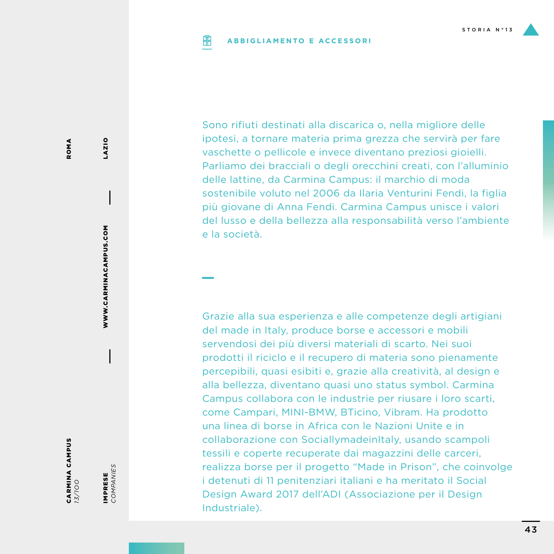### **ABBIGLIAMENTO E ACCESSORIPIP**

Sono rifiuti destinati alla discarica o, nella migliore delle ipotesi, a tornare materia prima grezza che servirà per fare vaschette o pellicole e invece diventano preziosi gioielli. Parliamo dei bracciali o degli orecchini creati, con l'alluminio delle lattine, da Carmina Campus: il marchio di moda sostenibile voluto nel 2006 da Ilaria Venturini Fendi, la figlia più giovane di Anna Fendi. Carmina Campus unisce i valori del lusso e della bellezza alla responsabilità verso l'ambiente e la società.

Grazie alla sua esperienza e alle competenze degli artigiani del made in Italy, produce borse e accessori e mobili servendosi dei più diversi materiali di scarto. Nei suoi prodotti il riciclo e il recupero di materia sono pienamente percepibili, quasi esibiti e, grazie alla creatività, al design e alla bellezza, diventano quasi uno status symbol. Carmina Campus collabora con le industrie per riusare i loro scarti, come Campari, MINI-BMW, BTicino, Vibram. Ha prodotto una linea di borse in Africa con le Nazioni Unite e in collaborazione con SociallymadeinItaly, usando scampoli tessili e coperte recuperate dai magazzini delle carceri, realizza borse per il progetto "Made in Prison", che coinvolge i detenuti di 11 penitenziari italiani e ha meritato il Social Design Award 2017 dell'ADI (Associazione per il Design Industriale).

CARMINA CAMPUS *13/1OO*

IMPRESE *COMPANIES*

IMPRESE<br>COMPANIES

WWW.CARMINACAMPUS.COM

WWW.CARMINACAMPUS.COM

LAZIO

43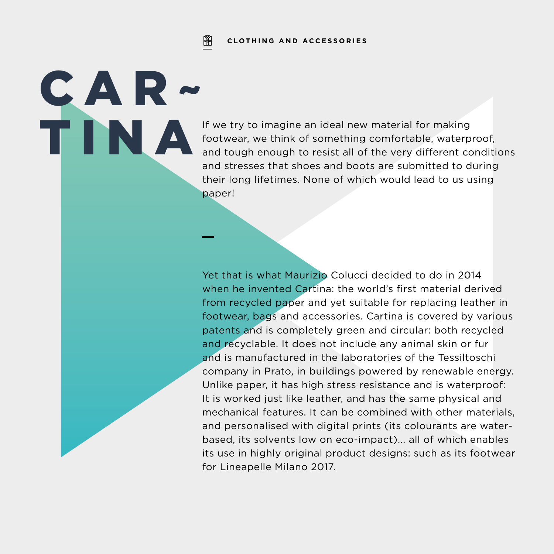### 阐 **CLOTHING AND ACCESSORIES**

CAR~

If we try to imagine an ideal new material for making<br>footwear, we think of something comfortable, waterp<br>and tough enough to resist all of the very different co footwear, we think of something comfortable, waterproof, and tough enough to resist all of the very different conditions and stresses that shoes and boots are submitted to during their long lifetimes. None of which would lead to us using paper!

> Yet that is what Maurizio Colucci decided to do in 2014 when he invented Cartina: the world's first material derived from recycled paper and yet suitable for replacing leather in footwear, bags and accessories. Cartina is covered by various patents and is completely green and circular: both recycled and recyclable. It does not include any animal skin or fur and is manufactured in the laboratories of the Tessiltoschi company in Prato, in buildings powered by renewable energy. Unlike paper, it has high stress resistance and is waterproof: It is worked just like leather, and has the same physical and mechanical features. It can be combined with other materials, and personalised with digital prints (its colourants are waterbased, its solvents low on eco-impact)... all of which enables its use in highly original product designs: such as its footwear for Lineapelle Milano 2017.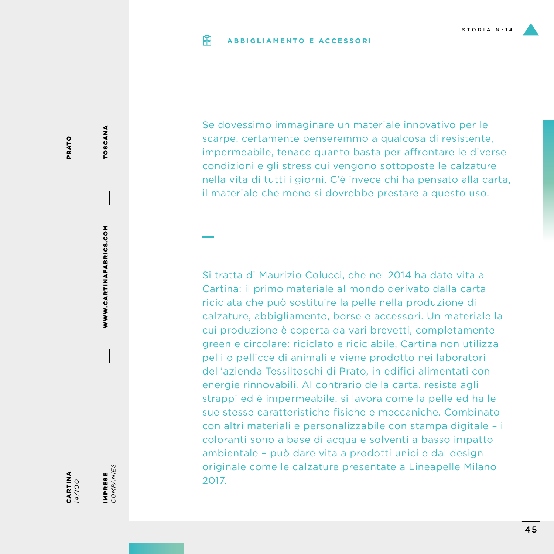### **ABBIGLIAMENTO E ACCESSORIPIP**

Se dovessimo immaginare un materiale innovativo per le scarpe, certamente penseremmo a qualcosa di resistente, impermeabile, tenace quanto basta per affrontare le diverse condizioni e gli stress cui vengono sottoposte le calzature nella vita di tutti i giorni. C'è invece chi ha pensato alla carta, il materiale che meno si dovrebbe prestare a questo uso.

Si tratta di Maurizio Colucci, che nel 2014 ha dato vita a Cartina: il primo materiale al mondo derivato dalla carta riciclata che può sostituire la pelle nella produzione di calzature, abbigliamento, borse e accessori. Un materiale la cui produzione è coperta da vari brevetti, completamente green e circolare: riciclato e riciclabile, Cartina non utilizza pelli o pellicce di animali e viene prodotto nei laboratori dell'azienda Tessiltoschi di Prato, in edifici alimentati con energie rinnovabili. Al contrario della carta, resiste agli strappi ed è impermeabile, si lavora come la pelle ed ha le sue stesse caratteristiche fisiche e meccaniche. Combinato con altri materiali e personalizzabile con stampa digitale – i coloranti sono a base di acqua e solventi a basso impatto ambientale – può dare vita a prodotti unici e dal design originale come le calzature presentate a Lineapelle Milano 2017.

CARTINA *14/1OO* IMPRESE *COMPANIES*

IMPRESE<br>COMPANIES

WWW.CARTINAFABRICS.COM

WWW.CARTINAFABRICS.COM

TOSCANA

TOSCANA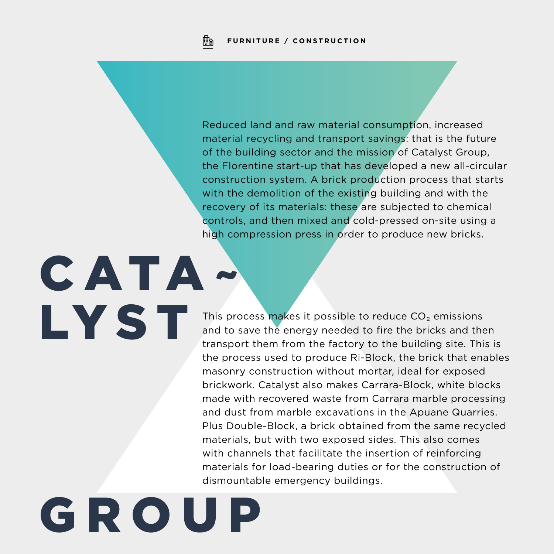Reduced land and raw material consumption, increased material recycling and transport savings: that is the future of the building sector and the mission of Catalyst Group, the Florentine start-up that has developed a new all-circular construction system. A brick production process that starts with the demolition of the existing building and with the recovery of its materials: these are subjected to chemical controls, and then mixed and cold-pressed on-site using a high compression press in order to produce new bricks.

This process makes it possible to reduce CO<sub>2</sub> emissions and to save the energy needed to fire the bricks and then transport them from the factory to the building site. This is the process used to produce Ri-Block, the brick that enables masonry construction without mortar, ideal for exposed brickwork. Catalyst also makes Carrara-Block, white blocks made with recovered waste from Carrara marble processing and dust from marble excavations in the Apuane Quarries. Plus Double-Block, a brick obtained from the same recycled materials, but with two exposed sides. This also comes with channels that facilitate the insertion of reinforcing materials for load-bearing duties or for the construction of dismountable emergency buildings.

## G R O U P

CATA~

LYST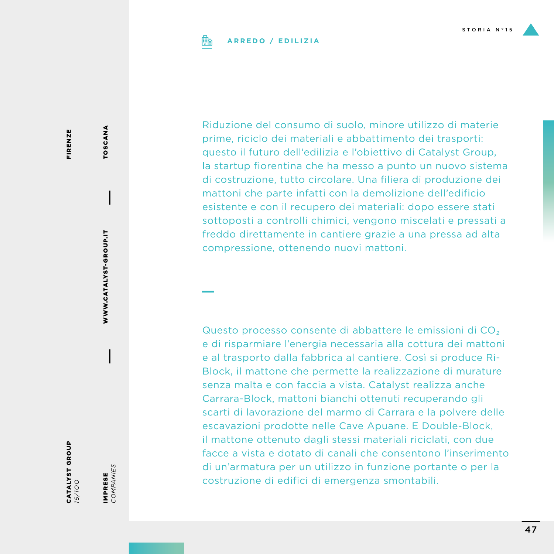

### **ARREDO / EDILIZIA**

FIRENZE FIRENZE

CATALYST GROUP *15/1OO*

IMPRESE<br>COMPANIES *COMPANIES* IMPRESE

WWW.CATALYST-GROUP.IT

WWW.CATALYST-GROUP.IT

TOSCANA TOSCANA

Riduzione del consumo di suolo, minore utilizzo di materie prime, riciclo dei materiali e abbattimento dei trasporti: questo il futuro dell'edilizia e l'obiettivo di Catalyst Group, la startup fiorentina che ha messo a punto un nuovo sistema di costruzione, tutto circolare. Una filiera di produzione dei mattoni che parte infatti con la demolizione dell'edificio esistente e con il recupero dei materiali: dopo essere stati sottoposti a controlli chimici, vengono miscelati e pressati a freddo direttamente in cantiere grazie a una pressa ad alta compressione, ottenendo nuovi mattoni.

Questo processo consente di abbattere le emissioni di CO₂ e di risparmiare l'energia necessaria alla cottura dei mattoni e al trasporto dalla fabbrica al cantiere. Così si produce Ri-Block, il mattone che permette la realizzazione di murature senza malta e con faccia a vista. Catalyst realizza anche Carrara-Block, mattoni bianchi ottenuti recuperando gli scarti di lavorazione del marmo di Carrara e la polvere delle escavazioni prodotte nelle Cave Apuane. E Double-Block, il mattone ottenuto dagli stessi materiali riciclati, con due facce a vista e dotato di canali che consentono l'inserimento di un'armatura per un utilizzo in funzione portante o per la costruzione di edifici di emergenza smontabili.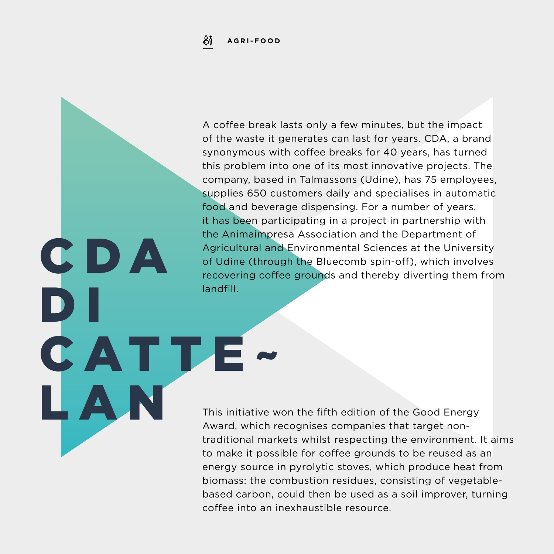SĬ **AGRI-FOOD**

C D A

LAN

CATTE~

 $\overline{\phantom{a}}$ 

A coffee break lasts only a few minutes, but the impact of the waste it generates can last for years. CDA, a brand synonymous with coffee breaks for 40 years, has turned this problem into one of its most innovative projects. The company, based in Talmassons (Udine), has 75 employees, supplies 650 customers daily and specialises in automatic food and beverage dispensing. For a number of years, it has been participating in a project in partnership with the Animaimpresa Association and the Department of Agricultural and Environmental Sciences at the University of Udine (through the Bluecomb spin-off), which involves recovering coffee grounds and thereby diverting them from landfill.

This initiative won the fifth edition of the Good Energy Award, which recognises companies that target nontraditional markets whilst respecting the environment. It aims to make it possible for coffee grounds to be reused as an energy source in pyrolytic stoves, which produce heat from biomass: the combustion residues, consisting of vegetablebased carbon, could then be used as a soil improver, turning coffee into an inexhaustible resource.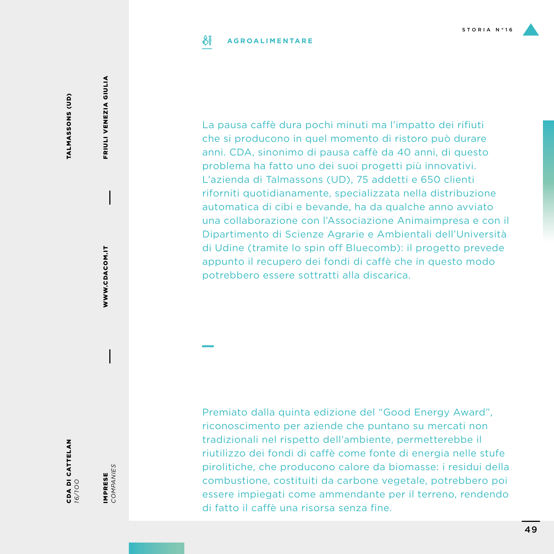### SĬ **AGROALIMENTARE**

TALMASSONS (UD) TALMASSONS (UD)

CDA DI CATTELAN *16/1OO*

IMPRESE<br>COMPANIES *COMPANIES* IMPRESE

WWW.CDACOM.IT

WWW.CDACOM.IT

FRIULI VENEZIA GIULIA

FRIULI VENEZIA GIULIA

La pausa caffè dura pochi minuti ma l'impatto dei rifiuti che si producono in quel momento di ristoro può durare anni. CDA, sinonimo di pausa caffè da 40 anni, di questo problema ha fatto uno dei suoi progetti più innovativi. L'azienda di Talmassons (UD), 75 addetti e 650 clienti riforniti quotidianamente, specializzata nella distribuzione automatica di cibi e bevande, ha da qualche anno avviato una collaborazione con l'Associazione Animaimpresa e con il Dipartimento di Scienze Agrarie e Ambientali dell'Università di Udine (tramite lo spin off Bluecomb): il progetto prevede appunto il recupero dei fondi di caffè che in questo modo potrebbero essere sottratti alla discarica.

Premiato dalla quinta edizione del "Good Energy Award", riconoscimento per aziende che puntano su mercati non tradizionali nel rispetto dell'ambiente, permetterebbe il riutilizzo dei fondi di caffè come fonte di energia nelle stufe pirolitiche, che producono calore da biomasse: i residui della combustione, costituiti da carbone vegetale, potrebbero poi essere impiegati come ammendante per il terreno, rendendo di fatto il caffè una risorsa senza fine.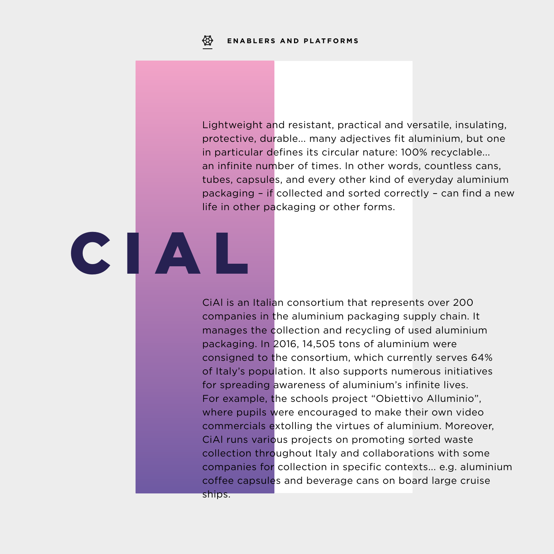Lightweight and resistant, practical and versatile, insulating, protective, durable... many adjectives fit aluminium, but one in particular defines its circular nature: 100% recyclable... an infinite number of times. In other words, countless cans, tubes, capsules, and every other kind of everyday aluminium packaging – if collected and sorted correctly – can find a new life in other packaging or other forms.

# CIAL

CiAl is an Italian consortium that represents over 200 companies in the aluminium packaging supply chain. It manages the collection and recycling of used aluminium packaging. In 2016, 14,505 tons of aluminium were consigned to the consortium, which currently serves 64% of Italy's population. It also supports numerous initiatives for spreading awareness of aluminium's infinite lives. For example, the schools project "Obiettivo Alluminio", where pupils were encouraged to make their own video commercials extolling the virtues of aluminium. Moreover, CiAl runs various projects on promoting sorted waste collection throughout Italy and collaborations with some companies for collection in specific contexts... e.g. aluminium coffee capsules and beverage cans on board large cruise ships.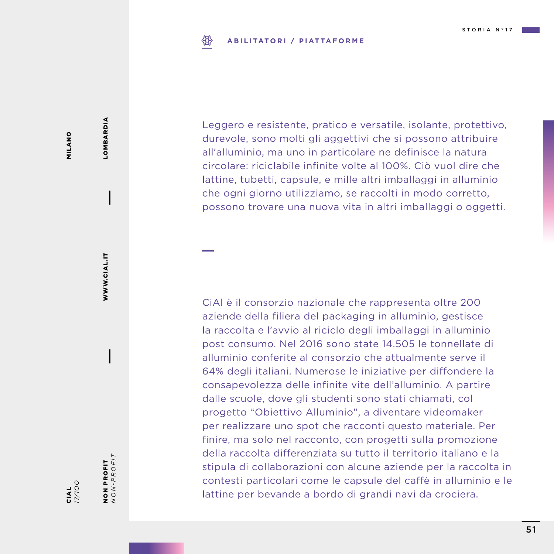### ₩ **ABILITATORI / PIATTAFORME**

MILANO MILANO

CIAL *17/1OO*

NON PROFIT *NON-PROFIT*

NON PROFIT<br> $NON-PROFIT$ 

WWW.CIAL.IT

WWW.CIAL.IT

LOMBARDIA

LOMBARDIA

Leggero e resistente, pratico e versatile, isolante, protettivo, durevole, sono molti gli aggettivi che si possono attribuire all'alluminio, ma uno in particolare ne definisce la natura circolare: riciclabile infinite volte al 100%. Ciò vuol dire che lattine, tubetti, capsule, e mille altri imballaggi in alluminio che ogni giorno utilizziamo, se raccolti in modo corretto, possono trovare una nuova vita in altri imballaggi o oggetti.

CiAl è il consorzio nazionale che rappresenta oltre 200 aziende della filiera del packaging in alluminio, gestisce la raccolta e l'avvio al riciclo degli imballaggi in alluminio post consumo. Nel 2016 sono state 14.505 le tonnellate di alluminio conferite al consorzio che attualmente serve il 64% degli italiani. Numerose le iniziative per diffondere la consapevolezza delle infinite vite dell'alluminio. A partire dalle scuole, dove gli studenti sono stati chiamati, col progetto "Obiettivo Alluminio", a diventare videomaker per realizzare uno spot che racconti questo materiale. Per finire, ma solo nel racconto, con progetti sulla promozione della raccolta differenziata su tutto il territorio italiano e la stipula di collaborazioni con alcune aziende per la raccolta in contesti particolari come le capsule del caffè in alluminio e le lattine per bevande a bordo di grandi navi da crociera.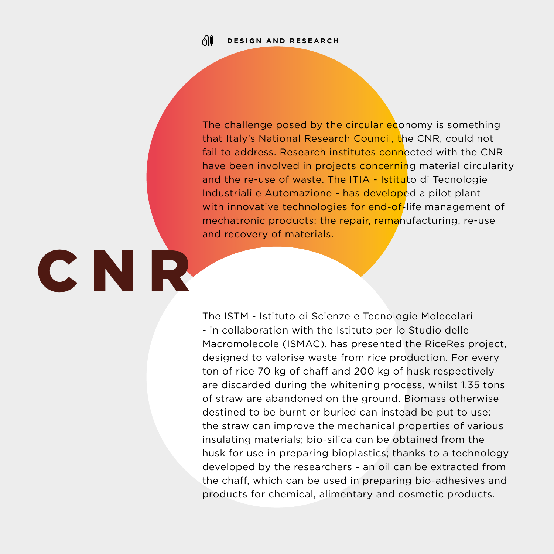01

CNR

The challenge posed by the circular economy is something that Italy's National Research Council, the CNR, could not fail to address. Research institutes connected with the CNR have been involved in projects concerning material circularity and the re-use of waste. The ITIA - Istituto di Tecnologie Industriali e Automazione - has developed a pilot plant with innovative technologies for end-of-life management of mechatronic products: the repair, remanufacturing, re-use and recovery of materials.

The ISTM - Istituto di Scienze e Tecnologie Molecolari - in collaboration with the Istituto per lo Studio delle Macromolecole (ISMAC), has presented the RiceRes project, designed to valorise waste from rice production. For every ton of rice 70 kg of chaff and 200 kg of husk respectively are discarded during the whitening process, whilst 1.35 tons of straw are abandoned on the ground. Biomass otherwise destined to be burnt or buried can instead be put to use: the straw can improve the mechanical properties of various insulating materials; bio-silica can be obtained from the husk for use in preparing bioplastics; thanks to a technology developed by the researchers - an oil can be extracted from the chaff, which can be used in preparing bio-adhesives and products for chemical, alimentary and cosmetic products.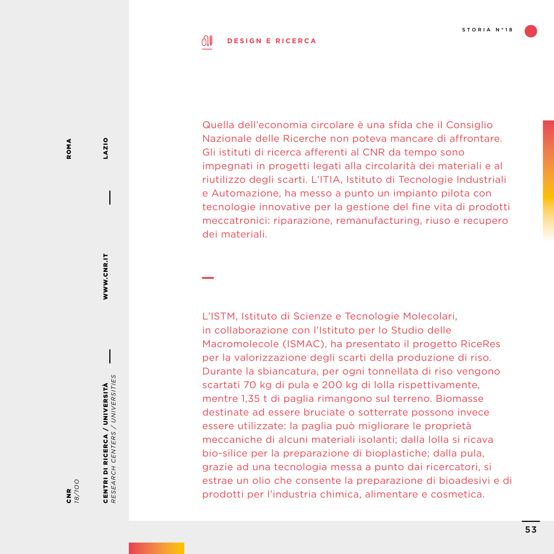### ி **DESIGN E RICERCA**

Quella dell'economia circolare è una sfida che il Consiglio Nazionale delle Ricerche non poteva mancare di affrontare. Gli istituti di ricerca afferenti al CNR da tempo sono impegnati in progetti legati alla circolarità dei materiali e al riutilizzo degli scarti. L'ITIA, Istituto di Tecnologie Industriali e Automazione, ha messo a punto un impianto pilota con tecnologie innovative per la gestione del fine vita di prodotti meccatronici: riparazione, remanufacturing, riuso e recupero dei materiali.

L'ISTM, Istituto di Scienze e Tecnologie Molecolari, in collaborazione con l'Istituto per lo Studio delle Macromolecole (ISMAC), ha presentato il progetto RiceRes per la valorizzazione degli scarti della produzione di riso. Durante la sbiancatura, per ogni tonnellata di riso vengono scartati 70 kg di pula e 200 kg di lolla rispettivamente, mentre 1,35 t di paglia rimangono sul terreno. Biomasse destinate ad essere bruciate o sotterrate possono invece essere utilizzate: la paglia può migliorare le proprietà meccaniche di alcuni materiali isolanti; dalla lolla si ricava bio-silice per la preparazione di bioplastiche; dalla pula, grazie ad una tecnologia messa a punto dai ricercatori, si estrae un olio che consente la preparazione di bioadesivi e di prodotti per l'industria chimica, alimentare e cosmetica.

LAZIO

WWW.CNR.IT

WWW.CNR.IT

CENTRI DI RICERCA / UNIVERSITÀ *RESEARCH CENTERS / UNIVERSITIES*

CENTRI DI RICERCA / UNIVERSITÀ<br>RESEARCH CENTERS / UNIVERSITIES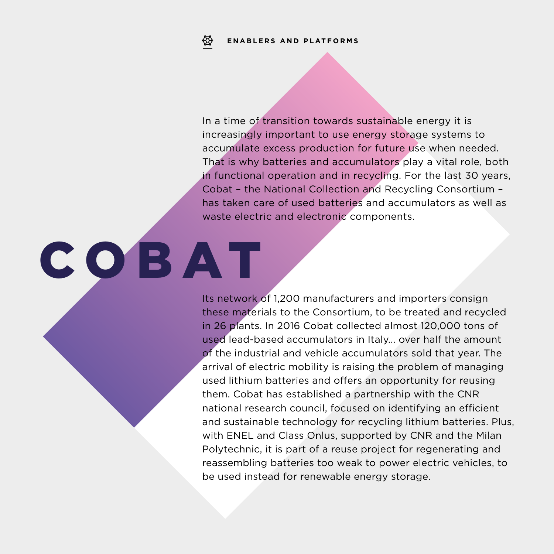COBAT

In a time of transition towards sustainable energy it is increasingly important to use energy storage systems to accumulate excess production for future use when needed. That is why batteries and accumulators play a vital role, both in functional operation and in recycling. For the last 30 years, Cobat – the National Collection and Recycling Consortium – has taken care of used batteries and accumulators as well as waste electric and electronic components.

Its network of 1,200 manufacturers and importers consign these materials to the Consortium, to be treated and recycled in 26 plants. In 2016 Cobat collected almost 120,000 tons of used lead-based accumulators in Italy... over half the amount of the industrial and vehicle accumulators sold that year. The arrival of electric mobility is raising the problem of managing used lithium batteries and offers an opportunity for reusing them. Cobat has established a partnership with the CNR national research council, focused on identifying an efficient and sustainable technology for recycling lithium batteries. Plus, with ENEL and Class Onlus, supported by CNR and the Milan Polytechnic, it is part of a reuse project for regenerating and reassembling batteries too weak to power electric vehicles, to be used instead for renewable energy storage.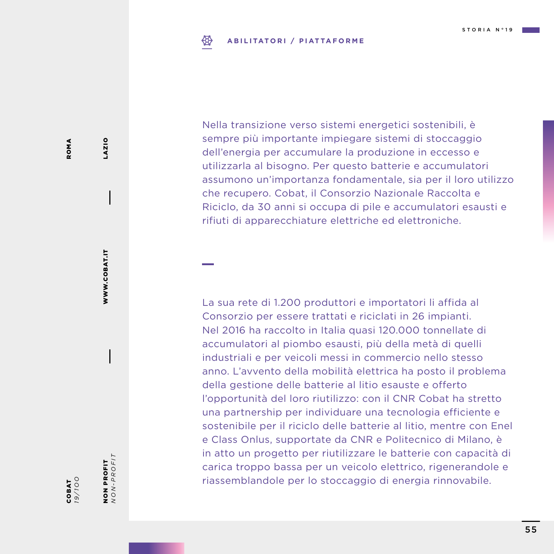### ₩ **ABILITATORI / PIATTAFORME**

Nella transizione verso sistemi energetici sostenibili, è sempre più importante impiegare sistemi di stoccaggio dell'energia per accumulare la produzione in eccesso e utilizzarla al bisogno. Per questo batterie e accumulatori assumono un'importanza fondamentale, sia per il loro utilizzo che recupero. Cobat, il Consorzio Nazionale Raccolta e Riciclo, da 30 anni si occupa di pile e accumulatori esausti e rifiuti di apparecchiature elettriche ed elettroniche.

La sua rete di 1.200 produttori e importatori li affida al Consorzio per essere trattati e riciclati in 26 impianti. Nel 2016 ha raccolto in Italia quasi 120.000 tonnellate di accumulatori al piombo esausti, più della metà di quelli industriali e per veicoli messi in commercio nello stesso anno. L'avvento della mobilità elettrica ha posto il problema della gestione delle batterie al litio esauste e offerto l'opportunità del loro riutilizzo: con il CNR Cobat ha stretto una partnership per individuare una tecnologia efficiente e sostenibile per il riciclo delle batterie al litio, mentre con Enel e Class Onlus, supportate da CNR e Politecnico di Milano, è in atto un progetto per riutilizzare le batterie con capacità di carica troppo bassa per un veicolo elettrico, rigenerandole e riassemblandole per lo stoccaggio di energia rinnovabile.

NON PROFIT *NON-PROFIT*

NON PROFIT<br> $NON-PROFIT$ 

WWW.COBAT.IT

WWW.COBAT.IT

LAZIO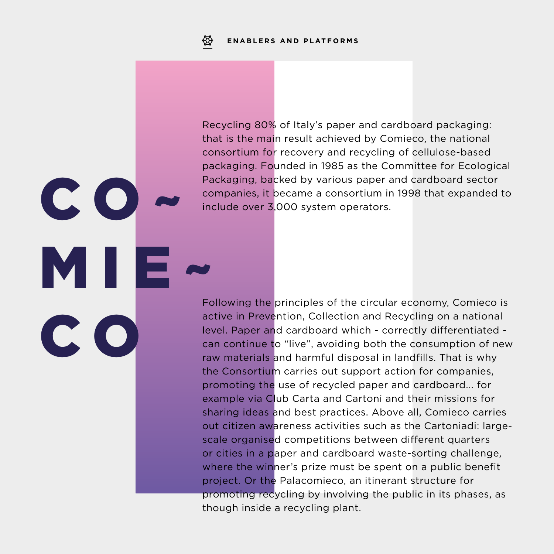$C$   $O$ 

MI

C O

Recycling 80% of Italy's paper and cardboard packaging: that is the main result achieved by Comieco, the national consortium for recovery and recycling of cellulose-based packaging. Founded in 1985 as the Committee for Ecological Packaging, backed by various paper and cardboard sector companies, it became a consortium in 1998 that expanded to include over 3,000 system operators.

Following the principles of the circular economy, Comieco is active in Prevention, Collection and Recycling on a national level. Paper and cardboard which - correctly differentiated can continue to "live", avoiding both the consumption of new raw materials and harmful disposal in landfills. That is why the Consortium carries out support action for companies, promoting the use of recycled paper and cardboard... for example via Club Carta and Cartoni and their missions for sharing ideas and best practices. Above all, Comieco carries out citizen awareness activities such as the Cartoniadi: largescale organised competitions between different quarters or cities in a paper and cardboard waste-sorting challenge, where the winner's prize must be spent on a public benefit project. Or the Palacomieco, an itinerant structure for promoting recycling by involving the public in its phases, as though inside a recycling plant.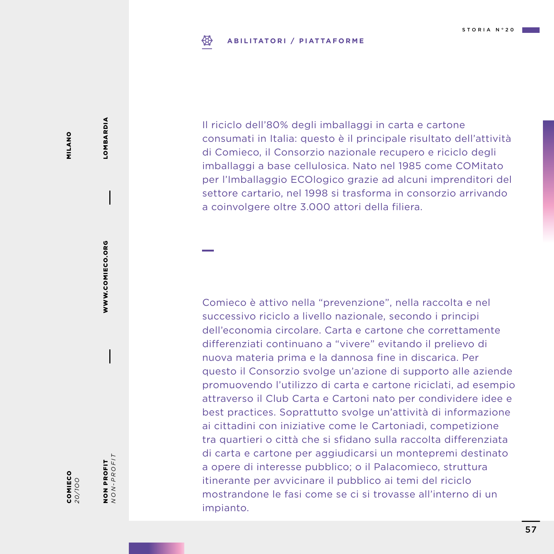### **ABILITATORI / PIATTAFORME** ₩

MILANO MILANO

*20/1OO*

NON PROFIT *NON-PROFIT*

NON PROFIT<br> $NON-PROFIT$ 

WWW.COMIECO.ORG

WWW.COMIECO.ORG

LOMBARDIA

LOMBARDIA

COMIECO

Il riciclo dell'80% degli imballaggi in carta e cartone consumati in Italia: questo è il principale risultato dell'attività di Comieco, il Consorzio nazionale recupero e riciclo degli imballaggi a base cellulosica. Nato nel 1985 come COMitato per l'Imballaggio ECOlogico grazie ad alcuni imprenditori del settore cartario, nel 1998 si trasforma in consorzio arrivando a coinvolgere oltre 3.000 attori della filiera.

Comieco è attivo nella "prevenzione", nella raccolta e nel successivo riciclo a livello nazionale, secondo i principi dell'economia circolare. Carta e cartone che correttamente differenziati continuano a "vivere" evitando il prelievo di nuova materia prima e la dannosa fine in discarica. Per questo il Consorzio svolge un'azione di supporto alle aziende promuovendo l'utilizzo di carta e cartone riciclati, ad esempio attraverso il Club Carta e Cartoni nato per condividere idee e best practices. Soprattutto svolge un'attività di informazione ai cittadini con iniziative come le Cartoniadi, competizione tra quartieri o città che si sfidano sulla raccolta differenziata di carta e cartone per aggiudicarsi un montepremi destinato a opere di interesse pubblico; o il Palacomieco, struttura itinerante per avvicinare il pubblico ai temi del riciclo mostrandone le fasi come se ci si trovasse all'interno di un impianto.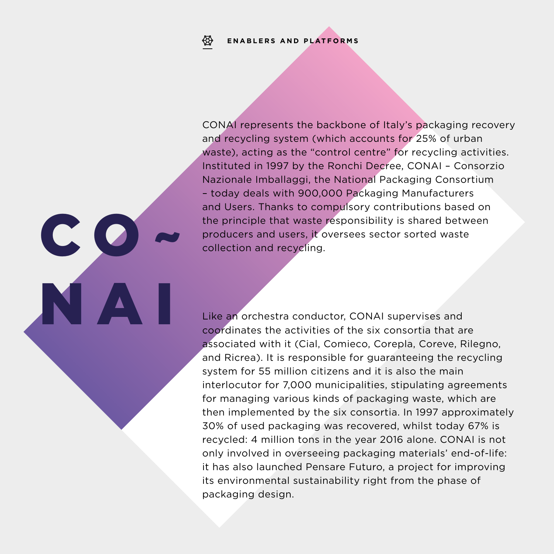### **ENABLERS AND PLATFORMS**₩

 $\mathbf{C}$ 

NAI

CONAI represents the backbone of Italy's packaging recovery and recycling system (which accounts for 25% of urban waste), acting as the "control centre" for recycling activities. Instituted in 1997 by the Ronchi Decree, CONAI – Consorzio Nazionale Imballaggi, the National Packaging Consortium – today deals with 900,000 Packaging Manufacturers and Users. Thanks to compulsory contributions based on the principle that waste responsibility is shared between producers and users, it oversees sector sorted waste collection and recycling.

Like an orchestra conductor, CONAI supervises and coordinates the activities of the six consortia that are associated with it (Cial, Comieco, Corepla, Coreve, Rilegno, and Ricrea). It is responsible for guaranteeing the recycling system for 55 million citizens and it is also the main interlocutor for 7,000 municipalities, stipulating agreements for managing various kinds of packaging waste, which are then implemented by the six consortia. In 1997 approximately 30% of used packaging was recovered, whilst today 67% is recycled: 4 million tons in the year 2016 alone. CONAI is not only involved in overseeing packaging materials' end-of-life: it has also launched Pensare Futuro, a project for improving its environmental sustainability right from the phase of packaging design.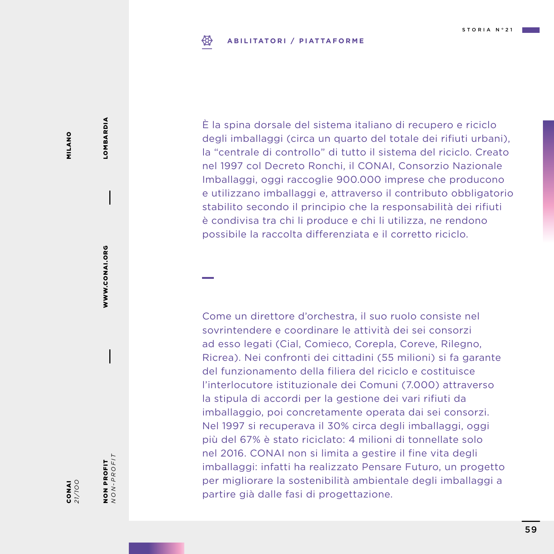### ₩ **ABILITATORI / PIATTAFORME**

È la spina dorsale del sistema italiano di recupero e riciclo degli imballaggi (circa un quarto del totale dei rifiuti urbani), la "centrale di controllo" di tutto il sistema del riciclo. Creato nel 1997 col Decreto Ronchi, il CONAI, Consorzio Nazionale Imballaggi, oggi raccoglie 900.000 imprese che producono e utilizzano imballaggi e, attraverso il contributo obbligatorio stabilito secondo il principio che la responsabilità dei rifiuti è condivisa tra chi li produce e chi li utilizza, ne rendono possibile la raccolta differenziata e il corretto riciclo.

Come un direttore d'orchestra, il suo ruolo consiste nel sovrintendere e coordinare le attività dei sei consorzi ad esso legati (Cial, Comieco, Corepla, Coreve, Rilegno, Ricrea). Nei confronti dei cittadini (55 milioni) si fa garante del funzionamento della filiera del riciclo e costituisce l'interlocutore istituzionale dei Comuni (7.000) attraverso la stipula di accordi per la gestione dei vari rifiuti da imballaggio, poi concretamente operata dai sei consorzi. Nel 1997 si recuperava il 30% circa degli imballaggi, oggi più del 67% è stato riciclato: 4 milioni di tonnellate solo nel 2016. CONAI non si limita a gestire il fine vita degli imballaggi: infatti ha realizzato Pensare Futuro, un progetto per migliorare la sostenibilità ambientale degli imballaggi a partire già dalle fasi di progettazione.

NON PROFIT *NON-PROFIT*

NON PROFIT<br> $NON-PROFIT$ 

WWW.CONAI.ORG

WWW.CONAI.ORG

LOMBARDIA

LOMBARDIA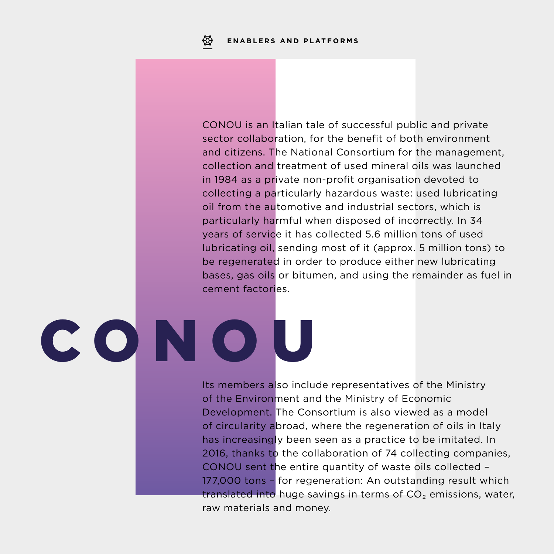CONOU is an Italian tale of successful public and private sector collaboration, for the benefit of both environment and citizens. The National Consortium for the management, collection and treatment of used mineral oils was launched in 1984 as a private non-profit organisation devoted to collecting a particularly hazardous waste: used lubricating oil from the automotive and industrial sectors, which is particularly harmful when disposed of incorrectly. In 34 years of service it has collected 5.6 million tons of used lubricating oil, sending most of it (approx. 5 million tons) to be regenerated in order to produce either new lubricating bases, gas oils or bitumen, and using the remainder as fuel in cement factories.

# CONOU

Its members also include representatives of the Ministry of the Environment and the Ministry of Economic Development. The Consortium is also viewed as a model of circularity abroad, where the regeneration of oils in Italy has increasingly been seen as a practice to be imitated. In 2016, thanks to the collaboration of 74 collecting companies, CONOU sent the entire quantity of waste oils collected – 177,000 tons – for regeneration: An outstanding result which translated into huge savings in terms of  $CO<sub>2</sub>$  emissions, water, raw materials and money.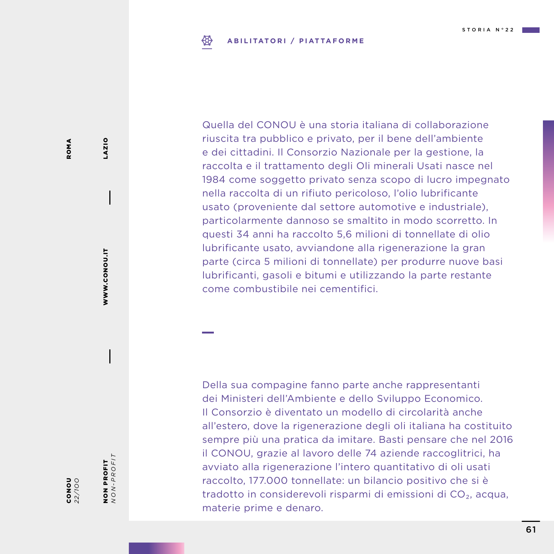### **ABILITATORI / PIATTAFORME** ₩

Quella del CONOU è una storia italiana di collaborazione riuscita tra pubblico e privato, per il bene dell'ambiente e dei cittadini. Il Consorzio Nazionale per la gestione, la raccolta e il trattamento degli Oli minerali Usati nasce nel 1984 come soggetto privato senza scopo di lucro impegnato nella raccolta di un rifiuto pericoloso, l'olio lubrificante usato (proveniente dal settore automotive e industriale), particolarmente dannoso se smaltito in modo scorretto. In questi 34 anni ha raccolto 5,6 milioni di tonnellate di olio lubrificante usato, avviandone alla rigenerazione la gran parte (circa 5 milioni di tonnellate) per produrre nuove basi lubrificanti, gasoli e bitumi e utilizzando la parte restante come combustibile nei cementifici.

Della sua compagine fanno parte anche rappresentanti dei Ministeri dell'Ambiente e dello Sviluppo Economico. Il Consorzio è diventato un modello di circolarità anche all'estero, dove la rigenerazione degli oli italiana ha costituito sempre più una pratica da imitare. Basti pensare che nel 2016 il CONOU, grazie al lavoro delle 74 aziende raccoglitrici, ha avviato alla rigenerazione l'intero quantitativo di oli usati raccolto, 177.000 tonnellate: un bilancio positivo che si è tradotto in considerevoli risparmi di emissioni di CO₂, acqua, materie prime e denaro.

NON PROFIT *NON-PROFIT*

NON PROFIT<br> $NON-PROFIT$ 

WWW.CONOU.IT

WWW.CONOU.IT

LAZIO

**DoNO**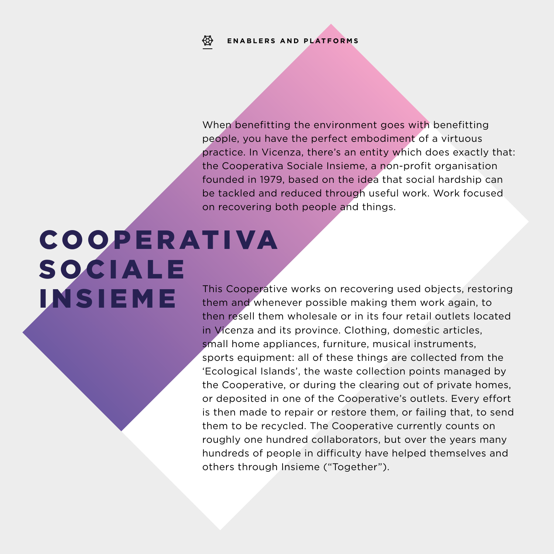### ₩ **ENABLERS AND PLATFORMS**

When benefitting the environment goes with benefitting people, you have the perfect embodiment of a virtuous practice. In Vicenza, there's an entity which does exactly that: the Cooperativa Sociale Insieme, a non-profit organisation founded in 1979, based on the idea that social hardship can be tackled and reduced through useful work. Work focused on recovering both people and things.

### **COOPERATIVA SOCIALE** INSIEME

This Cooperative works on recovering used objects, restoring them and whenever possible making them work again, to then resell them wholesale or in its four retail outlets located in Vicenza and its province. Clothing, domestic articles, small home appliances, furniture, musical instruments, sports equipment: all of these things are collected from the 'Ecological Islands', the waste collection points managed by the Cooperative, or during the clearing out of private homes, or deposited in one of the Cooperative's outlets. Every effort is then made to repair or restore them, or failing that, to send them to be recycled. The Cooperative currently counts on roughly one hundred collaborators, but over the years many hundreds of people in difficulty have helped themselves and others through Insieme ("Together").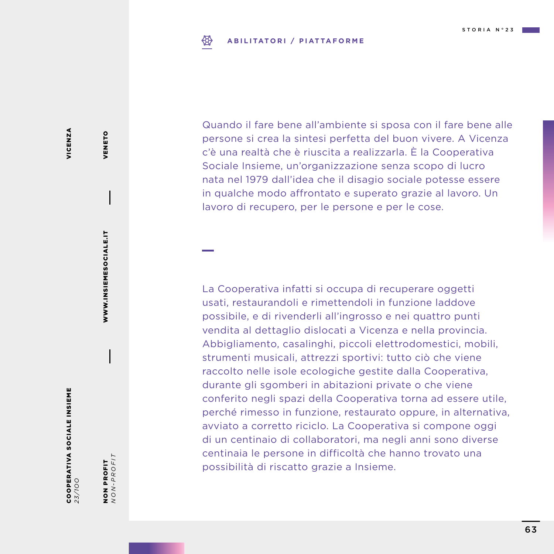### ₩ **ABILITATORI / PIATTAFORME**

VICENZA VICENZA

COOPERATIVA SOCIALE INSIEME **COOPERATIVA SOCIALE INSIEME**<br>23/100

NON PROFIT<br> $NON-PROFIT$ *NON-PROFIT* NON PROFIT

WWW.INSIEMESOCIALE.IT

WWW.INSIEMESOCIALE.IT

VENETO

VENETO

Quando il fare bene all'ambiente si sposa con il fare bene alle persone si crea la sintesi perfetta del buon vivere. A Vicenza c'è una realtà che è riuscita a realizzarla. È la Cooperativa Sociale Insieme, un'organizzazione senza scopo di lucro nata nel 1979 dall'idea che il disagio sociale potesse essere in qualche modo affrontato e superato grazie al lavoro. Un lavoro di recupero, per le persone e per le cose.

La Cooperativa infatti si occupa di recuperare oggetti usati, restaurandoli e rimettendoli in funzione laddove possibile, e di rivenderli all'ingrosso e nei quattro punti vendita al dettaglio dislocati a Vicenza e nella provincia. Abbigliamento, casalinghi, piccoli elettrodomestici, mobili, strumenti musicali, attrezzi sportivi: tutto ciò che viene raccolto nelle isole ecologiche gestite dalla Cooperativa, durante gli sgomberi in abitazioni private o che viene conferito negli spazi della Cooperativa torna ad essere utile, perché rimesso in funzione, restaurato oppure, in alternativa, avviato a corretto riciclo. La Cooperativa si compone oggi di un centinaio di collaboratori, ma negli anni sono diverse centinaia le persone in difficoltà che hanno trovato una possibilità di riscatto grazie a Insieme.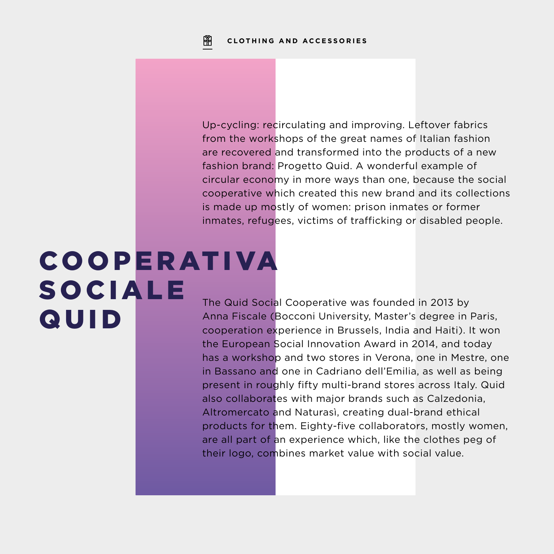Up-cycling: recirculating and improving. Leftover fabrics from the workshops of the great names of Italian fashion are recovered and transformed into the products of a new fashion brand: Progetto Quid. A wonderful example of circular economy in more ways than one, because the social cooperative which created this new brand and its collections is made up mostly of women: prison inmates or former inmates, refugees, victims of trafficking or disabled people.

### **COOPERATIVA SOCIALE QUID**

The Quid Social Cooperative was founded in 2013 by Anna Fiscale (Bocconi University, Master's degree in Paris, cooperation experience in Brussels, India and Haiti). It won the European Social Innovation Award in 2014, and today has a workshop and two stores in Verona, one in Mestre, one in Bassano and one in Cadriano dell'Emilia, as well as being present in roughly fifty multi-brand stores across Italy. Quid also collaborates with major brands such as Calzedonia, Altromercato and Naturasì, creating dual-brand ethical products for them. Eighty-five collaborators, mostly women, are all part of an experience which, like the clothes peg of their logo, combines market value with social value.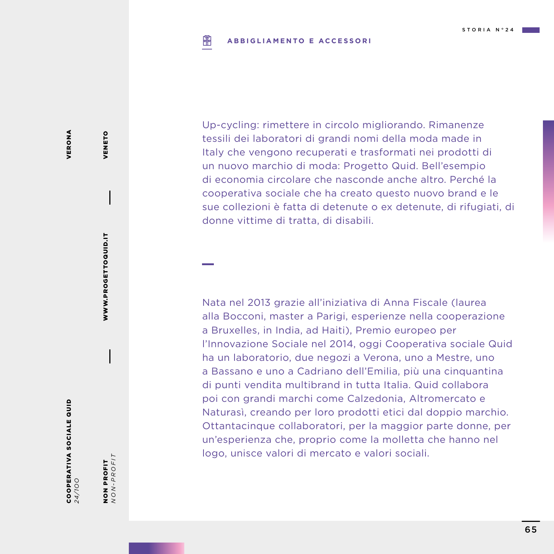### 阐 **ABBIGLIAMENTO E ACCESSORI**

Up-cycling: rimettere in circolo migliorando. Rimanenze tessili dei laboratori di grandi nomi della moda made in Italy che vengono recuperati e trasformati nei prodotti di un nuovo marchio di moda: Progetto Quid. Bell'esempio di economia circolare che nasconde anche altro. Perché la cooperativa sociale che ha creato questo nuovo brand e le sue collezioni è fatta di detenute o ex detenute, di rifugiati, di donne vittime di tratta, di disabili.

Nata nel 2013 grazie all'iniziativa di Anna Fiscale (laurea alla Bocconi, master a Parigi, esperienze nella cooperazione a Bruxelles, in India, ad Haiti), Premio europeo per l'Innovazione Sociale nel 2014, oggi Cooperativa sociale Quid ha un laboratorio, due negozi a Verona, uno a Mestre, uno a Bassano e uno a Cadriano dell'Emilia, più una cinquantina di punti vendita multibrand in tutta Italia. Quid collabora poi con grandi marchi come Calzedonia, Altromercato e Naturasì, creando per loro prodotti etici dal doppio marchio. Ottantacinque collaboratori, per la maggior parte donne, per un'esperienza che, proprio come la molletta che hanno nel logo, unisce valori di mercato e valori sociali.

WWW.PROGETTOQUID.IT

WWW.PROGETTOQUID.IT

VENETO

VENETO

COOPERATIVA SOCIALE QUID

NON PROFIT<br> $NON-PROFIT$ *NON-PROFIT* NON PROFIT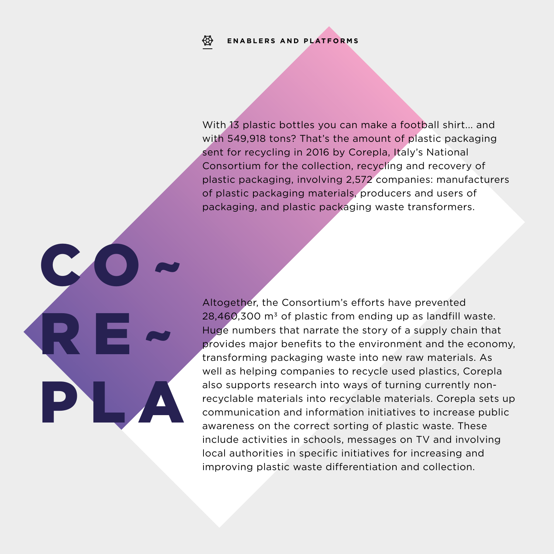### **ENABLERS AND PLATFORMS**₩

CO~

RE~

PLA

With 13 plastic bottles you can make a football shirt... and with 549,918 tons? That's the amount of plastic packaging sent for recycling in 2016 by Corepla, Italy's National Consortium for the collection, recycling and recovery of plastic packaging, involving 2,572 companies: manufacturers of plastic packaging materials, producers and users of packaging, and plastic packaging waste transformers.

Altogether, the Consortium's efforts have prevented  $28,460,300$  m<sup>3</sup> of plastic from ending up as landfill waste. Huge numbers that narrate the story of a supply chain that provides major benefits to the environment and the economy, transforming packaging waste into new raw materials. As well as helping companies to recycle used plastics, Corepla also supports research into ways of turning currently nonrecyclable materials into recyclable materials. Corepla sets up communication and information initiatives to increase public awareness on the correct sorting of plastic waste. These include activities in schools, messages on TV and involving local authorities in specific initiatives for increasing and improving plastic waste differentiation and collection.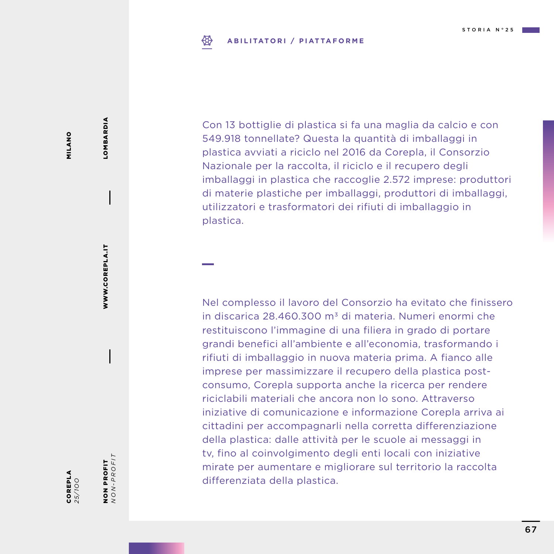### **ABILITATORI / PIATTAFORME** ₩

MILANO MILANO

*25/1OO*

COREPLA

**NON PROFIT**<br>NON-PROFIT *NON-PROFIT* NON PROFIT

WWW.COREPLA.IT

WWW.COREPLA.IT

LOMBARDIA

LOMBARDIA

Con 13 bottiglie di plastica si fa una maglia da calcio e con 549.918 tonnellate? Questa la quantità di imballaggi in plastica avviati a riciclo nel 2016 da Corepla, il Consorzio Nazionale per la raccolta, il riciclo e il recupero degli imballaggi in plastica che raccoglie 2.572 imprese: produttori di materie plastiche per imballaggi, produttori di imballaggi, utilizzatori e trasformatori dei rifiuti di imballaggio in plastica.

Nel complesso il lavoro del Consorzio ha evitato che finissero in discarica 28.460.300 m<sup>3</sup> di materia. Numeri enormi che restituiscono l'immagine di una filiera in grado di portare grandi benefici all'ambiente e all'economia, trasformando i rifiuti di imballaggio in nuova materia prima. A fianco alle imprese per massimizzare il recupero della plastica postconsumo, Corepla supporta anche la ricerca per rendere riciclabili materiali che ancora non lo sono. Attraverso iniziative di comunicazione e informazione Corepla arriva ai cittadini per accompagnarli nella corretta differenziazione della plastica: dalle attività per le scuole ai messaggi in tv, fino al coinvolgimento degli enti locali con iniziative mirate per aumentare e migliorare sul territorio la raccolta differenziata della plastica.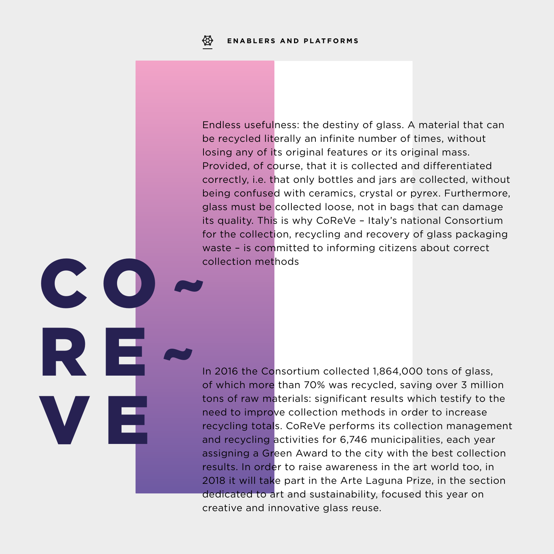$\blacklozenge$ 

V E

Endless usefulness: the destiny of glass. A material that can be recycled literally an infinite number of times, without losing any of its original features or its original mass. Provided, of course, that it is collected and differentiated correctly, i.e. that only bottles and jars are collected, without being confused with ceramics, crystal or pyrex. Furthermore, glass must be collected loose, not in bags that can damage its quality. This is why CoReVe – Italy's national Consortium for the collection, recycling and recovery of glass packaging waste – is committed to informing citizens about correct collection methods  $CO \sim$ 

> In 2016 the Consortium collected 1,864,000 tons of glass, of which more than 70% was recycled, saving over 3 million tons of raw materials: significant results which testify to the need to improve collection methods in order to increase recycling totals. CoReVe performs its collection management and recycling activities for 6,746 municipalities, each year assigning a Green Award to the city with the best collection results. In order to raise awareness in the art world too, in 2018 it will take part in the Arte Laguna Prize, in the section dedicated to art and sustainability, focused this year on creative and innovative glass reuse.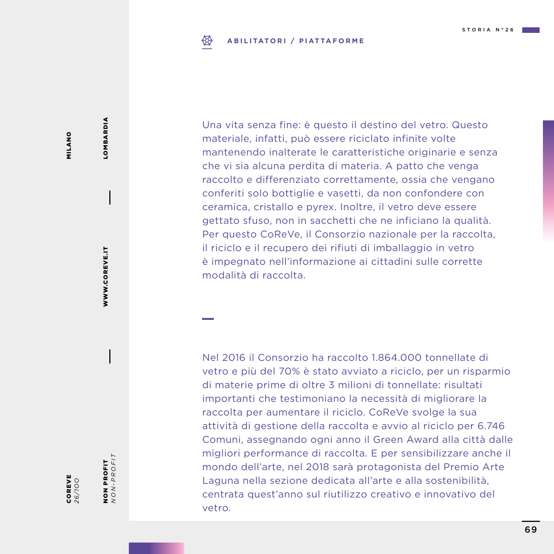### **ABILITATORI / PIATTAFORME** ₩

Una vita senza fine: è questo il destino del vetro. Questo materiale, infatti, può essere riciclato infinite volte mantenendo inalterate le caratteristiche originarie e senza che vi sia alcuna perdita di materia. A patto che venga raccolto e differenziato correttamente, ossia che vengano conferiti solo bottiglie e vasetti, da non confondere con ceramica, cristallo e pyrex. Inoltre, il vetro deve essere gettato sfuso, non in sacchetti che ne inficiano la qualità. Per questo CoReVe, il Consorzio nazionale per la raccolta, il riciclo e il recupero dei rifiuti di imballaggio in vetro è impegnato nell'informazione ai cittadini sulle corrette modalità di raccolta.

Nel 2016 il Consorzio ha raccolto 1.864.000 tonnellate di vetro e più del 70% è stato avviato a riciclo, per un risparmio di materie prime di oltre 3 milioni di tonnellate: risultati importanti che testimoniano la necessità di migliorare la raccolta per aumentare il riciclo. CoReVe svolge la sua attività di gestione della raccolta e avvio al riciclo per 6.746 Comuni, assegnando ogni anno il Green Award alla città dalle migliori performance di raccolta. E per sensibilizzare anche il mondo dell'arte, nel 2018 sarà protagonista del Premio Arte Laguna nella sezione dedicata all'arte e alla sostenibilità, centrata quest'anno sul riutilizzo creativo e innovativo del vetro.

MILANO MILANO

NON PROFIT *NON-PROFIT*

NON PROFIT<br> $NON-PROFIT$ 

WWW.COREVE.IT

WWW.COREVE.IT

LOMBARDIA

LOMBARDIA

COREVE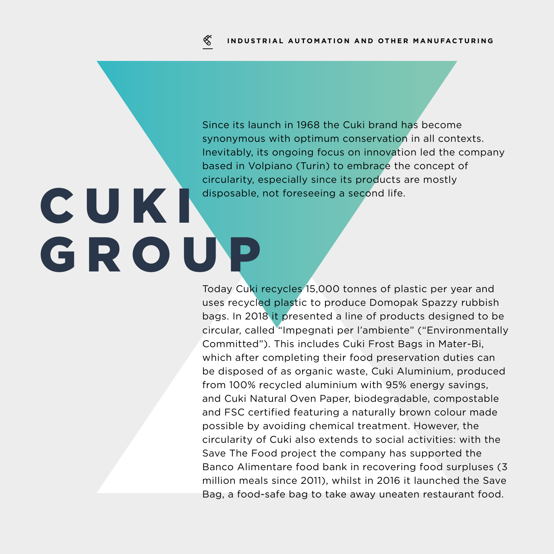Since its launch in 1968 the Cuki brand has become synonymous with optimum conservation in all contexts. Inevitably, its ongoing focus on innovation led the company based in Volpiano (Turin) to embrace the concept of circularity, especially since its products are mostly disposable, not foreseeing a second life.

## C U K I GROUP

Today Cuki recycles 15,000 tonnes of plastic per year and uses recycled plastic to produce Domopak Spazzy rubbish bags. In 2018 it presented a line of products designed to be circular, called "Impegnati per l'ambiente" ("Environmentally Committed"). This includes Cuki Frost Bags in Mater-Bi, which after completing their food preservation duties can be disposed of as organic waste, Cuki Aluminium, produced from 100% recycled aluminium with 95% energy savings, and Cuki Natural Oven Paper, biodegradable, compostable and FSC certified featuring a naturally brown colour made possible by avoiding chemical treatment. However, the circularity of Cuki also extends to social activities: with the Save The Food project the company has supported the Banco Alimentare food bank in recovering food surpluses (3 million meals since 2011), whilst in 2016 it launched the Save Bag, a food-safe bag to take away uneaten restaurant food.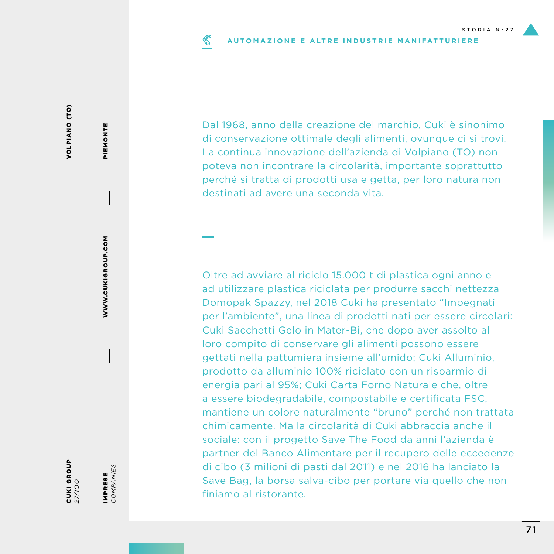### $\mathscr{C}$ **AUTOMAZIONE E ALTRE INDUSTRIE MANIFATTURIERE**

**VOLPIANO (TO)** VOLPIANO (TO)

CUKI GROUP *27/1OO*

IMPRESE<br>COMPANIES *COMPANIES* IMPRESE

WWW.CUKIGROUP.COM

WWW.CUKIGROUP.COM

PIEMONTE

PIEMONTE

Dal 1968, anno della creazione del marchio, Cuki è sinonimo di conservazione ottimale degli alimenti, ovunque ci si trovi. La continua innovazione dell'azienda di Volpiano (TO) non poteva non incontrare la circolarità, importante soprattutto perché si tratta di prodotti usa e getta, per loro natura non destinati ad avere una seconda vita.

Oltre ad avviare al riciclo 15.000 t di plastica ogni anno e ad utilizzare plastica riciclata per produrre sacchi nettezza Domopak Spazzy, nel 2018 Cuki ha presentato "Impegnati per l'ambiente", una linea di prodotti nati per essere circolari: Cuki Sacchetti Gelo in Mater-Bi, che dopo aver assolto al loro compito di conservare gli alimenti possono essere gettati nella pattumiera insieme all'umido; Cuki Alluminio, prodotto da alluminio 100% riciclato con un risparmio di energia pari al 95%; Cuki Carta Forno Naturale che, oltre a essere biodegradabile, compostabile e certificata FSC, mantiene un colore naturalmente "bruno" perché non trattata chimicamente. Ma la circolarità di Cuki abbraccia anche il sociale: con il progetto Save The Food da anni l'azienda è partner del Banco Alimentare per il recupero delle eccedenze di cibo (3 milioni di pasti dal 2011) e nel 2016 ha lanciato la Save Bag, la borsa salva-cibo per portare via quello che non finiamo al ristorante.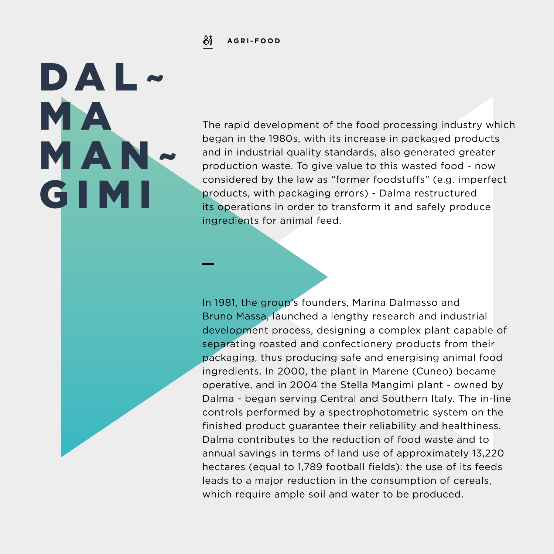୫і **AGRI-FOOD**

DAL~

MAN~

GIMI

**MA** 

The rapid development of the food processing industry which began in the 1980s, with its increase in packaged products and in industrial quality standards, also generated greater production waste. To give value to this wasted food - now considered by the law as "former foodstuffs" (e.g. imperfect products, with packaging errors) - Dalma restructured its operations in order to transform it and safely produce ingredients for animal feed.

In 1981, the group's founders, Marina Dalmasso and Bruno Massa, launched a lengthy research and industrial development process, designing a complex plant capable of separating roasted and confectionery products from their packaging, thus producing safe and energising animal food ingredients. In 2000, the plant in Marene (Cuneo) became operative, and in 2004 the Stella Mangimi plant - owned by Dalma - began serving Central and Southern Italy. The in-line controls performed by a spectrophotometric system on the finished product guarantee their reliability and healthiness. Dalma contributes to the reduction of food waste and to annual savings in terms of land use of approximately 13,220 hectares (equal to 1,789 football fields): the use of its feeds leads to a major reduction in the consumption of cereals, which require ample soil and water to be produced.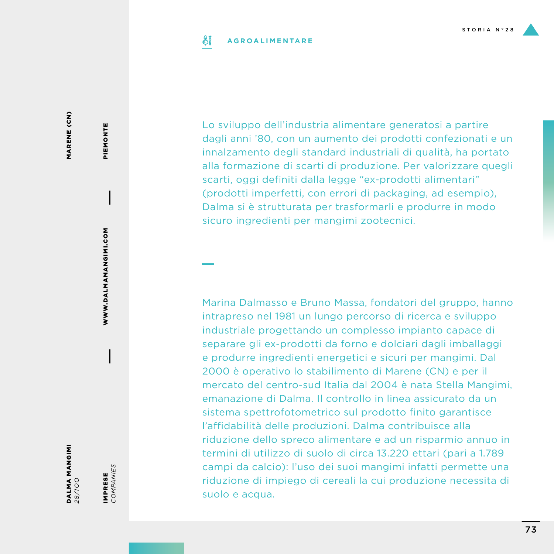#### SĬ **AGROALIMENTARE**

MARENE (CN) MARENE (CN)

DALMA MANGIMI *28/1OO*

IMPRESE *COMPANIES*

IMPRESE<br>COMPANIES

WWW.DALMAMANGIMI.COM

WWW.DALMAMANGIMI.COM

PIEMONTE

PIEMONTE

Lo sviluppo dell'industria alimentare generatosi a partire dagli anni '80, con un aumento dei prodotti confezionati e un innalzamento degli standard industriali di qualità, ha portato alla formazione di scarti di produzione. Per valorizzare quegli scarti, oggi definiti dalla legge "ex-prodotti alimentari" (prodotti imperfetti, con errori di packaging, ad esempio), Dalma si è strutturata per trasformarli e produrre in modo sicuro ingredienti per mangimi zootecnici.

Marina Dalmasso e Bruno Massa, fondatori del gruppo, hanno intrapreso nel 1981 un lungo percorso di ricerca e sviluppo industriale progettando un complesso impianto capace di separare gli ex-prodotti da forno e dolciari dagli imballaggi e produrre ingredienti energetici e sicuri per mangimi. Dal 2000 è operativo lo stabilimento di Marene (CN) e per il mercato del centro-sud Italia dal 2004 è nata Stella Mangimi, emanazione di Dalma. Il controllo in linea assicurato da un sistema spettrofotometrico sul prodotto finito garantisce l'affidabilità delle produzioni. Dalma contribuisce alla riduzione dello spreco alimentare e ad un risparmio annuo in termini di utilizzo di suolo di circa 13.220 ettari (pari a 1.789 campi da calcio): l'uso dei suoi mangimi infatti permette una riduzione di impiego di cereali la cui produzione necessita di suolo e acqua.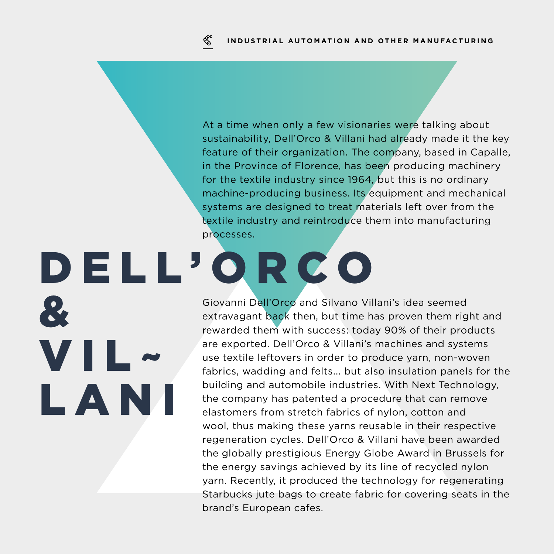At a time when only a few visionaries were talking about sustainability, Dell'Orco & Villani had already made it the key feature of their organization. The company, based in Capalle, in the Province of Florence, has been producing machinery for the textile industry since 1964, but this is no ordinary machine-producing business. Its equipment and mechanical systems are designed to treat materials left over from the textile industry and reintroduce them into manufacturing processes.

# D E L L ' O R C O  $\mathbf{R}$

VIL~

LANI

Giovanni Dell'Orco and Silvano Villani's idea seemed extravagant back then, but time has proven them right and rewarded them with success: today 90% of their products are exported. Dell'Orco & Villani's machines and systems use textile leftovers in order to produce yarn, non-woven fabrics, wadding and felts... but also insulation panels for the building and automobile industries. With Next Technology, the company has patented a procedure that can remove elastomers from stretch fabrics of nylon, cotton and wool, thus making these yarns reusable in their respective regeneration cycles. Dell'Orco & Villani have been awarded the globally prestigious Energy Globe Award in Brussels for the energy savings achieved by its line of recycled nylon yarn. Recently, it produced the technology for regenerating Starbucks jute bags to create fabric for covering seats in the brand's European cafes.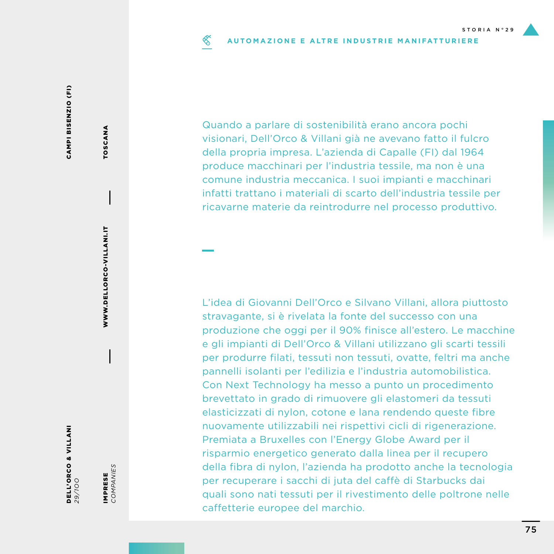#### ≪ **AUTOMAZIONE E ALTRE INDUSTRIE MANIFATTURIERE**

CAMPI BISENZIO (FI) CAMPI BISENZIO (FI)

> DELL'ORCO & VILLANI *29/1OO*

IMPRESE<br>COMPANIES *COMPANIES* IMPRESE

WWW.DELLORCO-VILLANI.IT

WWW.DELLORCO-VILLANI.IT

TOSCANA

TOSCANA

Quando a parlare di sostenibilità erano ancora pochi visionari, Dell'Orco & Villani già ne avevano fatto il fulcro della propria impresa. L'azienda di Capalle (FI) dal 1964 produce macchinari per l'industria tessile, ma non è una comune industria meccanica. I suoi impianti e macchinari infatti trattano i materiali di scarto dell'industria tessile per ricavarne materie da reintrodurre nel processo produttivo.

L'idea di Giovanni Dell'Orco e Silvano Villani, allora piuttosto stravagante, si è rivelata la fonte del successo con una produzione che oggi per il 90% finisce all'estero. Le macchine e gli impianti di Dell'Orco & Villani utilizzano gli scarti tessili per produrre filati, tessuti non tessuti, ovatte, feltri ma anche pannelli isolanti per l'edilizia e l'industria automobilistica. Con Next Technology ha messo a punto un procedimento brevettato in grado di rimuovere gli elastomeri da tessuti elasticizzati di nylon, cotone e lana rendendo queste fibre nuovamente utilizzabili nei rispettivi cicli di rigenerazione. Premiata a Bruxelles con l'Energy Globe Award per il risparmio energetico generato dalla linea per il recupero della fibra di nylon, l'azienda ha prodotto anche la tecnologia per recuperare i sacchi di juta del caffè di Starbucks dai quali sono nati tessuti per il rivestimento delle poltrone nelle caffetterie europee del marchio.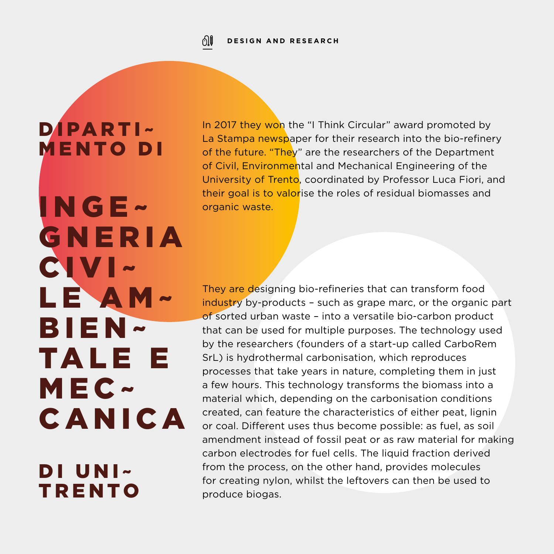ி⊫ **DESIGN AND RESEARCH**

## DIPARTI~ MENTO DI

INGE~

G N E R I A

LE AM~

TALE E

BIEN~

MEC~

DI UNI~

UANIUA<br>Di uni

CANICA

In 2017 they won the "I Think Circular" award promoted by La Stampa newspaper for their research into the bio-refinery of the future. "They" are the researchers of the Department of Civil, Environmental and Mechanical Engineering of the University of Trento, coordinated by Professor Luca Fiori, and their goal is to valorise the roles of residual biomasses and organic waste. The continuum re doluptation of the continuum re the continuum re  $\sim$ 

plam, coreius rem dolorum, coreius dio. Et lacea dio. Et la

<mark>industry</mark> by-products – such as grape marc, or the organic part<br>of sorted urban waste – into a versatile bio-carbon product of sorted urban waste - into a versatile bio-carbon product that can be used for multiple purposes. The technology used by the researchers (founders of a start-up called CarboRem<br>SrL) is hydrothermal carbonisation, which reproduces SrL) is hydrothermal carbonisation, which reproduces processes that take years in nature, completing them in just a few hours. This technology transforms the biomass into a material which, depending on the carbonisation conditions created, can feature the characteristics of either peat, lignin or coal. Different uses thus become possible: as fuel, as soil amendment instead of fossil peat or as raw material for making carbon electrodes for fuel cells. The liquid fraction derived CIVI~ TRENTO for They are designing bio-refineries that can transform food from the process, on the other hand, provides molecules for creating nylon, whilst the leftovers can then be used to produce biogas.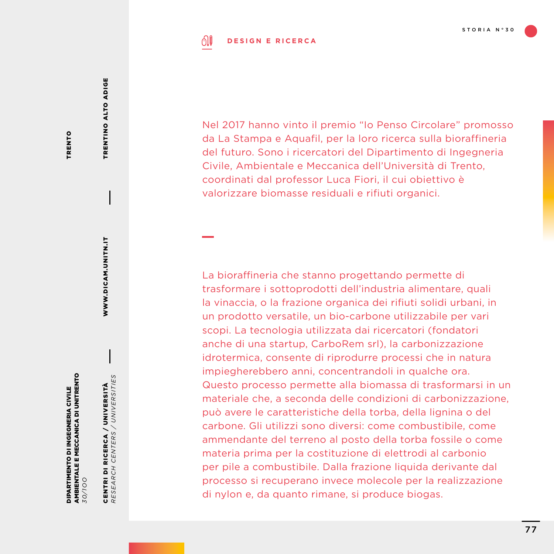#### ி **DESIGN E RICERCA**

TRENTO TRENTO TRENTINO ALTO ADIGE

TRENTINO ALTO ADIGE

WWW.DICAM.UNITN.IT

WWW.DICAM.UNITN.IT

AMBIENTALE E MECCANICA DI UNITRENTO AMBIENTALE E MECCANICA DI UNITRENTO DIPARTIMENTO DI INGEGNERIA CIVILE DIPARTIMENTO DI INGEGNERIA CIVILE *30/1OO*

CENTRI DI RICERCA / UNIVERSITÀ<br>RESEARCH CENTERS / UNIVERSITIES *RESEARCH CENTERS / UNIVERSITIES* CENTRI DI RICERCA / UNIVERSITÀ

Nel 2017 hanno vinto il premio "Io Penso Circolare" promosso da La Stampa e Aquafil, per la loro ricerca sulla bioraffineria del futuro. Sono i ricercatori del Dipartimento di Ingegneria Civile, Ambientale e Meccanica dell'Università di Trento, coordinati dal professor Luca Fiori, il cui obiettivo è valorizzare biomasse residuali e rifiuti organici.

La bioraffineria che stanno progettando permette di trasformare i sottoprodotti dell'industria alimentare, quali la vinaccia, o la frazione organica dei rifiuti solidi urbani, in un prodotto versatile, un bio-carbone utilizzabile per vari scopi. La tecnologia utilizzata dai ricercatori (fondatori anche di una startup, CarboRem srl), la carbonizzazione idrotermica, consente di riprodurre processi che in natura impiegherebbero anni, concentrandoli in qualche ora. Questo processo permette alla biomassa di trasformarsi in un materiale che, a seconda delle condizioni di carbonizzazione, può avere le caratteristiche della torba, della lignina o del carbone. Gli utilizzi sono diversi: come combustibile, come ammendante del terreno al posto della torba fossile o come materia prima per la costituzione di elettrodi al carbonio per pile a combustibile. Dalla frazione liquida derivante dal processo si recuperano invece molecole per la realizzazione di nylon e, da quanto rimane, si produce biogas.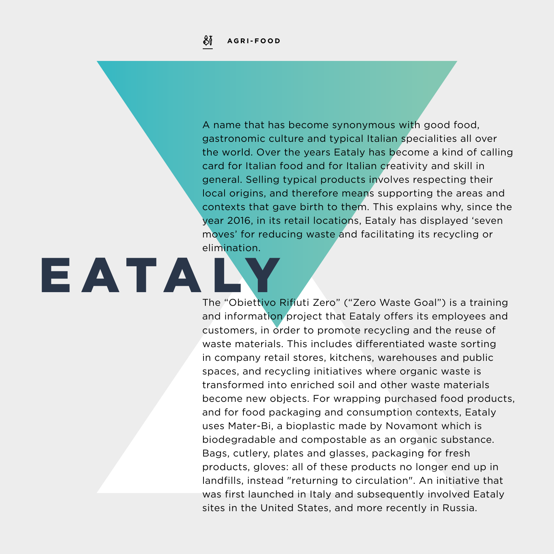EATAI

A name that has become synonymous with good food, gastronomic culture and typical Italian specialities all over the world. Over the years Eataly has become a kind of calling card for Italian food and for Italian creativity and skill in general. Selling typical products involves respecting their local origins, and therefore means supporting the areas and contexts that gave birth to them. This explains why, since the year 2016, in its retail locations, Eataly has displayed 'seven moves' for reducing waste and facilitating its recycling or elimination.

The "Obiettivo Rifiuti Zero" ("Zero Waste Goal") is a training and information project that Eataly offers its employees and customers, in order to promote recycling and the reuse of waste materials. This includes differentiated waste sorting in company retail stores, kitchens, warehouses and public spaces, and recycling initiatives where organic waste is transformed into enriched soil and other waste materials become new objects. For wrapping purchased food products, and for food packaging and consumption contexts, Eataly uses Mater-Bi, a bioplastic made by Novamont which is biodegradable and compostable as an organic substance. Bags, cutlery, plates and glasses, packaging for fresh products, gloves: all of these products no longer end up in landfills, instead "returning to circulation". An initiative that was first launched in Italy and subsequently involved Eataly sites in the United States, and more recently in Russia.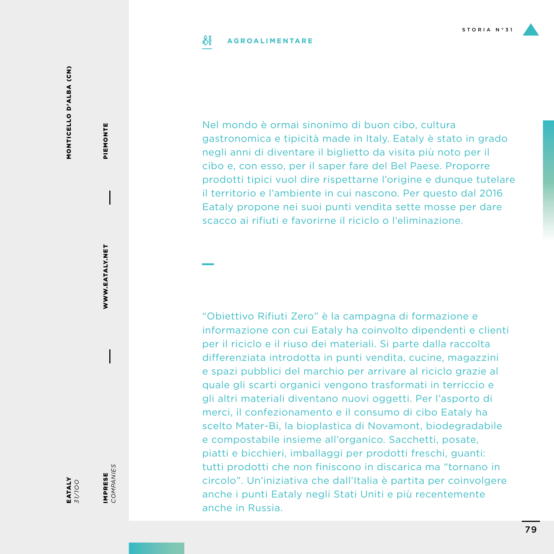#### SĬ **AGROALIMENTARE**

MONTICELLO D'ALBA (CN) MONTICELLO D'ALBA (CN)

PIEMONTE

PIEMONTE

IMPRESE<br>COMPANIES

IMPRESE *COMPANIES*

EATALY *31/1OO*

Nel mondo è ormai sinonimo di buon cibo, cultura gastronomica e tipicità made in Italy. Eataly è stato in grado negli anni di diventare il biglietto da visita più noto per il cibo e, con esso, per il saper fare del Bel Paese. Proporre prodotti tipici vuol dire rispettarne l'origine e dunque tutelare il territorio e l'ambiente in cui nascono. Per questo dal 2016 Eataly propone nei suoi punti vendita sette mosse per dare scacco ai rifiuti e favorirne il riciclo o l'eliminazione.

"Obiettivo Rifiuti Zero" è la campagna di formazione e informazione con cui Eataly ha coinvolto dipendenti e clienti per il riciclo e il riuso dei materiali. Si parte dalla raccolta differenziata introdotta in punti vendita, cucine, magazzini e spazi pubblici del marchio per arrivare al riciclo grazie al quale gli scarti organici vengono trasformati in terriccio e gli altri materiali diventano nuovi oggetti. Per l'asporto di merci, il confezionamento e il consumo di cibo Eataly ha scelto Mater-Bi, la bioplastica di Novamont, biodegradabile e compostabile insieme all'organico. Sacchetti, posate, piatti e bicchieri, imballaggi per prodotti freschi, guanti: tutti prodotti che non finiscono in discarica ma "tornano in circolo". Un'iniziativa che dall'Italia è partita per coinvolgere anche i punti Eataly negli Stati Uniti e più recentemente anche in Russia.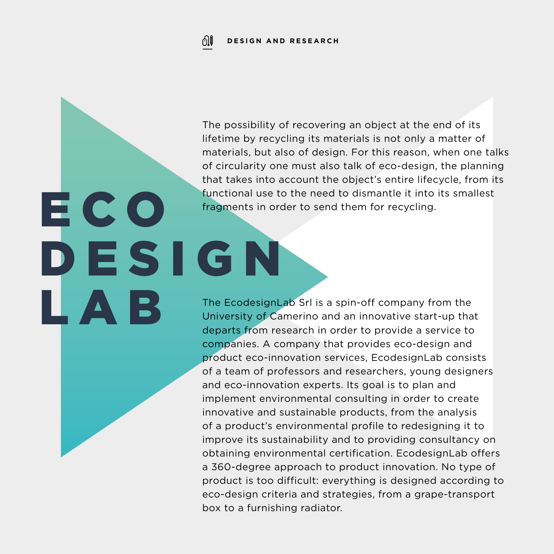ECO

L A B

The possibility of recovering an object at the end of its lifetime by recycling its materials is not only a matter of materials, but also of design. For this reason, when one talks of circularity one must also talk of eco-design, the planning that takes into account the object's entire lifecycle, from its functional use to the need to dismantle it into its smallest fragments in order to send them for recycling.

DESIGN The EcodesignLab Srl is a spin-off company from the University of Camerino and an innovative start-up that departs from research in order to provide a service to companies. A company that provides eco-design and product eco-innovation services, EcodesignLab consists of a team of professors and researchers, young designers and eco-innovation experts. Its goal is to plan and implement environmental consulting in order to create innovative and sustainable products, from the analysis of a product's environmental profile to redesigning it to improve its sustainability and to providing consultancy on obtaining environmental certification. EcodesignLab offers a 360-degree approach to product innovation. No type of product is too difficult: everything is designed according to eco-design criteria and strategies, from a grape-transport box to a furnishing radiator.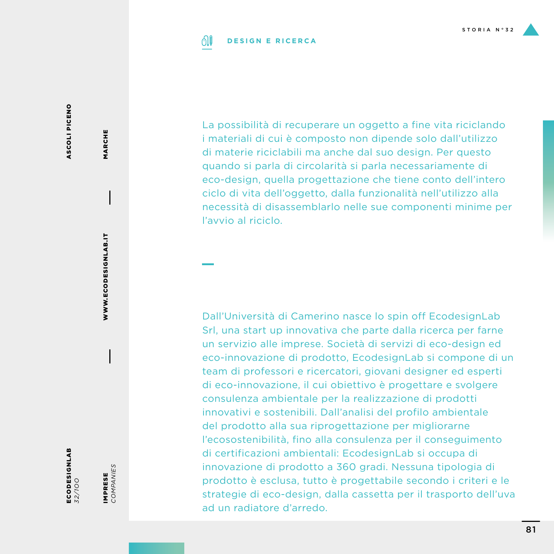

#### 01 **DESIGN E RICERCA**

ASCOLI PICENO ASCOLI PICENO

ECODESIGNLAB *32/1OO*

IMPRESE<br>COMPANIES *COMPANIES* IMPRESE

WWW.ECODESIGNLAB.IT

WWW.ECODESIGNLAB.IT

MARCHE

MARCHE

La possibilità di recuperare un oggetto a fine vita riciclando i materiali di cui è composto non dipende solo dall'utilizzo di materie riciclabili ma anche dal suo design. Per questo quando si parla di circolarità si parla necessariamente di eco-design, quella progettazione che tiene conto dell'intero ciclo di vita dell'oggetto, dalla funzionalità nell'utilizzo alla necessità di disassemblarlo nelle sue componenti minime per l'avvio al riciclo.

Dall'Università di Camerino nasce lo spin off EcodesignLab Srl, una start up innovativa che parte dalla ricerca per farne un servizio alle imprese. Società di servizi di eco-design ed eco-innovazione di prodotto, EcodesignLab si compone di un team di professori e ricercatori, giovani designer ed esperti di eco-innovazione, il cui obiettivo è progettare e svolgere consulenza ambientale per la realizzazione di prodotti innovativi e sostenibili. Dall'analisi del profilo ambientale del prodotto alla sua riprogettazione per migliorarne l'ecosostenibilità, fino alla consulenza per il conseguimento di certificazioni ambientali: EcodesignLab si occupa di innovazione di prodotto a 360 gradi. Nessuna tipologia di prodotto è esclusa, tutto è progettabile secondo i criteri e le strategie di eco-design, dalla cassetta per il trasporto dell'uva ad un radiatore d'arredo.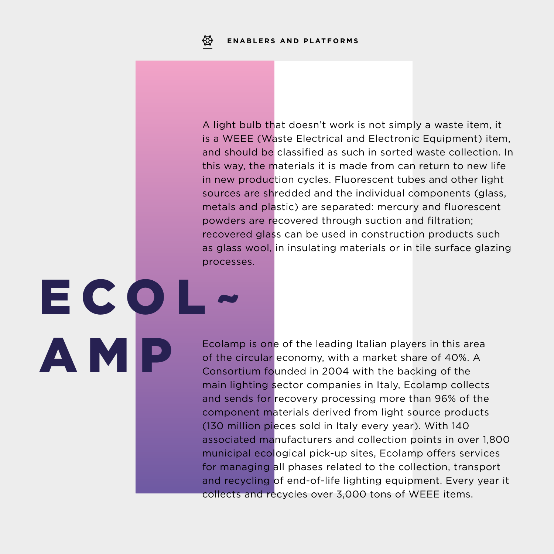ECOL

AMP

A light bulb that doesn't work is not simply a waste item, it is a WEEE (Waste Electrical and Electronic Equipment) item, and should be classified as such in sorted waste collection. In this way, the materials it is made from can return to new life in new production cycles. Fluorescent tubes and other light sources are shredded and the individual components (glass, metals and plastic) are separated: mercury and fluorescent powders are recovered through suction and filtration; recovered glass can be used in construction products such as glass wool, in insulating materials or in tile surface glazing processes.

Ecolamp is one of the leading Italian players in this area of the circular economy, with a market share of 40%. A Consortium founded in 2004 with the backing of the main lighting sector companies in Italy, Ecolamp collects and sends for recovery processing more than 96% of the component materials derived from light source products (130 million pieces sold in Italy every year). With 140 associated manufacturers and collection points in over 1,800 municipal ecological pick-up sites, Ecolamp offers services for managing all phases related to the collection, transport and recycling of end-of-life lighting equipment. Every year it collects and recycles over 3,000 tons of WEEE items.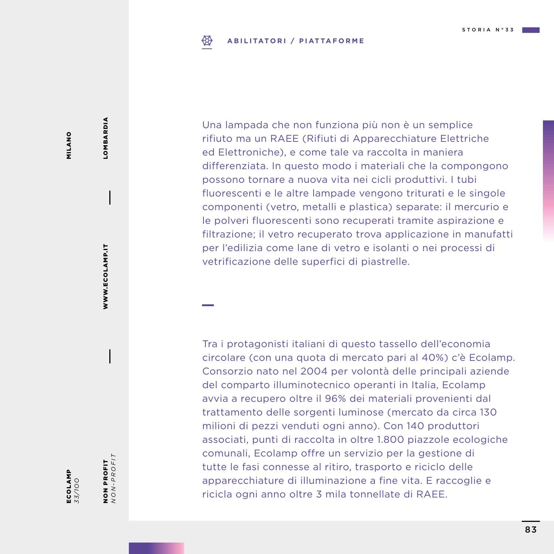#### ₩ **ABILITATORI / PIATTAFORME**

Una lampada che non funziona più non è un semplice

rifiuto ma un RAEE (Rifiuti di Apparecchiature Elettriche ed Elettroniche), e come tale va raccolta in maniera differenziata. In questo modo i materiali che la compongono possono tornare a nuova vita nei cicli produttivi. I tubi fluorescenti e le altre lampade vengono triturati e le singole componenti (vetro, metalli e plastica) separate: il mercurio e le polveri fluorescenti sono recuperati tramite aspirazione e filtrazione; il vetro recuperato trova applicazione in manufatti per l'edilizia come lane di vetro e isolanti o nei processi di vetrificazione delle superfici di piastrelle.

Tra i protagonisti italiani di questo tassello dell'economia circolare (con una quota di mercato pari al 40%) c'è Ecolamp. Consorzio nato nel 2004 per volontà delle principali aziende del comparto illuminotecnico operanti in Italia, Ecolamp avvia a recupero oltre il 96% dei materiali provenienti dal trattamento delle sorgenti luminose (mercato da circa 130 milioni di pezzi venduti ogni anno). Con 140 produttori associati, punti di raccolta in oltre 1.800 piazzole ecologiche comunali, Ecolamp offre un servizio per la gestione di tutte le fasi connesse al ritiro, trasporto e riciclo delle apparecchiature di illuminazione a fine vita. E raccoglie e ricicla ogni anno oltre 3 mila tonnellate di RAEE.

MILANO MILANO

NON PROFIT *NON-PROFIT*

**NON PROFIT**<br>NON-PROFIT

WWW.ECOLAMP.IT

WWW.ECOLAMP.IT

LOMBARDIA

LOMBARDIA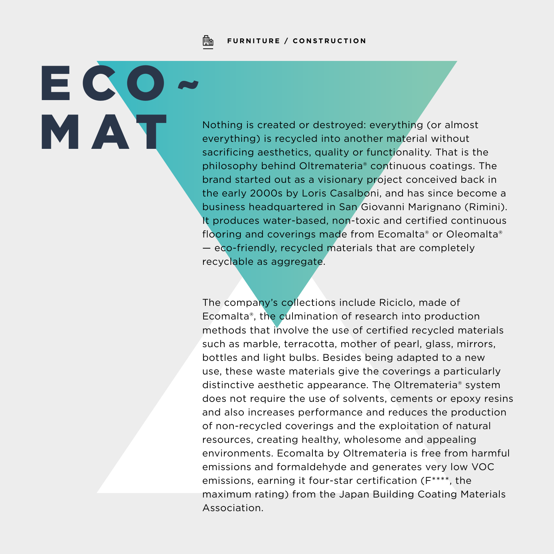Fh **FURNITURE / CONSTRUCTION**

ECO~

Mathing is created or destroyed: everything (or almost<br>everything) is recycled into another material without<br>sacrificing aesthetics, quality or functionality. That is th everything) is recycled into another material without sacrificing aesthetics, quality or functionality. That is the philosophy behind Oltremateria® continuous coatings. The brand started out as a visionary project conceived back in the early 2000s by Loris Casalboni, and has since become a business headquartered in San Giovanni Marignano (Rimini). It produces water-based, non-toxic and certified continuous flooring and coverings made from Ecomalta® or Oleomalta® — eco-friendly, recycled materials that are completely recyclable as aggregate.

> The company's collections include Riciclo, made of Ecomalta®, the culmination of research into production methods that involve the use of certified recycled materials such as marble, terracotta, mother of pearl, glass, mirrors, bottles and light bulbs. Besides being adapted to a new use, these waste materials give the coverings a particularly distinctive aesthetic appearance. The Oltremateria® system does not require the use of solvents, cements or epoxy resins and also increases performance and reduces the production of non-recycled coverings and the exploitation of natural resources, creating healthy, wholesome and appealing environments. Ecomalta by Oltremateria is free from harmful emissions and formaldehyde and generates very low VOC emissions, earning it four-star certification (F\*\*\*\*, the maximum rating) from the Japan Building Coating Materials Association.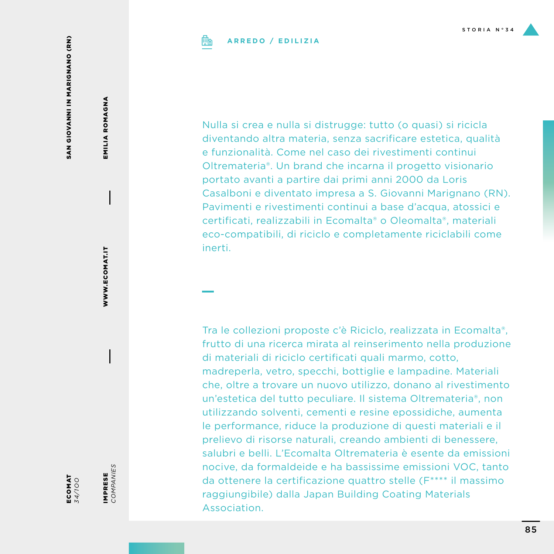## **ARREDO / EDILIZIA**

SAN GIOVANNI IN MARIGNANO (RN) SAN GIOVANNI IN MARIGNANO (RN)

EMILIA ROMAGNA EMILIA ROMAGNA

WWW.ECOMAT.IT WWW.ECOMAT.IT

IMPRESE<br>COMPANIES

IMPRESE *COMPANIES*

ECOMAT *34/1OO*

Nulla si crea e nulla si distrugge: tutto (o quasi) si ricicla diventando altra materia, senza sacrificare estetica, qualità e funzionalità. Come nel caso dei rivestimenti continui Oltremateria®. Un brand che incarna il progetto visionario portato avanti a partire dai primi anni 2000 da Loris Casalboni e diventato impresa a S. Giovanni Marignano (RN). Pavimenti e rivestimenti continui a base d'acqua, atossici e certificati, realizzabili in Ecomalta® o Oleomalta®, materiali eco-compatibili, di riciclo e completamente riciclabili come inerti.

Tra le collezioni proposte c'è Riciclo, realizzata in Ecomalta®, frutto di una ricerca mirata al reinserimento nella produzione di materiali di riciclo certificati quali marmo, cotto, madreperla, vetro, specchi, bottiglie e lampadine. Materiali che, oltre a trovare un nuovo utilizzo, donano al rivestimento un'estetica del tutto peculiare. Il sistema Oltremateria®, non utilizzando solventi, cementi e resine epossidiche, aumenta le performance, riduce la produzione di questi materiali e il prelievo di risorse naturali, creando ambienti di benessere, salubri e belli. L'Ecomalta Oltremateria è esente da emissioni nocive, da formaldeide e ha bassissime emissioni VOC, tanto da ottenere la certificazione quattro stelle (F\*\*\*\* il massimo raggiungibile) dalla Japan Building Coating Materials Association.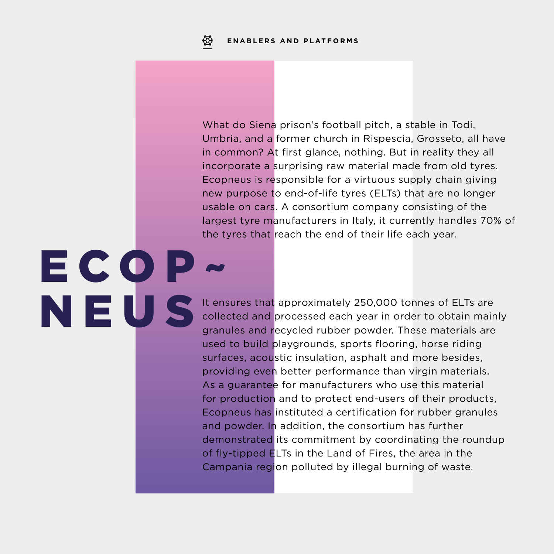ECOP~

NEUS

What do Siena prison's football pitch, a stable in Todi, Umbria, and a former church in Rispescia, Grosseto, all have in common? At first glance, nothing. But in reality they all incorporate a surprising raw material made from old tyres. Ecopneus is responsible for a virtuous supply chain giving new purpose to end-of-life tyres (ELTs) that are no longer usable on cars. A consortium company consisting of the largest tyre manufacturers in Italy, it currently handles 70% of the tyres that reach the end of their life each year.

It ensures that approximately 250,000 tonnes of ELTs are collected and processed each year in order to obtain mainly granules and recycled rubber powder. These materials are used to build playgrounds, sports flooring, horse riding surfaces, acoustic insulation, asphalt and more besides, providing even better performance than virgin materials. As a quarantee for manufacturers who use this material for production and to protect end-users of their products, Ecopneus has instituted a certification for rubber granules and powder. In addition, the consortium has further demonstrated its commitment by coordinating the roundup of fly-tipped ELTs in the Land of Fires, the area in the Campania region polluted by illegal burning of waste.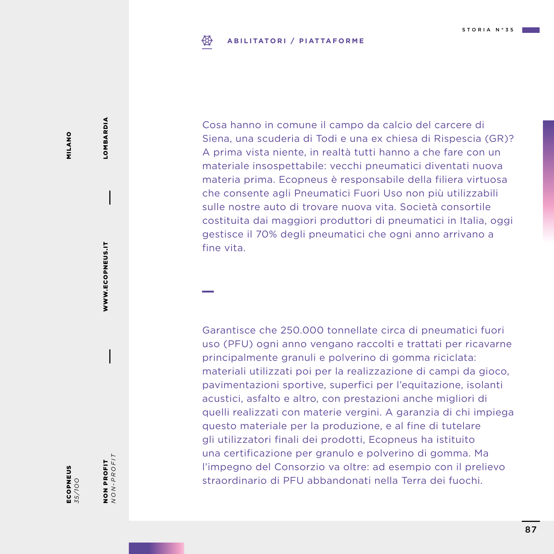#### ₩ **ABILITATORI / PIATTAFORME**

Cosa hanno in comune il campo da calcio del carcere di Siena, una scuderia di Todi e una ex chiesa di Rispescia (GR)? A prima vista niente, in realtà tutti hanno a che fare con un materiale insospettabile: vecchi pneumatici diventati nuova materia prima. Ecopneus è responsabile della filiera virtuosa che consente agli Pneumatici Fuori Uso non più utilizzabili sulle nostre auto di trovare nuova vita. Società consortile costituita dai maggiori produttori di pneumatici in Italia, oggi gestisce il 70% degli pneumatici che ogni anno arrivano a fine vita.

Garantisce che 250.000 tonnellate circa di pneumatici fuori uso (PFU) ogni anno vengano raccolti e trattati per ricavarne principalmente granuli e polverino di gomma riciclata: materiali utilizzati poi per la realizzazione di campi da gioco, pavimentazioni sportive, superfici per l'equitazione, isolanti acustici, asfalto e altro, con prestazioni anche migliori di quelli realizzati con materie vergini. A garanzia di chi impiega questo materiale per la produzione, e al fine di tutelare gli utilizzatori finali dei prodotti, Ecopneus ha istituito una certificazione per granulo e polverino di gomma. Ma l'impegno del Consorzio va oltre: ad esempio con il prelievo straordinario di PFU abbandonati nella Terra dei fuochi.

NON PROFIT *NON-PROFIT*

NON PROFIT<br> $NON-PROFIT$ 

WWW.ECOPNEUS.IT

WWW.ECOPNEUS.IT

LOMBARDIA

LOMBARDIA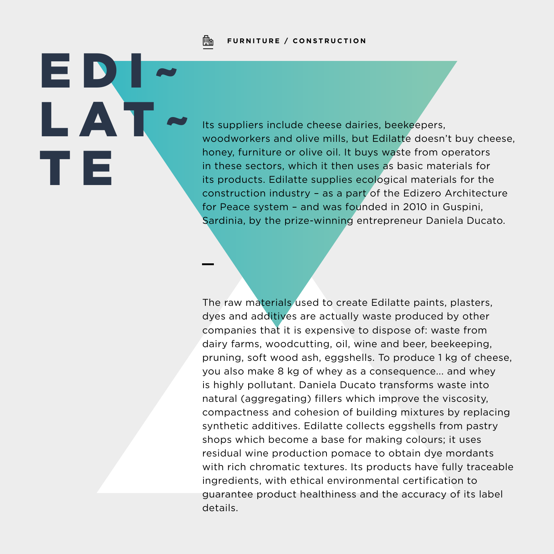

EDI~

LA'

T E

### **FURNITURE / CONSTRUCTION**

Its suppliers include cheese dairies, beekeepers, woodworkers and olive mills, but Edilatte doesn't buy cheese, honey, furniture or olive oil. It buys waste from operators in these sectors, which it then uses as basic materials for its products. Edilatte supplies ecological materials for the construction industry – as a part of the Edizero Architecture for Peace system – and was founded in 2010 in Guspini, Sardinia, by the prize-winning entrepreneur Daniela Ducato.

The raw materials used to create Edilatte paints, plasters, dyes and additives are actually waste produced by other companies that it is expensive to dispose of: waste from dairy farms, woodcutting, oil, wine and beer, beekeeping, pruning, soft wood ash, eggshells. To produce 1 kg of cheese, you also make 8 kg of whey as a consequence... and whey is highly pollutant. Daniela Ducato transforms waste into natural (aggregating) fillers which improve the viscosity, compactness and cohesion of building mixtures by replacing synthetic additives. Edilatte collects eggshells from pastry shops which become a base for making colours; it uses residual wine production pomace to obtain dye mordants with rich chromatic textures. Its products have fully traceable ingredients, with ethical environmental certification to guarantee product healthiness and the accuracy of its label details.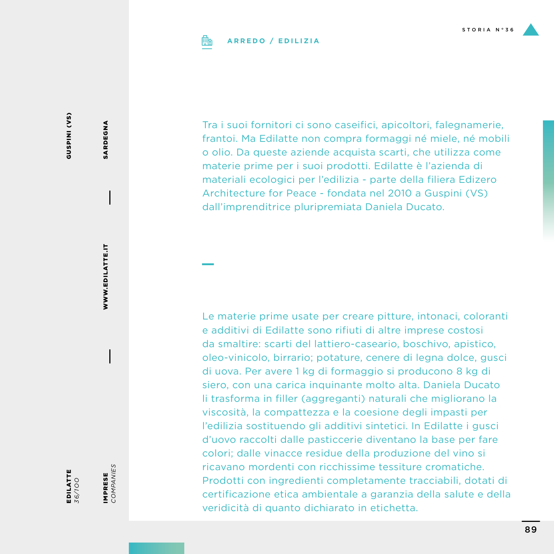

## **ARREDO / EDILIZIA**

GUSPINI<sub>(VS)</sub> GUSPINI (VS)

EDILATTE *36/1OO* IMPRESE<br>COMPANIES *COMPANIES* IMPRESE

WWW.EDILATTE.IT

WWW.EDILATTE.IT

SARDEGNA

SARDEGNA

Tra i suoi fornitori ci sono caseifici, apicoltori, falegnamerie, frantoi. Ma Edilatte non compra formaggi né miele, né mobili o olio. Da queste aziende acquista scarti, che utilizza come materie prime per i suoi prodotti. Edilatte è l'azienda di materiali ecologici per l'edilizia - parte della filiera Edizero Architecture for Peace - fondata nel 2010 a Guspini (VS) dall'imprenditrice pluripremiata Daniela Ducato.

Le materie prime usate per creare pitture, intonaci, coloranti e additivi di Edilatte sono rifiuti di altre imprese costosi da smaltire: scarti del lattiero-caseario, boschivo, apistico, oleo-vinicolo, birrario; potature, cenere di legna dolce, gusci di uova. Per avere 1 kg di formaggio si producono 8 kg di siero, con una carica inquinante molto alta. Daniela Ducato li trasforma in filler (aggreganti) naturali che migliorano la viscosità, la compattezza e la coesione degli impasti per l'edilizia sostituendo gli additivi sintetici. In Edilatte i gusci d'uovo raccolti dalle pasticcerie diventano la base per fare colori; dalle vinacce residue della produzione del vino si ricavano mordenti con ricchissime tessiture cromatiche. Prodotti con ingredienti completamente tracciabili, dotati di certificazione etica ambientale a garanzia della salute e della veridicità di quanto dichiarato in etichetta.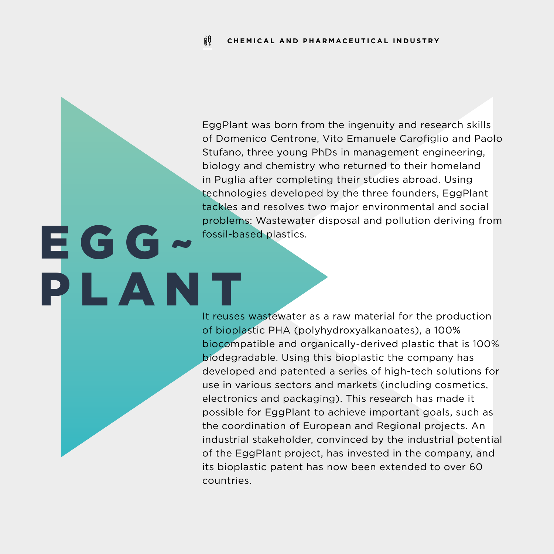EggPlant was born from the ingenuity and research skills of Domenico Centrone, Vito Emanuele Carofiglio and Paolo Stufano, three young PhDs in management engineering, biology and chemistry who returned to their homeland in Puglia after completing their studies abroad. Using technologies developed by the three founders, EggPlant tackles and resolves two major environmental and social problems: Wastewater disposal and pollution deriving from fossil-based plastics.

EGG-

PLANT

It reuses wastewater as a raw material for the production of bioplastic PHA (polyhydroxyalkanoates), a 100% biocompatible and organically-derived plastic that is 100% biodegradable. Using this bioplastic the company has developed and patented a series of high-tech solutions for use in various sectors and markets (including cosmetics, electronics and packaging). This research has made it possible for EggPlant to achieve important goals, such as the coordination of European and Regional projects. An industrial stakeholder, convinced by the industrial potential of the EggPlant project, has invested in the company, and its bioplastic patent has now been extended to over 60 countries.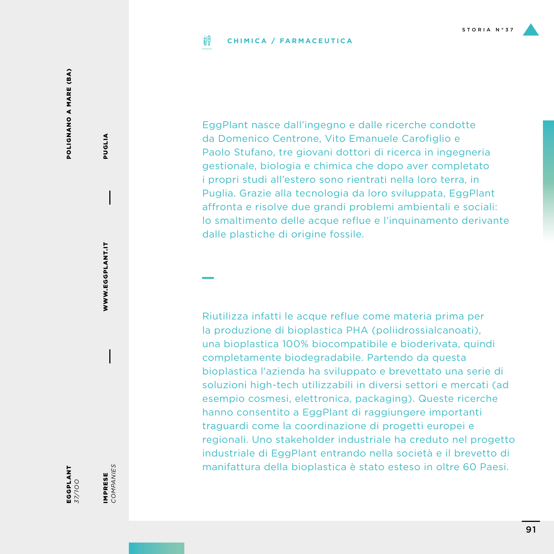#### ijθ **CHIMICA / FARMACEUTICA**

POLIGNANO A MARE (BA) POLIGNANO A MARE (BA)

IMPRESE<br>COMPANIES *COMPANIES* IMPRESE

WWW.EGGPLANT.IT

WWW.EGGPLANT.IT

PUGLIA

**PUGLIA** 

EggPlant nasce dall'ingegno e dalle ricerche condotte da Domenico Centrone, Vito Emanuele Carofiglio e Paolo Stufano, tre giovani dottori di ricerca in ingegneria gestionale, biologia e chimica che dopo aver completato i propri studi all'estero sono rientrati nella loro terra, in Puglia. Grazie alla tecnologia da loro sviluppata, EggPlant affronta e risolve due grandi problemi ambientali e sociali: lo smaltimento delle acque reflue e l'inquinamento derivante dalle plastiche di origine fossile.

Riutilizza infatti le acque reflue come materia prima per la produzione di bioplastica PHA (poliidrossialcanoati), una bioplastica 100% biocompatibile e bioderivata, quindi completamente biodegradabile. Partendo da questa bioplastica l'azienda ha sviluppato e brevettato una serie di soluzioni high-tech utilizzabili in diversi settori e mercati (ad esempio cosmesi, elettronica, packaging). Queste ricerche hanno consentito a EggPlant di raggiungere importanti traguardi come la coordinazione di progetti europei e regionali. Uno stakeholder industriale ha creduto nel progetto industriale di EggPlant entrando nella società e il brevetto di manifattura della bioplastica è stato esteso in oltre 60 Paesi.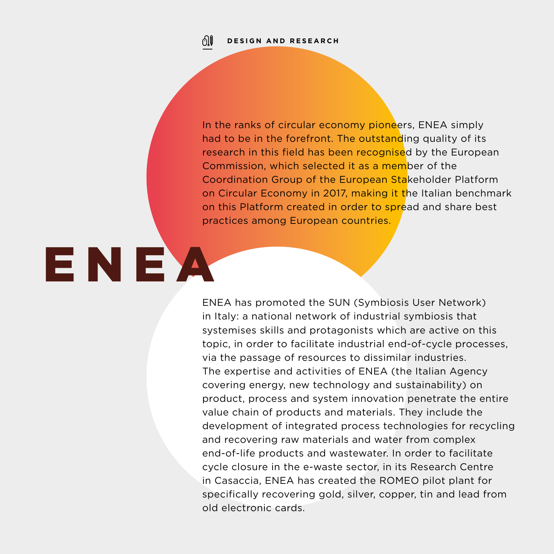01

In the ranks of circular economy pioneers, ENEA simply had to be in the forefront. The outstanding quality of its research in this field has been recognised by the European Commission, which selected it as a member of the Coordination Group of the European Stakeholder Platform on Circular Economy in 2017, making it the Italian benchmark on this Platform created in order to spread and share best practices among European countries.

ENEA

ENEA has promoted the SUN (Symbiosis User Network) in Italy: a national network of industrial symbiosis that systemises skills and protagonists which are active on this topic, in order to facilitate industrial end-of-cycle processes, via the passage of resources to dissimilar industries. The expertise and activities of ENEA (the Italian Agency covering energy, new technology and sustainability) on product, process and system innovation penetrate the entire value chain of products and materials. They include the development of integrated process technologies for recycling and recovering raw materials and water from complex end-of-life products and wastewater. In order to facilitate cycle closure in the e-waste sector, in its Research Centre in Casaccia, ENEA has created the ROMEO pilot plant for specifically recovering gold, silver, copper, tin and lead from old electronic cards.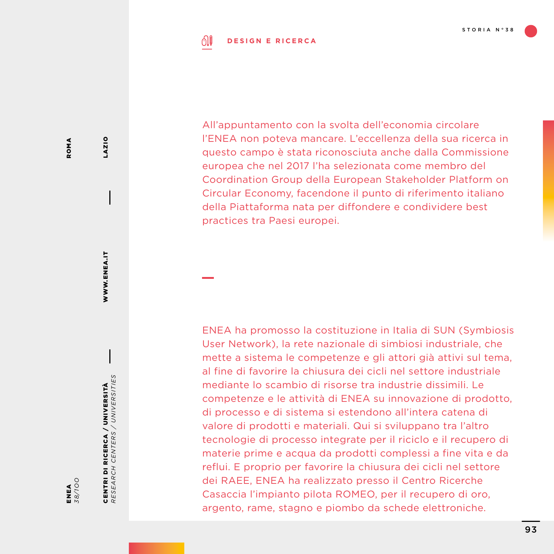#### ி **DESIGN E RICERCA**

All'appuntamento con la svolta dell'economia circolare l'ENEA non poteva mancare. L'eccellenza della sua ricerca in questo campo è stata riconosciuta anche dalla Commissione europea che nel 2017 l'ha selezionata come membro del Coordination Group della European Stakeholder Platform on Circular Economy, facendone il punto di riferimento italiano della Piattaforma nata per diffondere e condividere best practices tra Paesi europei.

ENEA ha promosso la costituzione in Italia di SUN (Symbiosis User Network), la rete nazionale di simbiosi industriale, che mette a sistema le competenze e gli attori già attivi sul tema, al fine di favorire la chiusura dei cicli nel settore industriale mediante lo scambio di risorse tra industrie dissimili. Le competenze e le attività di ENEA su innovazione di prodotto, di processo e di sistema si estendono all'intera catena di valore di prodotti e materiali. Qui si sviluppano tra l'altro tecnologie di processo integrate per il riciclo e il recupero di materie prime e acqua da prodotti complessi a fine vita e da reflui. E proprio per favorire la chiusura dei cicli nel settore dei RAEE, ENEA ha realizzato presso il Centro Ricerche Casaccia l'impianto pilota ROMEO, per il recupero di oro, argento, rame, stagno e piombo da schede elettroniche.

LAZIO

WWW.ENEA.IT

WWW.ENEA.IT

CENTRI DI RICERCA / UNIVERSITÀ *RESEARCH CENTERS / UNIVERSITIES*

CENTRI DI RICERCA / UNIVERSITÀ<br>RESEARCH CENTERS / UNIVERSITIES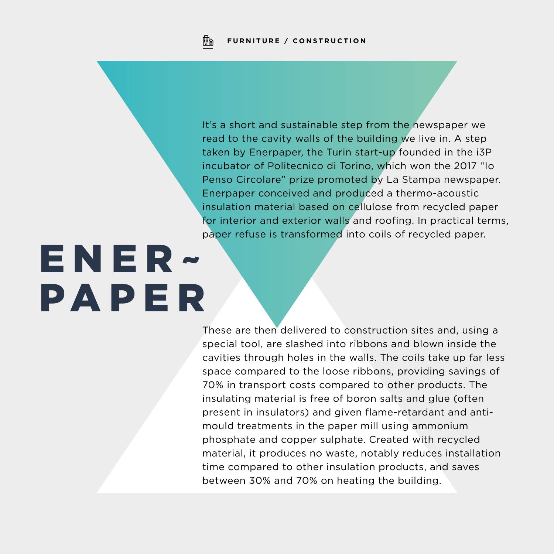Fh

It's a short and sustainable step from the newspaper we read to the cavity walls of the building we live in. A step taken by Enerpaper, the Turin start-up founded in the i3P incubator of Politecnico di Torino, which won the 2017 "Io Penso Circolare" prize promoted by La Stampa newspaper. Enerpaper conceived and produced a thermo-acoustic insulation material based on cellulose from recycled paper for interior and exterior walls and roofing. In practical terms, paper refuse is transformed into coils of recycled paper.

# ENER~ PAPER

These are then delivered to construction sites and, using a special tool, are slashed into ribbons and blown inside the cavities through holes in the walls. The coils take up far less space compared to the loose ribbons, providing savings of 70% in transport costs compared to other products. The insulating material is free of boron salts and glue (often present in insulators) and given flame-retardant and antimould treatments in the paper mill using ammonium phosphate and copper sulphate. Created with recycled material, it produces no waste, notably reduces installation time compared to other insulation products, and saves between 30% and 70% on heating the building.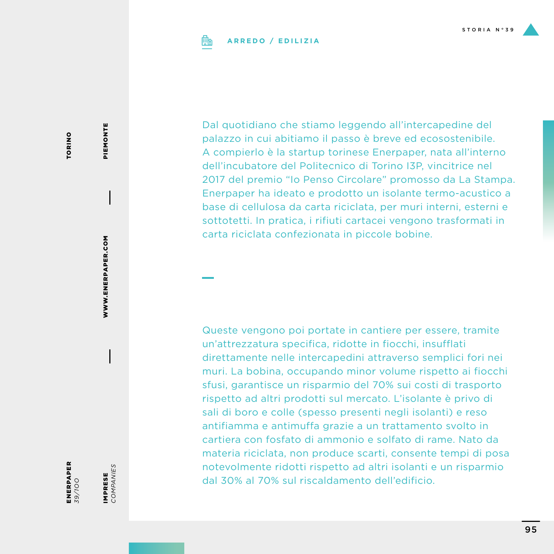

## **ARREDO / EDILIZIA**

**TORINO** TORINO

ENERPAPER *39/1OO*

IMPRESE<br>COMPANIES *COMPANIES* IMPRESE

WWW.ENERPAPER.COM

WWW.ENERPAPER.COM

PIEMONTE PIEMONTE

Dal quotidiano che stiamo leggendo all'intercapedine del palazzo in cui abitiamo il passo è breve ed ecosostenibile. A compierlo è la startup torinese Enerpaper, nata all'interno dell'incubatore del Politecnico di Torino I3P, vincitrice nel 2017 del premio "Io Penso Circolare" promosso da La Stampa. Enerpaper ha ideato e prodotto un isolante termo-acustico a base di cellulosa da carta riciclata, per muri interni, esterni e sottotetti. In pratica, i rifiuti cartacei vengono trasformati in carta riciclata confezionata in piccole bobine.

Queste vengono poi portate in cantiere per essere, tramite un'attrezzatura specifica, ridotte in fiocchi, insufflati direttamente nelle intercapedini attraverso semplici fori nei muri. La bobina, occupando minor volume rispetto ai fiocchi sfusi, garantisce un risparmio del 70% sui costi di trasporto rispetto ad altri prodotti sul mercato. L'isolante è privo di sali di boro e colle (spesso presenti negli isolanti) e reso antifiamma e antimuffa grazie a un trattamento svolto in cartiera con fosfato di ammonio e solfato di rame. Nato da materia riciclata, non produce scarti, consente tempi di posa notevolmente ridotti rispetto ad altri isolanti e un risparmio dal 30% al 70% sul riscaldamento dell'edificio.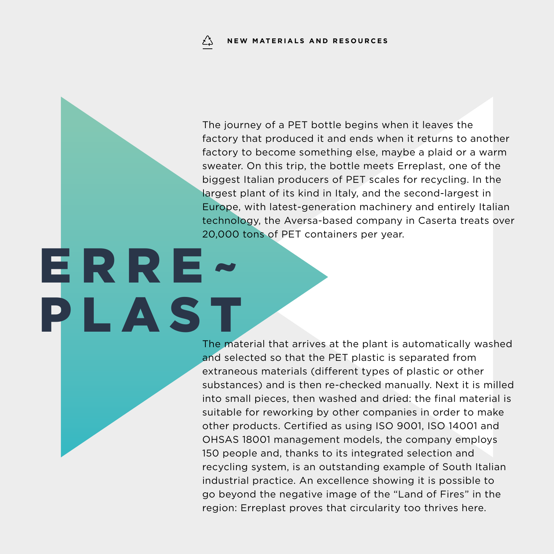ERRE~

The journey of a PET bottle begins when it leaves the factory that produced it and ends when it returns to another factory to become something else, maybe a plaid or a warm sweater. On this trip, the bottle meets Erreplast, one of the biggest Italian producers of PET scales for recycling. In the largest plant of its kind in Italy, and the second-largest in Europe, with latest-generation machinery and entirely Italian technology, the Aversa-based company in Caserta treats over 20,000 tons of PET containers per year.

PLAST The material that arrives at the plant is automatically washed and selected so that the PET plastic is separated from extraneous materials (different types of plastic or other substances) and is then re-checked manually. Next it is milled into small pieces, then washed and dried: the final material is suitable for reworking by other companies in order to make other products. Certified as using ISO 9001, ISO 14001 and OHSAS 18001 management models, the company employs 150 people and, thanks to its integrated selection and recycling system, is an outstanding example of South Italian industrial practice. An excellence showing it is possible to go beyond the negative image of the "Land of Fires" in the region: Erreplast proves that circularity too thrives here.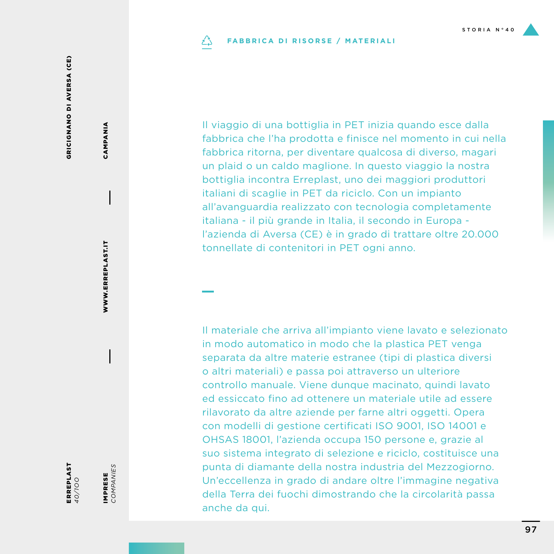#### **FABBRICA DI RISORSE / MATERIALI** دُے

Il viaggio di una bottiglia in PET inizia quando esce dalla fabbrica che l'ha prodotta e finisce nel momento in cui nella fabbrica ritorna, per diventare qualcosa di diverso, magari un plaid o un caldo maglione. In questo viaggio la nostra bottiglia incontra Erreplast, uno dei maggiori produttori italiani di scaglie in PET da riciclo. Con un impianto all'avanguardia realizzato con tecnologia completamente italiana - il più grande in Italia, il secondo in Europa l'azienda di Aversa (CE) è in grado di trattare oltre 20.000 tonnellate di contenitori in PET ogni anno.

Il materiale che arriva all'impianto viene lavato e selezionato in modo automatico in modo che la plastica PET venga separata da altre materie estranee (tipi di plastica diversi o altri materiali) e passa poi attraverso un ulteriore controllo manuale. Viene dunque macinato, quindi lavato ed essiccato fino ad ottenere un materiale utile ad essere rilavorato da altre aziende per farne altri oggetti. Opera con modelli di gestione certificati ISO 9001, ISO 14001 e OHSAS 18001, l'azienda occupa 150 persone e, grazie al suo sistema integrato di selezione e riciclo, costituisce una punta di diamante della nostra industria del Mezzogiorno. Un'eccellenza in grado di andare oltre l'immagine negativa della Terra dei fuochi dimostrando che la circolarità passa anche da qui.

ERREPLAST *40/1OO*

IMPRESE *COMPANIES*

IMPRESE<br>COMPANIES

WWW.ERREPLAST.IT

WWW.ERREPLAST.IT

CAMPANIA

CAMPANIA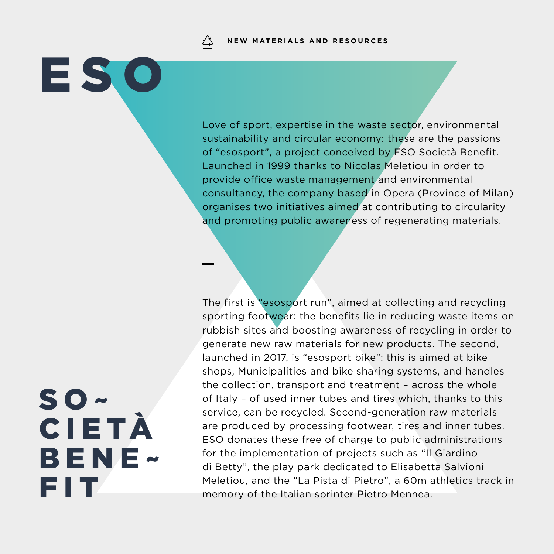**NEW MATERIALS AND RESOURCES**ڏءُ

Love of sport, expertise in the waste sector, environmental sustainability and circular economy: these are the passions of "esosport", a project conceived by ESO Società Benefit. Launched in 1999 thanks to Nicolas Meletiou in order to provide office waste management and environmental consultancy, the company based in Opera (Province of Milan) organises two initiatives aimed at contributing to circularity and promoting public awareness of regenerating materials.

The first is "esosport run", aimed at collecting and recycling sporting footwear: the benefits lie in reducing waste items on rubbish sites and boosting awareness of recycling in order to generate new raw materials for new products. The second, launched in 2017, is "esosport bike": this is aimed at bike shops, Municipalities and bike sharing systems, and handles the collection, transport and treatment – across the whole of Italy – of used inner tubes and tires which, thanks to this service, can be recycled. Second-generation raw materials are produced by processing footwear, tires and inner tubes. ESO donates these free of charge to public administrations for the implementation of projects such as "Il Giardino di Betty", the play park dedicated to Elisabetta Salvioni Meletiou, and the "La Pista di Pietro", a 60m athletics track in memory of the Italian sprinter Pietro Mennea.

# SO~ CIETÀ BENE~ FIT

ESO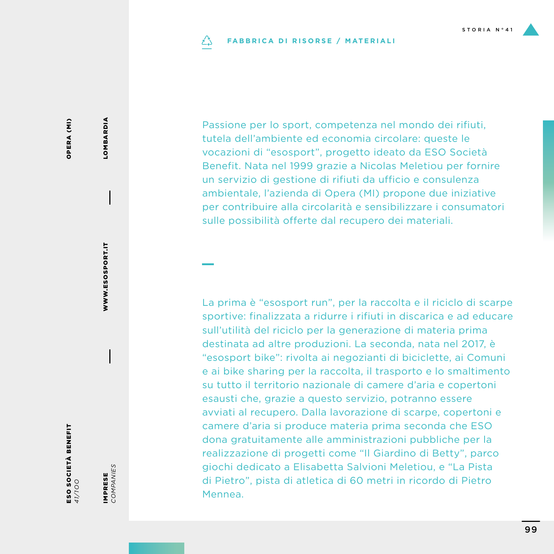#### **FABBRICA DI RISORSE / MATERIALI** دُے

Passione per lo sport, competenza nel mondo dei rifiuti, tutela dell'ambiente ed economia circolare: queste le vocazioni di "esosport", progetto ideato da ESO Società Benefit. Nata nel 1999 grazie a Nicolas Meletiou per fornire un servizio di gestione di rifiuti da ufficio e consulenza ambientale, l'azienda di Opera (MI) propone due iniziative per contribuire alla circolarità e sensibilizzare i consumatori sulle possibilità offerte dal recupero dei materiali.

La prima è "esosport run", per la raccolta e il riciclo di scarpe sportive: finalizzata a ridurre i rifiuti in discarica e ad educare sull'utilità del riciclo per la generazione di materia prima destinata ad altre produzioni. La seconda, nata nel 2017, è "esosport bike": rivolta ai negozianti di biciclette, ai Comuni e ai bike sharing per la raccolta, il trasporto e lo smaltimento su tutto il territorio nazionale di camere d'aria e copertoni esausti che, grazie a questo servizio, potranno essere avviati al recupero. Dalla lavorazione di scarpe, copertoni e camere d'aria si produce materia prima seconda che ESO dona gratuitamente alle amministrazioni pubbliche per la realizzazione di progetti come "Il Giardino di Betty", parco giochi dedicato a Elisabetta Salvioni Meletiou, e "La Pista di Pietro", pista di atletica di 60 metri in ricordo di Pietro Mennea.

## OPERA (MI) OPERA (MI)

LOMBARDIA

**LOMBARDIA** 

IMPRESE *COMPANIES*

IMPRESE<br>COMPANIES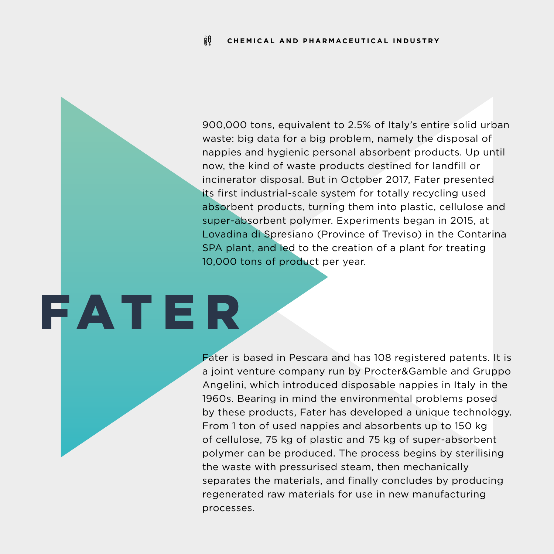900,000 tons, equivalent to 2.5% of Italy's entire solid urban waste: big data for a big problem, namely the disposal of nappies and hygienic personal absorbent products. Up until now, the kind of waste products destined for landfill or incinerator disposal. But in October 2017, Fater presented its first industrial-scale system for totally recycling used absorbent products, turning them into plastic, cellulose and super-absorbent polymer. Experiments began in 2015, at Lovadina di Spresiano (Province of Treviso) in the Contarina SPA plant, and led to the creation of a plant for treating 10,000 tons of product per year.

# FATER

Fater is based in Pescara and has 108 registered patents. It is a joint venture company run by Procter&Gamble and Gruppo Angelini, which introduced disposable nappies in Italy in the 1960s. Bearing in mind the environmental problems posed by these products, Fater has developed a unique technology. From 1 ton of used nappies and absorbents up to 150 kg of cellulose, 75 kg of plastic and 75 kg of super-absorbent polymer can be produced. The process begins by sterilising the waste with pressurised steam, then mechanically separates the materials, and finally concludes by producing regenerated raw materials for use in new manufacturing processes.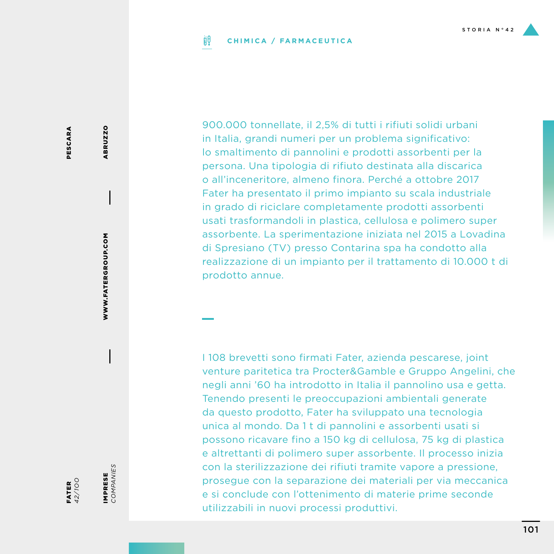#### ijθ **CHIMICA / FARMACEUTICA**

PESCARA PESCARA

FATER *42/1OO*

IMPRESE<br>COMPANIES *COMPANIES* IMPRESE

WWW.FATERGROUP.COM

WWW.FATERGROUP.COM

ABRUZZO

**ABRUZZO** 

900.000 tonnellate, il 2,5% di tutti i rifiuti solidi urbani in Italia, grandi numeri per un problema significativo: lo smaltimento di pannolini e prodotti assorbenti per la persona. Una tipologia di rifiuto destinata alla discarica o all'inceneritore, almeno finora. Perché a ottobre 2017 Fater ha presentato il primo impianto su scala industriale in grado di riciclare completamente prodotti assorbenti usati trasformandoli in plastica, cellulosa e polimero super assorbente. La sperimentazione iniziata nel 2015 a Lovadina di Spresiano (TV) presso Contarina spa ha condotto alla realizzazione di un impianto per il trattamento di 10.000 t di prodotto annue.

I 108 brevetti sono firmati Fater, azienda pescarese, joint venture paritetica tra Procter&Gamble e Gruppo Angelini, che negli anni '60 ha introdotto in Italia il pannolino usa e getta. Tenendo presenti le preoccupazioni ambientali generate da questo prodotto, Fater ha sviluppato una tecnologia unica al mondo. Da 1 t di pannolini e assorbenti usati si possono ricavare fino a 150 kg di cellulosa, 75 kg di plastica e altrettanti di polimero super assorbente. Il processo inizia con la sterilizzazione dei rifiuti tramite vapore a pressione, prosegue con la separazione dei materiali per via meccanica e si conclude con l'ottenimento di materie prime seconde utilizzabili in nuovi processi produttivi.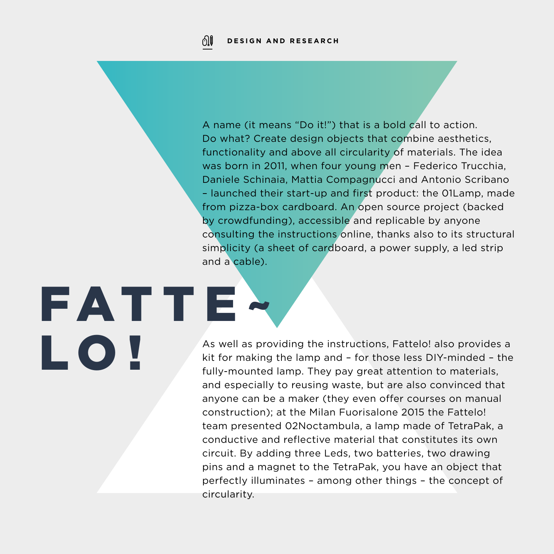FATTE~

LO!

A name (it means "Do it!") that is a bold call to action. Do what? Create design objects that combine aesthetics, functionality and above all circularity of materials. The idea was born in 2011, when four young men – Federico Trucchia, Daniele Schinaia, Mattia Compagnucci and Antonio Scribano – launched their start-up and first product: the 01Lamp, made from pizza-box cardboard. An open source project (backed by crowdfunding), accessible and replicable by anyone consulting the instructions online, thanks also to its structural simplicity (a sheet of cardboard, a power supply, a led strip and a cable).

As well as providing the instructions, Fattelo! also provides a kit for making the lamp and – for those less DIY-minded – the fully-mounted lamp. They pay great attention to materials, and especially to reusing waste, but are also convinced that anyone can be a maker (they even offer courses on manual construction); at the Milan Fuorisalone 2015 the Fattelo! team presented 02Noctambula, a lamp made of TetraPak, a conductive and reflective material that constitutes its own circuit. By adding three Leds, two batteries, two drawing pins and a magnet to the TetraPak, you have an object that perfectly illuminates – among other things – the concept of circularity.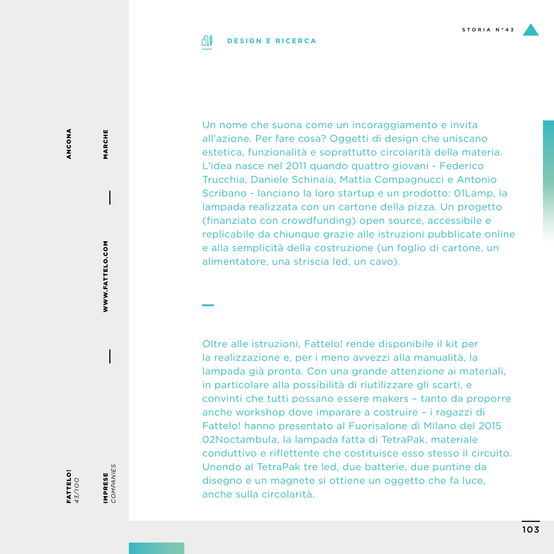#### 01 **DESIGN E RICERCA**

ANCONA ANCONA

FATTELO! *43/1OO* IMPRESE<br>COMPANIES *COMPANIES* IMPRESE

WWW.FATTELO.COM

WWW.FATTELO.COM

MARCHE

MARCHE

Un nome che suona come un incoraggiamento e invita all'azione. Per fare cosa? Oggetti di design che uniscano estetica, funzionalità e soprattutto circolarità della materia. L'idea nasce nel 2011 quando quattro giovani - Federico Trucchia, Daniele Schinaia, Mattia Compagnucci e Antonio Scribano - lanciano la loro startup e un prodotto: 01Lamp, la lampada realizzata con un cartone della pizza. Un progetto (finanziato con crowdfunding) open source, accessibile e replicabile da chiunque grazie alle istruzioni pubblicate online e alla semplicità della costruzione (un foglio di cartone, un alimentatore, una striscia led, un cavo).

Oltre alle istruzioni, Fattelo! rende disponibile il kit per la realizzazione e, per i meno avvezzi alla manualità, la lampada già pronta. Con una grande attenzione ai materiali, in particolare alla possibilità di riutilizzare gli scarti, e convinti che tutti possano essere makers – tanto da proporre anche workshop dove imparare a costruire – i ragazzi di Fattelo! hanno presentato al Fuorisalone di Milano del 2015 02Noctambula, la lampada fatta di TetraPak, materiale conduttivo e riflettente che costituisce esso stesso il circuito. Unendo al TetraPak tre led, due batterie, due puntine da disegno e un magnete si ottiene un oggetto che fa luce, anche sulla circolarità.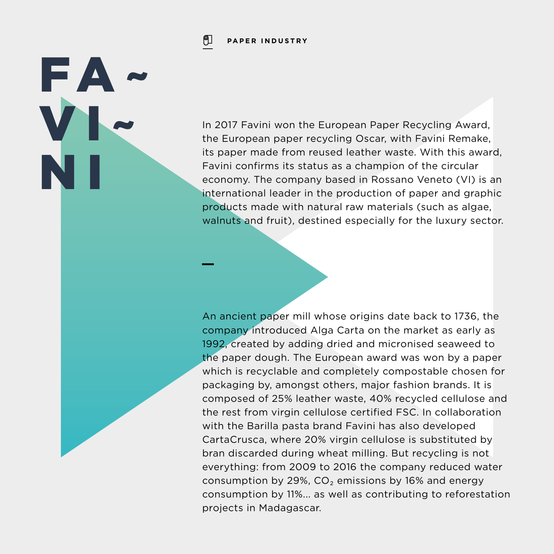ုျ **PAPER INDUSTRY**

FA~

VI~

N I

In 2017 Favini won the European Paper Recycling Award, the European paper recycling Oscar, with Favini Remake, its paper made from reused leather waste. With this award, Favini confirms its status as a champion of the circular economy. The company based in Rossano Veneto (VI) is an international leader in the production of paper and graphic products made with natural raw materials (such as algae, walnuts and fruit), destined especially for the luxury sector.

An ancient paper mill whose origins date back to 1736, the company introduced Alga Carta on the market as early as 1992, created by adding dried and micronised seaweed to the paper dough. The European award was won by a paper which is recyclable and completely compostable chosen for packaging by, amongst others, major fashion brands. It is composed of 25% leather waste, 40% recycled cellulose and the rest from virgin cellulose certified FSC. In collaboration with the Barilla pasta brand Favini has also developed CartaCrusca, where 20% virgin cellulose is substituted by bran discarded during wheat milling. But recycling is not everything: from 2009 to 2016 the company reduced water consumption by 29%,  $CO<sub>2</sub>$  emissions by 16% and energy consumption by 11%... as well as contributing to reforestation projects in Madagascar.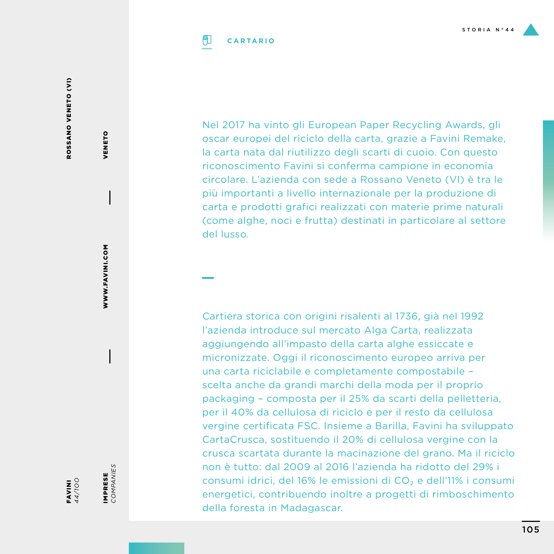ROSSANO VENETO (VI) ROSSANO VENETO (VI)

M<br>M<br>L *44/1OO* IMPRESE<br>COMPANIES *COMPANIES* IMPRESE

**MOO:ININGISM** 

WWW.FAVINI.COM

VENETO

VENETO

Nel 2017 ha vinto gli European Paper Recycling Awards, gli oscar europei del riciclo della carta, grazie a Favini Remake, la carta nata dal riutilizzo degli scarti di cuoio. Con questo riconoscimento Favini si conferma campione in economia circolare. L'azienda con sede a Rossano Veneto (VI) è tra le più importanti a livello internazionale per la produzione di carta e prodotti grafici realizzati con materie prime naturali (come alghe, noci e frutta) destinati in particolare al settore del lusso.

Cartiera storica con origini risalenti al 1736, già nel 1992 l'azienda introduce sul mercato Alga Carta, realizzata aggiungendo all'impasto della carta alghe essiccate e micronizzate. Oggi il riconoscimento europeo arriva per una carta riciclabile e completamente compostabile – scelta anche da grandi marchi della moda per il proprio packaging – composta per il 25% da scarti della pelletteria, per il 40% da cellulosa di riciclo e per il resto da cellulosa vergine certificata FSC. Insieme a Barilla, Favini ha sviluppato CartaCrusca, sostituendo il 20% di cellulosa vergine con la crusca scartata durante la macinazione del grano. Ma il riciclo non è tutto: dal 2009 al 2016 l'azienda ha ridotto del 29% i consumi idrici, del 16% le emissioni di CO₂ e dell'11% i consumi energetici, contribuendo inoltre a progetti di rimboschimento della foresta in Madagascar.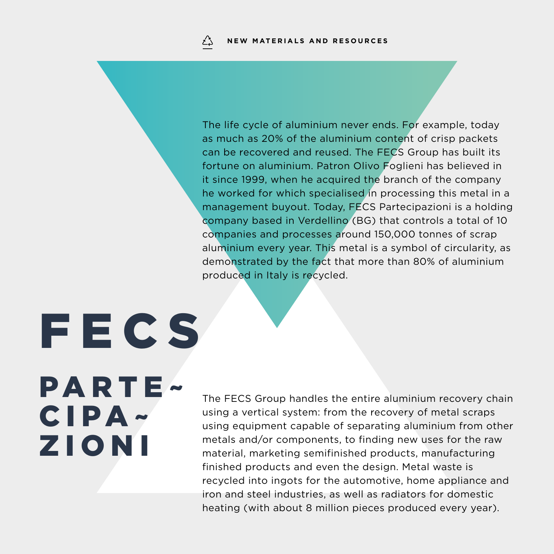The life cycle of aluminium never ends. For example, today as much as 20% of the aluminium content of crisp packets can be recovered and reused. The FECS Group has built its fortune on aluminium. Patron Olivo Foglieni has believed in it since 1999, when he acquired the branch of the company he worked for which specialised in processing this metal in a management buyout. Today, FECS Partecipazioni is a holding company based in Verdellino (BG) that controls a total of 10 companies and processes around 150,000 tonnes of scrap aluminium every year. This metal is a symbol of circularity, as demonstrated by the fact that more than 80% of aluminium produced in Italy is recycled.

**FECS** PARTE~ CIPA~ ZIONI

The FECS Group handles the entire aluminium recovery chain using a vertical system: from the recovery of metal scraps using equipment capable of separating aluminium from other metals and/or components, to finding new uses for the raw material, marketing semifinished products, manufacturing finished products and even the design. Metal waste is recycled into ingots for the automotive, home appliance and iron and steel industries, as well as radiators for domestic heating (with about 8 million pieces produced every year).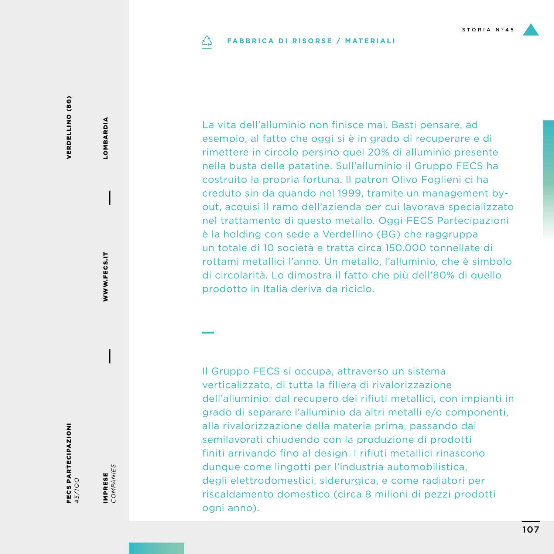#### **FABBRICA DI RISORSE / MATERIALI** دُے

VERDELLINO (BG) VERDELLINO (BG)

FECS PARTECIPAZIONI *45/1OO*

IMPRESE<br>COMPANIES *COMPANIES* IMPRESE

WWW.FECS.IT

WWW.FECS.IT

LOMBARDIA

LOMBARDIA

La vita dell'alluminio non finisce mai. Basti pensare, ad esempio, al fatto che oggi si è in grado di recuperare e di rimettere in circolo persino quel 20% di alluminio presente nella busta delle patatine. Sull'alluminio il Gruppo FECS ha costruito la propria fortuna. Il patron Olivo Foglieni ci ha creduto sin da quando nel 1999, tramite un management byout, acquisì il ramo dell'azienda per cui lavorava specializzato nel trattamento di questo metallo. Oggi FECS Partecipazioni è la holding con sede a Verdellino (BG) che raggruppa un totale di 10 società e tratta circa 150.000 tonnellate di rottami metallici l'anno. Un metallo, l'alluminio, che è simbolo di circolarità. Lo dimostra il fatto che più dell'80% di quello prodotto in Italia deriva da riciclo.

Il Gruppo FECS si occupa, attraverso un sistema verticalizzato, di tutta la filiera di rivalorizzazione dell'alluminio: dal recupero dei rifiuti metallici, con impianti in grado di separare l'alluminio da altri metalli e/o componenti, alla rivalorizzazione della materia prima, passando dai semilavorati chiudendo con la produzione di prodotti finiti arrivando fino al design. I rifiuti metallici rinascono dunque come lingotti per l'industria automobilistica, degli elettrodomestici, siderurgica, e come radiatori per riscaldamento domestico (circa 8 milioni di pezzi prodotti ogni anno).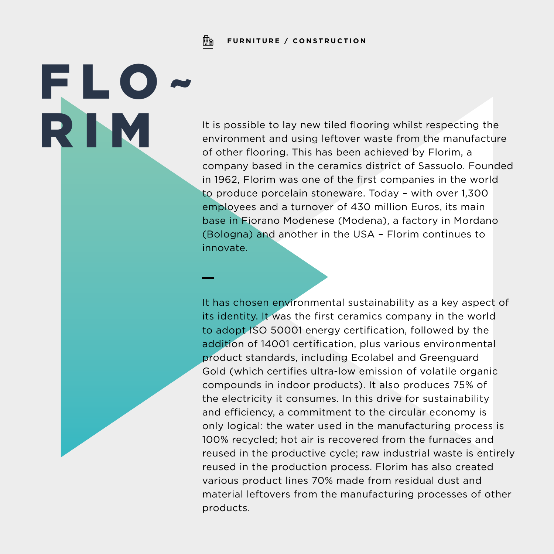Fh **FURNITURE / CONSTRUCTION**

FLO~

It is possible to lay new tiled flooring whilst respecting the<br>environment and using leftover waste from the manufacture<br>of other flooring. This has been achieved by Florim, a environment and using leftover waste from the manufacture of other flooring. This has been achieved by Florim, a company based in the ceramics district of Sassuolo. Founded in 1962, Florim was one of the first companies in the world to produce porcelain stoneware. Today – with over 1,300 employees and a turnover of 430 million Euros, its main base in Fiorano Modenese (Modena), a factory in Mordano (Bologna) and another in the USA – Florim continues to innovate.

> It has chosen environmental sustainability as a key aspect of its identity. It was the first ceramics company in the world to adopt ISO 50001 energy certification, followed by the addition of 14001 certification, plus various environmental product standards, including Ecolabel and Greenguard Gold (which certifies ultra-low emission of volatile organic compounds in indoor products). It also produces 75% of the electricity it consumes. In this drive for sustainability and efficiency, a commitment to the circular economy is only logical: the water used in the manufacturing process is 100% recycled; hot air is recovered from the furnaces and reused in the productive cycle; raw industrial waste is entirely reused in the production process. Florim has also created various product lines 70% made from residual dust and material leftovers from the manufacturing processes of other products.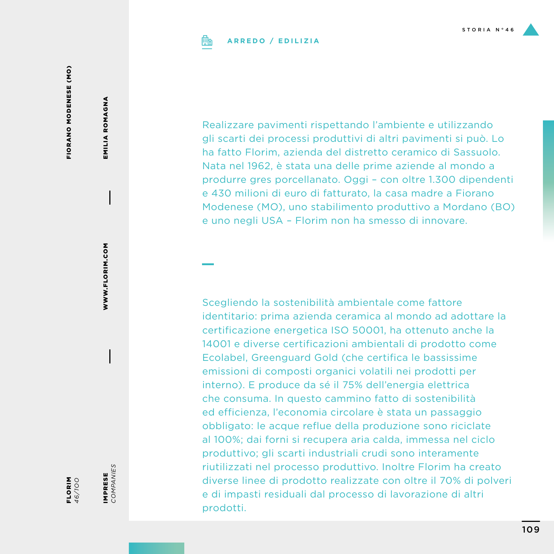

# **ARREDO / EDILIZIA**

FIORANO MODENESE (MO) FIORANO MODENESE (MO)

EMILIA ROMAGNA EMILIA ROMAGNA

> WWW.FLORIM.COM WWW.FLORIM.COM

IMPRESE<br>COMPANIES IMPRESE

*COMPANIES*

FLORIM *46/1OO*

gli scarti dei processi produttivi di altri pavimenti si può. Lo ha fatto Florim, azienda del distretto ceramico di Sassuolo. Nata nel 1962, è stata una delle prime aziende al mondo a produrre gres porcellanato. Oggi – con oltre 1.300 dipendenti e 430 milioni di euro di fatturato, la casa madre a Fiorano Modenese (MO), uno stabilimento produttivo a Mordano (BO) e uno negli USA – Florim non ha smesso di innovare.

Realizzare pavimenti rispettando l'ambiente e utilizzando

Scegliendo la sostenibilità ambientale come fattore identitario: prima azienda ceramica al mondo ad adottare la certificazione energetica ISO 50001, ha ottenuto anche la 14001 e diverse certificazioni ambientali di prodotto come Ecolabel, Greenguard Gold (che certifica le bassissime emissioni di composti organici volatili nei prodotti per interno). E produce da sé il 75% dell'energia elettrica che consuma. In questo cammino fatto di sostenibilità ed efficienza, l'economia circolare è stata un passaggio obbligato: le acque reflue della produzione sono riciclate al 100%; dai forni si recupera aria calda, immessa nel ciclo produttivo; gli scarti industriali crudi sono interamente riutilizzati nel processo produttivo. Inoltre Florim ha creato diverse linee di prodotto realizzate con oltre il 70% di polveri e di impasti residuali dal processo di lavorazione di altri prodotti.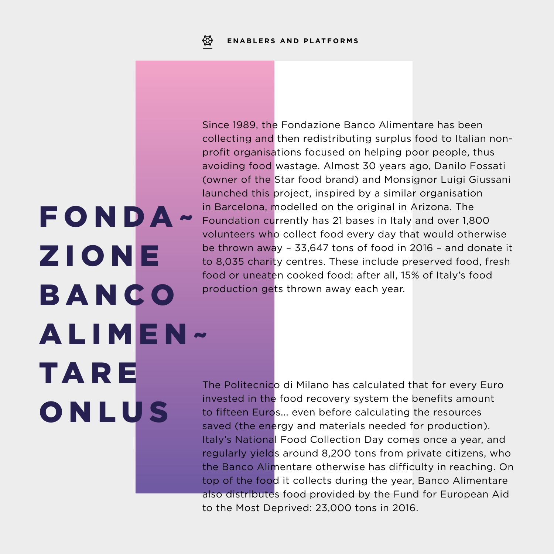FONDA~

Z I O N E

**BANCO** 

**TARE** 

ONLUS

ALIMEN~

Since 1989, the Fondazione Banco Alimentare has been collecting and then redistributing surplus food to Italian nonprofit organisations focused on helping poor people, thus avoiding food wastage. Almost 30 years ago, Danilo Fossati (owner of the Star food brand) and Monsignor Luigi Giussani launched this project, inspired by a similar organisation in Barcelona, modelled on the original in Arizona. The Foundation currently has 21 bases in Italy and over 1,800 volunteers who collect food every day that would otherwise be thrown away – 33,647 tons of food in 2016 – and donate it to 8,035 charity centres. These include preserved food, fresh food or uneaten cooked food: after all, 15% of Italy's food production gets thrown away each year.

The Politecnico di Milano has calculated that for every Euro invested in the food recovery system the benefits amount to fifteen Euros... even before calculating the resources saved (the energy and materials needed for production). Italy's National Food Collection Day comes once a year, and regularly yields around 8,200 tons from private citizens, who the Banco Alimentare otherwise has difficulty in reaching. On top of the food it collects during the year, Banco Alimentare also distributes food provided by the Fund for European Aid to the Most Deprived: 23,000 tons in 2016.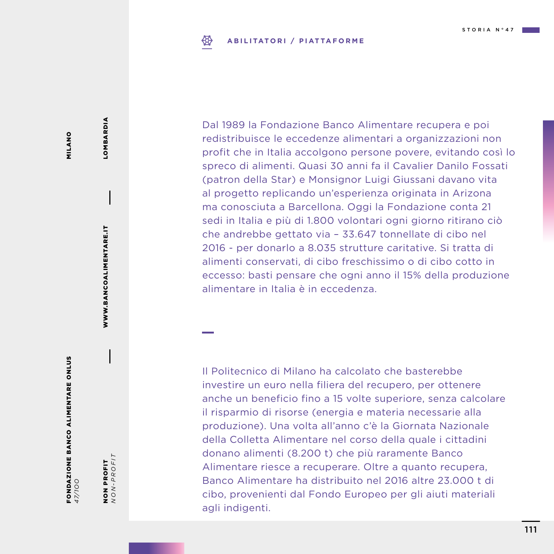#### **ABILITATORI / PIATTAFORME** ₩

Dal 1989 la Fondazione Banco Alimentare recupera e poi redistribuisce le eccedenze alimentari a organizzazioni non profit che in Italia accolgono persone povere, evitando così lo spreco di alimenti. Quasi 30 anni fa il Cavalier Danilo Fossati (patron della Star) e Monsignor Luigi Giussani davano vita al progetto replicando un'esperienza originata in Arizona ma conosciuta a Barcellona. Oggi la Fondazione conta 21 sedi in Italia e più di 1.800 volontari ogni giorno ritirano ciò che andrebbe gettato via – 33.647 tonnellate di cibo nel 2016 - per donarlo a 8.035 strutture caritative. Si tratta di alimenti conservati, di cibo freschissimo o di cibo cotto in eccesso: basti pensare che ogni anno il 15% della produzione alimentare in Italia è in eccedenza.

Il Politecnico di Milano ha calcolato che basterebbe investire un euro nella filiera del recupero, per ottenere anche un beneficio fino a 15 volte superiore, senza calcolare il risparmio di risorse (energia e materia necessarie alla produzione). Una volta all'anno c'è la Giornata Nazionale della Colletta Alimentare nel corso della quale i cittadini donano alimenti (8.200 t) che più raramente Banco Alimentare riesce a recuperare. Oltre a quanto recupera, Banco Alimentare ha distribuito nel 2016 altre 23.000 t di cibo, provenienti dal Fondo Europeo per gli aiuti materiali agli indigenti.

MILANO MILANO

FONDAZIONE BANCO ALIMENTARE ONLUS FONDAZIONE BANCO ALIMENTARE ONLUS<br>47/100

NON PROFIT<br> $NON-PROFIT$ *NON-PROFIT* NON PROFIT

WWW.BANCOALIMENTARE.IT

WWW.BANCOALIMENTARE.IT

LOMBARDIA

LOMBARDIA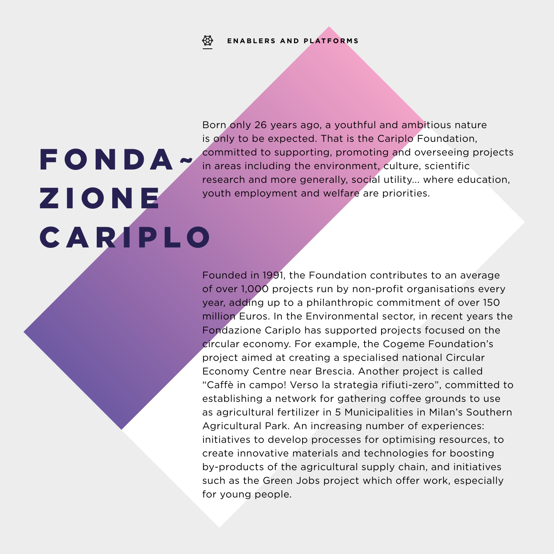# **ENABLERS AND PLATFORMS**

# FONDA~ Z I O N E CARIPLO

Born only 26 years ago, a youthful and ambitious nature is only to be expected. That is the Cariplo Foundation, committed to supporting, promoting and overseeing projects in areas including the environment, culture, scientific research and more generally, social utility... where education, youth employment and welfare are priorities.

Founded in 1991, the Foundation contributes to an average of over 1,000 projects run by non-profit organisations every year, adding up to a philanthropic commitment of over 150 million Euros. In the Environmental sector, in recent years the Fondazione Cariplo has supported projects focused on the circular economy. For example, the Cogeme Foundation's project aimed at creating a specialised national Circular Economy Centre near Brescia. Another project is called "Caffè in campo! Verso la strategia rifiuti-zero", committed to establishing a network for gathering coffee grounds to use as agricultural fertilizer in 5 Municipalities in Milan's Southern Agricultural Park. An increasing number of experiences: initiatives to develop processes for optimising resources, to create innovative materials and technologies for boosting by-products of the agricultural supply chain, and initiatives such as the Green Jobs project which offer work, especially for young people.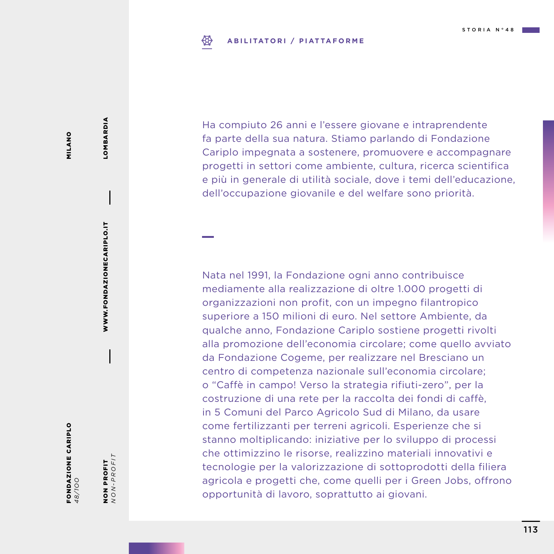#### ₩ **ABILITATORI / PIATTAFORME**

MILANO MILANO

FONDAZIONE CARIPLO *48/1OO*

NON PROFIT<br> $NON-PROFIT$ *NON-PROFIT* NON PROFIT

WWW.FONDAZIONECARIPLO.IT

WWW.FONDAZIONECARIPLO.IT

LOMBARDIA

LOMBARDIA

Ha compiuto 26 anni e l'essere giovane e intraprendente fa parte della sua natura. Stiamo parlando di Fondazione Cariplo impegnata a sostenere, promuovere e accompagnare progetti in settori come ambiente, cultura, ricerca scientifica e più in generale di utilità sociale, dove i temi dell'educazione, dell'occupazione giovanile e del welfare sono priorità.

Nata nel 1991, la Fondazione ogni anno contribuisce mediamente alla realizzazione di oltre 1.000 progetti di organizzazioni non profit, con un impegno filantropico superiore a 150 milioni di euro. Nel settore Ambiente, da qualche anno, Fondazione Cariplo sostiene progetti rivolti alla promozione dell'economia circolare; come quello avviato da Fondazione Cogeme, per realizzare nel Bresciano un centro di competenza nazionale sull'economia circolare; o "Caffè in campo! Verso la strategia rifiuti-zero", per la costruzione di una rete per la raccolta dei fondi di caffè, in 5 Comuni del Parco Agricolo Sud di Milano, da usare come fertilizzanti per terreni agricoli. Esperienze che si stanno moltiplicando: iniziative per lo sviluppo di processi che ottimizzino le risorse, realizzino materiali innovativi e tecnologie per la valorizzazione di sottoprodotti della filiera agricola e progetti che, come quelli per i Green Jobs, offrono opportunità di lavoro, soprattutto ai giovani.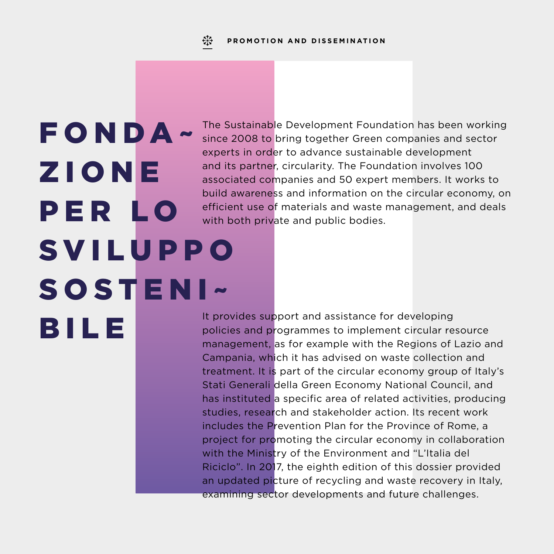FONDA~ Z I O N E PER LO **SVILUPPO** SOSTENI~ BILE

The Sustainable Development Foundation has been working since 2008 to bring together Green companies and sector experts in order to advance sustainable development and its partner, circularity. The Foundation involves 100 associated companies and 50 expert members. It works to build awareness and information on the circular economy, on efficient use of materials and waste management, and deals with both private and public bodies.

It provides support and assistance for developing policies and programmes to implement circular resource management, as for example with the Regions of Lazio and Campania, which it has advised on waste collection and treatment. It is part of the circular economy group of Italy's Stati Generali della Green Economy National Council, and has instituted a specific area of related activities, producing studies, research and stakeholder action. Its recent work includes the Prevention Plan for the Province of Rome, a project for promoting the circular economy in collaboration with the Ministry of the Environment and "L'Italia del Riciclo". In 2017, the eighth edition of this dossier provided an updated picture of recycling and waste recovery in Italy, examining sector developments and future challenges.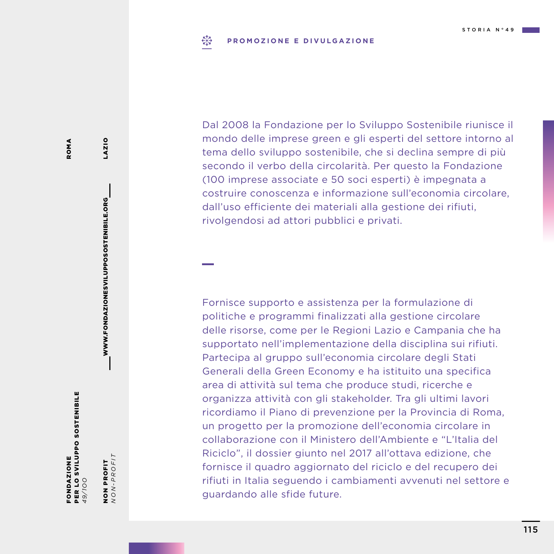#### $E_{12}^{57}$ **PROMOZIONE E DIVULGAZIONE**

Dal 2008 la Fondazione per lo Sviluppo Sostenibile riunisce il mondo delle imprese green e gli esperti del settore intorno al tema dello sviluppo sostenibile, che si declina sempre di più secondo il verbo della circolarità. Per questo la Fondazione (100 imprese associate e 50 soci esperti) è impegnata a costruire conoscenza e informazione sull'economia circolare, dall'uso efficiente dei materiali alla gestione dei rifiuti, rivolgendosi ad attori pubblici e privati.

Fornisce supporto e assistenza per la formulazione di politiche e programmi finalizzati alla gestione circolare delle risorse, come per le Regioni Lazio e Campania che ha supportato nell'implementazione della disciplina sui rifiuti. Partecipa al gruppo sull'economia circolare degli Stati Generali della Green Economy e ha istituito una specifica area di attività sul tema che produce studi, ricerche e organizza attività con gli stakeholder. Tra gli ultimi lavori ricordiamo il Piano di prevenzione per la Provincia di Roma, un progetto per la promozione dell'economia circolare in collaborazione con il Ministero dell'Ambiente e "L'Italia del Riciclo", il dossier giunto nel 2017 all'ottava edizione, che fornisce il quadro aggiornato del riciclo e del recupero dei rifiuti in Italia seguendo i cambiamenti avvenuti nel settore e guardando alle sfide future.

PER LO SVILUPPO SOSTENIBILE PER LO SVILUPPO SOSTENIBILE FONDAZIONE FONDAZIONE *49/1OO*

NON PROFIT<br> $NON-PROFIT$ NON PROFIT

WWW.FONDAZIONESVILUPPOSOSTENIBILE.ORG

WWW.FONDAZIONESVILUPPOSOSTENIBILE.ORG

LAZIO

*NON-PROFIT*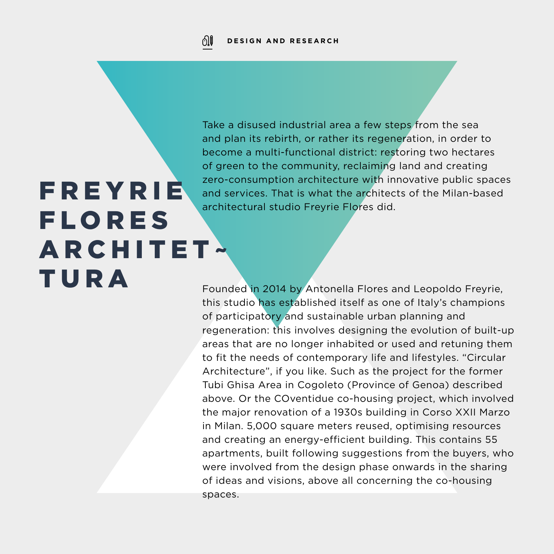Take a disused industrial area a few steps from the sea and plan its rebirth, or rather its regeneration, in order to become a multi-functional district: restoring two hectares of green to the community, reclaiming land and creating zero-consumption architecture with innovative public spaces and services. That is what the architects of the Milan-based architectural studio Freyrie Flores did.

# **FREYRIE FLORES ARCHITET~** TURA

Founded in 2014 by Antonella Flores and Leopoldo Freyrie, this studio has established itself as one of Italy's champions of participatory and sustainable urban planning and regeneration: this involves designing the evolution of built-up areas that are no longer inhabited or used and retuning them to fit the needs of contemporary life and lifestyles. "Circular Architecture", if you like. Such as the project for the former Tubi Ghisa Area in Cogoleto (Province of Genoa) described above. Or the COventidue co-housing project, which involved the major renovation of a 1930s building in Corso XXII Marzo in Milan. 5,000 square meters reused, optimising resources and creating an energy-efficient building. This contains 55 apartments, built following suggestions from the buyers, who were involved from the design phase onwards in the sharing of ideas and visions, above all concerning the co-housing spaces.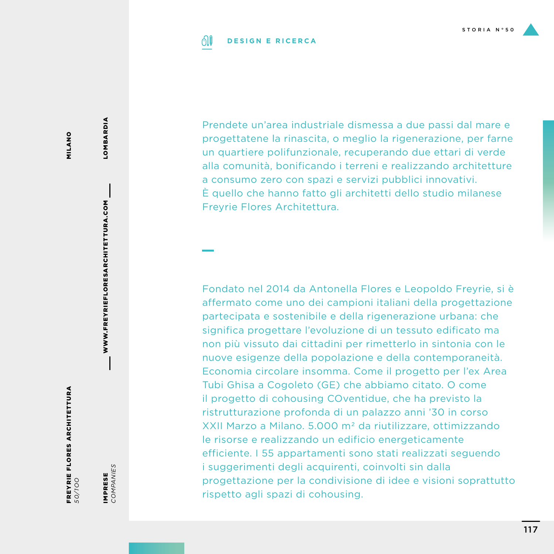#### 01 **DESIGN E RICERCA**

MILANO MILANO

FREYRIE FLORES ARCHITETTURA **FREYRIE FLORES ARCHITETTURA**<br>50/700

WWW.FREYRIEFLORESARCHITETTURA.COM

WWW.FREYRIEFLORESARCHITETTURA.COM

LOMBARDIA

LOMBARDIA

IMPRESE<br>COMPANIES *COMPANIES* IMPRESE

Prendete un'area industriale dismessa a due passi dal mare e progettatene la rinascita, o meglio la rigenerazione, per farne un quartiere polifunzionale, recuperando due ettari di verde alla comunità, bonificando i terreni e realizzando architetture a consumo zero con spazi e servizi pubblici innovativi. È quello che hanno fatto gli architetti dello studio milanese Freyrie Flores Architettura.

Fondato nel 2014 da Antonella Flores e Leopoldo Freyrie, si è affermato come uno dei campioni italiani della progettazione partecipata e sostenibile e della rigenerazione urbana: che significa progettare l'evoluzione di un tessuto edificato ma non più vissuto dai cittadini per rimetterlo in sintonia con le nuove esigenze della popolazione e della contemporaneità. Economia circolare insomma. Come il progetto per l'ex Area Tubi Ghisa a Cogoleto (GE) che abbiamo citato. O come il progetto di cohousing COventidue, che ha previsto la ristrutturazione profonda di un palazzo anni '30 in corso XXII Marzo a Milano. 5.000 m 2 da riutilizzare, ottimizzando le risorse e realizzando un edificio energeticamente efficiente. I 55 appartamenti sono stati realizzati seguendo i suggerimenti degli acquirenti, coinvolti sin dalla progettazione per la condivisione di idee e visioni soprattutto rispetto agli spazi di cohousing.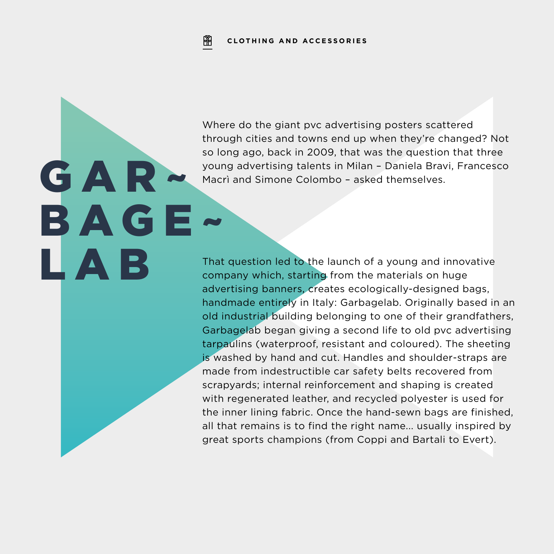GAR~

LAB

BAGE~

Where do the giant pvc advertising posters scattered through cities and towns end up when they're changed? Not so long ago, back in 2009, that was the question that three young advertising talents in Milan – Daniela Bravi, Francesco Macrì and Simone Colombo – asked themselves.

That question led to the launch of a young and innovative company which, starting from the materials on huge advertising banners, creates ecologically-designed bags, handmade entirely in Italy: Garbagelab. Originally based in an old industrial building belonging to one of their grandfathers, Garbagelab began giving a second life to old pvc advertising tarpaulins (waterproof, resistant and coloured). The sheeting is washed by hand and cut. Handles and shoulder-straps are made from indestructible car safety belts recovered from scrapyards; internal reinforcement and shaping is created with regenerated leather, and recycled polyester is used for the inner lining fabric. Once the hand-sewn bags are finished, all that remains is to find the right name... usually inspired by great sports champions (from Coppi and Bartali to Evert).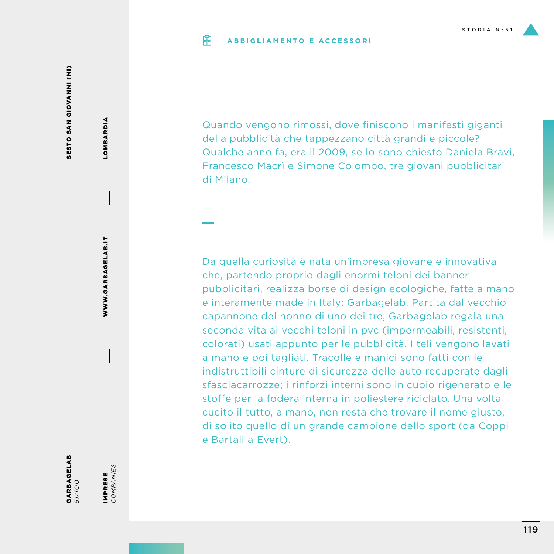#### **ABBIGLIAMENTO E ACCESSORIPIP**

SESTO SAN GIOVANNI (MI) SESTO SAN GIOVANNI (MI)

> WWW.GARBAGELAB.IT WWW.GARBAGELAB.IT

LOMBARDIA

LOMBARDIA

IMPRESE<br>COMPANIES *COMPANIES* IMPRESE

GARBAGELAB *51/1OO* Quando vengono rimossi, dove finiscono i manifesti giganti della pubblicità che tappezzano città grandi e piccole? Qualche anno fa, era il 2009, se lo sono chiesto Daniela Bravi, Francesco Macrì e Simone Colombo, tre giovani pubblicitari di Milano.

Da quella curiosità è nata un'impresa giovane e innovativa che, partendo proprio dagli enormi teloni dei banner pubblicitari, realizza borse di design ecologiche, fatte a mano e interamente made in Italy: Garbagelab. Partita dal vecchio capannone del nonno di uno dei tre, Garbagelab regala una seconda vita ai vecchi teloni in pvc (impermeabili, resistenti, colorati) usati appunto per le pubblicità. I teli vengono lavati a mano e poi tagliati. Tracolle e manici sono fatti con le indistruttibili cinture di sicurezza delle auto recuperate dagli sfasciacarrozze; i rinforzi interni sono in cuoio rigenerato e le stoffe per la fodera interna in poliestere riciclato. Una volta cucito il tutto, a mano, non resta che trovare il nome giusto, di solito quello di un grande campione dello sport (da Coppi e Bartali a Evert).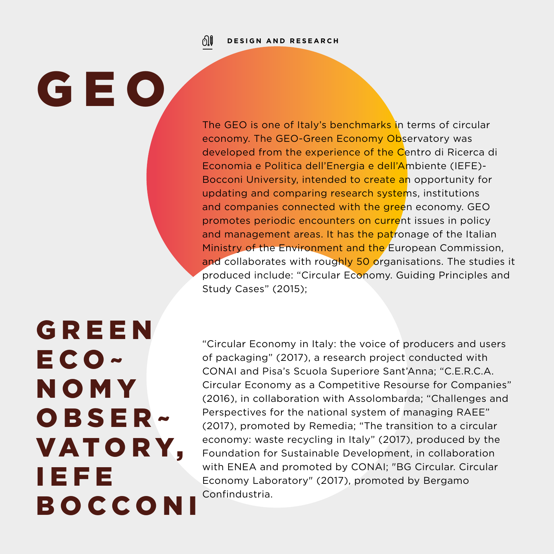ிர **DESIGN AND RESEARCH**

GEO

The GEO is one of Italy's benchmarks in terms of circular economy. The GEO-Green Economy Observatory was developed from the experience of the Centro di Ricerca di Economia e Politica dell'Energia e dell'Ambiente (IEFE)- Bocconi University, intended to create an opportunity for updating and comparing research systems, institutions and companies connected with the green economy. GEO promotes periodic encounters on current issues in policy and management areas. It has the patronage of the Italian Ministry of the Environment and the European Commission, and collaborates with roughly 50 organisations. The studies it produced include: "Circular Economy. Guiding Principles and Study Cases" (2015);

**GREEN** E C O ~ N O M Y O B S E R ~ VAT O R Y, IEFE B O C C O N I

"Circular Economy in Italy: the voice of producers and users of packaging" (2017), a research project conducted with CONAI and Pisa's Scuola Superiore Sant'Anna; "C.E.R.C.A. Circular Economy as a Competitive Resourse for Companies" (2016), in collaboration with Assolombarda; "Challenges and Perspectives for the national system of managing RAEE" (2017), promoted by Remedia; "The transition to a circular economy: waste recycling in Italy" (2017), produced by the Foundation for Sustainable Development, in collaboration with ENEA and promoted by CONAI; "BG Circular. Circular Economy Laboratory" (2017), promoted by Bergamo Confindustria.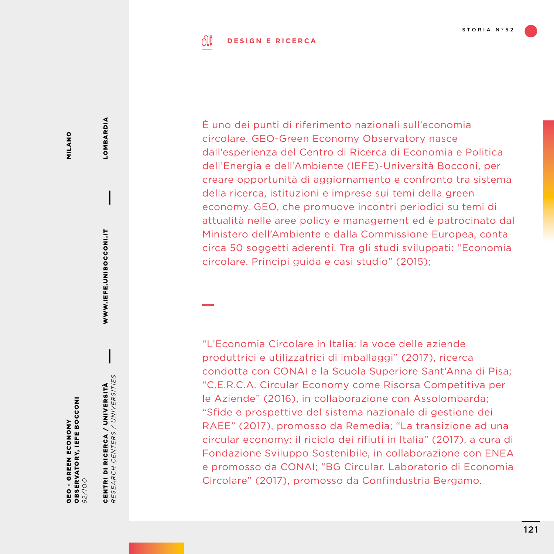#### ி **DESIGN E RICERCA**

MILANO MILANO

OBSERVATORY, IEFE BOCCONI **OBSERVATORY, IEFE BOCCONI** GEO - GREEN ECONOMY - GREEN ECONOMY *52/1OO* GEO

CENTRI DI RICERCA / UNIVERSITÀ *RESEARCH CENTERS / UNIVERSITIES*

CENTRI DI RICERCA / UNIVERSITÀ<br>RESEARCH CENTERS / UNIVERSITIES

**LIIEFE.UNIBOCCOONIEF** 

WWW.IEFE.UNIBOCCONI.IT

LOMBARDIA

**LOMBARDIA** 

È uno dei punti di riferimento nazionali sull'economia circolare. GEO-Green Economy Observatory nasce dall'esperienza del Centro di Ricerca di Economia e Politica dell'Energia e dell'Ambiente (IEFE)-Università Bocconi, per creare opportunità di aggiornamento e confronto tra sistema della ricerca, istituzioni e imprese sui temi della green economy. GEO, che promuove incontri periodici su temi di attualità nelle aree policy e management ed è patrocinato dal Ministero dell'Ambiente e dalla Commissione Europea, conta circa 50 soggetti aderenti. Tra gli studi sviluppati: "Economia circolare. Principi guida e casi studio" (2015);

"L'Economia Circolare in Italia: la voce delle aziende produttrici e utilizzatrici di imballaggi" (2017), ricerca condotta con CONAI e la Scuola Superiore Sant'Anna di Pisa; "C.E.R.C.A. Circular Economy come Risorsa Competitiva per le Aziende" (2016), in collaborazione con Assolombarda; "Sfide e prospettive del sistema nazionale di gestione dei RAEE" (2017), promosso da Remedia; "La transizione ad una circular economy: il riciclo dei rifiuti in Italia" (2017), a cura di Fondazione Sviluppo Sostenibile, in collaborazione con ENEA e promosso da CONAI; "BG Circular. Laboratorio di Economia Circolare" (2017), promosso da Confindustria Bergamo.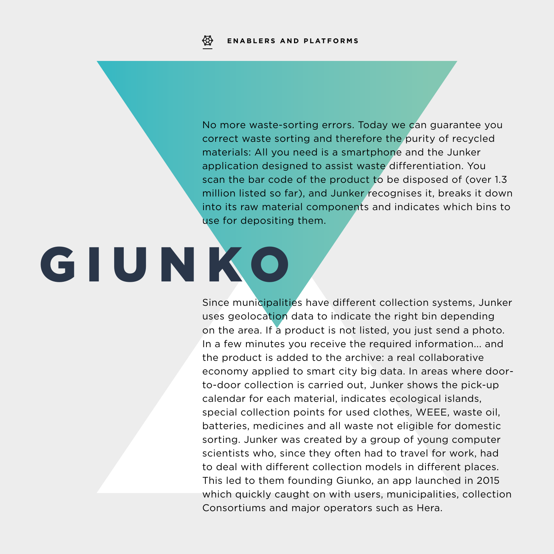No more waste-sorting errors. Today we can guarantee you correct waste sorting and therefore the purity of recycled materials: All you need is a smartphone and the Junker application designed to assist waste differentiation. You scan the bar code of the product to be disposed of (over 1.3 million listed so far), and Junker recognises it, breaks it down into its raw material components and indicates which bins to use for depositing them.

# GIUNKO

Since municipalities have different collection systems, Junker uses geolocation data to indicate the right bin depending on the area. If a product is not listed, you just send a photo. In a few minutes you receive the required information... and the product is added to the archive: a real collaborative economy applied to smart city big data. In areas where doorto-door collection is carried out, Junker shows the pick-up calendar for each material, indicates ecological islands, special collection points for used clothes, WEEE, waste oil, batteries, medicines and all waste not eligible for domestic sorting. Junker was created by a group of young computer scientists who, since they often had to travel for work, had to deal with different collection models in different places. This led to them founding Giunko, an app launched in 2015 which quickly caught on with users, municipalities, collection Consortiums and major operators such as Hera.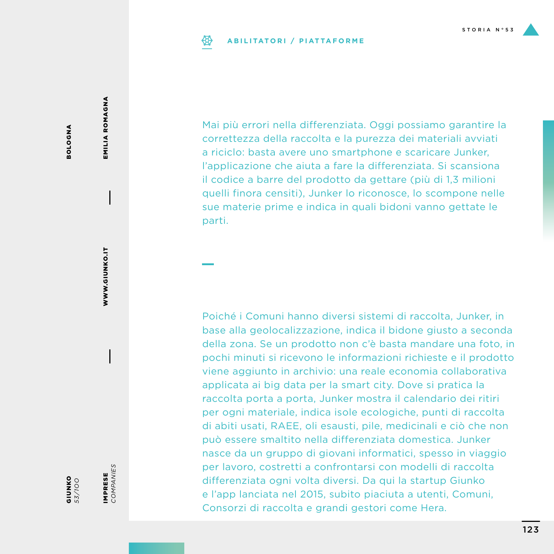# **ABILITATORI / PIATTAFORME**

Mai più errori nella differenziata. Oggi possiamo garantire la correttezza della raccolta e la purezza dei materiali avviati a riciclo: basta avere uno smartphone e scaricare Junker, l'applicazione che aiuta a fare la differenziata. Si scansiona il codice a barre del prodotto da gettare (più di 1,3 milioni quelli finora censiti), Junker lo riconosce, lo scompone nelle sue materie prime e indica in quali bidoni vanno gettate le parti.

Poiché i Comuni hanno diversi sistemi di raccolta, Junker, in base alla geolocalizzazione, indica il bidone giusto a seconda della zona. Se un prodotto non c'è basta mandare una foto, in pochi minuti si ricevono le informazioni richieste e il prodotto viene aggiunto in archivio: una reale economia collaborativa applicata ai big data per la smart city. Dove si pratica la raccolta porta a porta, Junker mostra il calendario dei ritiri per ogni materiale, indica isole ecologiche, punti di raccolta di abiti usati, RAEE, oli esausti, pile, medicinali e ciò che non può essere smaltito nella differenziata domestica. Junker nasce da un gruppo di giovani informatici, spesso in viaggio per lavoro, costretti a confrontarsi con modelli di raccolta differenziata ogni volta diversi. Da qui la startup Giunko e l'app lanciata nel 2015, subito piaciuta a utenti, Comuni, Consorzi di raccolta e grandi gestori come Hera.

**BOLOGNA** BOLOGNA EMILIA ROMAGNA EMILIA ROMAGNA

*53/1OO*

IMPRESE *COMPANIES*

IMPRESE<br>COMPANIES

**OX<br>UNKO**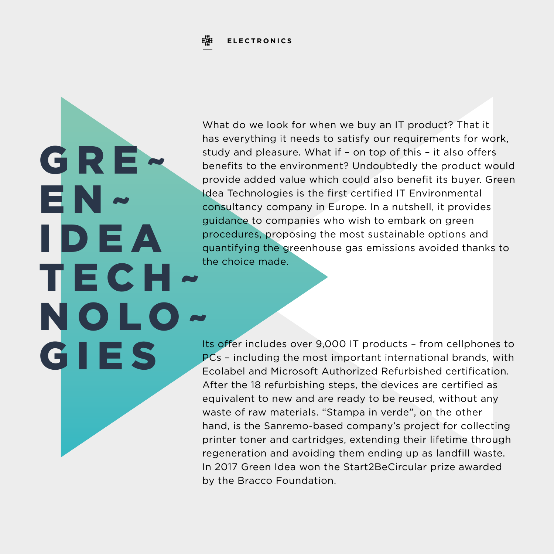#### 蝉 **ELECTRONICS**

GRE

I D E A

TECH~

NOLO~

GIES

EN~

What do we look for when we buy an IT product? That it has everything it needs to satisfy our requirements for work, study and pleasure. What if – on top of this – it also offers benefits to the environment? Undoubtedly the product would provide added value which could also benefit its buyer. Green Idea Technologies is the first certified IT Environmental consultancy company in Europe. In a nutshell, it provides guidance to companies who wish to embark on green procedures, proposing the most sustainable options and quantifying the greenhouse gas emissions avoided thanks to the choice made.

Its offer includes over 9,000 IT products – from cellphones to PCs – including the most important international brands, with Ecolabel and Microsoft Authorized Refurbished certification. After the 18 refurbishing steps, the devices are certified as equivalent to new and are ready to be reused, without any waste of raw materials. "Stampa in verde", on the other hand, is the Sanremo-based company's project for collecting printer toner and cartridges, extending their lifetime through regeneration and avoiding them ending up as landfill waste. In 2017 Green Idea won the Start2BeCircular prize awarded by the Bracco Foundation.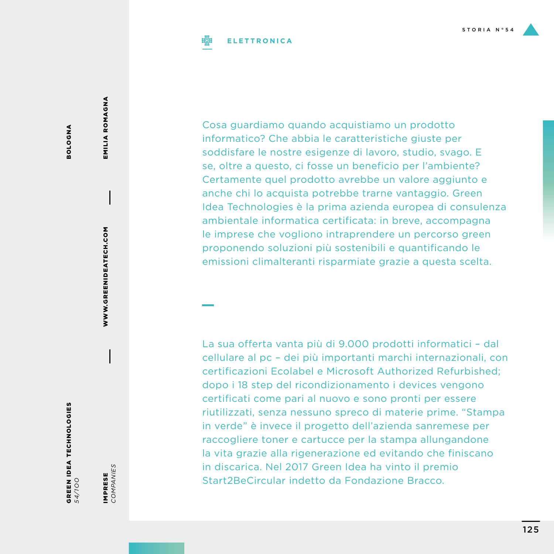### **ELETTRONICA**

**BOLOGNA** BOLOGNA

GREEN IDEA TECHNOLOGIES *54/1OO*

IMPRESE<br>COMPANIES IMPRESE

WWW.GREENIDEATECH.COM

WWW.GREENIDEATECH.COM

EMILIA ROMAGNA EMILIA ROMAGNA

*COMPANIES*

Cosa guardiamo quando acquistiamo un prodotto informatico? Che abbia le caratteristiche giuste per soddisfare le nostre esigenze di lavoro, studio, svago. E se, oltre a questo, ci fosse un beneficio per l'ambiente? Certamente quel prodotto avrebbe un valore aggiunto e anche chi lo acquista potrebbe trarne vantaggio. Green Idea Technologies è la prima azienda europea di consulenza ambientale informatica certificata: in breve, accompagna le imprese che vogliono intraprendere un percorso green proponendo soluzioni più sostenibili e quantificando le emissioni climalteranti risparmiate grazie a questa scelta.

La sua offerta vanta più di 9.000 prodotti informatici – dal cellulare al pc – dei più importanti marchi internazionali, con certificazioni Ecolabel e Microsoft Authorized Refurbished; dopo i 18 step del ricondizionamento i devices vengono certificati come pari al nuovo e sono pronti per essere riutilizzati, senza nessuno spreco di materie prime. "Stampa in verde" è invece il progetto dell'azienda sanremese per raccogliere toner e cartucce per la stampa allungandone la vita grazie alla rigenerazione ed evitando che finiscano in discarica. Nel 2017 Green Idea ha vinto il premio Start2BeCircular indetto da Fondazione Bracco.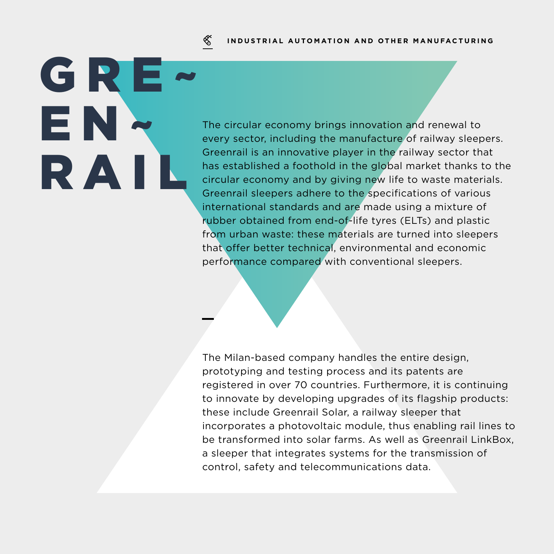#### ≪ **INDUSTRIAL AUTOMATION AND OTHER MANUFACTURING**

GRE EN~ RAIL

The circular economy brings innovation and renewal to every sector, including the manufacture of railway sleepers. Greenrail is an innovative player in the railway sector that has established a foothold in the global market thanks to the circular economy and by giving new life to waste materials. Greenrail sleepers adhere to the specifications of various international standards and are made using a mixture of rubber obtained from end-of-life tyres (ELTs) and plastic from urban waste: these materials are turned into sleepers that offer better technical, environmental and economic performance compared with conventional sleepers.

The Milan-based company handles the entire design, prototyping and testing process and its patents are registered in over 70 countries. Furthermore, it is continuing to innovate by developing upgrades of its flagship products: these include Greenrail Solar, a railway sleeper that incorporates a photovoltaic module, thus enabling rail lines to be transformed into solar farms. As well as Greenrail LinkBox, a sleeper that integrates systems for the transmission of control, safety and telecommunications data.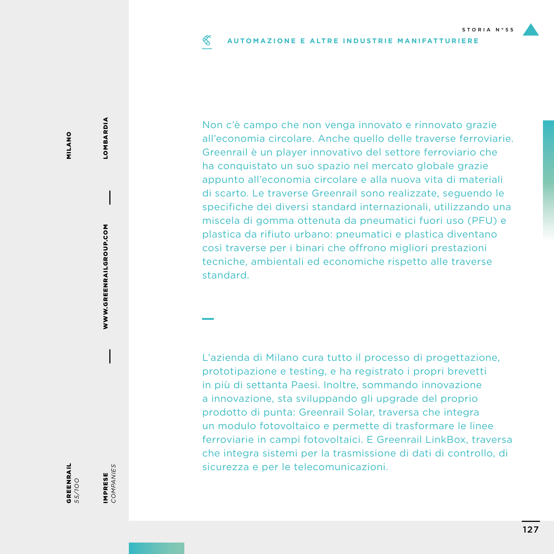#### ≪ **AUTOMAZIONE E ALTRE INDUSTRIE MANIFATTURIERE**

Non c'è campo che non venga innovato e rinnovato grazie all'economia circolare. Anche quello delle traverse ferroviarie. Greenrail è un player innovativo del settore ferroviario che ha conquistato un suo spazio nel mercato globale grazie appunto all'economia circolare e alla nuova vita di materiali di scarto. Le traverse Greenrail sono realizzate, seguendo le specifiche dei diversi standard internazionali, utilizzando una miscela di gomma ottenuta da pneumatici fuori uso (PFU) e plastica da rifiuto urbano: pneumatici e plastica diventano così traverse per i binari che offrono migliori prestazioni tecniche, ambientali ed economiche rispetto alle traverse standard.

L'azienda di Milano cura tutto il processo di progettazione, prototipazione e testing, e ha registrato i propri brevetti in più di settanta Paesi. Inoltre, sommando innovazione a innovazione, sta sviluppando gli upgrade del proprio prodotto di punta: Greenrail Solar, traversa che integra un modulo fotovoltaico e permette di trasformare le linee ferroviarie in campi fotovoltaici. E Greenrail LinkBox, traversa che integra sistemi per la trasmissione di dati di controllo, di sicurezza e per le telecomunicazioni.

WWW.GREENRAILGROUP.COM WWW.GREENRAILGROUP.COM

LOMBARDIA

LOMBARDIA

*55/1OO*

IMPRESE *COMPANIES*

IMPRESE<br>COMPANIES

GREENRAIL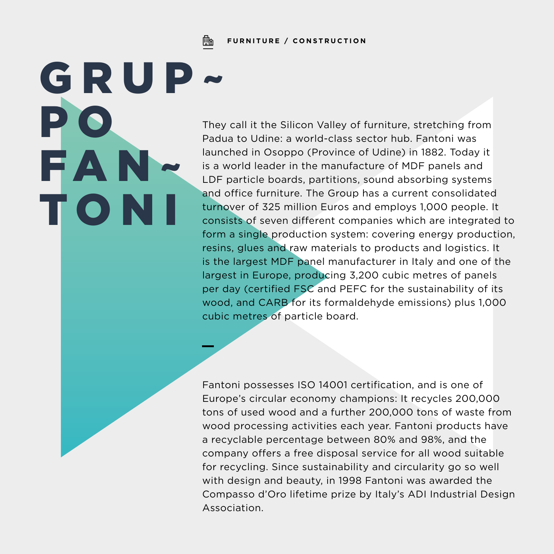Fh **FURNITURE / CONSTRUCTION**

GRUP~

P O

FAN~

T O N I

They call it the Silicon Valley of furniture, stretching from Padua to Udine: a world-class sector hub. Fantoni was launched in Osoppo (Province of Udine) in 1882. Today it is a world leader in the manufacture of MDF panels and LDF particle boards, partitions, sound absorbing systems and office furniture. The Group has a current consolidated turnover of 325 million Euros and employs 1,000 people. It consists of seven different companies which are integrated to form a single production system: covering energy production, resins, glues and raw materials to products and logistics. It is the largest MDF panel manufacturer in Italy and one of the largest in Europe, producing 3,200 cubic metres of panels per day (certified FSC and PEFC for the sustainability of its wood, and CARB for its formaldehyde emissions) plus 1,000 cubic metres of particle board.

Fantoni possesses ISO 14001 certification, and is one of Europe's circular economy champions: It recycles 200,000 tons of used wood and a further 200,000 tons of waste from wood processing activities each year. Fantoni products have a recyclable percentage between 80% and 98%, and the company offers a free disposal service for all wood suitable for recycling. Since sustainability and circularity go so well with design and beauty, in 1998 Fantoni was awarded the Compasso d'Oro lifetime prize by Italy's ADI Industrial Design Association.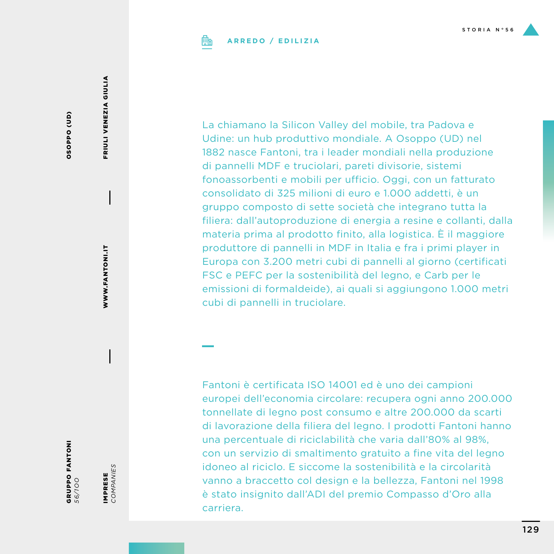

### **ARREDO / EDILIZIA**

(GD) Oddo SO OSOPPO (UD)

> WWW.FANTONI.IT FINNANTONI<br>Newsletting<br>Newsletting

FRIULI VENEZIA GIULIA FRIULI VENEZIA GIULIA

IN OLAN DALIDAS **GRUPPO FANTONI**<br>56/100

IMPRESE<br>COMPANIES *COMPANIES* IMPRESE

La chiamano la Silicon Valley del mobile, tra Padova e Udine: un hub produttivo mondiale. A Osoppo (UD) nel 1882 nasce Fantoni, tra i leader mondiali nella produzione di pannelli MDF e truciolari, pareti divisorie, sistemi fonoassorbenti e mobili per ufficio. Oggi, con un fatturato consolidato di 325 milioni di euro e 1.000 addetti, è un gruppo composto di sette società che integrano tutta la filiera: dall'autoproduzione di energia a resine e collanti, dalla materia prima al prodotto finito, alla logistica. È il maggiore produttore di pannelli in MDF in Italia e fra i primi player in Europa con 3.200 metri cubi di pannelli al giorno (certificati FSC e PEFC per la sostenibilità del legno, e Carb per le emissioni di formaldeide), ai quali si aggiungono 1.000 metri cubi di pannelli in truciolare.

Fantoni è certificata ISO 14001 ed è uno dei campioni europei dell'economia circolare: recupera ogni anno 200.000 tonnellate di legno post consumo e altre 200.000 da scarti di lavorazione della filiera del legno. I prodotti Fantoni hanno una percentuale di riciclabilità che varia dall'80% al 98%, con un servizio di smaltimento gratuito a fine vita del legno idoneo al riciclo. E siccome la sostenibilità e la circolarità vanno a braccetto col design e la bellezza, Fantoni nel 1998 è stato insignito dall'ADI del premio Compasso d'Oro alla carriera.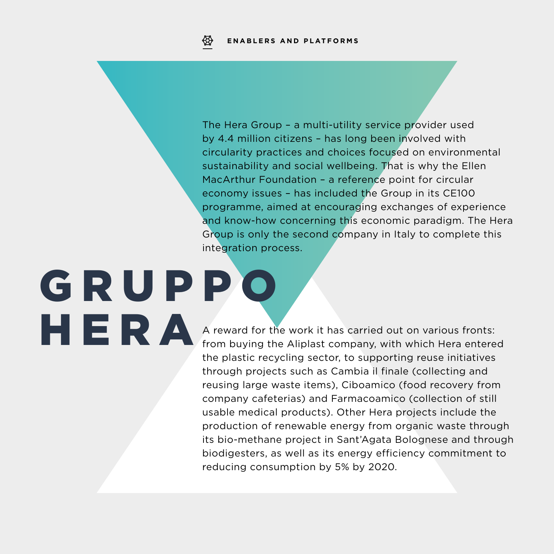The Hera Group – a multi-utility service provider used by 4.4 million citizens – has long been involved with circularity practices and choices focused on environmental sustainability and social wellbeing. That is why the Ellen MacArthur Foundation – a reference point for circular economy issues – has included the Group in its CE100 programme, aimed at encouraging exchanges of experience and know-how concerning this economic paradigm. The Hera Group is only the second company in Italy to complete this integration process.

# G R U P P O HERA

A reward for the work it has carried out on various fronts: from buying the Aliplast company, with which Hera entered the plastic recycling sector, to supporting reuse initiatives through projects such as Cambia il finale (collecting and reusing large waste items), Ciboamico (food recovery from company cafeterias) and Farmacoamico (collection of still usable medical products). Other Hera projects include the production of renewable energy from organic waste through its bio-methane project in Sant'Agata Bolognese and through biodigesters, as well as its energy efficiency commitment to reducing consumption by 5% by 2020.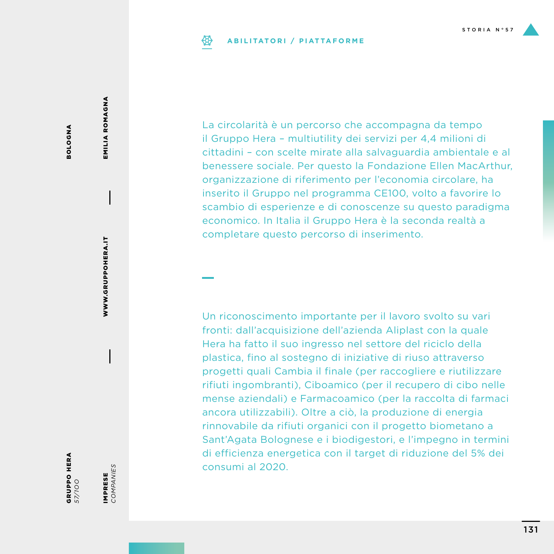# **ABILITATORI / PIATTAFORME**

La circolarità è un percorso che accompagna da tempo il Gruppo Hera – multiutility dei servizi per 4,4 milioni di cittadini – con scelte mirate alla salvaguardia ambientale e al benessere sociale. Per questo la Fondazione Ellen MacArthur, organizzazione di riferimento per l'economia circolare, ha inserito il Gruppo nel programma CE100, volto a favorire lo scambio di esperienze e di conoscenze su questo paradigma economico. In Italia il Gruppo Hera è la seconda realtà a completare questo percorso di inserimento.

Un riconoscimento importante per il lavoro svolto su vari fronti: dall'acquisizione dell'azienda Aliplast con la quale Hera ha fatto il suo ingresso nel settore del riciclo della plastica, fino al sostegno di iniziative di riuso attraverso progetti quali Cambia il finale (per raccogliere e riutilizzare rifiuti ingombranti), Ciboamico (per il recupero di cibo nelle mense aziendali) e Farmacoamico (per la raccolta di farmaci ancora utilizzabili). Oltre a ciò, la produzione di energia rinnovabile da rifiuti organici con il progetto biometano a Sant'Agata Bolognese e i biodigestori, e l'impegno in termini di efficienza energetica con il target di riduzione del 5% dei consumi al 2020.

EMILIA ROMAGNA EMILIA ROMAGNA

IMPRESE *COMPANIES*

IMPRESE<br>COMPANIES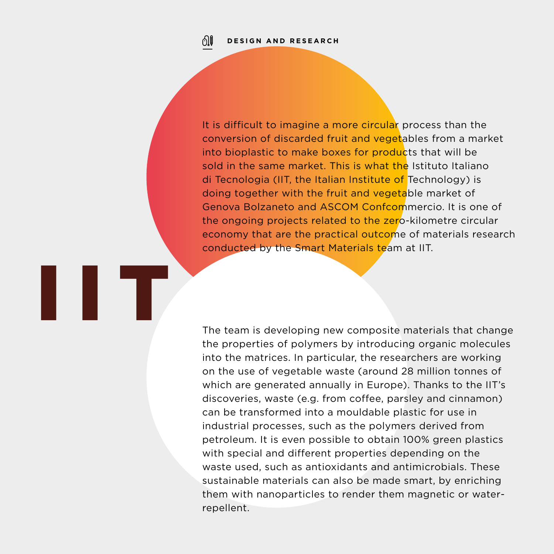ிர

IIT

It is difficult to imagine a more circular process than the conversion of discarded fruit and vegetables from a market into bioplastic to make boxes for products that will be sold in the same market. This is what the Istituto Italiano di Tecnologia (IIT, the Italian Institute of Technology) is doing together with the fruit and vegetable market of Genova Bolzaneto and ASCOM Confcommercio. It is one of the ongoing projects related to the zero-kilometre circular economy that are the practical outcome of materials research conducted by the Smart Materials team at IIT.

The team is developing new composite materials that change the properties of polymers by introducing organic molecules into the matrices. In particular, the researchers are working on the use of vegetable waste (around 28 million tonnes of which are generated annually in Europe). Thanks to the IIT's discoveries, waste (e.g. from coffee, parsley and cinnamon) can be transformed into a mouldable plastic for use in industrial processes, such as the polymers derived from petroleum. It is even possible to obtain 100% green plastics with special and different properties depending on the waste used, such as antioxidants and antimicrobials. These sustainable materials can also be made smart, by enriching them with nanoparticles to render them magnetic or waterrepellent.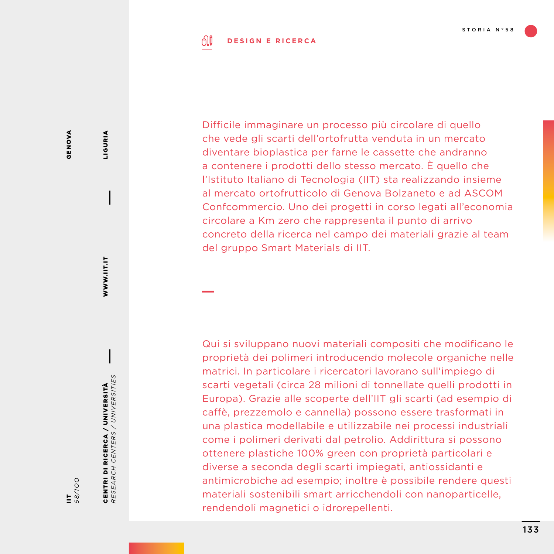#### ி **DESIGN E RICERCA**

**GENOVA** GENOVA

IIT *58/1OO*

CENTRI DI RICERCA / UNIVERSITÀ *RESEARCH CENTERS / UNIVERSITIES*

CENTRI DI RICERCA / UNIVERSITÀ<br>RESEARCH CENTERS / UNIVERSITIES

WWW.IIT.IT

WWW.IIT.IT

LIGURIA

LIGURIA

Difficile immaginare un processo più circolare di quello che vede gli scarti dell'ortofrutta venduta in un mercato diventare bioplastica per farne le cassette che andranno a contenere i prodotti dello stesso mercato. È quello che l'Istituto Italiano di Tecnologia (IIT) sta realizzando insieme al mercato ortofrutticolo di Genova Bolzaneto e ad ASCOM Confcommercio. Uno dei progetti in corso legati all'economia circolare a Km zero che rappresenta il punto di arrivo concreto della ricerca nel campo dei materiali grazie al team del gruppo Smart Materials di IIT.

Qui si sviluppano nuovi materiali compositi che modificano le proprietà dei polimeri introducendo molecole organiche nelle matrici. In particolare i ricercatori lavorano sull'impiego di scarti vegetali (circa 28 milioni di tonnellate quelli prodotti in Europa). Grazie alle scoperte dell'IIT gli scarti (ad esempio di caffè, prezzemolo e cannella) possono essere trasformati in una plastica modellabile e utilizzabile nei processi industriali come i polimeri derivati dal petrolio. Addirittura si possono ottenere plastiche 100% green con proprietà particolari e diverse a seconda degli scarti impiegati, antiossidanti e antimicrobiche ad esempio; inoltre è possibile rendere questi materiali sostenibili smart arricchendoli con nanoparticelle, rendendoli magnetici o idrorepellenti.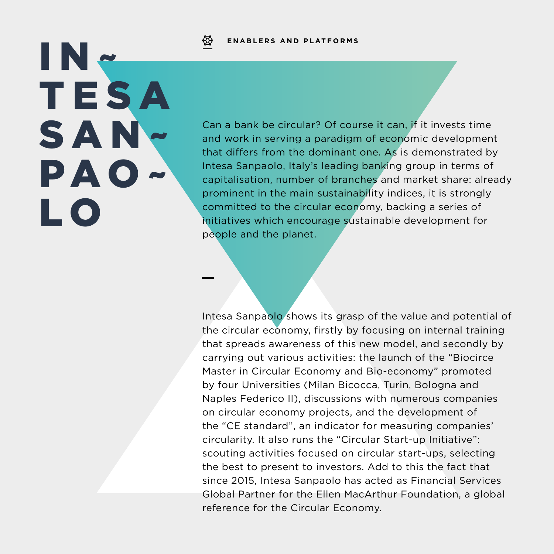### **ENABLERS AND PLATFORMS**

IN~ T E S A SAN~ PAO~ L O

Can a bank be circular? Of course it can, if it invests time and work in serving a paradigm of economic development that differs from the dominant one. As is demonstrated by Intesa Sanpaolo, Italy's leading banking group in terms of capitalisation, number of branches and market share: already prominent in the main sustainability indices, it is strongly committed to the circular economy, backing a series of initiatives which encourage sustainable development for people and the planet.

Intesa Sanpaolo shows its grasp of the value and potential of the circular economy, firstly by focusing on internal training that spreads awareness of this new model, and secondly by carrying out various activities: the launch of the "Biocirce Master in Circular Economy and Bio-economy" promoted by four Universities (Milan Bicocca, Turin, Bologna and Naples Federico II), discussions with numerous companies on circular economy projects, and the development of the "CE standard", an indicator for measuring companies' circularity. It also runs the "Circular Start-up Initiative": scouting activities focused on circular start-ups, selecting the best to present to investors. Add to this the fact that since 2015, Intesa Sanpaolo has acted as Financial Services Global Partner for the Ellen MacArthur Foundation, a global reference for the Circular Economy.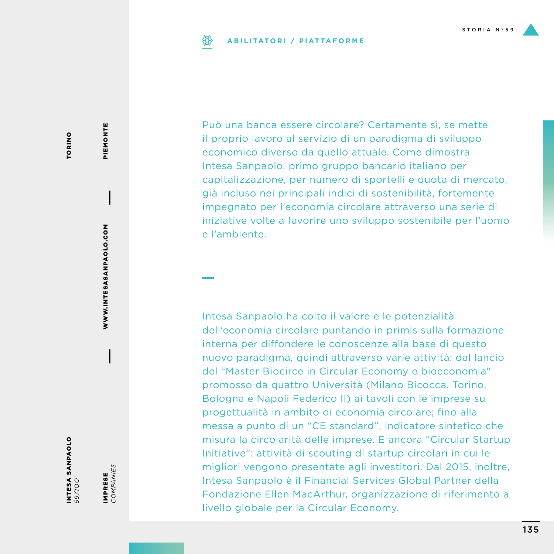#### **ABILITATORI / PIATTAFORME** ₩

Può una banca essere circolare? Certamente sì, se mette il proprio lavoro al servizio di un paradigma di sviluppo economico diverso da quello attuale. Come dimostra Intesa Sanpaolo, primo gruppo bancario italiano per capitalizzazione, per numero di sportelli e quota di mercato, già incluso nei principali indici di sostenibilità, fortemente impegnato per l'economia circolare attraverso una serie di iniziative volte a favorire uno sviluppo sostenibile per l'uomo e l'ambiente.

Intesa Sanpaolo ha colto il valore e le potenzialità dell'economia circolare puntando in primis sulla formazione interna per diffondere le conoscenze alla base di questo nuovo paradigma, quindi attraverso varie attività: dal lancio del "Master Biocirce in Circular Economy e bioeconomia" promosso da quattro Università (Milano Bicocca, Torino, Bologna e Napoli Federico II) ai tavoli con le imprese su progettualità in ambito di economia circolare; fino alla messa a punto di un "CE standard", indicatore sintetico che misura la circolarità delle imprese. E ancora "Circular Startup Initiative": attività di scouting di startup circolari in cui le migliori vengono presentate agli investitori. Dal 2015, inoltre, Intesa Sanpaolo è il Financial Services Global Partner della Fondazione Ellen MacArthur, organizzazione di riferimento a livello globale per la Circular Economy.

WWW.INTESASANPAOLO.COM WWW.INTESASANPAOLO.COM

PIEMONTE

PIEMONTE

INTESA SANPAOLO *59/1OO*

IMPRESE *COMPANIES*

IMPRESE<br>COMPANIES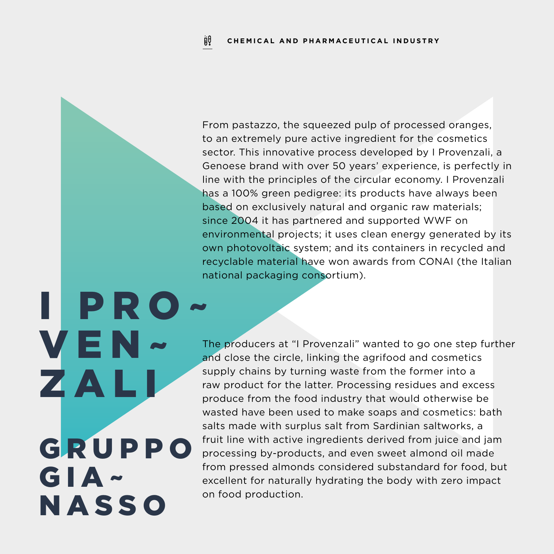From pastazzo, the squeezed pulp of processed oranges, to an extremely pure active ingredient for the cosmetics sector. This innovative process developed by I Provenzali, a Genoese brand with over 50 years' experience, is perfectly in line with the principles of the circular economy. I Provenzali has a 100% green pedigree: its products have always been based on exclusively natural and organic raw materials; since 2004 it has partnered and supported WWF on environmental projects; it uses clean energy generated by its own photovoltaic system; and its containers in recycled and recyclable material have won awards from CONAI (the Italian national packaging consortium).

I PRO~ VEN~ ZAL **GRUPPO** GIA~ **NASSO** 

The producers at "I Provenzali" wanted to go one step further and close the circle, linking the agrifood and cosmetics supply chains by turning waste from the former into a raw product for the latter. Processing residues and excess produce from the food industry that would otherwise be wasted have been used to make soaps and cosmetics: bath salts made with surplus salt from Sardinian saltworks, a fruit line with active ingredients derived from juice and jam processing by-products, and even sweet almond oil made from pressed almonds considered substandard for food, but excellent for naturally hydrating the body with zero impact on food production.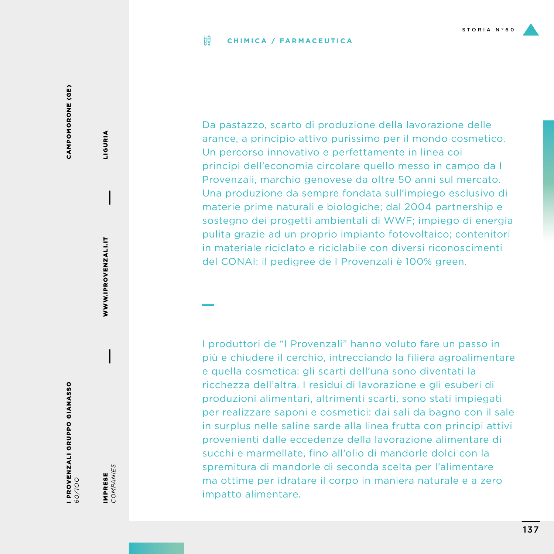#### ijθ **CHIMICA / FARMACEUTICA**

CAMPOMORONE (GE) CAMPOMORONE (GE)

I PROVENZALI GRUPPO GIANASSO **1 PROVENZALI GRUPPO GIANASSO**<br>60/100

IMPRESE<br>COMPANIES *COMPANIES* IMPRESE

WWW.IPROVENZALI.IT

WWW.IPROVENZALI.IT

LIGURIA

**LIGURIA** 

Da pastazzo, scarto di produzione della lavorazione delle arance, a principio attivo purissimo per il mondo cosmetico. Un percorso innovativo e perfettamente in linea coi principi dell'economia circolare quello messo in campo da I Provenzali, marchio genovese da oltre 50 anni sul mercato. Una produzione da sempre fondata sull'impiego esclusivo di materie prime naturali e biologiche; dal 2004 partnership e sostegno dei progetti ambientali di WWF; impiego di energia pulita grazie ad un proprio impianto fotovoltaico; contenitori in materiale riciclato e riciclabile con diversi riconoscimenti del CONAI: il pedigree de I Provenzali è 100% green.

I produttori de "I Provenzali" hanno voluto fare un passo in più e chiudere il cerchio, intrecciando la filiera agroalimentare e quella cosmetica: gli scarti dell'una sono diventati la ricchezza dell'altra. I residui di lavorazione e gli esuberi di produzioni alimentari, altrimenti scarti, sono stati impiegati per realizzare saponi e cosmetici: dai sali da bagno con il sale in surplus nelle saline sarde alla linea frutta con principi attivi provenienti dalle eccedenze della lavorazione alimentare di succhi e marmellate, fino all'olio di mandorle dolci con la spremitura di mandorle di seconda scelta per l'alimentare ma ottime per idratare il corpo in maniera naturale e a zero impatto alimentare.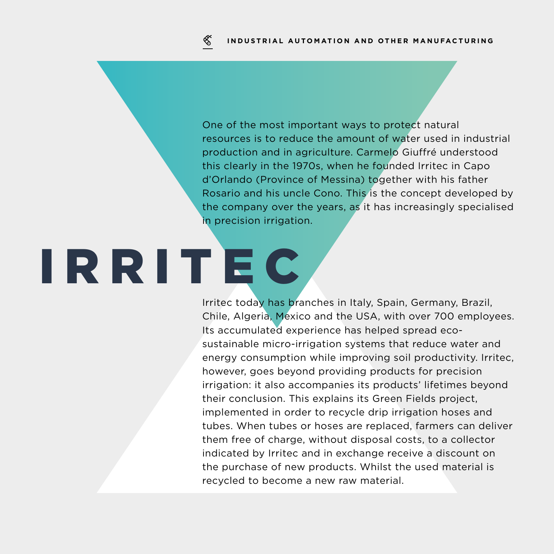One of the most important ways to protect natural resources is to reduce the amount of water used in industrial production and in agriculture. Carmelo Giuffré understood this clearly in the 1970s, when he founded Irritec in Capo d'Orlando (Province of Messina) together with his father Rosario and his uncle Cono. This is the concept developed by the company over the years, as it has increasingly specialised in precision irrigation.

# IRRITEC

Irritec today has branches in Italy, Spain, Germany, Brazil, Chile, Algeria, Mexico and the USA, with over 700 employees. Its accumulated experience has helped spread ecosustainable micro-irrigation systems that reduce water and energy consumption while improving soil productivity. Irritec, however, goes beyond providing products for precision irrigation: it also accompanies its products' lifetimes beyond their conclusion. This explains its Green Fields project, implemented in order to recycle drip irrigation hoses and tubes. When tubes or hoses are replaced, farmers can deliver them free of charge, without disposal costs, to a collector indicated by Irritec and in exchange receive a discount on the purchase of new products. Whilst the used material is recycled to become a new raw material.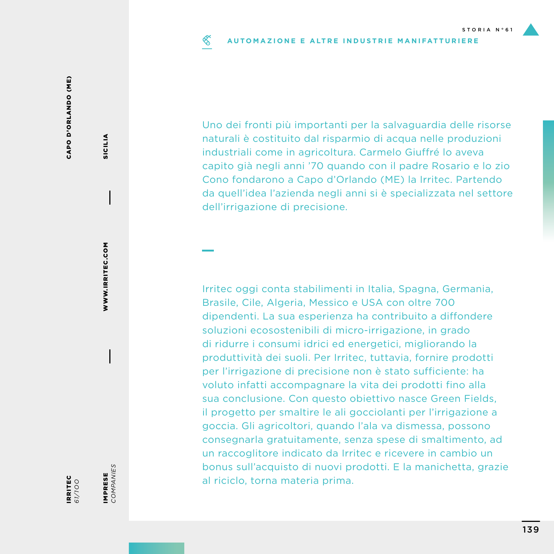#### ≪ **AUTOMAZIONE E ALTRE INDUSTRIE MANIFATTURIERE**

CAPO D'ORLANDO (ME) CAPO D'ORLANDO (ME)

> IRRITEC *61/1OO*

IMPRESE<br>COMPANIES *COMPANIES* IMPRESE

WWW.IRRITEC.COM

WWW.IRRITEC.COM

SICILIA

SICILIA

Uno dei fronti più importanti per la salvaguardia delle risorse naturali è costituito dal risparmio di acqua nelle produzioni industriali come in agricoltura. Carmelo Giuffré lo aveva capito già negli anni '70 quando con il padre Rosario e lo zio Cono fondarono a Capo d'Orlando (ME) la Irritec. Partendo da quell'idea l'azienda negli anni si è specializzata nel settore dell'irrigazione di precisione.

Irritec oggi conta stabilimenti in Italia, Spagna, Germania, Brasile, Cile, Algeria, Messico e USA con oltre 700 dipendenti. La sua esperienza ha contribuito a diffondere soluzioni ecosostenibili di micro-irrigazione, in grado di ridurre i consumi idrici ed energetici, migliorando la produttività dei suoli. Per Irritec, tuttavia, fornire prodotti per l'irrigazione di precisione non è stato sufficiente: ha voluto infatti accompagnare la vita dei prodotti fino alla sua conclusione. Con questo obiettivo nasce Green Fields, il progetto per smaltire le ali gocciolanti per l'irrigazione a goccia. Gli agricoltori, quando l'ala va dismessa, possono consegnarla gratuitamente, senza spese di smaltimento, ad un raccoglitore indicato da Irritec e ricevere in cambio un bonus sull'acquisto di nuovi prodotti. E la manichetta, grazie al riciclo, torna materia prima.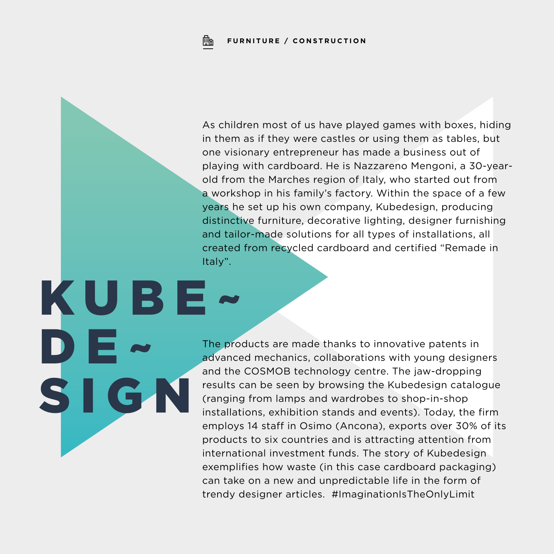KUBE~

D

**SI** 

As children most of us have played games with boxes, hiding in them as if they were castles or using them as tables, but one visionary entrepreneur has made a business out of playing with cardboard. He is Nazzareno Mengoni, a 30-yearold from the Marches region of Italy, who started out from a workshop in his family's factory. Within the space of a few years he set up his own company, Kubedesign, producing distinctive furniture, decorative lighting, designer furnishing and tailor-made solutions for all types of installations, all created from recycled cardboard and certified "Remade in Italy".

The products are made thanks to innovative patents in advanced mechanics, collaborations with young designers and the COSMOB technology centre. The jaw-dropping results can be seen by browsing the Kubedesign catalogue (ranging from lamps and wardrobes to shop-in-shop installations, exhibition stands and events). Today, the firm employs 14 staff in Osimo (Ancona), exports over 30% of its products to six countries and is attracting attention from international investment funds. The story of Kubedesign exemplifies how waste (in this case cardboard packaging) can take on a new and unpredictable life in the form of trendy designer articles. #ImaginationIsTheOnlyLimit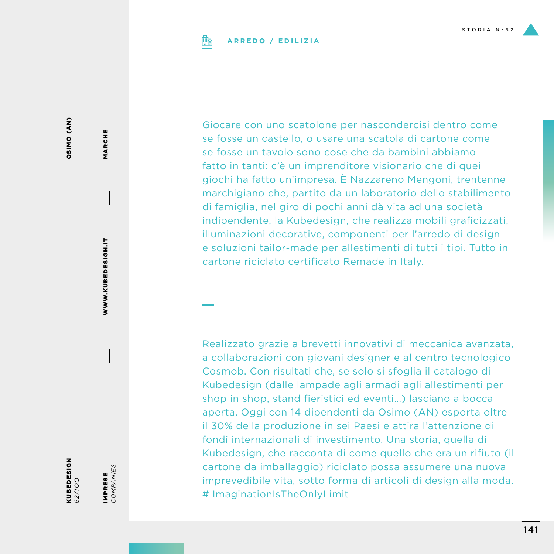

## **ARREDO / EDILIZIA**

CNV) ONISO OSIMO (AN)

KUBEDESIGN *62/1OO*

IMPRESE<br>COMPANIES *COMPANIES* IMPRESE

WWW.KUBEDESIGN.IT

WWW.KUBEDESIGN.IT

MARCHE

MARCHE

Giocare con uno scatolone per nascondercisi dentro come se fosse un castello, o usare una scatola di cartone come se fosse un tavolo sono cose che da bambini abbiamo fatto in tanti: c'è un imprenditore visionario che di quei giochi ha fatto un'impresa. È Nazzareno Mengoni, trentenne marchigiano che, partito da un laboratorio dello stabilimento di famiglia, nel giro di pochi anni dà vita ad una società indipendente, la Kubedesign, che realizza mobili graficizzati, illuminazioni decorative, componenti per l'arredo di design e soluzioni tailor-made per allestimenti di tutti i tipi. Tutto in cartone riciclato certificato Remade in Italy.

Realizzato grazie a brevetti innovativi di meccanica avanzata, a collaborazioni con giovani designer e al centro tecnologico Cosmob. Con risultati che, se solo si sfoglia il catalogo di Kubedesign (dalle lampade agli armadi agli allestimenti per shop in shop, stand fieristici ed eventi…) lasciano a bocca aperta. Oggi con 14 dipendenti da Osimo (AN) esporta oltre il 30% della produzione in sei Paesi e attira l'attenzione di fondi internazionali di investimento. Una storia, quella di Kubedesign, che racconta di come quello che era un rifiuto (il cartone da imballaggio) riciclato possa assumere una nuova imprevedibile vita, sotto forma di articoli di design alla moda. # ImaginationIsTheOnlyLimit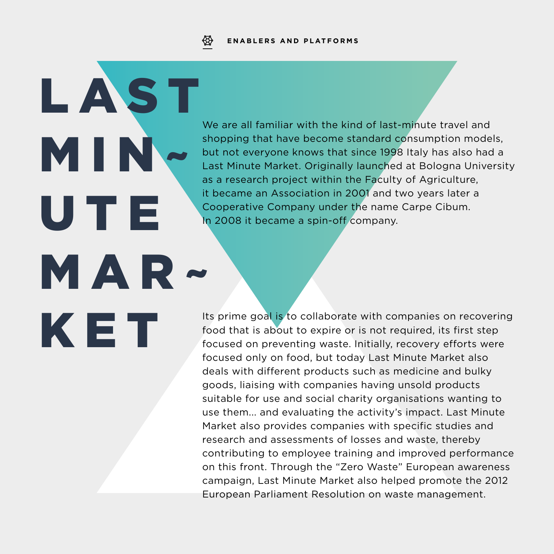

**LAST** 

MIN~

U T E

KET

MAR~

We are all familiar with the kind of last-minute travel and shopping that have become standard consumption models, but not everyone knows that since 1998 Italy has also had a Last Minute Market. Originally launched at Bologna University as a research project within the Faculty of Agriculture, it became an Association in 2001 and two years later a Cooperative Company under the name Carpe Cibum. In 2008 it became a spin-off company.

Its prime goal is to collaborate with companies on recovering food that is about to expire or is not required, its first step focused on preventing waste. Initially, recovery efforts were focused only on food, but today Last Minute Market also deals with different products such as medicine and bulky goods, liaising with companies having unsold products suitable for use and social charity organisations wanting to use them... and evaluating the activity's impact. Last Minute Market also provides companies with specific studies and research and assessments of losses and waste, thereby contributing to employee training and improved performance on this front. Through the "Zero Waste" European awareness campaign, Last Minute Market also helped promote the 2012 European Parliament Resolution on waste management.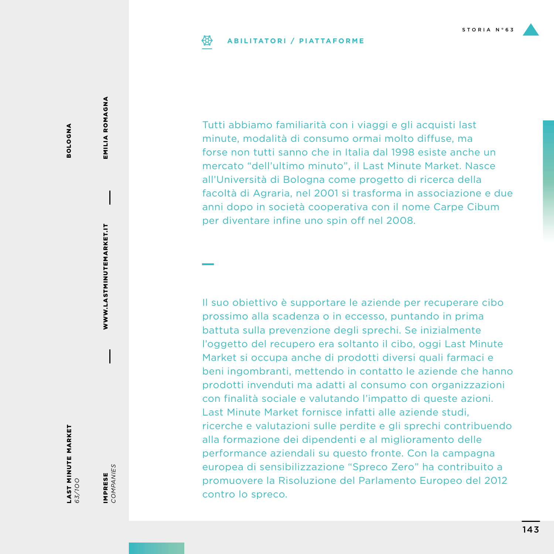# **ABILITATORI / PIATTAFORME**

EMILIA ROMAGNA EMILIA ROMAGNA

BOLOGNA

**ANDO105** 

WWW.LASTMINUTEMARKET.IT WWW.LASTMINUTEMARKET.IT

LAST MINUTE MARKET *63/1OO*

IMPRESE<br>COMPANIES *COMPANIES* IMPRESE

facoltà di Agraria, nel 2001 si trasforma in associazione e due anni dopo in società cooperativa con il nome Carpe Cibum per diventare infine uno spin off nel 2008. Il suo obiettivo è supportare le aziende per recuperare cibo

Tutti abbiamo familiarità con i viaggi e gli acquisti last minute, modalità di consumo ormai molto diffuse, ma forse non tutti sanno che in Italia dal 1998 esiste anche un mercato "dell'ultimo minuto", il Last Minute Market. Nasce all'Università di Bologna come progetto di ricerca della

prossimo alla scadenza o in eccesso, puntando in prima battuta sulla prevenzione degli sprechi. Se inizialmente l'oggetto del recupero era soltanto il cibo, oggi Last Minute Market si occupa anche di prodotti diversi quali farmaci e beni ingombranti, mettendo in contatto le aziende che hanno prodotti invenduti ma adatti al consumo con organizzazioni con finalità sociale e valutando l'impatto di queste azioni. Last Minute Market fornisce infatti alle aziende studi, ricerche e valutazioni sulle perdite e gli sprechi contribuendo alla formazione dei dipendenti e al miglioramento delle performance aziendali su questo fronte. Con la campagna europea di sensibilizzazione "Spreco Zero" ha contribuito a promuovere la Risoluzione del Parlamento Europeo del 2012 contro lo spreco.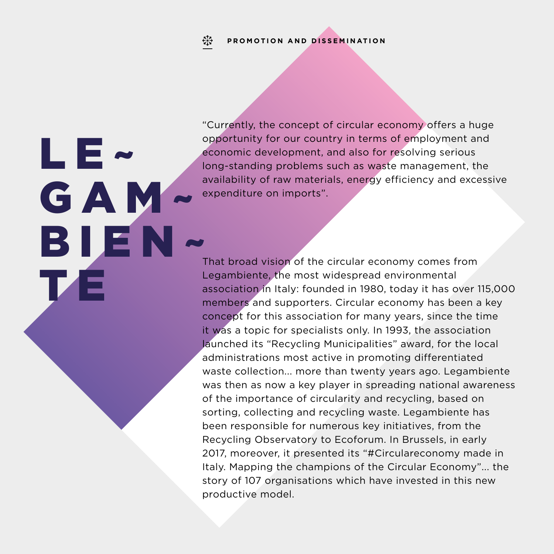LE~

TZE

**GAM** 

"Currently, the concept of circular economy offers a huge opportunity for our country in terms of employment and economic development, and also for resolving serious long-standing problems such as waste management, the availability of raw materials, energy efficiency and excessive expenditure on imports".

That broad vision of the circular economy comes from Legambiente, the most widespread environmental association in Italy: founded in 1980, today it has over 115,000 members and supporters. Circular economy has been a key concept for this association for many years, since the time it was a topic for specialists only. In 1993, the association launched its "Recycling Municipalities" award, for the local administrations most active in promoting differentiated waste collection... more than twenty years ago. Legambiente was then as now a key player in spreading national awareness of the importance of circularity and recycling, based on sorting, collecting and recycling waste. Legambiente has been responsible for numerous key initiatives, from the Recycling Observatory to Ecoforum. In Brussels, in early 2017, moreover, it presented its "#Circulareconomy made in Italy. Mapping the champions of the Circular Economy"... the story of 107 organisations which have invested in this new productive model. BIEN~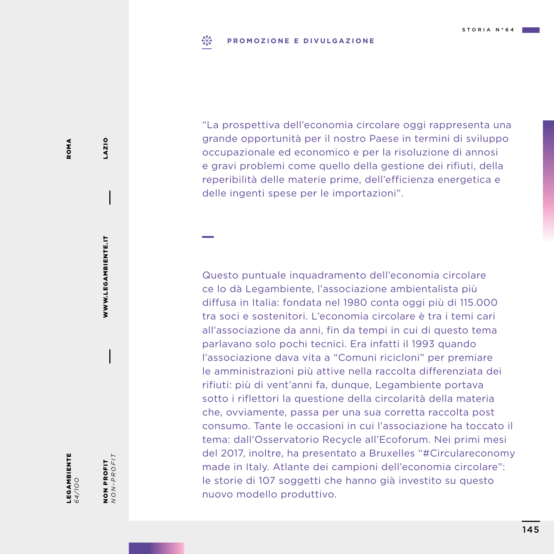### $E_{1,2}^{3}$ **PROMOZIONE E DIVULGAZIONE**

"La prospettiva dell'economia circolare oggi rappresenta una grande opportunità per il nostro Paese in termini di sviluppo occupazionale ed economico e per la risoluzione di annosi e gravi problemi come quello della gestione dei rifiuti, della reperibilità delle materie prime, dell'efficienza energetica e delle ingenti spese per le importazioni".

Questo puntuale inquadramento dell'economia circolare ce lo dà Legambiente, l'associazione ambientalista più diffusa in Italia: fondata nel 1980 conta oggi più di 115.000 tra soci e sostenitori. L'economia circolare è tra i temi cari all'associazione da anni, fin da tempi in cui di questo tema parlavano solo pochi tecnici. Era infatti il 1993 quando l'associazione dava vita a "Comuni ricicloni" per premiare le amministrazioni più attive nella raccolta differenziata dei rifiuti: più di vent'anni fa, dunque, Legambiente portava sotto i riflettori la questione della circolarità della materia che, ovviamente, passa per una sua corretta raccolta post consumo. Tante le occasioni in cui l'associazione ha toccato il tema: dall'Osservatorio Recycle all'Ecoforum. Nei primi mesi del 2017, inoltre, ha presentato a Bruxelles "#Circulareconomy made in Italy. Atlante dei campioni dell'economia circolare": le storie di 107 soggetti che hanno già investito su questo nuovo modello produttivo.

NON PROFIT *NON-PROFIT*

**NON PROFIT**<br>NON-PROFIT

WWW.LEGAMBIENTE.IT

WWW.LEGAMBIENTE.IT

LAZIO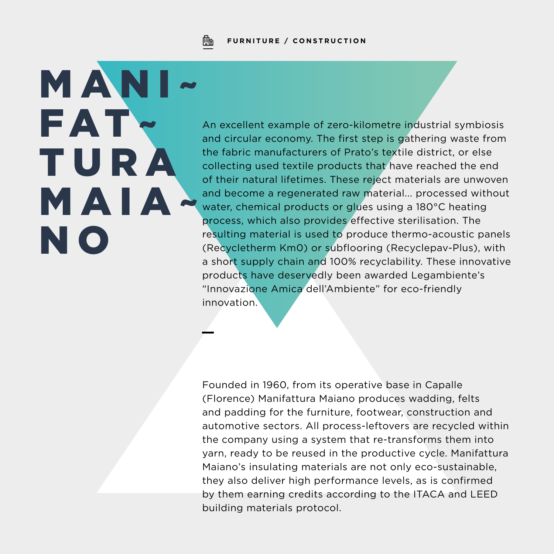

## **FURNITURE / CONSTRUCTION**

MANI~ FAT~ T U R A MAIA~ N O

An excellent example of zero-kilometre industrial symbiosis and circular economy. The first step is gathering waste from the fabric manufacturers of Prato's textile district, or else collecting used textile products that have reached the end of their natural lifetimes. These reject materials are unwoven and become a regenerated raw material... processed without water, chemical products or glues using a 180°C heating process, which also provides effective sterilisation. The resulting material is used to produce thermo-acoustic panels (Recycletherm Km0) or subflooring (Recyclepav-Plus), with a short supply chain and 100% recyclability. These innovative products have deservedly been awarded Legambiente's "Innovazione Amica dell'Ambiente" for eco-friendly innovation.

Founded in 1960, from its operative base in Capalle (Florence) Manifattura Maiano produces wadding, felts and padding for the furniture, footwear, construction and automotive sectors. All process-leftovers are recycled within the company using a system that re-transforms them into yarn, ready to be reused in the productive cycle. Manifattura Maiano's insulating materials are not only eco-sustainable, they also deliver high performance levels, as is confirmed by them earning credits according to the ITACA and LEED building materials protocol.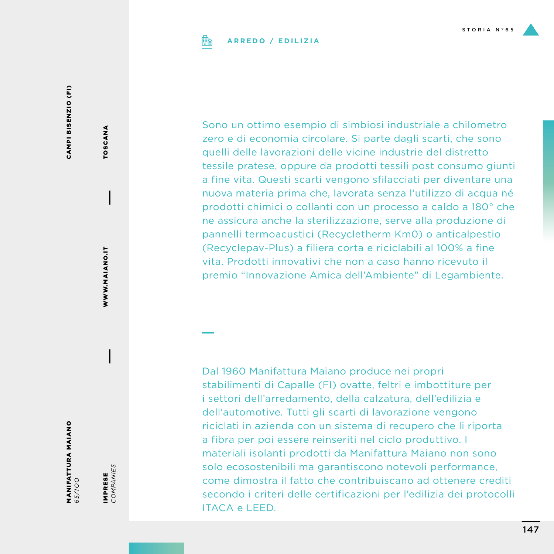

# **ARREDO / EDILIZIA**

CAMPI BISENZIO (FI) CAMPI BISENZIO (FI)

MANIFATTURA MAIANO *65/1OO*

IMPRESE<br>COMPANIES *COMPANIES* IMPRESE

WWW.MAIANO.IT

WWW.MAIANO.IT

TOSCANA

TOSCANA

Sono un ottimo esempio di simbiosi industriale a chilometro zero e di economia circolare. Si parte dagli scarti, che sono quelli delle lavorazioni delle vicine industrie del distretto tessile pratese, oppure da prodotti tessili post consumo giunti a fine vita. Questi scarti vengono sfilacciati per diventare una nuova materia prima che, lavorata senza l'utilizzo di acqua né prodotti chimici o collanti con un processo a caldo a 180° che ne assicura anche la sterilizzazione, serve alla produzione di pannelli termoacustici (Recycletherm Km0) o anticalpestio (Recyclepav-Plus) a filiera corta e riciclabili al 100% a fine vita. Prodotti innovativi che non a caso hanno ricevuto il premio "Innovazione Amica dell'Ambiente" di Legambiente.

Dal 1960 Manifattura Maiano produce nei propri stabilimenti di Capalle (FI) ovatte, feltri e imbottiture per i settori dell'arredamento, della calzatura, dell'edilizia e dell'automotive. Tutti gli scarti di lavorazione vengono riciclati in azienda con un sistema di recupero che li riporta a fibra per poi essere reinseriti nel ciclo produttivo. I materiali isolanti prodotti da Manifattura Maiano non sono solo ecosostenibili ma garantiscono notevoli performance, come dimostra il fatto che contribuiscano ad ottenere crediti secondo i criteri delle certificazioni per l'edilizia dei protocolli ITACA e LEED.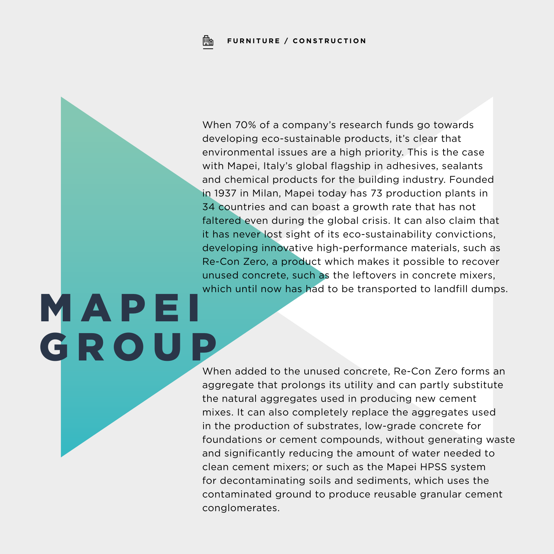M A P E I

GROUP

When 70% of a company's research funds go towards developing eco-sustainable products, it's clear that environmental issues are a high priority. This is the case with Mapei, Italy's global flagship in adhesives, sealants and chemical products for the building industry. Founded in 1937 in Milan, Mapei today has 73 production plants in 34 countries and can boast a growth rate that has not faltered even during the global crisis. It can also claim that it has never lost sight of its eco-sustainability convictions, developing innovative high-performance materials, such as Re-Con Zero, a product which makes it possible to recover unused concrete, such as the leftovers in concrete mixers, which until now has had to be transported to landfill dumps.

When added to the unused concrete, Re-Con Zero forms an aggregate that prolongs its utility and can partly substitute the natural aggregates used in producing new cement mixes. It can also completely replace the aggregates used in the production of substrates, low-grade concrete for foundations or cement compounds, without generating waste and significantly reducing the amount of water needed to clean cement mixers; or such as the Mapei HPSS system for decontaminating soils and sediments, which uses the contaminated ground to produce reusable granular cement conglomerates.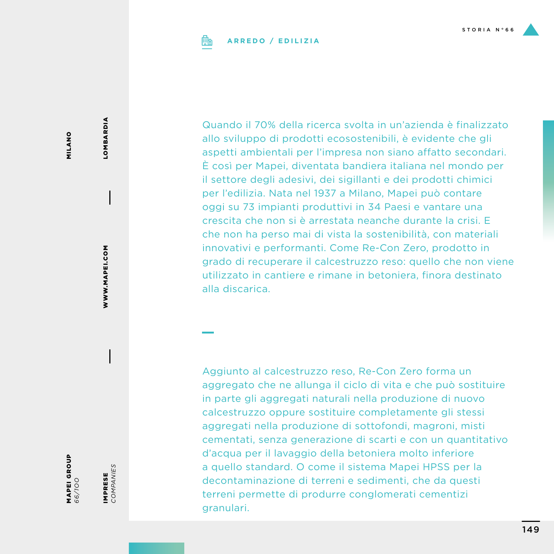

## **ARREDO / EDILIZIA**

MILANO MILANO

MAPEI GROUP

*66/1OO*

IMPRESE *COMPANIES*

IMPRESE<br>COMPANIES

WWW.MAPEI.COM

WWW.MAPEI.COM

**LOMBARDIA** LOMBARDIA

Quando il 70% della ricerca svolta in un'azienda è finalizzato allo sviluppo di prodotti ecosostenibili, è evidente che gli aspetti ambientali per l'impresa non siano affatto secondari. È così per Mapei, diventata bandiera italiana nel mondo per il settore degli adesivi, dei sigillanti e dei prodotti chimici per l'edilizia. Nata nel 1937 a Milano, Mapei può contare oggi su 73 impianti produttivi in 34 Paesi e vantare una crescita che non si è arrestata neanche durante la crisi. E che non ha perso mai di vista la sostenibilità, con materiali innovativi e performanti. Come Re-Con Zero, prodotto in grado di recuperare il calcestruzzo reso: quello che non viene utilizzato in cantiere e rimane in betoniera, finora destinato alla discarica.

Aggiunto al calcestruzzo reso, Re-Con Zero forma un aggregato che ne allunga il ciclo di vita e che può sostituire in parte gli aggregati naturali nella produzione di nuovo calcestruzzo oppure sostituire completamente gli stessi aggregati nella produzione di sottofondi, magroni, misti cementati, senza generazione di scarti e con un quantitativo d'acqua per il lavaggio della betoniera molto inferiore a quello standard. O come il sistema Mapei HPSS per la decontaminazione di terreni e sedimenti, che da questi terreni permette di produrre conglomerati cementizi granulari.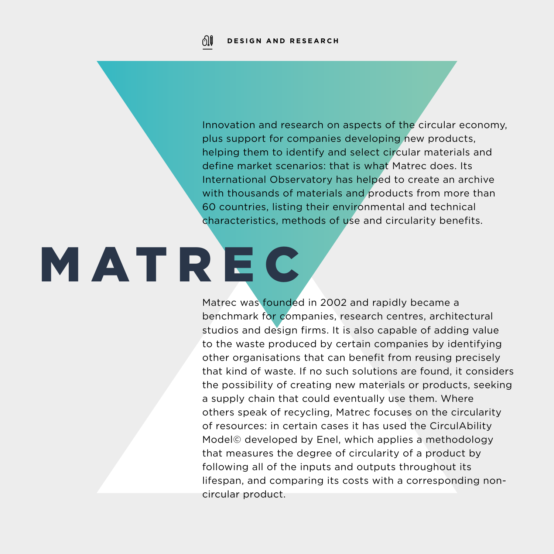Innovation and research on aspects of the circular economy, plus support for companies developing new products, helping them to identify and select circular materials and define market scenarios: that is what Matrec does. Its International Observatory has helped to create an archive with thousands of materials and products from more than 60 countries, listing their environmental and technical characteristics, methods of use and circularity benefits.

# **MATREC**

Matrec was founded in 2002 and rapidly became a benchmark for companies, research centres, architectural studios and design firms. It is also capable of adding value to the waste produced by certain companies by identifying other organisations that can benefit from reusing precisely that kind of waste. If no such solutions are found, it considers the possibility of creating new materials or products, seeking a supply chain that could eventually use them. Where others speak of recycling, Matrec focuses on the circularity of resources: in certain cases it has used the CirculAbility Model© developed by Enel, which applies a methodology that measures the degree of circularity of a product by following all of the inputs and outputs throughout its lifespan, and comparing its costs with a corresponding noncircular product.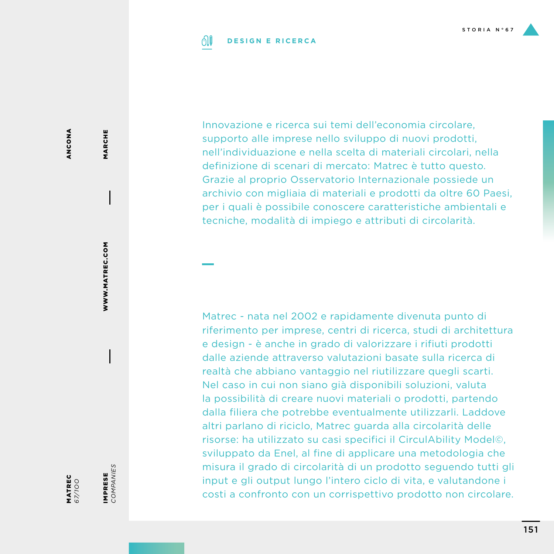### 01 **DESIGN E RICERCA**

Innovazione e ricerca sui temi dell'economia circolare, supporto alle imprese nello sviluppo di nuovi prodotti, nell'individuazione e nella scelta di materiali circolari, nella definizione di scenari di mercato: Matrec è tutto questo. Grazie al proprio Osservatorio Internazionale possiede un archivio con migliaia di materiali e prodotti da oltre 60 Paesi, per i quali è possibile conoscere caratteristiche ambientali e tecniche, modalità di impiego e attributi di circolarità.

Matrec - nata nel 2002 e rapidamente divenuta punto di riferimento per imprese, centri di ricerca, studi di architettura e design - è anche in grado di valorizzare i rifiuti prodotti dalle aziende attraverso valutazioni basate sulla ricerca di realtà che abbiano vantaggio nel riutilizzare quegli scarti. Nel caso in cui non siano già disponibili soluzioni, valuta la possibilità di creare nuovi materiali o prodotti, partendo dalla filiera che potrebbe eventualmente utilizzarli. Laddove altri parlano di riciclo, Matrec guarda alla circolarità delle risorse: ha utilizzato su casi specifici il CirculAbility Model©, sviluppato da Enel, al fine di applicare una metodologia che misura il grado di circolarità di un prodotto seguendo tutti gli input e gli output lungo l'intero ciclo di vita, e valutandone i costi a confronto con un corrispettivo prodotto non circolare.

ANCONA ANCONA

MARCHE

MARCHE

MATREC *67/1OO* IMPRESE *COMPANIES*

IMPRESE<br>COMPANIES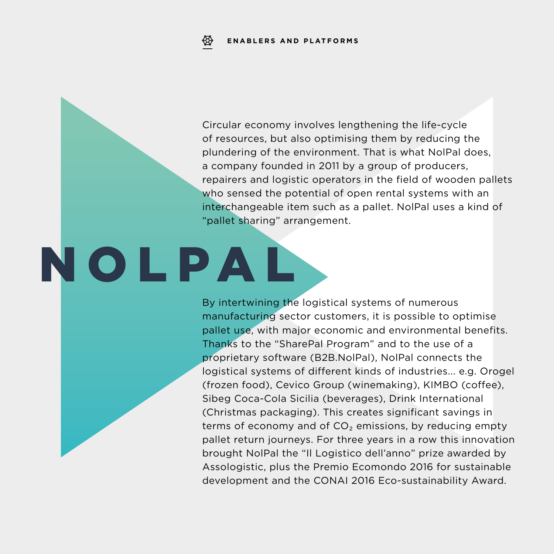Circular economy involves lengthening the life-cycle of resources, but also optimising them by reducing the plundering of the environment. That is what NolPal does, a company founded in 2011 by a group of producers, repairers and logistic operators in the field of wooden pallets who sensed the potential of open rental systems with an interchangeable item such as a pallet. NolPal uses a kind of "pallet sharing" arrangement.

# NOLPAL

By intertwining the logistical systems of numerous manufacturing sector customers, it is possible to optimise pallet use, with major economic and environmental benefits. Thanks to the "SharePal Program" and to the use of a proprietary software (B2B.NolPal), NolPal connects the logistical systems of different kinds of industries... e.g. Orogel (frozen food), Cevico Group (winemaking), KIMBO (coffee), Sibeg Coca-Cola Sicilia (beverages), Drink International (Christmas packaging). This creates significant savings in terms of economy and of CO<sub>2</sub> emissions, by reducing empty pallet return journeys. For three years in a row this innovation brought NolPal the "Il Logistico dell'anno" prize awarded by Assologistic, plus the Premio Ecomondo 2016 for sustainable development and the CONAI 2016 Eco-sustainability Award.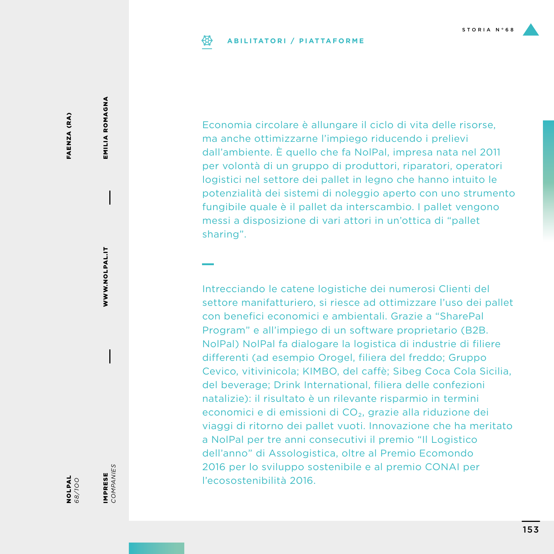### **ABILITATORI / PIATTAFORME** ₩

FAENZA (RA) FAENZA (RA) EMILIA ROMAGNA

EMILIA ROMAGNA

*68/1OO*

NOLPAL

IMPRESE<br>COMPANIES *COMPANIES* IMPRESE

Economia circolare è allungare il ciclo di vita delle risorse, ma anche ottimizzarne l'impiego riducendo i prelievi dall'ambiente. È quello che fa NolPal, impresa nata nel 2011 per volontà di un gruppo di produttori, riparatori, operatori logistici nel settore dei pallet in legno che hanno intuito le potenzialità dei sistemi di noleggio aperto con uno strumento fungibile quale è il pallet da interscambio. I pallet vengono messi a disposizione di vari attori in un'ottica di "pallet sharing".

Intrecciando le catene logistiche dei numerosi Clienti del settore manifatturiero, si riesce ad ottimizzare l'uso dei pallet con benefici economici e ambientali. Grazie a "SharePal Program" e all'impiego di un software proprietario (B2B. NolPal) NolPal fa dialogare la logistica di industrie di filiere differenti (ad esempio Orogel, filiera del freddo; Gruppo Cevico, vitivinicola; KIMBO, del caffè; Sibeg Coca Cola Sicilia, del beverage; Drink International, filiera delle confezioni natalizie): il risultato è un rilevante risparmio in termini economici e di emissioni di CO₂, grazie alla riduzione dei viaggi di ritorno dei pallet vuoti. Innovazione che ha meritato a NolPal per tre anni consecutivi il premio "Il Logistico dell'anno" di Assologistica, oltre al Premio Ecomondo 2016 per lo sviluppo sostenibile e al premio CONAI per l'ecosostenibilità 2016.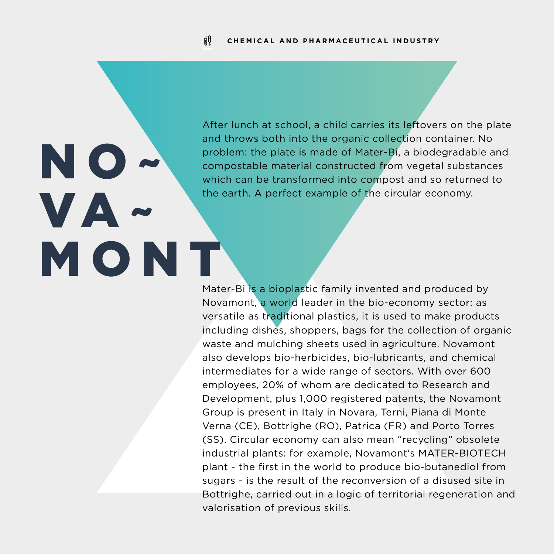### jiŲ **CHEMICAL AND PHARMACEUTICAL INDUSTRY**

NO

VA~

MONT

After lunch at school, a child carries its leftovers on the plate and throws both into the organic collection container. No problem: the plate is made of Mater-Bi, a biodegradable and compostable material constructed from vegetal substances which can be transformed into compost and so returned to the earth. A perfect example of the circular economy.

Mater-Bi is a bioplastic family invented and produced by Novamont, a world leader in the bio-economy sector: as versatile as traditional plastics, it is used to make products including dishes, shoppers, bags for the collection of organic waste and mulching sheets used in agriculture. Novamont also develops bio-herbicides, bio-lubricants, and chemical intermediates for a wide range of sectors. With over 600 employees, 20% of whom are dedicated to Research and Development, plus 1,000 registered patents, the Novamont Group is present in Italy in Novara, Terni, Piana di Monte Verna (CE), Bottrighe (RO), Patrica (FR) and Porto Torres (SS). Circular economy can also mean "recycling" obsolete industrial plants: for example, Novamont's MATER-BIOTECH plant - the first in the world to produce bio-butanediol from sugars - is the result of the reconversion of a disused site in Bottrighe, carried out in a logic of territorial regeneration and valorisation of previous skills.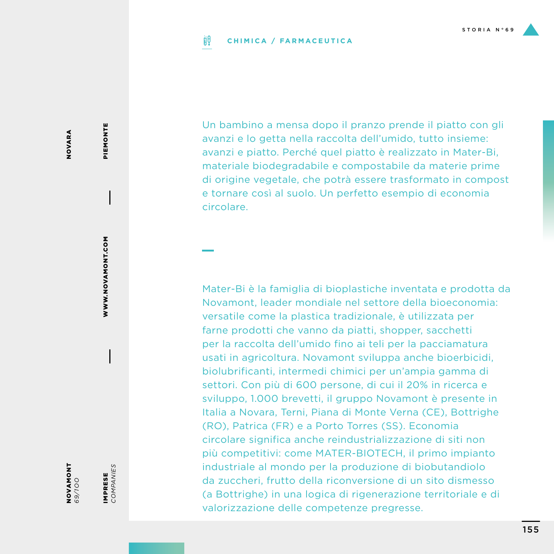### ijθ **CHIMICA / FARMACEUTICA**

Un bambino a mensa dopo il pranzo prende il piatto con gli avanzi e lo getta nella raccolta dell'umido, tutto insieme: avanzi e piatto. Perché quel piatto è realizzato in Mater-Bi, materiale biodegradabile e compostabile da materie prime di origine vegetale, che potrà essere trasformato in compost e tornare così al suolo. Un perfetto esempio di economia circolare.

Mater-Bi è la famiglia di bioplastiche inventata e prodotta da Novamont, leader mondiale nel settore della bioeconomia: versatile come la plastica tradizionale, è utilizzata per farne prodotti che vanno da piatti, shopper, sacchetti per la raccolta dell'umido fino ai teli per la pacciamatura usati in agricoltura. Novamont sviluppa anche bioerbicidi, biolubrificanti, intermedi chimici per un'ampia gamma di settori. Con più di 600 persone, di cui il 20% in ricerca e sviluppo, 1.000 brevetti, il gruppo Novamont è presente in Italia a Novara, Terni, Piana di Monte Verna (CE), Bottrighe (RO), Patrica (FR) e a Porto Torres (SS). Economia circolare significa anche reindustrializzazione di siti non più competitivi: come MATER-BIOTECH, il primo impianto industriale al mondo per la produzione di biobutandiolo da zuccheri, frutto della riconversione di un sito dismesso (a Bottrighe) in una logica di rigenerazione territoriale e di valorizzazione delle competenze pregresse.

NOVARA NOVARA

IMPRESE *COMPANIES*

IMPRESE<br>COMPANIES

WWW.NOVAMONT.COM

WWW.NOVAMONT.COM

PIEMONTE

PIEMONTE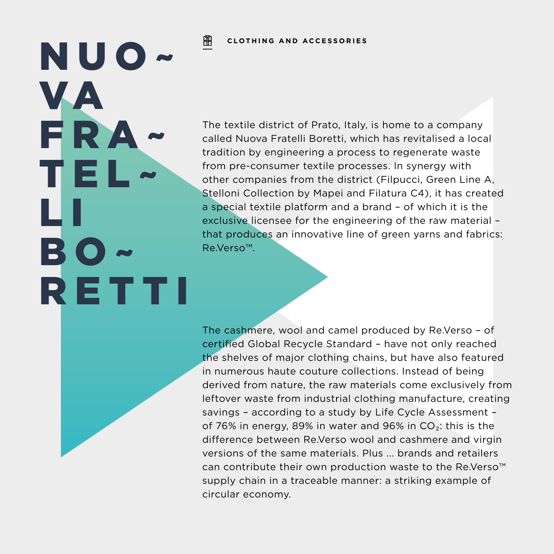### 阐 **CLOTHING AND ACCESSORIES**

NUO~

FRA~

TEL~

BO~

RETTI

L I

VA

The textile district of Prato, Italy, is home to a company called Nuova Fratelli Boretti, which has revitalised a local tradition by engineering a process to regenerate waste from pre-consumer textile processes. In synergy with other companies from the district (Filpucci, Green Line A, Stelloni Collection by Mapei and Filatura C4), it has created a special textile platform and a brand – of which it is the exclusive licensee for the engineering of the raw material – that produces an innovative line of green yarns and fabrics: Re.Verso™.

The cashmere, wool and camel produced by Re.Verso – of certified Global Recycle Standard – have not only reached the shelves of major clothing chains, but have also featured in numerous haute couture collections. Instead of being derived from nature, the raw materials come exclusively from leftover waste from industrial clothing manufacture, creating savings – according to a study by Life Cycle Assessment – of 76% in energy, 89% in water and 96% in  $CO<sub>2</sub>$ : this is the difference between Re.Verso wool and cashmere and virgin versions of the same materials. Plus ... brands and retailers can contribute their own production waste to the Re.Verso™ supply chain in a traceable manner: a striking example of circular economy.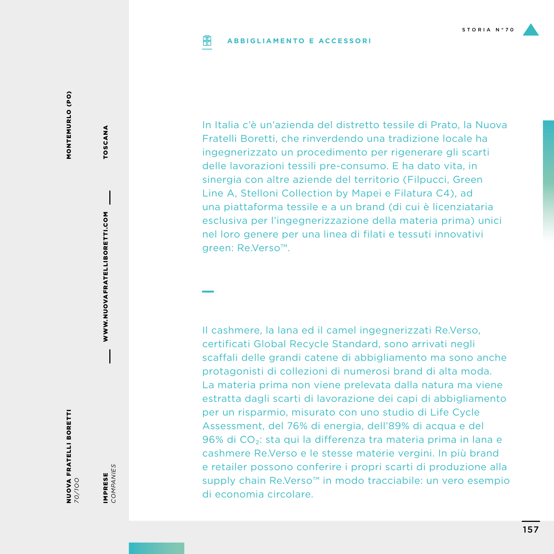### **ABBIGLIAMENTO E ACCESSORIPIP**

MONTEMURLO (PO) MONTEMURLO (PO)

> NUOVA FRATELLI BORETTI *70/1OO*

IMPRESE<br>COMPANIES *COMPANIES* IMPRESE

WWW.NUOVAFRATELLIBORETTI.COM

WWW.NUOVAFRATELLIBORETTI.COM

TOSCANA

TOSCANA

In Italia c'è un'azienda del distretto tessile di Prato, la Nuova Fratelli Boretti, che rinverdendo una tradizione locale ha ingegnerizzato un procedimento per rigenerare gli scarti delle lavorazioni tessili pre-consumo. E ha dato vita, in sinergia con altre aziende del territorio (Filpucci, Green Line A, Stelloni Collection by Mapei e Filatura C4), ad una piattaforma tessile e a un brand (di cui è licenziataria esclusiva per l'ingegnerizzazione della materia prima) unici nel loro genere per una linea di filati e tessuti innovativi green: Re.Verso™.

Il cashmere, la lana ed il camel ingegnerizzati Re.Verso, certificati Global Recycle Standard, sono arrivati negli scaffali delle grandi catene di abbigliamento ma sono anche protagonisti di collezioni di numerosi brand di alta moda. La materia prima non viene prelevata dalla natura ma viene estratta dagli scarti di lavorazione dei capi di abbigliamento per un risparmio, misurato con uno studio di Life Cycle Assessment, del 76% di energia, dell'89% di acqua e del 96% di CO<sub>2</sub>: sta qui la differenza tra materia prima in lana e cashmere Re.Verso e le stesse materie vergini. In più brand e retailer possono conferire i propri scarti di produzione alla supply chain Re.Verso™ in modo tracciabile: un vero esempio di economia circolare.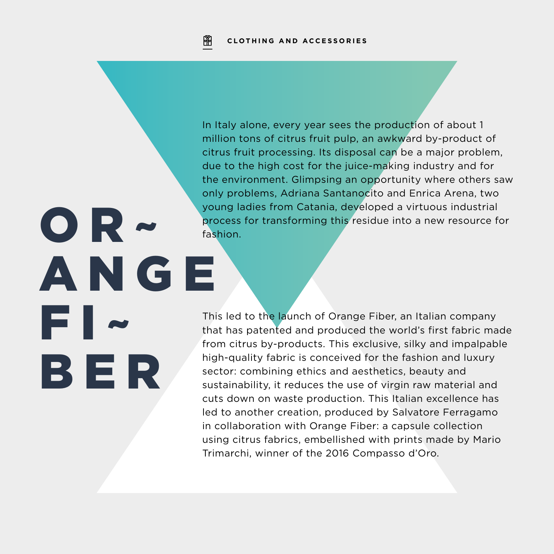OR~

FI~

BER

A N G E

In Italy alone, every year sees the production of about 1 million tons of citrus fruit pulp, an awkward by-product of citrus fruit processing. Its disposal can be a major problem, due to the high cost for the juice-making industry and for the environment. Glimpsing an opportunity where others saw only problems, Adriana Santanocito and Enrica Arena, two young ladies from Catania, developed a virtuous industrial process for transforming this residue into a new resource for fashion.

This led to the launch of Orange Fiber, an Italian company that has patented and produced the world's first fabric made from citrus by-products. This exclusive, silky and impalpable high-quality fabric is conceived for the fashion and luxury sector: combining ethics and aesthetics, beauty and sustainability, it reduces the use of virgin raw material and cuts down on waste production. This Italian excellence has led to another creation, produced by Salvatore Ferragamo in collaboration with Orange Fiber: a capsule collection using citrus fabrics, embellished with prints made by Mario Trimarchi, winner of the 2016 Compasso d'Oro.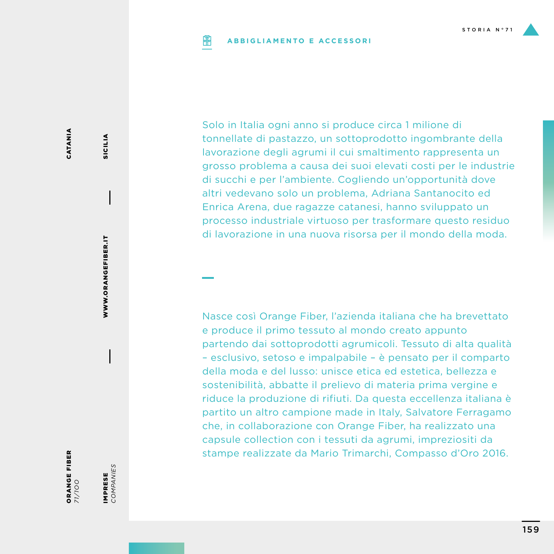### **PIP ABBIGLIAMENTO E ACCESSORI**

Solo in Italia ogni anno si produce circa 1 milione di tonnellate di pastazzo, un sottoprodotto ingombrante della lavorazione degli agrumi il cui smaltimento rappresenta un grosso problema a causa dei suoi elevati costi per le industrie di succhi e per l'ambiente. Cogliendo un'opportunità dove altri vedevano solo un problema, Adriana Santanocito ed Enrica Arena, due ragazze catanesi, hanno sviluppato un processo industriale virtuoso per trasformare questo residuo di lavorazione in una nuova risorsa per il mondo della moda.

Nasce così Orange Fiber, l'azienda italiana che ha brevettato e produce il primo tessuto al mondo creato appunto partendo dai sottoprodotti agrumicoli. Tessuto di alta qualità – esclusivo, setoso e impalpabile – è pensato per il comparto della moda e del lusso: unisce etica ed estetica, bellezza e sostenibilità, abbatte il prelievo di materia prima vergine e riduce la produzione di rifiuti. Da questa eccellenza italiana è partito un altro campione made in Italy, Salvatore Ferragamo che, in collaborazione con Orange Fiber, ha realizzato una capsule collection con i tessuti da agrumi, impreziositi da stampe realizzate da Mario Trimarchi, Compasso d'Oro 2016.

CATANIA CATANIA

IMPRESE *COMPANIES*

IMPRESE<br>COMPANIES

WWW.ORANGEFIBER.IT

WWW.ORANGEFIBER.IT

SICILIA

**SICILIA** 

159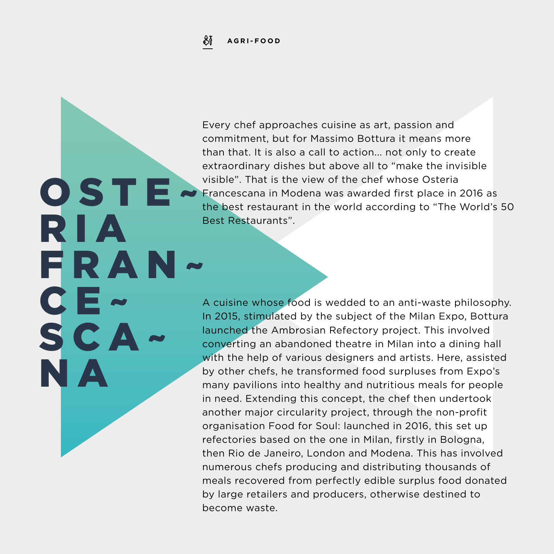

**OSTE** 

FRAN~

R I A

CE~

SCA

N A

Every chef approaches cuisine as art, passion and commitment, but for Massimo Bottura it means more than that. It is also a call to action... not only to create extraordinary dishes but above all to "make the invisible visible". That is the view of the chef whose Osteria Francescana in Modena was awarded first place in 2016 as the best restaurant in the world according to "The World's 50 Best Restaurants".

A cuisine whose food is wedded to an anti-waste philosophy. In 2015, stimulated by the subject of the Milan Expo, Bottura launched the Ambrosian Refectory project. This involved converting an abandoned theatre in Milan into a dining hall with the help of various designers and artists. Here, assisted by other chefs, he transformed food surpluses from Expo's many pavilions into healthy and nutritious meals for people in need. Extending this concept, the chef then undertook another major circularity project, through the non-profit organisation Food for Soul: launched in 2016, this set up refectories based on the one in Milan, firstly in Bologna, then Rio de Janeiro, London and Modena. This has involved numerous chefs producing and distributing thousands of meals recovered from perfectly edible surplus food donated by large retailers and producers, otherwise destined to become waste.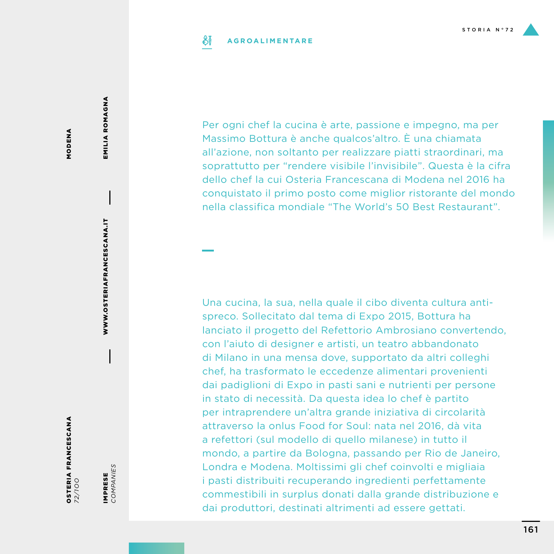### SĬ **AGROALIMENTARE**

Per ogni chef la cucina è arte, passione e impegno, ma per Massimo Bottura è anche qualcos'altro. È una chiamata all'azione, non soltanto per realizzare piatti straordinari, ma soprattutto per "rendere visibile l'invisibile". Questa è la cifra dello chef la cui Osteria Francescana di Modena nel 2016 ha conquistato il primo posto come miglior ristorante del mondo nella classifica mondiale "The World's 50 Best Restaurant".

Una cucina, la sua, nella quale il cibo diventa cultura antispreco. Sollecitato dal tema di Expo 2015, Bottura ha lanciato il progetto del Refettorio Ambrosiano convertendo, con l'aiuto di designer e artisti, un teatro abbandonato di Milano in una mensa dove, supportato da altri colleghi chef, ha trasformato le eccedenze alimentari provenienti dai padiglioni di Expo in pasti sani e nutrienti per persone in stato di necessità. Da questa idea lo chef è partito per intraprendere un'altra grande iniziativa di circolarità attraverso la onlus Food for Soul: nata nel 2016, dà vita a refettori (sul modello di quello milanese) in tutto il mondo, a partire da Bologna, passando per Rio de Janeiro, Londra e Modena. Moltissimi gli chef coinvolti e migliaia i pasti distribuiti recuperando ingredienti perfettamente commestibili in surplus donati dalla grande distribuzione e

dai produttori, destinati altrimenti ad essere gettati.

MODENA MODENA EMILIA ROMAGNA

EMILIA ROMAGNA

IMPRESE *COMPANIES*

IMPRESE<br>COMPANIES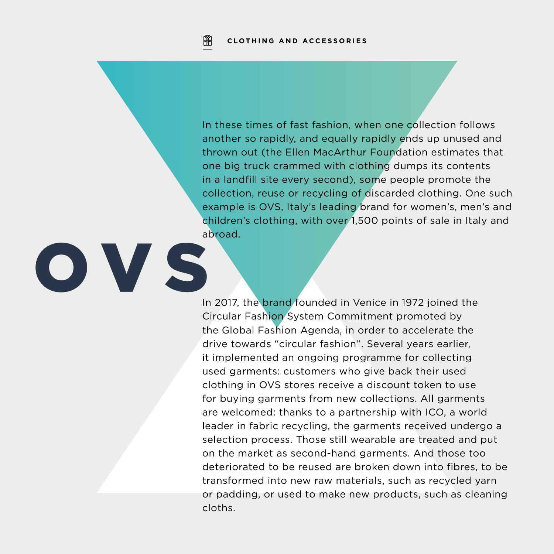OVS

In these times of fast fashion, when one collection follows another so rapidly, and equally rapidly ends up unused and thrown out (the Ellen MacArthur Foundation estimates that one big truck crammed with clothing dumps its contents in a landfill site every second), some people promote the collection, reuse or recycling of discarded clothing. One such example is OVS, Italy's leading brand for women's, men's and children's clothing, with over 1,500 points of sale in Italy and abroad.

In 2017, the brand founded in Venice in 1972 joined the Circular Fashion System Commitment promoted by the Global Fashion Agenda, in order to accelerate the drive towards "circular fashion". Several years earlier, it implemented an ongoing programme for collecting used garments: customers who give back their used clothing in OVS stores receive a discount token to use for buying garments from new collections. All garments are welcomed: thanks to a partnership with ICO, a world leader in fabric recycling, the garments received undergo a selection process. Those still wearable are treated and put on the market as second-hand garments. And those too deteriorated to be reused are broken down into fibres, to be transformed into new raw materials, such as recycled yarn or padding, or used to make new products, such as cleaning cloths.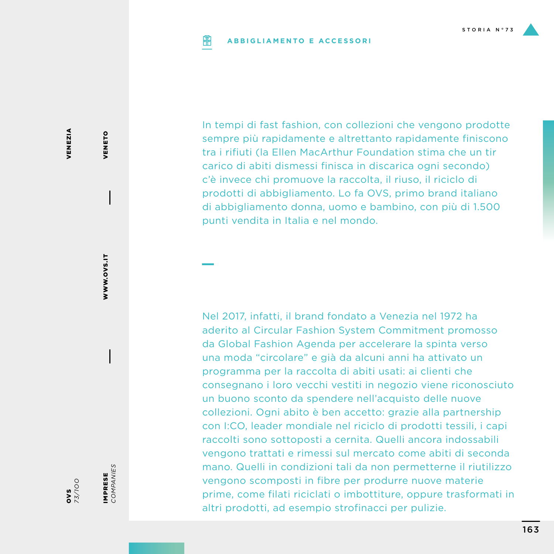### **PIP ABBIGLIAMENTO E ACCESSORI**

In tempi di fast fashion, con collezioni che vengono prodotte sempre più rapidamente e altrettanto rapidamente finiscono tra i rifiuti (la Ellen MacArthur Foundation stima che un tir carico di abiti dismessi finisca in discarica ogni secondo) c'è invece chi promuove la raccolta, il riuso, il riciclo di prodotti di abbigliamento. Lo fa OVS, primo brand italiano di abbigliamento donna, uomo e bambino, con più di 1.500 punti vendita in Italia e nel mondo.

Nel 2017, infatti, il brand fondato a Venezia nel 1972 ha aderito al Circular Fashion System Commitment promosso da Global Fashion Agenda per accelerare la spinta verso una moda "circolare" e già da alcuni anni ha attivato un programma per la raccolta di abiti usati: ai clienti che consegnano i loro vecchi vestiti in negozio viene riconosciuto un buono sconto da spendere nell'acquisto delle nuove collezioni. Ogni abito è ben accetto: grazie alla partnership con I:CO, leader mondiale nel riciclo di prodotti tessili, i capi raccolti sono sottoposti a cernita. Quelli ancora indossabili vengono trattati e rimessi sul mercato come abiti di seconda mano. Quelli in condizioni tali da non permetterne il riutilizzo vengono scomposti in fibre per produrre nuove materie prime, come filati riciclati o imbottiture, oppure trasformati in altri prodotti, ad esempio strofinacci per pulizie.

VENEZIA VENEZIA

> WWW.OVS.IT WWW.OVS.IT

VENETO

VENETO

IMPRESE<br>COMPANIES

IMPRESE *COMPANIES*

OVS *73/1OO*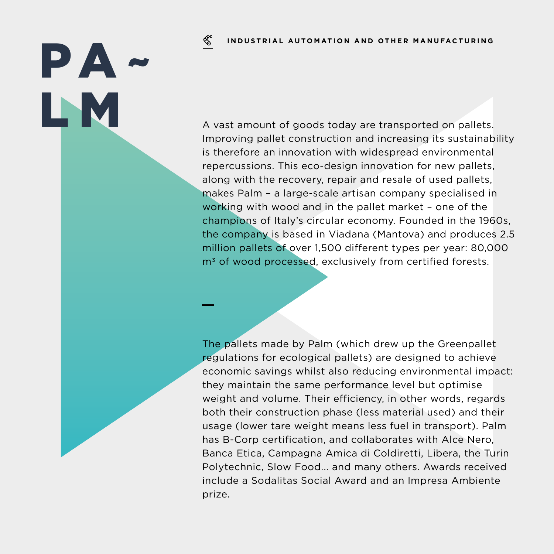### ≪ **INDUSTRIAL AUTOMATION AND OTHER MANUFACTURING**

PA~

A vast amount of goods today are transported on pallets. Improving pallet construction and increasing its sustainability is therefore an innovation with widespread environmental repercussions. This eco-design innovation for new pallets, along with the recovery, repair and resale of used pallets, makes Palm – a large-scale artisan company specialised in working with wood and in the pallet market – one of the champions of Italy's circular economy. Founded in the 1960s, the company is based in Viadana (Mantova) and produces 2.5 million pallets of over 1,500 different types per year: 80,000 m<sup>3</sup> of wood processed, exclusively from certified forests.

> The pallets made by Palm (which drew up the Greenpallet regulations for ecological pallets) are designed to achieve economic savings whilst also reducing environmental impact: they maintain the same performance level but optimise weight and volume. Their efficiency, in other words, regards both their construction phase (less material used) and their usage (lower tare weight means less fuel in transport). Palm has B-Corp certification, and collaborates with Alce Nero, Banca Etica, Campagna Amica di Coldiretti, Libera, the Turin Polytechnic, Slow Food... and many others. Awards received include a Sodalitas Social Award and an Impresa Ambiente prize.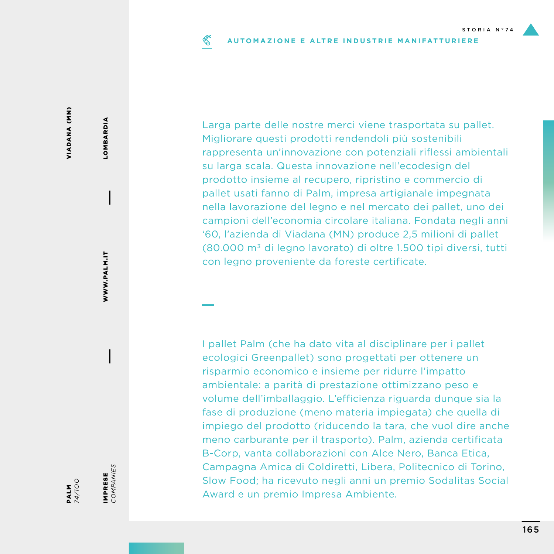### ≪ **AUTOMAZIONE E ALTRE INDUSTRIE MANIFATTURIERE**

Larga parte delle nostre merci viene trasportata su pallet. Migliorare questi prodotti rendendoli più sostenibili rappresenta un'innovazione con potenziali riflessi ambientali su larga scala. Questa innovazione nell'ecodesign del prodotto insieme al recupero, ripristino e commercio di pallet usati fanno di Palm, impresa artigianale impegnata nella lavorazione del legno e nel mercato dei pallet, uno dei campioni dell'economia circolare italiana. Fondata negli anni '60, l'azienda di Viadana (MN) produce 2,5 milioni di pallet (80.000 m3 di legno lavorato) di oltre 1.500 tipi diversi, tutti con legno proveniente da foreste certificate.

I pallet Palm (che ha dato vita al disciplinare per i pallet ecologici Greenpallet) sono progettati per ottenere un risparmio economico e insieme per ridurre l'impatto ambientale: a parità di prestazione ottimizzano peso e volume dell'imballaggio. L'efficienza riguarda dunque sia la fase di produzione (meno materia impiegata) che quella di impiego del prodotto (riducendo la tara, che vuol dire anche meno carburante per il trasporto). Palm, azienda certificata B-Corp, vanta collaborazioni con Alce Nero, Banca Etica, Campagna Amica di Coldiretti, Libera, Politecnico di Torino, Slow Food; ha ricevuto negli anni un premio Sodalitas Social Award e un premio Impresa Ambiente.

LOMBARDIA

**LOMBARDIA** 

IMPRESE<br>COMPANIES IMPRESE

*COMPANIES*

PALM *74/1OO*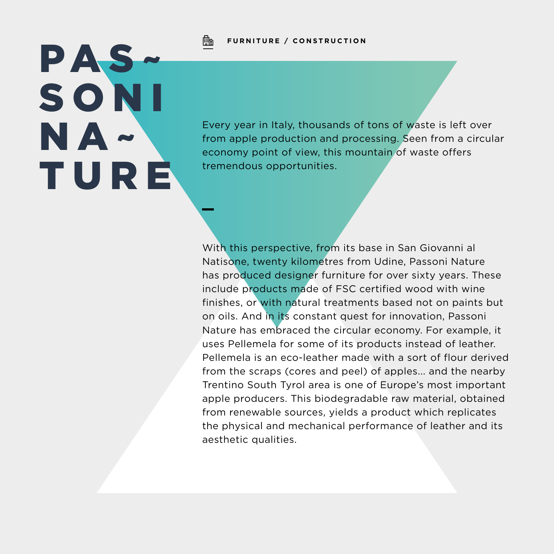

# PAS~ S O N I NA~ TURE

Every year in Italy, thousands of tons of waste is left over from apple production and processing. Seen from a circular economy point of view, this mountain of waste offers tremendous opportunities.

With this perspective, from its base in San Giovanni al Natisone, twenty kilometres from Udine, Passoni Nature has produced designer furniture for over sixty years. These include products made of FSC certified wood with wine finishes, or with natural treatments based not on paints but on oils. And in its constant quest for innovation, Passoni Nature has embraced the circular economy. For example, it uses Pellemela for some of its products instead of leather. Pellemela is an eco-leather made with a sort of flour derived from the scraps (cores and peel) of apples... and the nearby Trentino South Tyrol area is one of Europe's most important apple producers. This biodegradable raw material, obtained from renewable sources, yields a product which replicates the physical and mechanical performance of leather and its aesthetic qualities.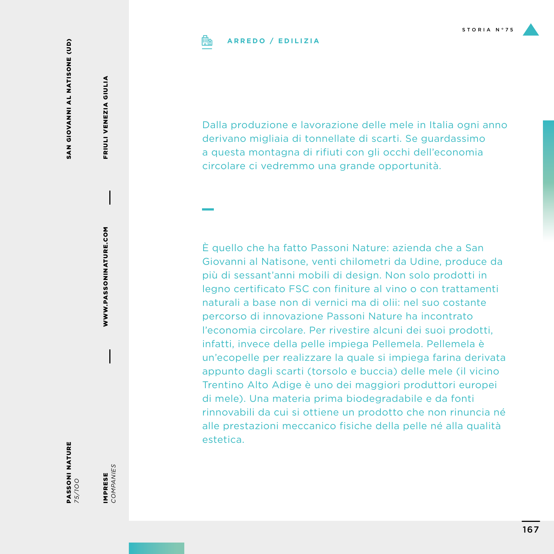# **ARREDO / EDILIZIA**

Dalla produzione e lavorazione delle mele in Italia ogni anno derivano migliaia di tonnellate di scarti. Se guardassimo a questa montagna di rifiuti con gli occhi dell'economia circolare ci vedremmo una grande opportunità.

È quello che ha fatto Passoni Nature: azienda che a San Giovanni al Natisone, venti chilometri da Udine, produce da più di sessant'anni mobili di design. Non solo prodotti in legno certificato FSC con finiture al vino o con trattamenti naturali a base non di vernici ma di olii: nel suo costante percorso di innovazione Passoni Nature ha incontrato l'economia circolare. Per rivestire alcuni dei suoi prodotti, infatti, invece della pelle impiega Pellemela. Pellemela è un'ecopelle per realizzare la quale si impiega farina derivata appunto dagli scarti (torsolo e buccia) delle mele (il vicino Trentino Alto Adige è uno dei maggiori produttori europei di mele). Una materia prima biodegradabile e da fonti rinnovabili da cui si ottiene un prodotto che non rinuncia né alle prestazioni meccanico fisiche della pelle né alla qualità estetica.

FRIULI VENEZIA GIULIA

FRIULI VENEZIA GIULIA

WWW.PASSONINATURE.COM WWW.PASSONINATURE.COM

PASSONI NATURE *75/1OO*

IMPRESE *COMPANIES*

IMPRESE<br>COMPANIES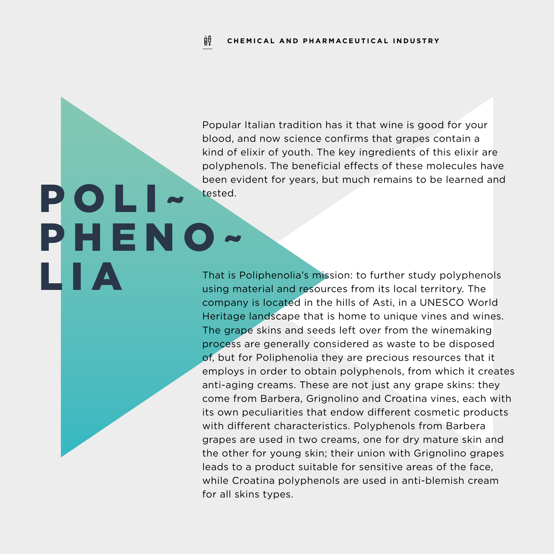POLI~

LIA

PHENO~

Popular Italian tradition has it that wine is good for your blood, and now science confirms that grapes contain a kind of elixir of youth. The key ingredients of this elixir are polyphenols. The beneficial effects of these molecules have been evident for years, but much remains to be learned and tested.

That is Poliphenolia's mission: to further study polyphenols using material and resources from its local territory. The company is located in the hills of Asti, in a UNESCO World Heritage landscape that is home to unique vines and wines. The grape skins and seeds left over from the winemaking process are generally considered as waste to be disposed of, but for Poliphenolia they are precious resources that it employs in order to obtain polyphenols, from which it creates anti-aging creams. These are not just any grape skins: they come from Barbera, Grignolino and Croatina vines, each with its own peculiarities that endow different cosmetic products with different characteristics. Polyphenols from Barbera grapes are used in two creams, one for dry mature skin and the other for young skin; their union with Grignolino grapes leads to a product suitable for sensitive areas of the face, while Croatina polyphenols are used in anti-blemish cream for all skins types.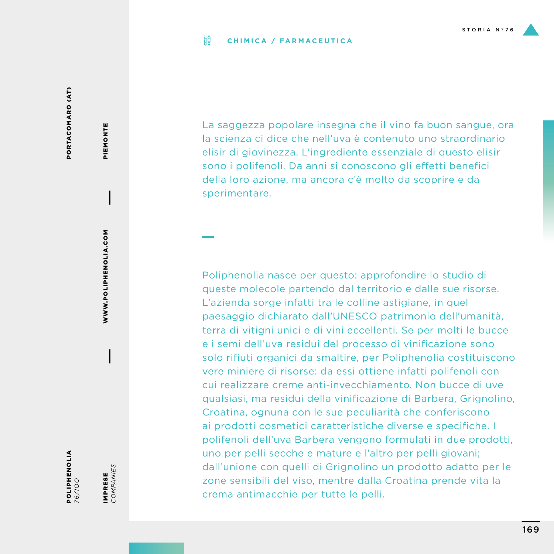### ijθ **CHIMICA / FARMACEUTICA**

PORTACOMARO (AT) PORTACOMARO (AT)

POLIPHENOLIA *76/1OO*

IMPRESE<br>COMPANIES *COMPANIES* IMPRESE

WWW.POLIPHENOLIA.COM

**WWW.POLIPHENOLIA.COM** 

PIEMONTE

PIEMONTE

La saggezza popolare insegna che il vino fa buon sangue, ora la scienza ci dice che nell'uva è contenuto uno straordinario elisir di giovinezza. L'ingrediente essenziale di questo elisir sono i polifenoli. Da anni si conoscono gli effetti benefici della loro azione, ma ancora c'è molto da scoprire e da sperimentare.

Poliphenolia nasce per questo: approfondire lo studio di queste molecole partendo dal territorio e dalle sue risorse. L'azienda sorge infatti tra le colline astigiane, in quel paesaggio dichiarato dall'UNESCO patrimonio dell'umanità, terra di vitigni unici e di vini eccellenti. Se per molti le bucce e i semi dell'uva residui del processo di vinificazione sono solo rifiuti organici da smaltire, per Poliphenolia costituiscono vere miniere di risorse: da essi ottiene infatti polifenoli con cui realizzare creme anti-invecchiamento. Non bucce di uve qualsiasi, ma residui della vinificazione di Barbera, Grignolino, Croatina, ognuna con le sue peculiarità che conferiscono ai prodotti cosmetici caratteristiche diverse e specifiche. I polifenoli dell'uva Barbera vengono formulati in due prodotti, uno per pelli secche e mature e l'altro per pelli giovani; dall'unione con quelli di Grignolino un prodotto adatto per le zone sensibili del viso, mentre dalla Croatina prende vita la crema antimacchie per tutte le pelli.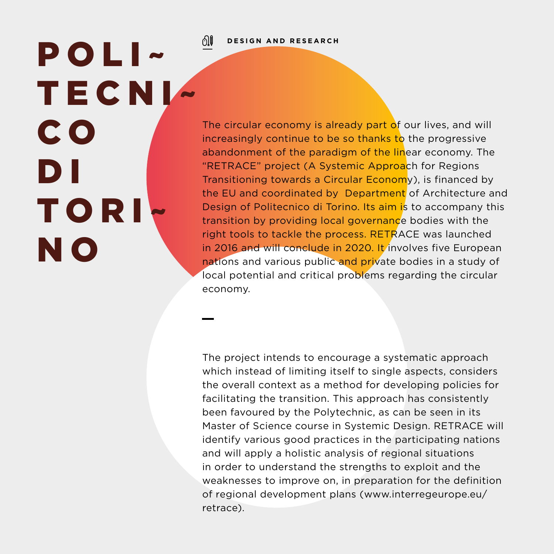### ிி **DESIGN AND RESEARCH**

POLI~ TECNI~ C O D I TORI~ N O

The circular economy is already part of our lives, and will increasingly continue to be so thanks to the progressive abandonment of the paradigm of the linear economy. The "RETRACE" project (A Systemic Approach for Regions Transitioning towards a Circular Economy), is financed by the EU and coordinated by Department of Architecture and Design of Politecnico di Torino. Its aim is to accompany this transition by providing local governance bodies with the right tools to tackle the process. RETRACE was launched in 2016 and will conclude in 2020. It involves five European nations and various public and private bodies in a study of local potential and critical problems regarding the circular economy.

The project intends to encourage a systematic approach which instead of limiting itself to single aspects, considers the overall context as a method for developing policies for facilitating the transition. This approach has consistently been favoured by the Polytechnic, as can be seen in its Master of Science course in Systemic Design. RETRACE will identify various good practices in the participating nations and will apply a holistic analysis of regional situations in order to understand the strengths to exploit and the weaknesses to improve on, in preparation for the definition of regional development plans (www.interregeurope.eu/ retrace).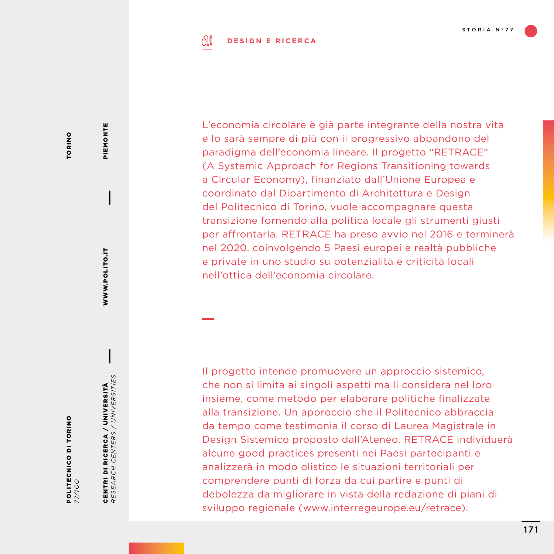### ி **DESIGN E RICERCA**

**TORINO** TORINO

POLITECNICO DI TORINO *77/1OO* CENTRI DI RICERCA / UNIVERSITÀ *RESEARCH CENTERS / UNIVERSITIES*

CENTRI DI RICERCA / UNIVERSITÀ<br>RESEARCH CENTERS / UNIVERSITIES

WWW.POLITO.IT

WWW.POLITO.IT

PIEMONTE

PIEMONTE

L'economia circolare è già parte integrante della nostra vita e lo sarà sempre di più con il progressivo abbandono del paradigma dell'economia lineare. Il progetto "RETRACE" (A Systemic Approach for Regions Transitioning towards a Circular Economy), finanziato dall'Unione Europea e coordinato dal Dipartimento di Architettura e Design del Politecnico di Torino, vuole accompagnare questa transizione fornendo alla politica locale gli strumenti giusti per affrontarla. RETRACE ha preso avvio nel 2016 e terminerà nel 2020, coinvolgendo 5 Paesi europei e realtà pubbliche e private in uno studio su potenzialità e criticità locali nell'ottica dell'economia circolare.

Il progetto intende promuovere un approccio sistemico, che non si limita ai singoli aspetti ma li considera nel loro insieme, come metodo per elaborare politiche finalizzate alla transizione. Un approccio che il Politecnico abbraccia da tempo come testimonia il corso di Laurea Magistrale in Design Sistemico proposto dall'Ateneo. RETRACE individuerà alcune good practices presenti nei Paesi partecipanti e analizzerà in modo olistico le situazioni territoriali per comprendere punti di forza da cui partire e punti di debolezza da migliorare in vista della redazione di piani di sviluppo regionale (www.interregeurope.eu/retrace).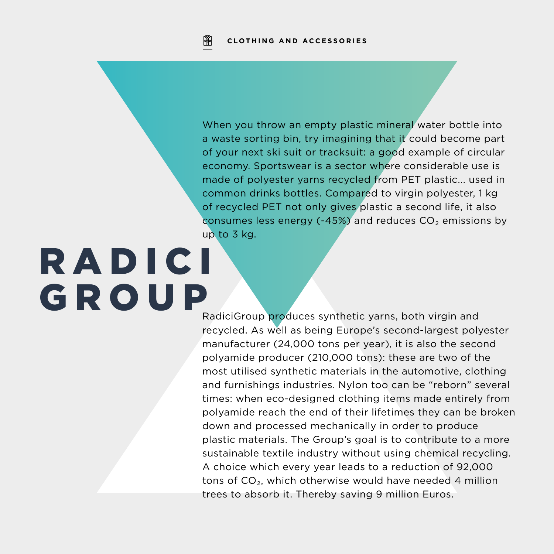When you throw an empty plastic mineral water bottle into a waste sorting bin, try imagining that it could become part of your next ski suit or tracksuit: a good example of circular economy. Sportswear is a sector where considerable use is made of polyester yarns recycled from PET plastic... used in common drinks bottles. Compared to virgin polyester, 1 kg of recycled PET not only gives plastic a second life, it also consumes less energy (-45%) and reduces  $CO<sub>2</sub>$  emissions by up to 3 kg.

# RADICI GROUP

RadiciGroup produces synthetic yarns, both virgin and recycled. As well as being Europe's second-largest polyester manufacturer (24,000 tons per year), it is also the second polyamide producer (210,000 tons): these are two of the most utilised synthetic materials in the automotive, clothing and furnishings industries. Nylon too can be "reborn" several times: when eco-designed clothing items made entirely from polyamide reach the end of their lifetimes they can be broken down and processed mechanically in order to produce plastic materials. The Group's goal is to contribute to a more sustainable textile industry without using chemical recycling. A choice which every year leads to a reduction of 92,000 tons of CO<sub>2</sub>, which otherwise would have needed 4 million trees to absorb it. Thereby saving 9 million Euros.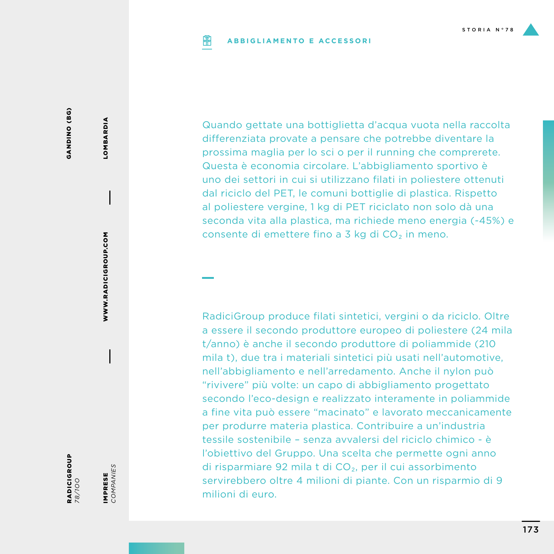### **PIP ABBIGLIAMENTO E ACCESSORI**

GANDINO (BG) GANDINO (BG)

RADICIGROUP *78/1OO*

WWW.RADICIGROUP.COM

WWW.RADICIGROUP.COM

LOMBARDIA

LOMBARDIA

IMPRESE<br>COMPANIES *COMPANIES* IMPRESE

Quando gettate una bottiglietta d'acqua vuota nella raccolta differenziata provate a pensare che potrebbe diventare la prossima maglia per lo sci o per il running che comprerete. Questa è economia circolare. L'abbigliamento sportivo è uno dei settori in cui si utilizzano filati in poliestere ottenuti dal riciclo del PET, le comuni bottiglie di plastica. Rispetto al poliestere vergine, 1 kg di PET riciclato non solo dà una seconda vita alla plastica, ma richiede meno energia (-45%) e consente di emettere fino a 3 kg di  $CO<sub>2</sub>$  in meno.

RadiciGroup produce filati sintetici, vergini o da riciclo. Oltre a essere il secondo produttore europeo di poliestere (24 mila t/anno) è anche il secondo produttore di poliammide (210 mila t), due tra i materiali sintetici più usati nell'automotive, nell'abbigliamento e nell'arredamento. Anche il nylon può "rivivere" più volte: un capo di abbigliamento progettato secondo l'eco-design e realizzato interamente in poliammide a fine vita può essere "macinato" e lavorato meccanicamente per produrre materia plastica. Contribuire a un'industria tessile sostenibile – senza avvalersi del riciclo chimico - è l'obiettivo del Gruppo. Una scelta che permette ogni anno di risparmiare 92 mila t di CO₂, per il cui assorbimento servirebbero oltre 4 milioni di piante. Con un risparmio di 9 milioni di euro.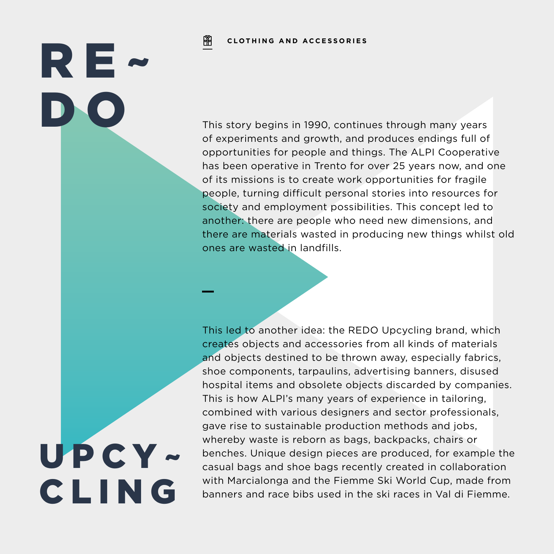阐 **CLOTHING AND ACCESSORIES**

This story begins in 1990, continues through many years of experiments and growth, and produces endings full of opportunities for people and things. The ALPI Cooperative has been operative in Trento for over 25 years now, and one of its missions is to create work opportunities for fragile people, turning difficult personal stories into resources for society and employment possibilities. This concept led to another: there are people who need new dimensions, and there are materials wasted in producing new things whilst old ones are wasted in landfills.

This led to another idea: the REDO Upcycling brand, which creates objects and accessories from all kinds of materials and objects destined to be thrown away, especially fabrics, shoe components, tarpaulins, advertising banners, disused hospital items and obsolete objects discarded by companies. This is how ALPI's many years of experience in tailoring, combined with various designers and sector professionals, gave rise to sustainable production methods and jobs, whereby waste is reborn as bags, backpacks, chairs or benches. Unique design pieces are produced, for example the casual bags and shoe bags recently created in collaboration with Marcialonga and the Fiemme Ski World Cup, made from banners and race bibs used in the ski races in Val di Fiemme.

UPCY~ CLING

RE~

D N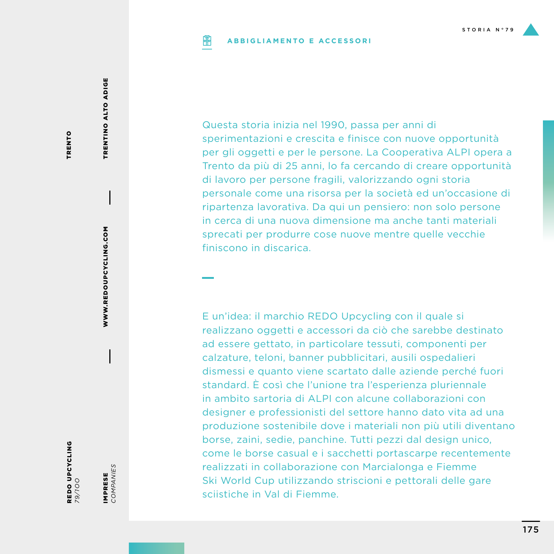### **ABBIGLIAMENTO E ACCESSORIPIP**

TRENTO TRENTO

> WWW.REDOUPCYCLING.COM WWW.REDOUPCYCLING.COM

TRENTINO ALTO ADIGE

TRENTINO ALTO ADIGE

*79/1OO*

REDO UPCYCLING

IMPRESE<br>COMPANIES *COMPANIES* IMPRESE

Questa storia inizia nel 1990, passa per anni di sperimentazioni e crescita e finisce con nuove opportunità per gli oggetti e per le persone. La Cooperativa ALPI opera a Trento da più di 25 anni, lo fa cercando di creare opportunità di lavoro per persone fragili, valorizzando ogni storia personale come una risorsa per la società ed un'occasione di ripartenza lavorativa. Da qui un pensiero: non solo persone in cerca di una nuova dimensione ma anche tanti materiali sprecati per produrre cose nuove mentre quelle vecchie finiscono in discarica.

E un'idea: il marchio REDO Upcycling con il quale si realizzano oggetti e accessori da ciò che sarebbe destinato ad essere gettato, in particolare tessuti, componenti per calzature, teloni, banner pubblicitari, ausili ospedalieri dismessi e quanto viene scartato dalle aziende perché fuori standard. È così che l'unione tra l'esperienza pluriennale in ambito sartoria di ALPI con alcune collaborazioni con designer e professionisti del settore hanno dato vita ad una produzione sostenibile dove i materiali non più utili diventano borse, zaini, sedie, panchine. Tutti pezzi dal design unico, come le borse casual e i sacchetti portascarpe recentemente realizzati in collaborazione con Marcialonga e Fiemme Ski World Cup utilizzando striscioni e pettorali delle gare sciistiche in Val di Fiemme.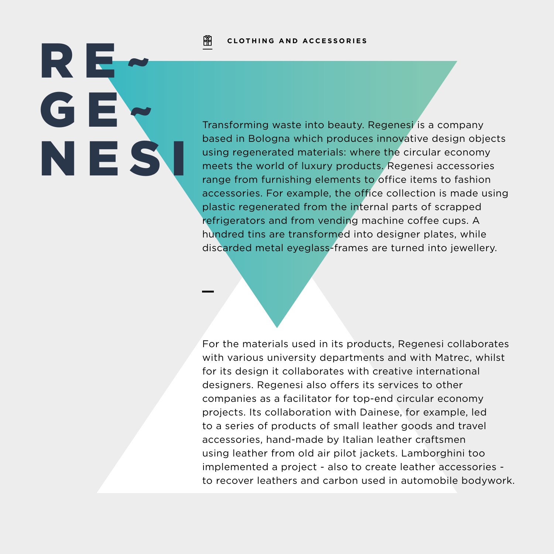阐 **CLOTHING AND ACCESSORIES**

RE~ GE~ NES

Transforming waste into beauty. Regenesi is a company based in Bologna which produces innovative design objects using regenerated materials: where the circular economy meets the world of luxury products. Regenesi accessories range from furnishing elements to office items to fashion accessories. For example, the office collection is made using plastic regenerated from the internal parts of scrapped refrigerators and from vending machine coffee cups. A hundred tins are transformed into designer plates, while discarded metal eyeglass-frames are turned into jewellery.

For the materials used in its products, Regenesi collaborates with various university departments and with Matrec, whilst for its design it collaborates with creative international designers. Regenesi also offers its services to other companies as a facilitator for top-end circular economy projects. Its collaboration with Dainese, for example, led to a series of products of small leather goods and travel accessories, hand-made by Italian leather craftsmen using leather from old air pilot jackets. Lamborghini too implemented a project - also to create leather accessories to recover leathers and carbon used in automobile bodywork.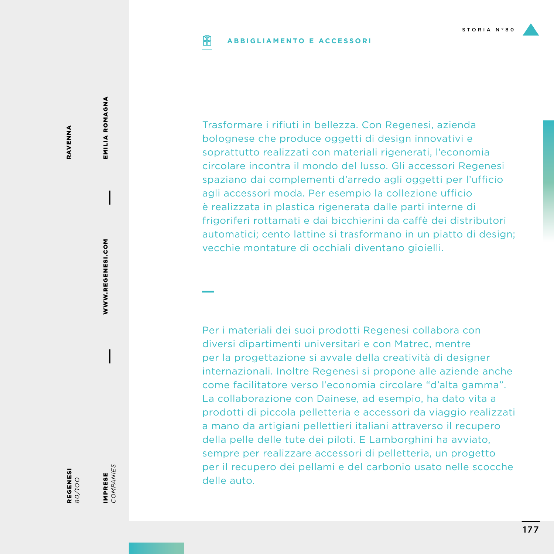### **ABBIGLIAMENTO E ACCESSORIPIP**

RAVENNA RAVENNA

> WWW.REGENESI.COM WWW.REGENESI.COM

EMILIA ROMAGNA

EMILIA ROMAGNA

**REGENESI**<br>80/100

REGENESI

IMPRESE<br>COMPANIES *COMPANIES* IMPRESE

Trasformare i rifiuti in bellezza. Con Regenesi, azienda bolognese che produce oggetti di design innovativi e soprattutto realizzati con materiali rigenerati, l'economia circolare incontra il mondo del lusso. Gli accessori Regenesi spaziano dai complementi d'arredo agli oggetti per l'ufficio agli accessori moda. Per esempio la collezione ufficio è realizzata in plastica rigenerata dalle parti interne di frigoriferi rottamati e dai bicchierini da caffè dei distributori automatici; cento lattine si trasformano in un piatto di design; vecchie montature di occhiali diventano gioielli.

Per i materiali dei suoi prodotti Regenesi collabora con diversi dipartimenti universitari e con Matrec, mentre per la progettazione si avvale della creatività di designer internazionali. Inoltre Regenesi si propone alle aziende anche come facilitatore verso l'economia circolare "d'alta gamma". La collaborazione con Dainese, ad esempio, ha dato vita a prodotti di piccola pelletteria e accessori da viaggio realizzati a mano da artigiani pellettieri italiani attraverso il recupero della pelle delle tute dei piloti. E Lamborghini ha avviato, sempre per realizzare accessori di pelletteria, un progetto per il recupero dei pellami e del carbonio usato nelle scocche delle auto.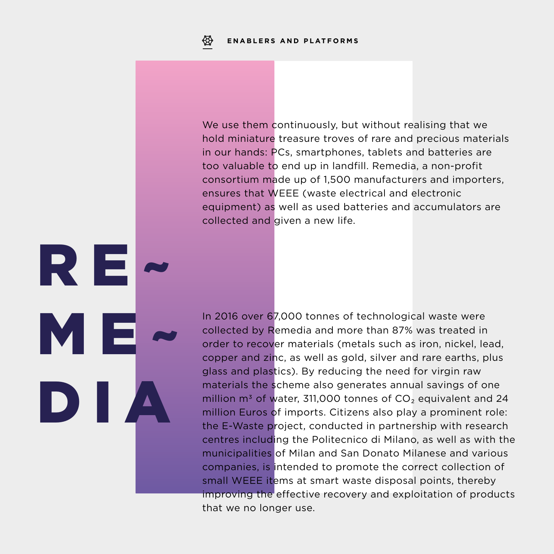R E<mark>.</mark>

DIA

ME~

We use them continuously, but without realising that we hold miniature treasure troves of rare and precious materials in our hands: PCs, smartphones, tablets and batteries are too valuable to end up in landfill. Remedia, a non-profit consortium made up of 1,500 manufacturers and importers, ensures that WEEE (waste electrical and electronic equipment) as well as used batteries and accumulators are collected and given a new life.

In 2016 over 67,000 tonnes of technological waste were collected by Remedia and more than 87% was treated in order to recover materials (metals such as iron, nickel, lead, copper and zinc, as well as gold, silver and rare earths, plus glass and plastics). By reducing the need for virgin raw materials the scheme also generates annual savings of one million  $m^3$  of water, 311,000 tonnes of  $CO<sub>2</sub>$  equivalent and 24 million Euros of imports. Citizens also play a prominent role: the E-Waste project, conducted in partnership with research centres including the Politecnico di Milano, as well as with the municipalities of Milan and San Donato Milanese and various companies, is intended to promote the correct collection of small WEEE items at smart waste disposal points, thereby improving the effective recovery and exploitation of products that we no longer use.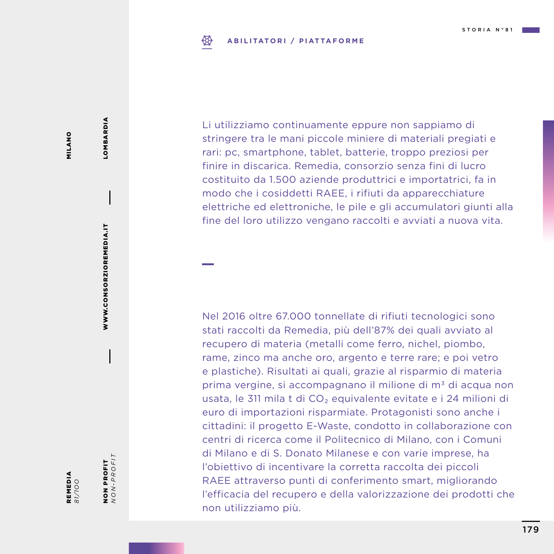### ₩ **ABILITATORI / PIATTAFORME**

Li utilizziamo continuamente eppure non sappiamo di stringere tra le mani piccole miniere di materiali pregiati e rari: pc, smartphone, tablet, batterie, troppo preziosi per finire in discarica. Remedia, consorzio senza fini di lucro costituito da 1.500 aziende produttrici e importatrici, fa in modo che i cosiddetti RAEE, i rifiuti da apparecchiature elettriche ed elettroniche, le pile e gli accumulatori giunti alla fine del loro utilizzo vengano raccolti e avviati a nuova vita.

Nel 2016 oltre 67.000 tonnellate di rifiuti tecnologici sono stati raccolti da Remedia, più dell'87% dei quali avviato al recupero di materia (metalli come ferro, nichel, piombo, rame, zinco ma anche oro, argento e terre rare; e poi vetro e plastiche). Risultati ai quali, grazie al risparmio di materia prima vergine, si accompagnano il milione di m<sup>3</sup> di acqua non usata, le 311 mila t di CO₂ equivalente evitate e i 24 milioni di euro di importazioni risparmiate. Protagonisti sono anche i cittadini: il progetto E-Waste, condotto in collaborazione con centri di ricerca come il Politecnico di Milano, con i Comuni di Milano e di S. Donato Milanese e con varie imprese, ha l'obiettivo di incentivare la corretta raccolta dei piccoli RAEE attraverso punti di conferimento smart, migliorando l'efficacia del recupero e della valorizzazione dei prodotti che non utilizziamo più.

WWW.CONSORZIOREMEDIA.IT WWW.CONSORZIOREMEDIA.IT

LOMBARDIA

LOMBARDIA

REMEDIA *81/1OO* NON PROFIT *NON-PROFIT*

NON PROFIT<br> $NON-PROFIT$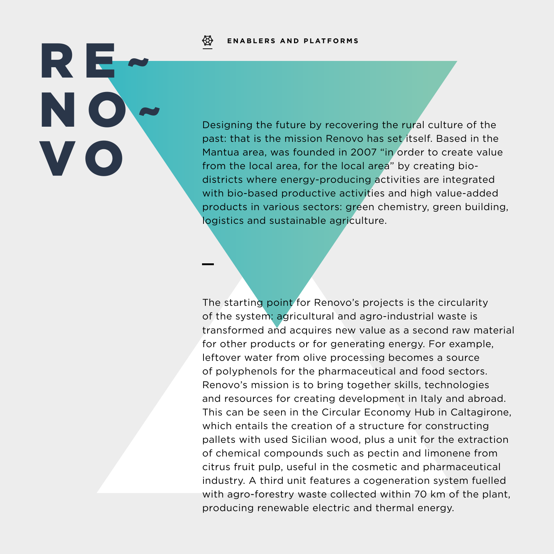**ENABLERS AND PLATFORMS**

RE~ NO~ V O

Designing the future by recovering the rural culture of the past: that is the mission Renovo has set itself. Based in the Mantua area, was founded in 2007 "in order to create value from the local area, for the local area" by creating biodistricts where energy-producing activities are integrated with bio-based productive activities and high value-added products in various sectors: green chemistry, green building, logistics and sustainable agriculture.

The starting point for Renovo's projects is the circularity of the system: agricultural and agro-industrial waste is transformed and acquires new value as a second raw material for other products or for generating energy. For example, leftover water from olive processing becomes a source of polyphenols for the pharmaceutical and food sectors. Renovo's mission is to bring together skills, technologies and resources for creating development in Italy and abroad. This can be seen in the Circular Economy Hub in Caltagirone, which entails the creation of a structure for constructing pallets with used Sicilian wood, plus a unit for the extraction of chemical compounds such as pectin and limonene from citrus fruit pulp, useful in the cosmetic and pharmaceutical industry. A third unit features a cogeneration system fuelled with agro-forestry waste collected within 70 km of the plant, producing renewable electric and thermal energy.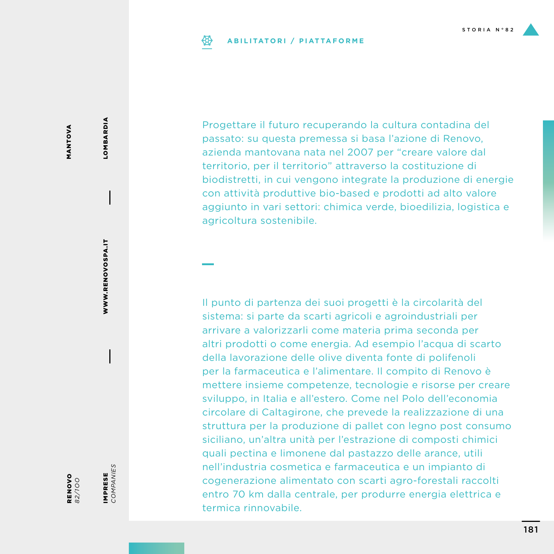## **ABILITATORI / PIATTAFORME**

Progettare il futuro recuperando la cultura contadina del passato: su questa premessa si basa l'azione di Renovo, azienda mantovana nata nel 2007 per "creare valore dal territorio, per il territorio" attraverso la costituzione di biodistretti, in cui vengono integrate la produzione di energie con attività produttive bio-based e prodotti ad alto valore aggiunto in vari settori: chimica verde, bioedilizia, logistica e agricoltura sostenibile.

Il punto di partenza dei suoi progetti è la circolarità del sistema: si parte da scarti agricoli e agroindustriali per arrivare a valorizzarli come materia prima seconda per altri prodotti o come energia. Ad esempio l'acqua di scarto della lavorazione delle olive diventa fonte di polifenoli per la farmaceutica e l'alimentare. Il compito di Renovo è mettere insieme competenze, tecnologie e risorse per creare sviluppo, in Italia e all'estero. Come nel Polo dell'economia circolare di Caltagirone, che prevede la realizzazione di una struttura per la produzione di pallet con legno post consumo siciliano, un'altra unità per l'estrazione di composti chimici quali pectina e limonene dal pastazzo delle arance, utili nell'industria cosmetica e farmaceutica e un impianto di cogenerazione alimentato con scarti agro-forestali raccolti entro 70 km dalla centrale, per produrre energia elettrica e termica rinnovabile.

MANTOVA MANTOVA **LOMBARDIA** LOMBARDIA

**RENOVO** 

IMPRESE *COMPANIES*

IMPRESE<br>COMPANIES

RENOVO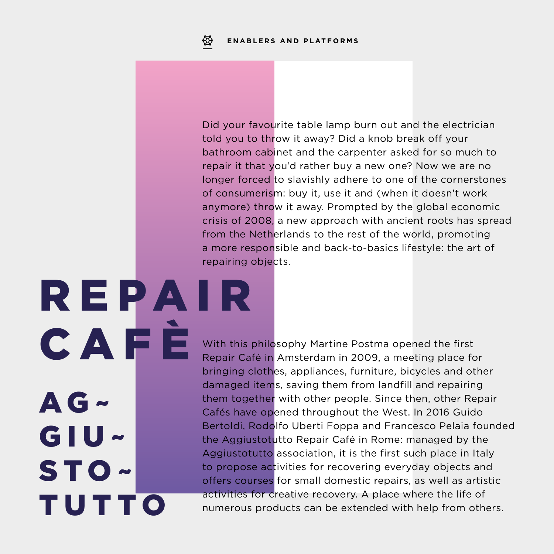R E PA I R

AG~

GIU~

STO~

TUTTO

Did your favourite table lamp burn out and the electrician told you to throw it away? Did a knob break off your bathroom cabinet and the carpenter asked for so much to repair it that you'd rather buy a new one? Now we are no longer forced to slavishly adhere to one of the cornerstones of consumerism: buy it, use it and (when it doesn't work anymore) throw it away. Prompted by the global economic crisis of 2008, a new approach with ancient roots has spread from the Netherlands to the rest of the world, promoting a more responsible and back-to-basics lifestyle: the art of repairing objects.

With this philosophy Martine Postma opened the first Repair Café in Amsterdam in 2009, a meeting place for bringing clothes, appliances, furniture, bicycles and other damaged items, saving them from landfill and repairing them together with other people. Since then, other Repair Cafés have opened throughout the West. In 2016 Guido Bertoldi, Rodolfo Uberti Foppa and Francesco Pelaia founded the Aggiustotutto Repair Café in Rome: managed by the Aggiustotutto association, it is the first such place in Italy to propose activities for recovering everyday objects and offers courses for small domestic repairs, as well as artistic activities for creative recovery. A place where the life of numerous products can be extended with help from others. CAFÈ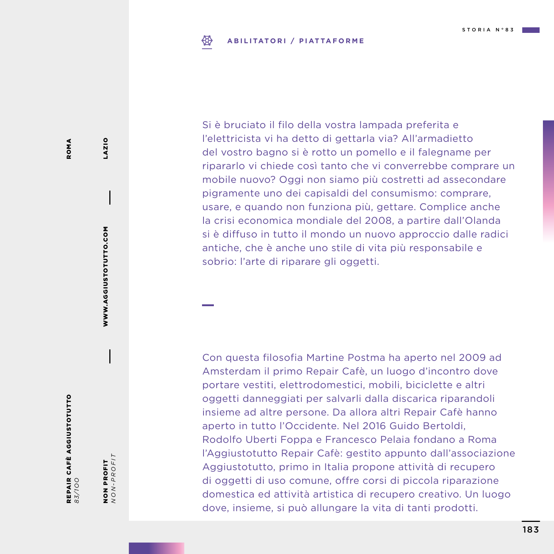#### ₩ **ABILITATORI / PIATTAFORME**

Si è bruciato il filo della vostra lampada preferita e l'elettricista vi ha detto di gettarla via? All'armadietto del vostro bagno si è rotto un pomello e il falegname per ripararlo vi chiede così tanto che vi converrebbe comprare un mobile nuovo? Oggi non siamo più costretti ad assecondare pigramente uno dei capisaldi del consumismo: comprare, usare, e quando non funziona più, gettare. Complice anche la crisi economica mondiale del 2008, a partire dall'Olanda si è diffuso in tutto il mondo un nuovo approccio dalle radici antiche, che è anche uno stile di vita più responsabile e sobrio: l'arte di riparare gli oggetti.

Con questa filosofia Martine Postma ha aperto nel 2009 ad Amsterdam il primo Repair Cafè, un luogo d'incontro dove portare vestiti, elettrodomestici, mobili, biciclette e altri oggetti danneggiati per salvarli dalla discarica riparandoli insieme ad altre persone. Da allora altri Repair Cafè hanno aperto in tutto l'Occidente. Nel 2016 Guido Bertoldi, Rodolfo Uberti Foppa e Francesco Pelaia fondano a Roma l'Aggiustotutto Repair Cafè: gestito appunto dall'associazione Aggiustotutto, primo in Italia propone attività di recupero di oggetti di uso comune, offre corsi di piccola riparazione domestica ed attività artistica di recupero creativo. Un luogo dove, insieme, si può allungare la vita di tanti prodotti.

REPAIR CAFÈ AGGIUSTOTUTTO **REPAIR CAFÈ AGGIUSTOTUTTO**<br>83/100

NON PROFIT<br> $NON-PROFIT$ *NON-PROFIT* NON PROFIT

WWW.AGGIUSTOTUTTO.COM

WWW.AGGIUSTOTUTTO.COM

LAZIO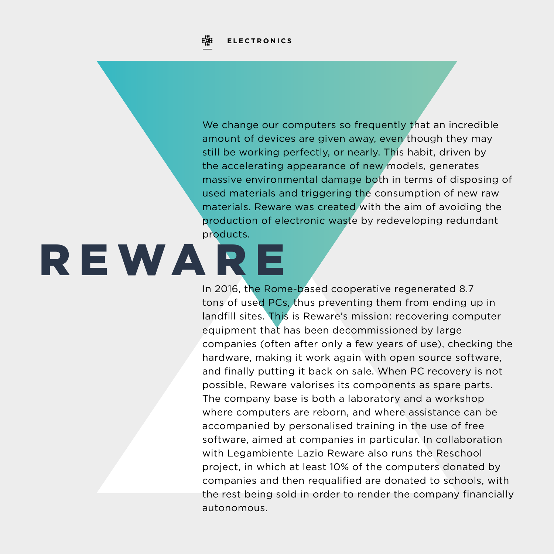

We change our computers so frequently that an incredible amount of devices are given away, even though they may still be working perfectly, or nearly. This habit, driven by the accelerating appearance of new models, generates massive environmental damage both in terms of disposing of used materials and triggering the consumption of new raw materials. Reware was created with the aim of avoiding the production of electronic waste by redeveloping redundant products.

# REWARE

In 2016, the Rome-based cooperative regenerated 8.7 tons of used PCs, thus preventing them from ending up in landfill sites. This is Reware's mission: recovering computer equipment that has been decommissioned by large companies (often after only a few years of use), checking the hardware, making it work again with open source software, and finally putting it back on sale. When PC recovery is not possible, Reware valorises its components as spare parts. The company base is both a laboratory and a workshop where computers are reborn, and where assistance can be accompanied by personalised training in the use of free software, aimed at companies in particular. In collaboration with Legambiente Lazio Reware also runs the Reschool project, in which at least 10% of the computers donated by companies and then requalified are donated to schools, with the rest being sold in order to render the company financially autonomous.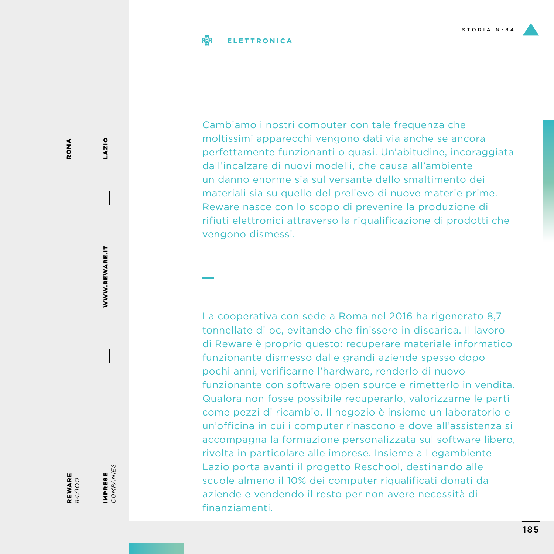### **ELETTRONICA**

Cambiamo i nostri computer con tale frequenza che moltissimi apparecchi vengono dati via anche se ancora perfettamente funzionanti o quasi. Un'abitudine, incoraggiata dall'incalzare di nuovi modelli, che causa all'ambiente un danno enorme sia sul versante dello smaltimento dei materiali sia su quello del prelievo di nuove materie prime. Reware nasce con lo scopo di prevenire la produzione di rifiuti elettronici attraverso la riqualificazione di prodotti che vengono dismessi.

La cooperativa con sede a Roma nel 2016 ha rigenerato 8,7 tonnellate di pc, evitando che finissero in discarica. Il lavoro di Reware è proprio questo: recuperare materiale informatico funzionante dismesso dalle grandi aziende spesso dopo pochi anni, verificarne l'hardware, renderlo di nuovo funzionante con software open source e rimetterlo in vendita. Qualora non fosse possibile recuperarlo, valorizzarne le parti come pezzi di ricambio. Il negozio è insieme un laboratorio e un'officina in cui i computer rinascono e dove all'assistenza si accompagna la formazione personalizzata sul software libero, rivolta in particolare alle imprese. Insieme a Legambiente Lazio porta avanti il progetto Reschool, destinando alle scuole almeno il 10% dei computer riqualificati donati da aziende e vendendo il resto per non avere necessità di finanziamenti.

WWW.REWARE.IT WWW.REWARE.IT

LAZIO

*84/1OO*

IMPRESE *COMPANIES*

IMPRESE<br>COMPANIES

REWARE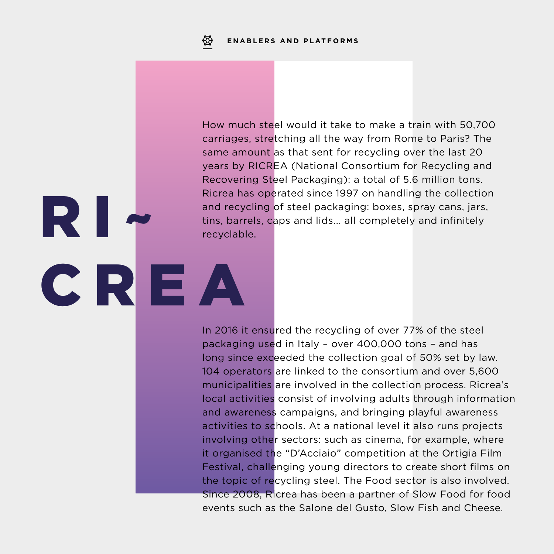RI~

CREA

How much steel would it take to make a train with 50,700 carriages, stretching all the way from Rome to Paris? The same amount as that sent for recycling over the last 20 years by RICREA (National Consortium for Recycling and Recovering Steel Packaging): a total of 5.6 million tons. Ricrea has operated since 1997 on handling the collection and recycling of steel packaging: boxes, spray cans, jars, tins, barrels, caps and lids... all completely and infinitely recyclable.

In 2016 it ensured the recycling of over 77% of the steel packaging used in Italy – over 400,000 tons – and has long since exceeded the collection goal of 50% set by law. 104 operators are linked to the consortium and over 5,600 municipalities are involved in the collection process. Ricrea's local activities consist of involving adults through information and awareness campaigns, and bringing playful awareness activities to schools. At a national level it also runs projects involving other sectors: such as cinema, for example, where it organised the "D'Acciaio" competition at the Ortigia Film Festival, challenging young directors to create short films on the topic of recycling steel. The Food sector is also involved. Since 2008, Ricrea has been a partner of Slow Food for food events such as the Salone del Gusto, Slow Fish and Cheese.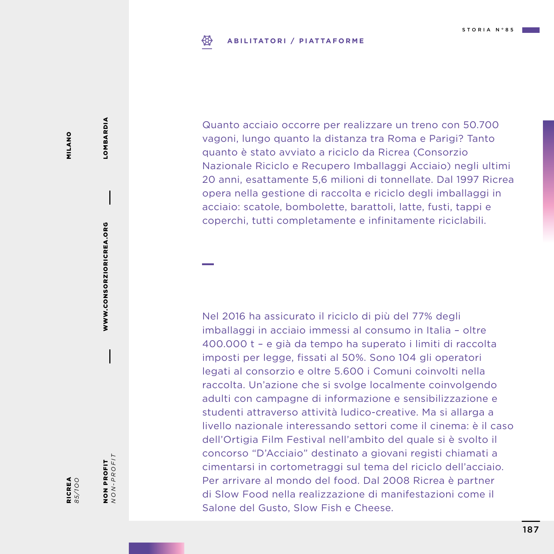### ₩ **ABILITATORI / PIATTAFORME**

MILANO MILANO

*85/1OO*

NON PROFIT *NON-PROFIT*

NON PROFIT<br> $NON-PROFIT$ 

WWW.CONSORZIORICREA.ORG

WWW.CONSORZIORICREA.ORG

LOMBARDIA

LOMBARDIA

RICREA

Quanto acciaio occorre per realizzare un treno con 50.700 vagoni, lungo quanto la distanza tra Roma e Parigi? Tanto quanto è stato avviato a riciclo da Ricrea (Consorzio Nazionale Riciclo e Recupero Imballaggi Acciaio) negli ultimi 20 anni, esattamente 5,6 milioni di tonnellate. Dal 1997 Ricrea opera nella gestione di raccolta e riciclo degli imballaggi in acciaio: scatole, bombolette, barattoli, latte, fusti, tappi e coperchi, tutti completamente e infinitamente riciclabili.

Nel 2016 ha assicurato il riciclo di più del 77% degli imballaggi in acciaio immessi al consumo in Italia – oltre 400.000 t – e già da tempo ha superato i limiti di raccolta imposti per legge, fissati al 50%. Sono 104 gli operatori legati al consorzio e oltre 5.600 i Comuni coinvolti nella raccolta. Un'azione che si svolge localmente coinvolgendo adulti con campagne di informazione e sensibilizzazione e studenti attraverso attività ludico-creative. Ma si allarga a livello nazionale interessando settori come il cinema: è il caso dell'Ortigia Film Festival nell'ambito del quale si è svolto il concorso "D'Acciaio" destinato a giovani registi chiamati a cimentarsi in cortometraggi sul tema del riciclo dell'acciaio. Per arrivare al mondo del food. Dal 2008 Ricrea è partner di Slow Food nella realizzazione di manifestazioni come il

Salone del Gusto, Slow Fish e Cheese.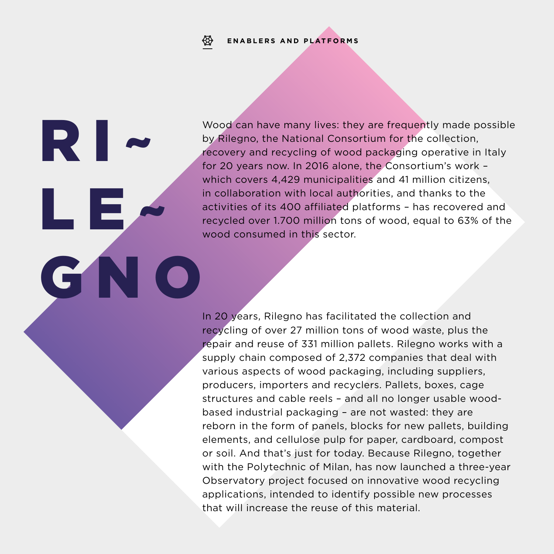## **ENABLERS AND PLATFORMS**

RI~

LE~

GN

Wood can have many lives: they are frequently made possible by Rilegno, the National Consortium for the collection, recovery and recycling of wood packaging operative in Italy for 20 years now. In 2016 alone, the Consortium's work – which covers 4,429 municipalities and 41 million citizens, in collaboration with local authorities, and thanks to the activities of its 400 affiliated platforms – has recovered and recycled over 1.700 million tons of wood, equal to 63% of the wood consumed in this sector.

In 20 years, Rilegno has facilitated the collection and recycling of over 27 million tons of wood waste, plus the repair and reuse of 331 million pallets. Rilegno works with a supply chain composed of 2,372 companies that deal with various aspects of wood packaging, including suppliers, producers, importers and recyclers. Pallets, boxes, cage structures and cable reels – and all no longer usable woodbased industrial packaging – are not wasted: they are reborn in the form of panels, blocks for new pallets, building elements, and cellulose pulp for paper, cardboard, compost or soil. And that's just for today. Because Rilegno, together with the Polytechnic of Milan, has now launched a three-year Observatory project focused on innovative wood recycling applications, intended to identify possible new processes that will increase the reuse of this material.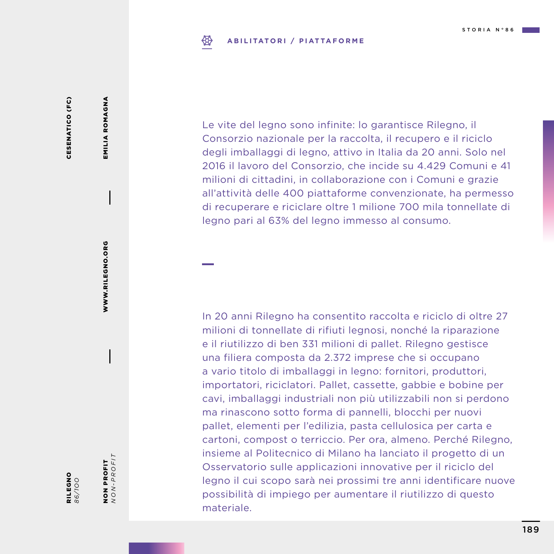### ₩ **ABILITATORI / PIATTAFORME**

CESENATICO (FC) CESENATICO (FC)

EMILIA ROMAGNA EMILIA ROMAGNA

> WWW.RILEGNO.ORG WWW.RILEGNO.ORG

NON PROFIT<br> $NON-PROFIT$ 

NON PROFIT *NON-PROFIT*

RILEGNO *86/1OO* Le vite del legno sono infinite: lo garantisce Rilegno, il Consorzio nazionale per la raccolta, il recupero e il riciclo degli imballaggi di legno, attivo in Italia da 20 anni. Solo nel 2016 il lavoro del Consorzio, che incide su 4.429 Comuni e 41 milioni di cittadini, in collaborazione con i Comuni e grazie all'attività delle 400 piattaforme convenzionate, ha permesso di recuperare e riciclare oltre 1 milione 700 mila tonnellate di legno pari al 63% del legno immesso al consumo.

In 20 anni Rilegno ha consentito raccolta e riciclo di oltre 27 milioni di tonnellate di rifiuti legnosi, nonché la riparazione e il riutilizzo di ben 331 milioni di pallet. Rilegno gestisce una filiera composta da 2.372 imprese che si occupano a vario titolo di imballaggi in legno: fornitori, produttori, importatori, riciclatori. Pallet, cassette, gabbie e bobine per cavi, imballaggi industriali non più utilizzabili non si perdono ma rinascono sotto forma di pannelli, blocchi per nuovi pallet, elementi per l'edilizia, pasta cellulosica per carta e cartoni, compost o terriccio. Per ora, almeno. Perché Rilegno, insieme al Politecnico di Milano ha lanciato il progetto di un Osservatorio sulle applicazioni innovative per il riciclo del legno il cui scopo sarà nei prossimi tre anni identificare nuove possibilità di impiego per aumentare il riutilizzo di questo materiale.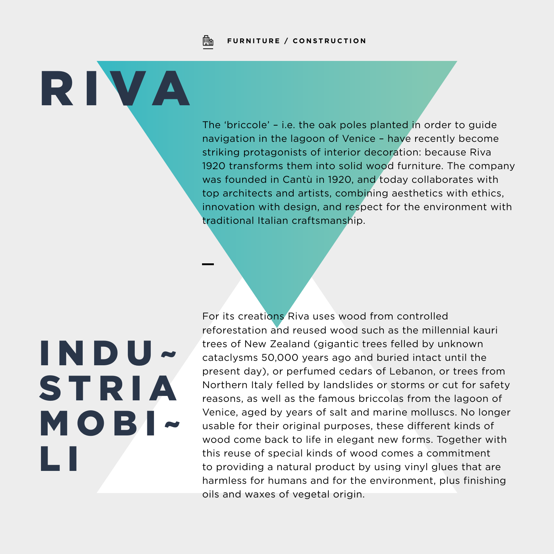Fh **FURNITURE / CONSTRUCTION**

RIVA

The 'briccole' – i.e. the oak poles planted in order to guide navigation in the lagoon of Venice – have recently become striking protagonists of interior decoration: because Riva 1920 transforms them into solid wood furniture. The company was founded in Cantù in 1920, and today collaborates with top architects and artists, combining aesthetics with ethics, innovation with design, and respect for the environment with traditional Italian craftsmanship.

# INDU~ **STRIA** MOBI~ L I

For its creations Riva uses wood from controlled reforestation and reused wood such as the millennial kauri trees of New Zealand (gigantic trees felled by unknown cataclysms 50,000 years ago and buried intact until the present day), or perfumed cedars of Lebanon, or trees from Northern Italy felled by landslides or storms or cut for safety reasons, as well as the famous briccolas from the lagoon of Venice, aged by years of salt and marine molluscs. No longer usable for their original purposes, these different kinds of wood come back to life in elegant new forms. Together with this reuse of special kinds of wood comes a commitment to providing a natural product by using vinyl glues that are harmless for humans and for the environment, plus finishing oils and waxes of vegetal origin.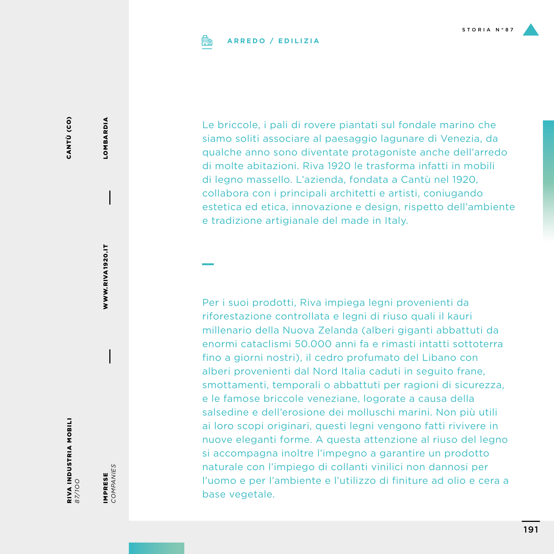

### **ARREDO / EDILIZIA**

CANTÙ (CO) CANTÙ (CO)

RIVA INDUSTRIA MOBILI *87/1OO*

IMPRESE<br>COMPANIES *COMPANIES* IMPRESE

WWW.RIVA1920.IT

**WWW.RIVA1920.IT** 

LOMBARDIA

**LOMBARDIA** 

Le briccole, i pali di rovere piantati sul fondale marino che siamo soliti associare al paesaggio lagunare di Venezia, da qualche anno sono diventate protagoniste anche dell'arredo di molte abitazioni. Riva 1920 le trasforma infatti in mobili di legno massello. L'azienda, fondata a Cantù nel 1920, collabora con i principali architetti e artisti, coniugando estetica ed etica, innovazione e design, rispetto dell'ambiente e tradizione artigianale del made in Italy.

Per i suoi prodotti, Riva impiega legni provenienti da riforestazione controllata e legni di riuso quali il kauri millenario della Nuova Zelanda (alberi giganti abbattuti da enormi cataclismi 50.000 anni fa e rimasti intatti sottoterra fino a giorni nostri), il cedro profumato del Libano con alberi provenienti dal Nord Italia caduti in seguito frane, smottamenti, temporali o abbattuti per ragioni di sicurezza, e le famose briccole veneziane, logorate a causa della salsedine e dell'erosione dei molluschi marini. Non più utili ai loro scopi originari, questi legni vengono fatti rivivere in nuove eleganti forme. A questa attenzione al riuso del legno si accompagna inoltre l'impegno a garantire un prodotto naturale con l'impiego di collanti vinilici non dannosi per l'uomo e per l'ambiente e l'utilizzo di finiture ad olio e cera a base vegetale.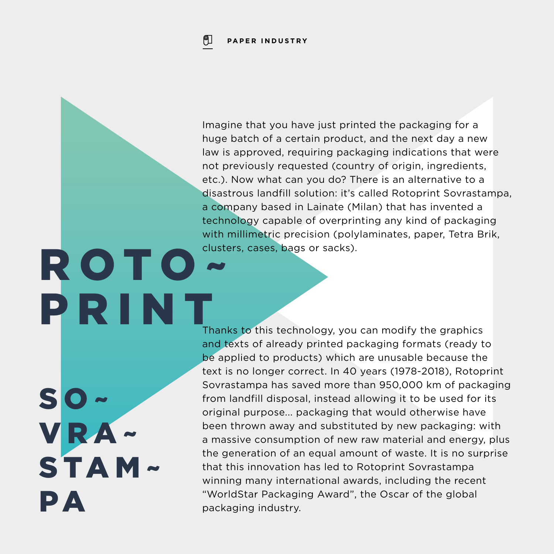### ဨျ **PAPER INDUSTRY**

Imagine that you have just printed the packaging for a huge batch of a certain product, and the next day a new law is approved, requiring packaging indications that were not previously requested (country of origin, ingredients, etc.). Now what can you do? There is an alternative to a disastrous landfill solution: it's called Rotoprint Sovrastampa, a company based in Lainate (Milan) that has invented a technology capable of overprinting any kind of packaging with millimetric precision (polylaminates, paper, Tetra Brik, clusters, cases, bags or sacks).

 $SO~$ VRA~ STAM~ PA

ROTO

PRINT

Thanks to this technology, you can modify the graphics and texts of already printed packaging formats (ready to be applied to products) which are unusable because the text is no longer correct. In 40 years (1978-2018), Rotoprint Sovrastampa has saved more than 950,000 km of packaging from landfill disposal, instead allowing it to be used for its original purpose... packaging that would otherwise have been thrown away and substituted by new packaging: with a massive consumption of new raw material and energy, plus the generation of an equal amount of waste. It is no surprise that this innovation has led to Rotoprint Sovrastampa winning many international awards, including the recent "WorldStar Packaging Award", the Oscar of the global packaging industry.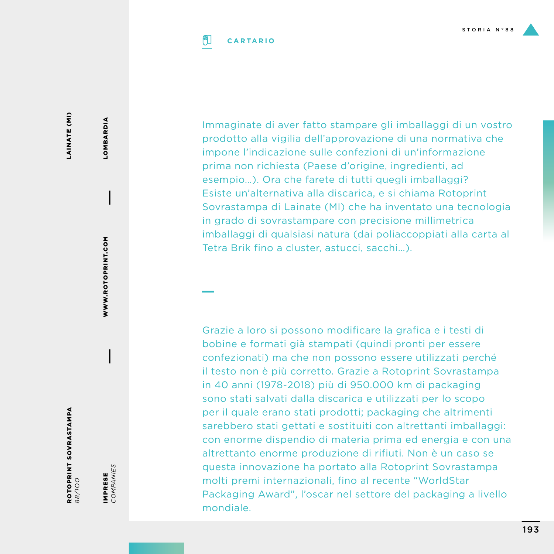Immaginate di aver fatto stampare gli imballaggi di un vostro prodotto alla vigilia dell'approvazione di una normativa che impone l'indicazione sulle confezioni di un'informazione prima non richiesta (Paese d'origine, ingredienti, ad esempio…). Ora che farete di tutti quegli imballaggi? Esiste un'alternativa alla discarica, e si chiama Rotoprint Sovrastampa di Lainate (MI) che ha inventato una tecnologia in grado di sovrastampare con precisione millimetrica imballaggi di qualsiasi natura (dai poliaccoppiati alla carta al Tetra Brik fino a cluster, astucci, sacchi…).

Grazie a loro si possono modificare la grafica e i testi di bobine e formati già stampati (quindi pronti per essere confezionati) ma che non possono essere utilizzati perché il testo non è più corretto. Grazie a Rotoprint Sovrastampa in 40 anni (1978-2018) più di 950.000 km di packaging sono stati salvati dalla discarica e utilizzati per lo scopo per il quale erano stati prodotti; packaging che altrimenti sarebbero stati gettati e sostituiti con altrettanti imballaggi: con enorme dispendio di materia prima ed energia e con una altrettanto enorme produzione di rifiuti. Non è un caso se questa innovazione ha portato alla Rotoprint Sovrastampa molti premi internazionali, fino al recente "WorldStar Packaging Award", l'oscar nel settore del packaging a livello mondiale.

LOMBARDIA

LOMBARDIA

ROTOPRINT SOVRASTAMPA ROTOPRINT SOVRASTAMPA<br>88/100

IMPRESE *COMPANIES*

IMPRESE<br>COMPANIES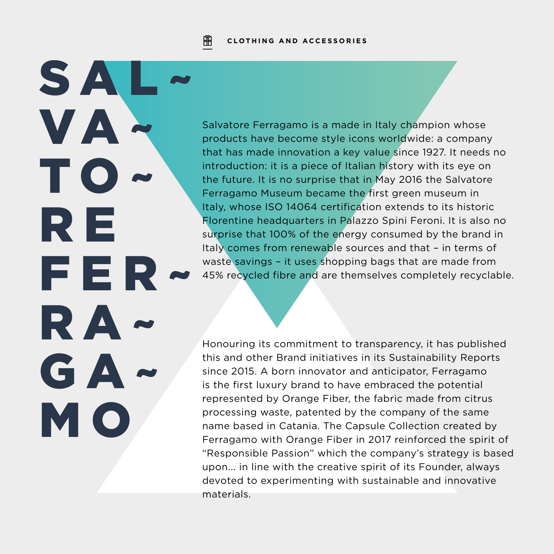阐 **CLOTHING AND ACCESSORIES**

SA.

VA~

**TO** 

R E

FER~

RA~

GA~

M O

Salvatore Ferragamo is a made in Italy champion whose products have become style icons worldwide: a company that has made innovation a key value since 1927. It needs no introduction: it is a piece of Italian history with its eye on the future. It is no surprise that in May 2016 the Salvatore Ferragamo Museum became the first green museum in Italy, whose ISO 14064 certification extends to its historic Florentine headquarters in Palazzo Spini Feroni. It is also no surprise that 100% of the energy consumed by the brand in Italy comes from renewable sources and that – in terms of waste savings - it uses shopping bags that are made from 45% recycled fibre and are themselves completely recyclable.

Honouring its commitment to transparency, it has published this and other Brand initiatives in its Sustainability Reports since 2015. A born innovator and anticipator, Ferragamo is the first luxury brand to have embraced the potential represented by Orange Fiber, the fabric made from citrus processing waste, patented by the company of the same name based in Catania. The Capsule Collection created by Ferragamo with Orange Fiber in 2017 reinforced the spirit of "Responsible Passion" which the company's strategy is based upon... in line with the creative spirit of its Founder, always devoted to experimenting with sustainable and innovative materials.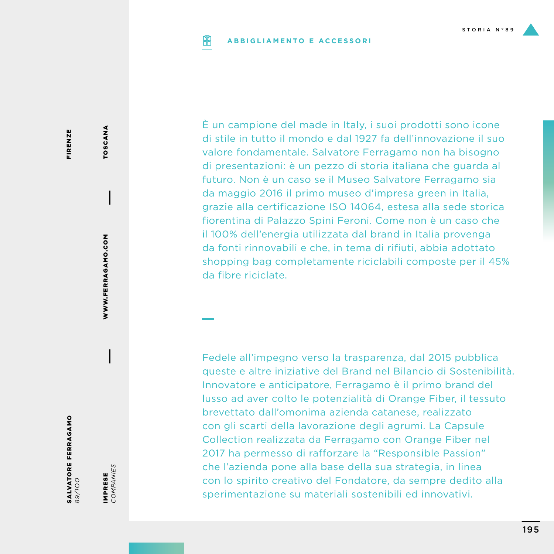#### **ABBIGLIAMENTO E ACCESSORIPIP**

È un campione del made in Italy, i suoi prodotti sono icone di stile in tutto il mondo e dal 1927 fa dell'innovazione il suo valore fondamentale. Salvatore Ferragamo non ha bisogno di presentazioni: è un pezzo di storia italiana che guarda al futuro. Non è un caso se il Museo Salvatore Ferragamo sia da maggio 2016 il primo museo d'impresa green in Italia, grazie alla certificazione ISO 14064, estesa alla sede storica fiorentina di Palazzo Spini Feroni. Come non è un caso che il 100% dell'energia utilizzata dal brand in Italia provenga da fonti rinnovabili e che, in tema di rifiuti, abbia adottato shopping bag completamente riciclabili composte per il 45% da fibre riciclate.

Fedele all'impegno verso la trasparenza, dal 2015 pubblica queste e altre iniziative del Brand nel Bilancio di Sostenibilità. Innovatore e anticipatore, Ferragamo è il primo brand del lusso ad aver colto le potenzialità di Orange Fiber, il tessuto brevettato dall'omonima azienda catanese, realizzato con gli scarti della lavorazione degli agrumi. La Capsule Collection realizzata da Ferragamo con Orange Fiber nel 2017 ha permesso di rafforzare la "Responsible Passion" che l'azienda pone alla base della sua strategia, in linea con lo spirito creativo del Fondatore, da sempre dedito alla sperimentazione su materiali sostenibili ed innovativi.

FIRENZE FIRENZE

> WWW.FERRAGAMO.COM WWW.FERRAGAMO.COM

TOSCANA

TOSCANA

SALVATORE FERRAGAMO **SALVATORE FERRAGAMO**<br>89/700

IMPRESE<br>COMPANIES IMPRESE

*COMPANIES*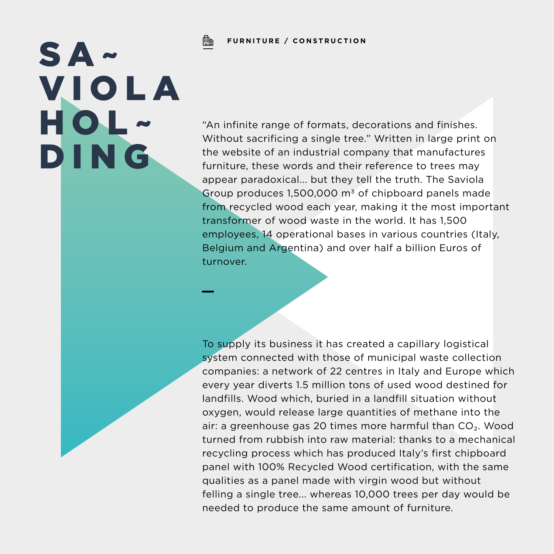# SA~ **VIOLA** HOL~ DING

"An infinite range of formats, decorations and finishes. Without sacrificing a single tree." Written in large print on the website of an industrial company that manufactures furniture, these words and their reference to trees may appear paradoxical... but they tell the truth. The Saviola Group produces 1,500,000 m3 of chipboard panels made from recycled wood each year, making it the most important transformer of wood waste in the world. It has 1,500 employees, 14 operational bases in various countries (Italy, Belgium and Argentina) and over half a billion Euros of turnover.

To supply its business it has created a capillary logistical system connected with those of municipal waste collection companies: a network of 22 centres in Italy and Europe which every year diverts 1.5 million tons of used wood destined for landfills. Wood which, buried in a landfill situation without oxygen, would release large quantities of methane into the air: a greenhouse gas 20 times more harmful than CO₂. Wood turned from rubbish into raw material: thanks to a mechanical recycling process which has produced Italy's first chipboard panel with 100% Recycled Wood certification, with the same qualities as a panel made with virgin wood but without felling a single tree... whereas 10,000 trees per day would be needed to produce the same amount of furniture.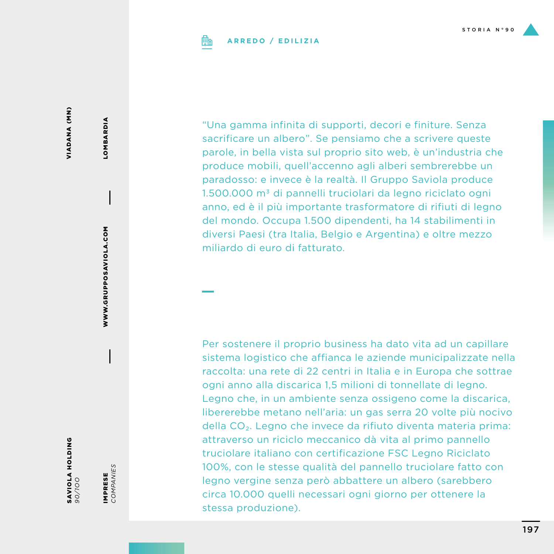### **ARREDO / EDILIZIA**

VIADANA (MN) VIADANA (MN)

SAVIOLA HOLDING **SAVIOLA HOLDING**<br>90/100

IMPRESE *COMPANIES*

IMPRESE<br>COMPANIES

WWW.GRUPPOSAVIOLA.COM

WWW.GRUPPOSAVIOLA.COM

LOMBARDIA

**LOMBARDIA** 

"Una gamma infinita di supporti, decori e finiture. Senza sacrificare un albero". Se pensiamo che a scrivere queste parole, in bella vista sul proprio sito web, è un'industria che produce mobili, quell'accenno agli alberi sembrerebbe un paradosso: e invece è la realtà. Il Gruppo Saviola produce 1.500.000 m3 di pannelli truciolari da legno riciclato ogni anno, ed è il più importante trasformatore di rifiuti di legno del mondo. Occupa 1.500 dipendenti, ha 14 stabilimenti in diversi Paesi (tra Italia, Belgio e Argentina) e oltre mezzo miliardo di euro di fatturato.

Per sostenere il proprio business ha dato vita ad un capillare sistema logistico che affianca le aziende municipalizzate nella raccolta: una rete di 22 centri in Italia e in Europa che sottrae ogni anno alla discarica 1,5 milioni di tonnellate di legno. Legno che, in un ambiente senza ossigeno come la discarica, libererebbe metano nell'aria: un gas serra 20 volte più nocivo della CO₂. Legno che invece da rifiuto diventa materia prima: attraverso un riciclo meccanico dà vita al primo pannello truciolare italiano con certificazione FSC Legno Riciclato 100%, con le stesse qualità del pannello truciolare fatto con legno vergine senza però abbattere un albero (sarebbero circa 10.000 quelli necessari ogni giorno per ottenere la stessa produzione).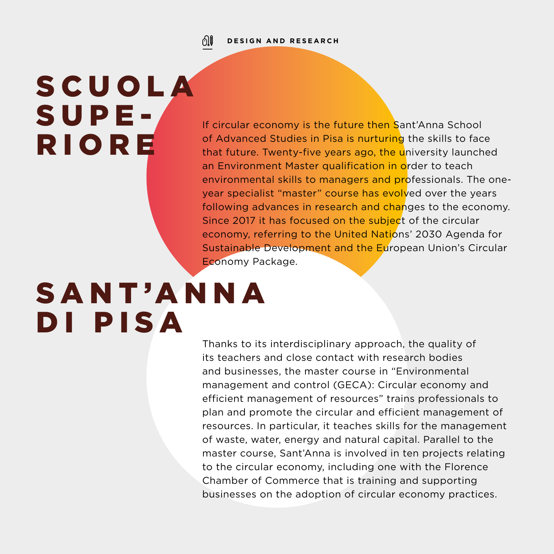### ிர **DESIGN AND RESEARCH**

# **SCUOLA** SUPE-RIORE

If circular economy is the future then Sant'Anna School of Advanced Studies in Pisa is nurturing the skills to face that future. Twenty-five years ago, the university launched an Environment Master qualification in order to teach environmental skills to managers and professionals. The oneyear specialist "master" course has evolved over the years following advances in research and changes to the economy. Since 2017 it has focused on the subject of the circular economy, referring to the United Nations' 2030 Agenda for Sustainable Development and the European Union's Circular Economy Package.

## SANT'ANNA DI PISA

Thanks to its interdisciplinary approach, the quality of its teachers and close contact with research bodies and businesses, the master course in "Environmental management and control (GECA): Circular economy and efficient management of resources" trains professionals to plan and promote the circular and efficient management of resources. In particular, it teaches skills for the management of waste, water, energy and natural capital. Parallel to the master course, Sant'Anna is involved in ten projects relating to the circular economy, including one with the Florence Chamber of Commerce that is training and supporting businesses on the adoption of circular economy practices.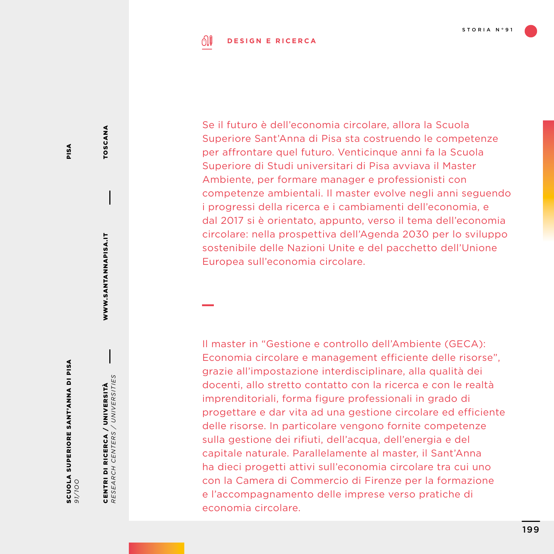### ி **DESIGN E RICERCA**

Se il futuro è dell'economia circolare, allora la Scuola Superiore Sant'Anna di Pisa sta costruendo le competenze per affrontare quel futuro. Venticinque anni fa la Scuola Superiore di Studi universitari di Pisa avviava il Master Ambiente, per formare manager e professionisti con competenze ambientali. Il master evolve negli anni seguendo i progressi della ricerca e i cambiamenti dell'economia, e dal 2017 si è orientato, appunto, verso il tema dell'economia circolare: nella prospettiva dell'Agenda 2030 per lo sviluppo sostenibile delle Nazioni Unite e del pacchetto dell'Unione Europea sull'economia circolare.

Il master in "Gestione e controllo dell'Ambiente (GECA): Economia circolare e management efficiente delle risorse", grazie all'impostazione interdisciplinare, alla qualità dei docenti, allo stretto contatto con la ricerca e con le realtà imprenditoriali, forma figure professionali in grado di progettare e dar vita ad una gestione circolare ed efficiente delle risorse. In particolare vengono fornite competenze sulla gestione dei rifiuti, dell'acqua, dell'energia e del capitale naturale. Parallelamente al master, il Sant'Anna ha dieci progetti attivi sull'economia circolare tra cui uno con la Camera di Commercio di Firenze per la formazione e l'accompagnamento delle imprese verso pratiche di economia circolare.

TOSCANA

TOSCANA

WWW.SANTANNAPISA.IT

WWW.SANTANNAPISA.IT

CENTRI DI RICERCA / UNIVERSITÀ *RESEARCH CENTERS / UNIVERSITIES*

CENTRI DI RICERCA / UNIVERSITÀ<br>RESEARCH CENTERS / UNIVERSITIES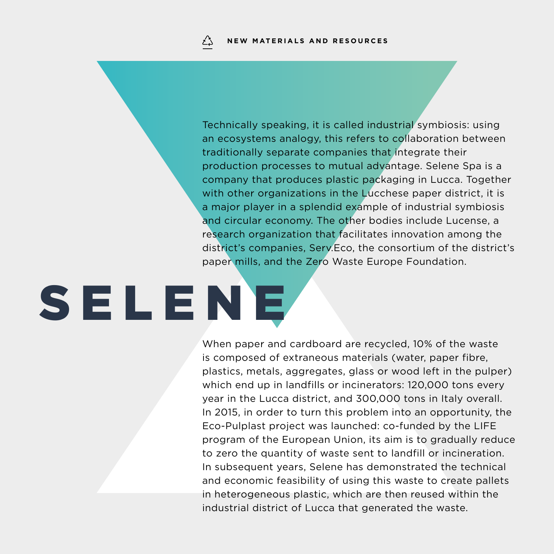Technically speaking, it is called industrial symbiosis: using an ecosystems analogy, this refers to collaboration between traditionally separate companies that integrate their production processes to mutual advantage. Selene Spa is a company that produces plastic packaging in Lucca. Together with other organizations in the Lucchese paper district, it is a major player in a splendid example of industrial symbiosis and circular economy. The other bodies include Lucense, a research organization that facilitates innovation among the district's companies, Serv.Eco, the consortium of the district's paper mills, and the Zero Waste Europe Foundation.

# **SELENE**

When paper and cardboard are recycled, 10% of the waste is composed of extraneous materials (water, paper fibre, plastics, metals, aggregates, glass or wood left in the pulper) which end up in landfills or incinerators: 120,000 tons every year in the Lucca district, and 300,000 tons in Italy overall. In 2015, in order to turn this problem into an opportunity, the Eco-Pulplast project was launched: co-funded by the LIFE program of the European Union, its aim is to gradually reduce to zero the quantity of waste sent to landfill or incineration. In subsequent years, Selene has demonstrated the technical and economic feasibility of using this waste to create pallets in heterogeneous plastic, which are then reused within the industrial district of Lucca that generated the waste.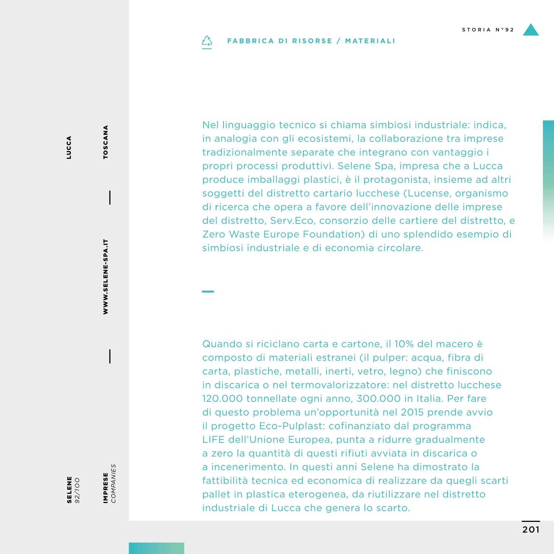### **FABBRICA DI RISORSE / MATERIALI** دُے

Nel linguaggio tecnico si chiama simbiosi industriale: indica, in analogia con gli ecosistemi, la collaborazione tra imprese tradizionalmente separate che integrano con vantaggio i propri processi produttivi. Selene Spa, impresa che a Lucca produce imballaggi plastici, è il protagonista, insieme ad altri soggetti del distretto cartario lucchese (Lucense, organismo di ricerca che opera a favore dell'innovazione delle imprese del distretto, Serv.Eco, consorzio delle cartiere del distretto, e Zero Waste Europe Foundation) di uno splendido esempio di simbiosi industriale e di economia circolare.

Quando si riciclano carta e cartone, il 10% del macero è composto di materiali estranei (il pulper: acqua, fibra di carta, plastiche, metalli, inerti, vetro, legno) che finiscono in discarica o nel termovalorizzatore: nel distretto lucchese 120.000 tonnellate ogni anno, 300.000 in Italia. Per fare di questo problema un'opportunità nel 2015 prende avvio il progetto Eco-Pulplast: cofinanziato dal programma LIFE dell'Unione Europea, punta a ridurre gradualmente a zero la quantità di questi rifiuti avviata in discarica o a incenerimento. In questi anni Selene ha dimostrato la fattibilità tecnica ed economica di realizzare da quegli scarti pallet in plastica eterogenea, da riutilizzare nel distretto industriale di Lucca che genera lo scarto.

SELENE *92/1OO* IMPRESE *COMPANIES*

IMPRESE<br>COMPANIES

WWW.SELENE-SPA.IT

WWW.SELENE-SPA.IT

TOSCANA

TOSCANA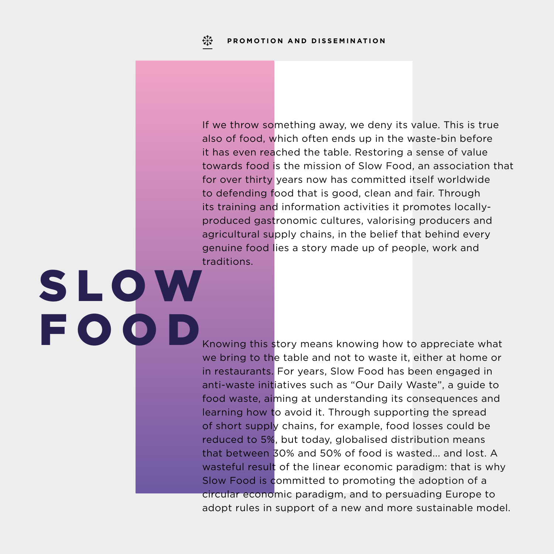S L O W

FOOD

If we throw something away, we deny its value. This is true also of food, which often ends up in the waste-bin before it has even reached the table. Restoring a sense of value towards food is the mission of Slow Food, an association that for over thirty years now has committed itself worldwide to defending food that is good, clean and fair. Through its training and information activities it promotes locallyproduced gastronomic cultures, valorising producers and agricultural supply chains, in the belief that behind every genuine food lies a story made up of people, work and traditions.

Knowing this story means knowing how to appreciate what we bring to the table and not to waste it, either at home or in restaurants. For years, Slow Food has been engaged in anti-waste initiatives such as "Our Daily Waste", a guide to food waste, aiming at understanding its consequences and learning how to avoid it. Through supporting the spread of short supply chains, for example, food losses could be reduced to 5%, but today, globalised distribution means that between 30% and 50% of food is wasted... and lost. A wasteful result of the linear economic paradigm: that is why Slow Food is committed to promoting the adoption of a circular economic paradigm, and to persuading Europe to adopt rules in support of a new and more sustainable model.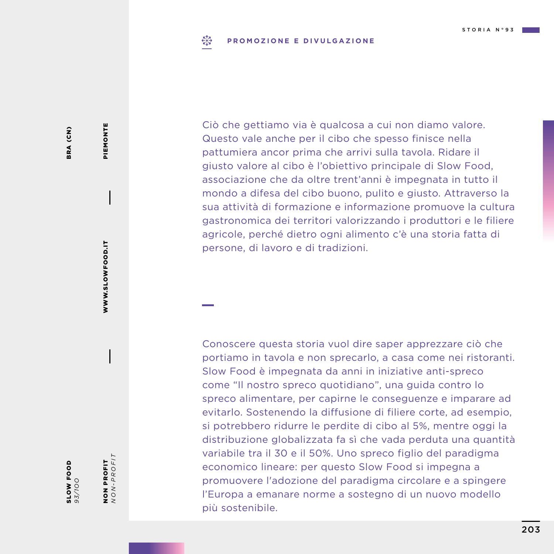### $E_{1,2}^{3}$ **PROMOZIONE E DIVULGAZIONE**

Ciò che gettiamo via è qualcosa a cui non diamo valore. Questo vale anche per il cibo che spesso finisce nella pattumiera ancor prima che arrivi sulla tavola. Ridare il giusto valore al cibo è l'obiettivo principale di Slow Food, associazione che da oltre trent'anni è impegnata in tutto il mondo a difesa del cibo buono, pulito e giusto. Attraverso la sua attività di formazione e informazione promuove la cultura gastronomica dei territori valorizzando i produttori e le filiere agricole, perché dietro ogni alimento c'è una storia fatta di persone, di lavoro e di tradizioni.

Conoscere questa storia vuol dire saper apprezzare ciò che portiamo in tavola e non sprecarlo, a casa come nei ristoranti. Slow Food è impegnata da anni in iniziative anti-spreco come "Il nostro spreco quotidiano", una guida contro lo spreco alimentare, per capirne le conseguenze e imparare ad evitarlo. Sostenendo la diffusione di filiere corte, ad esempio, si potrebbero ridurre le perdite di cibo al 5%, mentre oggi la distribuzione globalizzata fa sì che vada perduta una quantità variabile tra il 30 e il 50%. Uno spreco figlio del paradigma economico lineare: per questo Slow Food si impegna a promuovere l'adozione del paradigma circolare e a spingere l'Europa a emanare norme a sostegno di un nuovo modello più sostenibile.

BRA (CN) BRA (CN)

SLOW FOOD *93/1OO* NON PROFIT *NON-PROFIT*

NON PROFIT<br> $NON-PROFIT$ 

WWW.SLOWFOOD.IT

WWW.SLOWFOOD.IT

PIEMONTE

PIEMONTE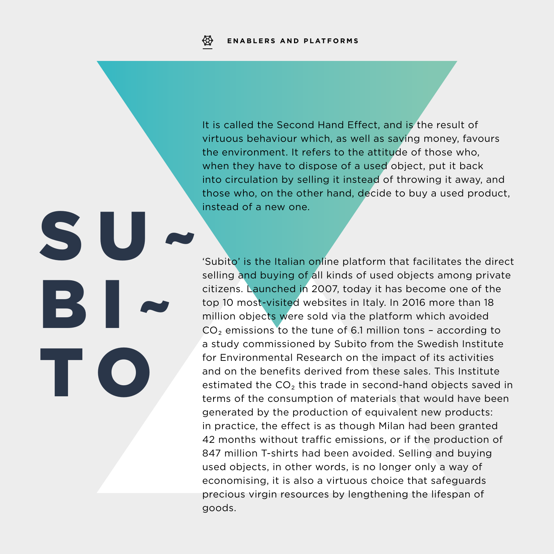S

BI~

T O

It is called the Second Hand Effect, and is the result of virtuous behaviour which, as well as saving money, favours the environment. It refers to the attitude of those who, when they have to dispose of a used object, put it back into circulation by selling it instead of throwing it away, and those who, on the other hand, decide to buy a used product, instead of a new one.

'Subito' is the Italian online platform that facilitates the direct selling and buying of all kinds of used objects among private citizens. Launched in 2007, today it has become one of the top 10 most-visited websites in Italy. In 2016 more than 18 million objects were sold via the platform which avoided  $CO<sub>2</sub>$  emissions to the tune of 6.1 million tons - according to a study commissioned by Subito from the Swedish Institute for Environmental Research on the impact of its activities and on the benefits derived from these sales. This Institute estimated the CO<sub>2</sub> this trade in second-hand objects saved in terms of the consumption of materials that would have been generated by the production of equivalent new products: in practice, the effect is as though Milan had been granted 42 months without traffic emissions, or if the production of 847 million T-shirts had been avoided. Selling and buying used objects, in other words, is no longer only a way of economising, it is also a virtuous choice that safeguards precious virgin resources by lengthening the lifespan of goods.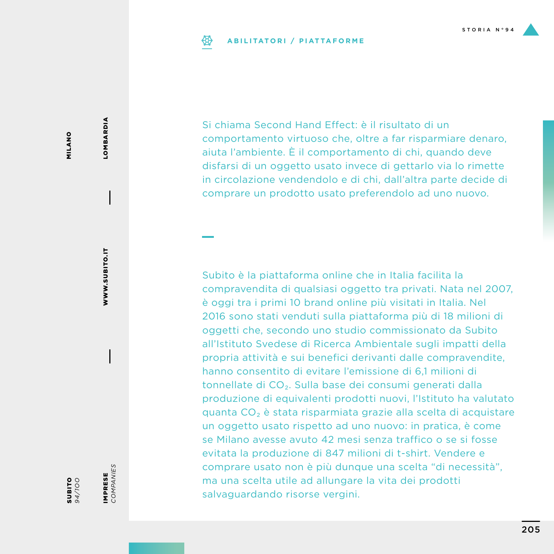## **ABILITATORI / PIATTAFORME**

Si chiama Second Hand Effect: è il risultato di un comportamento virtuoso che, oltre a far risparmiare denaro, aiuta l'ambiente. È il comportamento di chi, quando deve disfarsi di un oggetto usato invece di gettarlo via lo rimette in circolazione vendendolo e di chi, dall'altra parte decide di comprare un prodotto usato preferendolo ad uno nuovo.

Subito è la piattaforma online che in Italia facilita la compravendita di qualsiasi oggetto tra privati. Nata nel 2007, è oggi tra i primi 10 brand online più visitati in Italia. Nel 2016 sono stati venduti sulla piattaforma più di 18 milioni di oggetti che, secondo uno studio commissionato da Subito all'Istituto Svedese di Ricerca Ambientale sugli impatti della propria attività e sui benefici derivanti dalle compravendite, hanno consentito di evitare l'emissione di 6,1 milioni di tonnellate di CO₂. Sulla base dei consumi generati dalla produzione di equivalenti prodotti nuovi, l'Istituto ha valutato quanta CO₂ è stata risparmiata grazie alla scelta di acquistare un oggetto usato rispetto ad uno nuovo: in pratica, è come se Milano avesse avuto 42 mesi senza traffico o se si fosse evitata la produzione di 847 milioni di t-shirt. Vendere e comprare usato non è più dunque una scelta "di necessità", ma una scelta utile ad allungare la vita dei prodotti salvaguardando risorse vergini.

SUBITO *94/1OO* WWW.SUBITO.IT

WWW.SUBITO.IT

**LOMBARDIA** LOMBARDIA

*COMPANIES*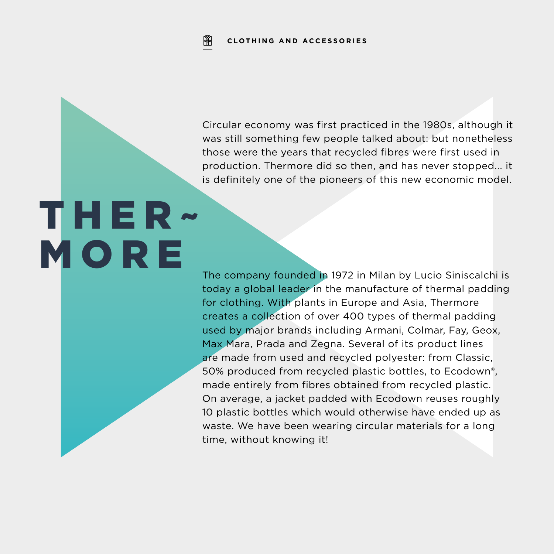₩ **CLOTHING AND ACCESSORIES**

Circular economy was first practiced in the 1980s, although it was still something few people talked about: but nonetheless those were the years that recycled fibres were first used in production. Thermore did so then, and has never stopped... it is definitely one of the pioneers of this new economic model.

# THER~ M O R E

The company founded in 1972 in Milan by Lucio Siniscalchi is today a global leader in the manufacture of thermal padding for clothing. With plants in Europe and Asia, Thermore creates a collection of over 400 types of thermal padding used by major brands including Armani, Colmar, Fay, Geox, Max Mara, Prada and Zegna. Several of its product lines are made from used and recycled polyester: from Classic, 50% produced from recycled plastic bottles, to Ecodown®, made entirely from fibres obtained from recycled plastic. On average, a jacket padded with Ecodown reuses roughly 10 plastic bottles which would otherwise have ended up as waste. We have been wearing circular materials for a long time, without knowing it!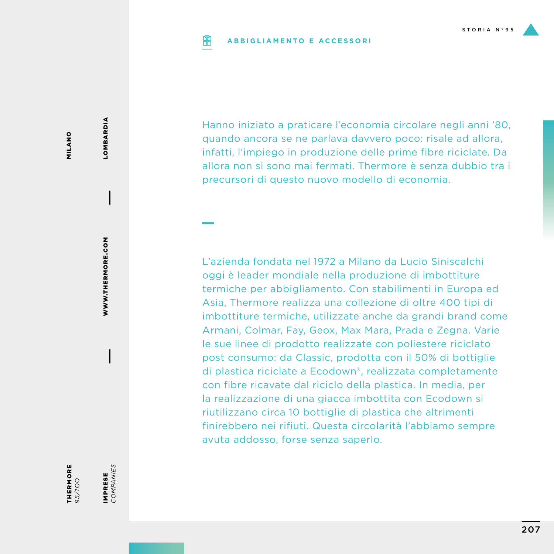#### **ABBIGLIAMENTO E ACCESSORIPIP**

Hanno iniziato a praticare l'economia circolare negli anni '80, quando ancora se ne parlava davvero poco: risale ad allora, infatti, l'impiego in produzione delle prime fibre riciclate. Da allora non si sono mai fermati. Thermore è senza dubbio tra i precursori di questo nuovo modello di economia.

L'azienda fondata nel 1972 a Milano da Lucio Siniscalchi oggi è leader mondiale nella produzione di imbottiture termiche per abbigliamento. Con stabilimenti in Europa ed Asia, Thermore realizza una collezione di oltre 400 tipi di imbottiture termiche, utilizzate anche da grandi brand come Armani, Colmar, Fay, Geox, Max Mara, Prada e Zegna. Varie le sue linee di prodotto realizzate con poliestere riciclato post consumo: da Classic, prodotta con il 50% di bottiglie di plastica riciclate a Ecodown®, realizzata completamente con fibre ricavate dal riciclo della plastica. In media, per la realizzazione di una giacca imbottita con Ecodown si riutilizzano circa 10 bottiglie di plastica che altrimenti finirebbero nei rifiuti. Questa circolarità l'abbiamo sempre avuta addosso, forse senza saperlo.

LOMBARDIA

**LOMBARDIA** 

THERMORE *95/1OO*

IMPRESE *COMPANIES*

IMPRESE<br>COMPANIES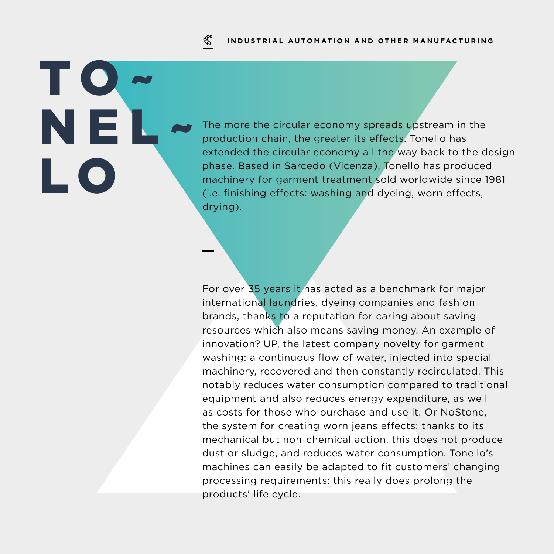### **INDUSTRIAL AUTOMATION AND OTHER MANUFACTURING**

## ≪

# TO~ NEL~ L O

The more the circular economy spreads upstream in the production chain, the greater its effects. Tonello has extended the circular economy all the way back to the design phase. Based in Sarcedo (Vicenza), Tonello has produced machinery for garment treatment sold worldwide since 1981 (i.e. finishing effects: washing and dyeing, worn effects, drying).

For over 35 years it has acted as a benchmark for major international laundries, dyeing companies and fashion brands, thanks to a reputation for caring about saving resources which also means saving money. An example of innovation? UP, the latest company novelty for garment washing: a continuous flow of water, injected into special machinery, recovered and then constantly recirculated. This notably reduces water consumption compared to traditional equipment and also reduces energy expenditure, as well as costs for those who purchase and use it. Or NoStone, the system for creating worn jeans effects: thanks to its mechanical but non-chemical action, this does not produce dust or sludge, and reduces water consumption. Tonello's machines can easily be adapted to fit customers' changing processing requirements: this really does prolong the products' life cycle.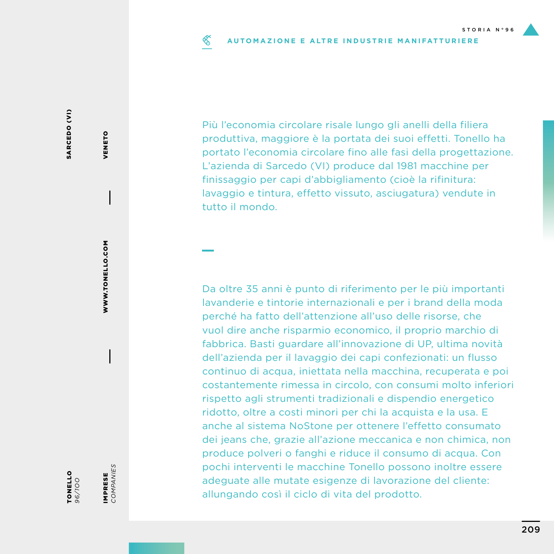### ≪ **AUTOMAZIONE E ALTRE INDUSTRIE MANIFATTURIERE**

Più l'economia circolare risale lungo gli anelli della filiera produttiva, maggiore è la portata dei suoi effetti. Tonello ha portato l'economia circolare fino alle fasi della progettazione. L'azienda di Sarcedo (VI) produce dal 1981 macchine per finissaggio per capi d'abbigliamento (cioè la rifinitura: lavaggio e tintura, effetto vissuto, asciugatura) vendute in tutto il mondo.

Da oltre 35 anni è punto di riferimento per le più importanti lavanderie e tintorie internazionali e per i brand della moda perché ha fatto dell'attenzione all'uso delle risorse, che vuol dire anche risparmio economico, il proprio marchio di fabbrica. Basti guardare all'innovazione di UP, ultima novità dell'azienda per il lavaggio dei capi confezionati: un flusso continuo di acqua, iniettata nella macchina, recuperata e poi costantemente rimessa in circolo, con consumi molto inferiori rispetto agli strumenti tradizionali e dispendio energetico ridotto, oltre a costi minori per chi la acquista e la usa. E anche al sistema NoStone per ottenere l'effetto consumato dei jeans che, grazie all'azione meccanica e non chimica, non produce polveri o fanghi e riduce il consumo di acqua. Con pochi interventi le macchine Tonello possono inoltre essere adeguate alle mutate esigenze di lavorazione del cliente: allungando così il ciclo di vita del prodotto.

VENETO

VENETO

WWW.TONELLO.COM

WWW.TONELLO.COM

IMPRESE *COMPANIES*

IMPRESE<br>COMPANIES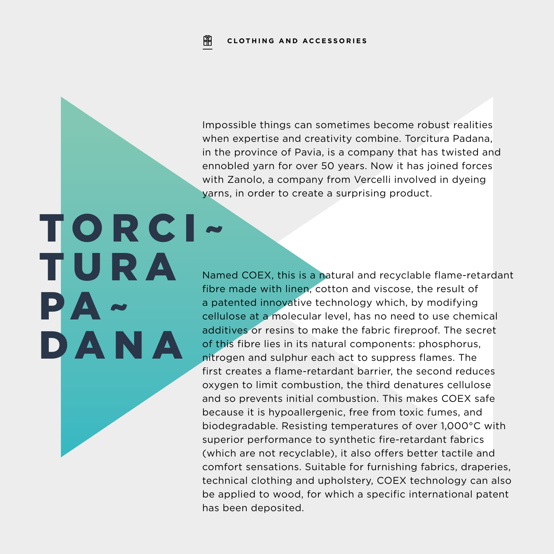Impossible things can sometimes become robust realities when expertise and creativity combine. Torcitura Padana, in the province of Pavia, is a company that has twisted and ennobled yarn for over 50 years. Now it has joined forces with Zanolo, a company from Vercelli involved in dyeing yarns, in order to create a surprising product.

TORCI~ T U R A PA~ DANA

Named COEX, this is a natural and recyclable flame-retardant fibre made with linen, cotton and viscose, the result of a patented innovative technology which, by modifying cellulose at a molecular level, has no need to use chemical additives or resins to make the fabric fireproof. The secret of this fibre lies in its natural components: phosphorus, nitrogen and sulphur each act to suppress flames. The first creates a flame-retardant barrier, the second reduces oxygen to limit combustion, the third denatures cellulose and so prevents initial combustion. This makes COEX safe because it is hypoallergenic, free from toxic fumes, and biodegradable. Resisting temperatures of over 1,000°C with superior performance to synthetic fire-retardant fabrics (which are not recyclable), it also offers better tactile and comfort sensations. Suitable for furnishing fabrics, draperies, technical clothing and upholstery, COEX technology can also be applied to wood, for which a specific international patent has been deposited.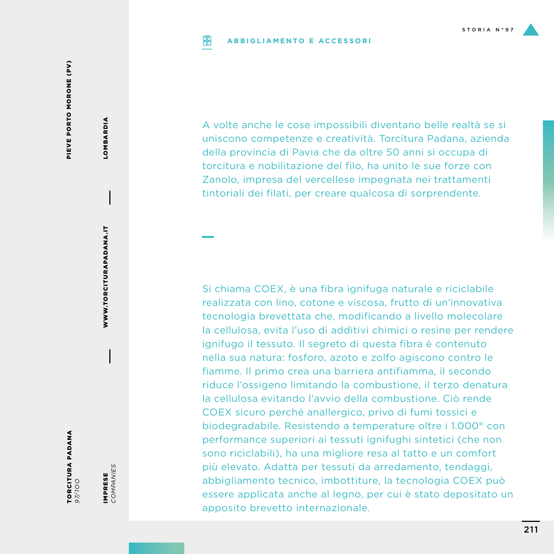#### **ABBIGLIAMENTO E ACCESSORIPIP**

PIEVE PORTO MORONE (PV) PIEVE PORTO MORONE (PV)

LOMBARDIA LOMBARDIA

> WWW.TORCITURAPADANA.IT WWW.TORCITURAPADANA.IT

*97/1OO*

TORCITURA PADANA

IMPRESE<br>COMPANIES *COMPANIES* IMPRESE

A volte anche le cose impossibili diventano belle realtà se si uniscono competenze e creatività. Torcitura Padana, azienda della provincia di Pavia che da oltre 50 anni si occupa di torcitura e nobilitazione del filo, ha unito le sue forze con Zanolo, impresa del vercellese impegnata nei trattamenti tintoriali dei filati, per creare qualcosa di sorprendente.

Si chiama COEX, è una fibra ignifuga naturale e riciclabile realizzata con lino, cotone e viscosa, frutto di un'innovativa tecnologia brevettata che, modificando a livello molecolare la cellulosa, evita l'uso di additivi chimici o resine per rendere ignifugo il tessuto. Il segreto di questa fibra è contenuto nella sua natura: fosforo, azoto e zolfo agiscono contro le fiamme. Il primo crea una barriera antifiamma, il secondo riduce l'ossigeno limitando la combustione, il terzo denatura la cellulosa evitando l'avvio della combustione. Ciò rende COEX sicuro perché anallergico, privo di fumi tossici e biodegradabile. Resistendo a temperature oltre i 1.000° con performance superiori ai tessuti ignifughi sintetici (che non sono riciclabili), ha una migliore resa al tatto e un comfort più elevato. Adatta per tessuti da arredamento, tendaggi, abbigliamento tecnico, imbottiture, la tecnologia COEX può essere applicata anche al legno, per cui è stato depositato un apposito brevetto internazionale.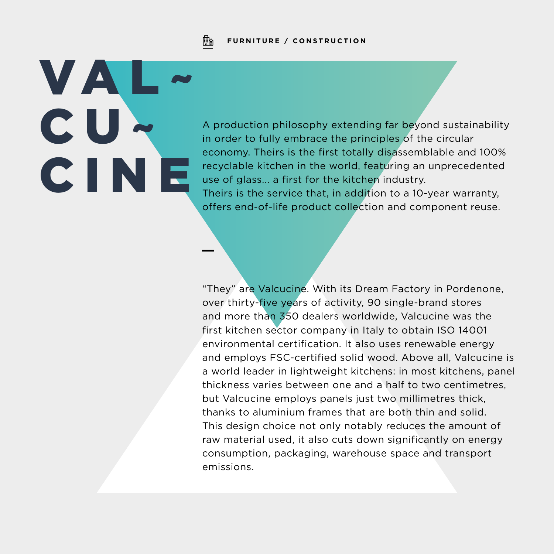

# VA<sup>I</sup> CU~ CINE

A production philosophy extending far beyond sustainability in order to fully embrace the principles of the circular economy. Theirs is the first totally disassemblable and 100% recyclable kitchen in the world, featuring an unprecedented use of glass... a first for the kitchen industry. Theirs is the service that, in addition to a 10-year warranty, offers end-of-life product collection and component reuse.

"They" are Valcucine. With its Dream Factory in Pordenone, over thirty-five years of activity, 90 single-brand stores and more than 350 dealers worldwide, Valcucine was the first kitchen sector company in Italy to obtain ISO 14001 environmental certification. It also uses renewable energy and employs FSC-certified solid wood. Above all, Valcucine is a world leader in lightweight kitchens: in most kitchens, panel thickness varies between one and a half to two centimetres, but Valcucine employs panels just two millimetres thick, thanks to aluminium frames that are both thin and solid. This design choice not only notably reduces the amount of raw material used, it also cuts down significantly on energy consumption, packaging, warehouse space and transport emissions.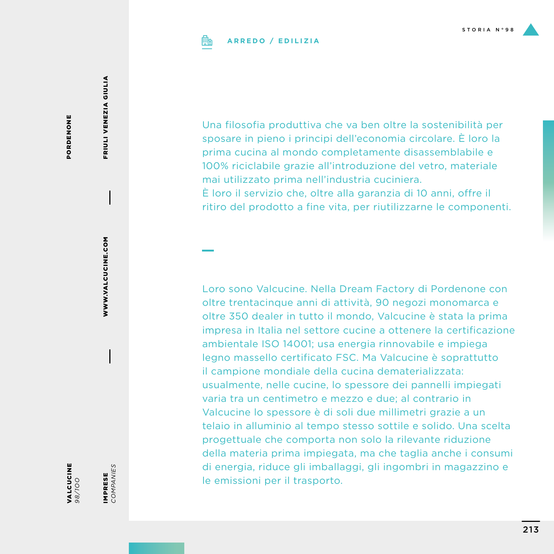

### **ARREDO / EDILIZIA**

PORDENONE PORDENONE FRIULI VENEZIA GIULIA FRIULI VENEZIA GIULIA

WWW.VALCUCINE.COM WWW.VALCUCINE.COM

IMPRESE

VALCUCINE *98/1OO* IMPRESE<br>COMPANIES *COMPANIES*

Una filosofia produttiva che va ben oltre la sostenibilità per sposare in pieno i principi dell'economia circolare. È loro la prima cucina al mondo completamente disassemblabile e 100% riciclabile grazie all'introduzione del vetro, materiale mai utilizzato prima nell'industria cuciniera. È loro il servizio che, oltre alla garanzia di 10 anni, offre il ritiro del prodotto a fine vita, per riutilizzarne le componenti.

Loro sono Valcucine. Nella Dream Factory di Pordenone con oltre trentacinque anni di attività, 90 negozi monomarca e oltre 350 dealer in tutto il mondo, Valcucine è stata la prima impresa in Italia nel settore cucine a ottenere la certificazione ambientale ISO 14001; usa energia rinnovabile e impiega legno massello certificato FSC. Ma Valcucine è soprattutto il campione mondiale della cucina dematerializzata: usualmente, nelle cucine, lo spessore dei pannelli impiegati varia tra un centimetro e mezzo e due; al contrario in Valcucine lo spessore è di soli due millimetri grazie a un telaio in alluminio al tempo stesso sottile e solido. Una scelta progettuale che comporta non solo la rilevante riduzione della materia prima impiegata, ma che taglia anche i consumi di energia, riduce gli imballaggi, gli ingombri in magazzino e le emissioni per il trasporto.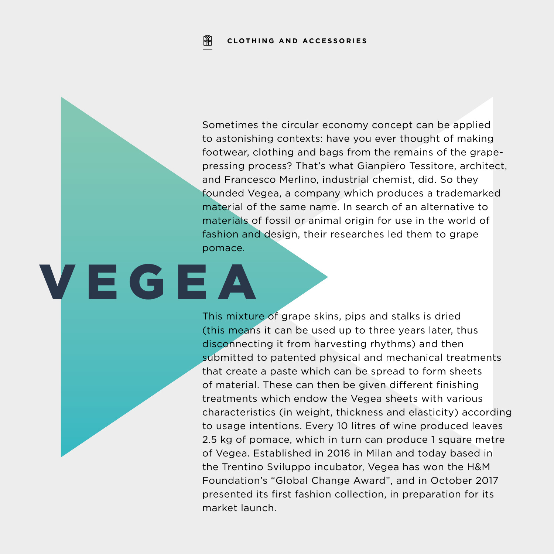Sometimes the circular economy concept can be applied to astonishing contexts: have you ever thought of making footwear, clothing and bags from the remains of the grapepressing process? That's what Gianpiero Tessitore, architect, and Francesco Merlino, industrial chemist, did. So they founded Vegea, a company which produces a trademarked material of the same name. In search of an alternative to materials of fossil or animal origin for use in the world of fashion and design, their researches led them to grape pomace.

# VEGEA

This mixture of grape skins, pips and stalks is dried (this means it can be used up to three years later, thus disconnecting it from harvesting rhythms) and then submitted to patented physical and mechanical treatments that create a paste which can be spread to form sheets of material. These can then be given different finishing treatments which endow the Vegea sheets with various characteristics (in weight, thickness and elasticity) according to usage intentions. Every 10 litres of wine produced leaves 2.5 kg of pomace, which in turn can produce 1 square metre of Vegea. Established in 2016 in Milan and today based in the Trentino Sviluppo incubator, Vegea has won the H&M Foundation's "Global Change Award", and in October 2017 presented its first fashion collection, in preparation for its market launch.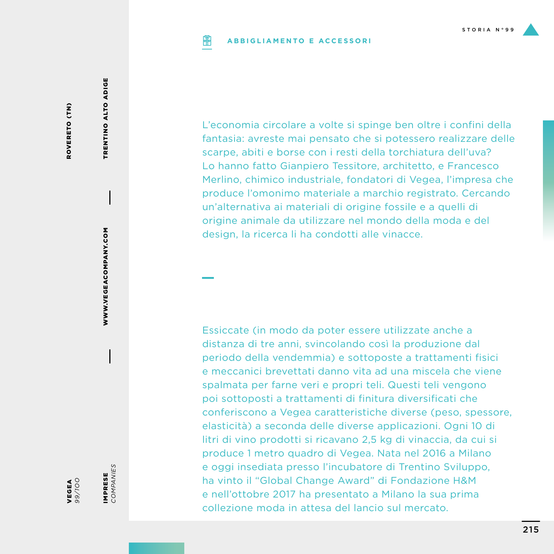#### **ABBIGLIAMENTO E ACCESSORIPIP**

ROVERETO (TN) ROVERETO (TN) TRENTINO ALTO ADIGE

TRENTINO ALTO ADIGE

WWW.VEGEACOMPANY.COM WWW.VEGEACOMPANY.COM

IMPRESE<br>COMPANIES IMPRESE

*COMPANIES*

VEGEA *99/1OO*

produce l'omonimo materiale a marchio registrato. Cercando un'alternativa ai materiali di origine fossile e a quelli di origine animale da utilizzare nel mondo della moda e del design, la ricerca li ha condotti alle vinacce. Essiccate (in modo da poter essere utilizzate anche a

L'economia circolare a volte si spinge ben oltre i confini della fantasia: avreste mai pensato che si potessero realizzare delle scarpe, abiti e borse con i resti della torchiatura dell'uva? Lo hanno fatto Gianpiero Tessitore, architetto, e Francesco Merlino, chimico industriale, fondatori di Vegea, l'impresa che

distanza di tre anni, svincolando così la produzione dal periodo della vendemmia) e sottoposte a trattamenti fisici e meccanici brevettati danno vita ad una miscela che viene spalmata per farne veri e propri teli. Questi teli vengono poi sottoposti a trattamenti di finitura diversificati che conferiscono a Vegea caratteristiche diverse (peso, spessore, elasticità) a seconda delle diverse applicazioni. Ogni 10 di litri di vino prodotti si ricavano 2,5 kg di vinaccia, da cui si produce 1 metro quadro di Vegea. Nata nel 2016 a Milano e oggi insediata presso l'incubatore di Trentino Sviluppo, ha vinto il "Global Change Award" di Fondazione H&M e nell'ottobre 2017 ha presentato a Milano la sua prima collezione moda in attesa del lancio sul mercato.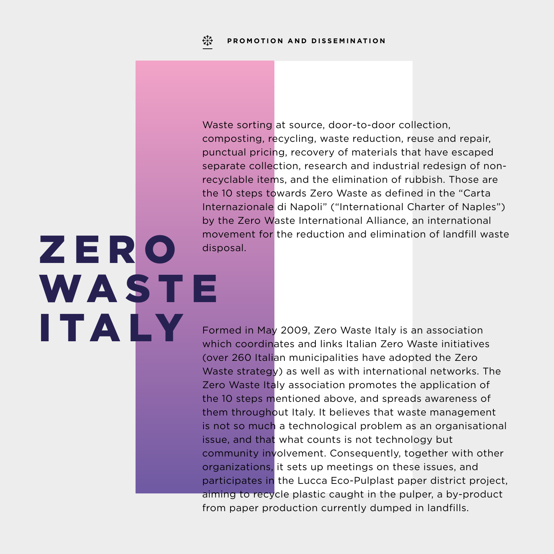Z E R O

ITALY

**WASTE** 

Waste sorting at source, door-to-door collection, composting, recycling, waste reduction, reuse and repair, punctual pricing, recovery of materials that have escaped separate collection, research and industrial redesign of nonrecyclable items, and the elimination of rubbish. Those are the 10 steps towards Zero Waste as defined in the "Carta Internazionale di Napoli" ("International Charter of Naples") by the Zero Waste International Alliance, an international movement for the reduction and elimination of landfill waste disposal.

Formed in May 2009, Zero Waste Italy is an association which coordinates and links Italian Zero Waste initiatives (over 260 Italian municipalities have adopted the Zero Waste strategy) as well as with international networks. The Zero Waste Italy association promotes the application of the 10 steps mentioned above, and spreads awareness of them throughout Italy. It believes that waste management is not so much a technological problem as an organisational issue, and that what counts is not technology but community involvement. Consequently, together with other organizations, it sets up meetings on these issues, and participates in the Lucca Eco-Pulplast paper district project, aiming to recycle plastic caught in the pulper, a by-product from paper production currently dumped in landfills.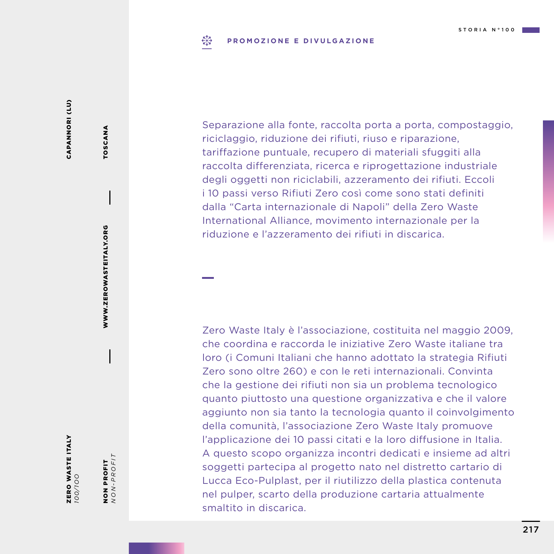## $E_{1,2}^{3}$ **PROMOZIONE E DIVULGAZIONE**

Separazione alla fonte, raccolta porta a porta, compostaggio, riciclaggio, riduzione dei rifiuti, riuso e riparazione, tariffazione puntuale, recupero di materiali sfuggiti alla raccolta differenziata, ricerca e riprogettazione industriale degli oggetti non riciclabili, azzeramento dei rifiuti. Eccoli i 10 passi verso Rifiuti Zero così come sono stati definiti dalla "Carta internazionale di Napoli" della Zero Waste International Alliance, movimento internazionale per la riduzione e l'azzeramento dei rifiuti in discarica.

Zero Waste Italy è l'associazione, costituita nel maggio 2009, che coordina e raccorda le iniziative Zero Waste italiane tra loro (i Comuni Italiani che hanno adottato la strategia Rifiuti Zero sono oltre 260) e con le reti internazionali. Convinta che la gestione dei rifiuti non sia un problema tecnologico quanto piuttosto una questione organizzativa e che il valore aggiunto non sia tanto la tecnologia quanto il coinvolgimento della comunità, l'associazione Zero Waste Italy promuove l'applicazione dei 10 passi citati e la loro diffusione in Italia. A questo scopo organizza incontri dedicati e insieme ad altri soggetti partecipa al progetto nato nel distretto cartario di Lucca Eco-Pulplast, per il riutilizzo della plastica contenuta nel pulper, scarto della produzione cartaria attualmente smaltito in discarica.

ZERO WASTE ITALY<br><sup>100/100</sup> ZERO WASTE ITALY *100/1OO*

NON PROFIT *NON-PROFIT*

NON PROFIT<br> $NON-PROFIT$ 

WWW.ZEROWASTEITALY.ORG

WWW.ZEROWASTEITALY.ORG

TOSCANA

TOSCANA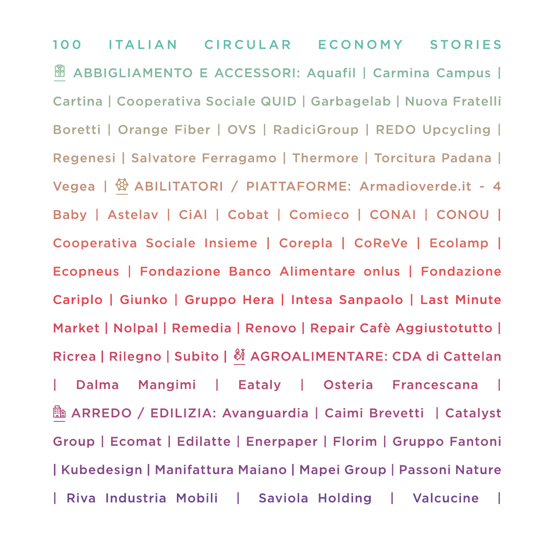100 ITALIAN CIRCULAR ECONOMY STORIES **<sup>■</sup> ABBIGLIAMENTO E ACCESSORI: Aquafil | Carmina Campus |** Cartina | Cooperativa Sociale QUID | Garbagelab | Nuova Fratelli Boretti | Orange Fiber | OVS | RadiciGroup | REDO Upcycling | Regenesi | Salvatore Ferragamo | Thermore | Torcitura Padana | Vegea |  $\circled{P}$  ABILITATORI / PIATTAFORME: Armadioverde.it - 4 Baby | Astelav | CiAl | Cobat | Comieco | CONAI | CONOU | Cooperativa Sociale Insieme | Corepla | CoReVe | Ecolamp | Ecopneus | Fondazione Banco Alimentare onlus | Fondazione Cariplo | Giunko | Gruppo Hera | Intesa Sanpaolo | Last Minute Market | Nolpal | Remedia | Renovo | Repair Cafè Aggiustotutto | Ricrea | Rilegno | Subito |  $\frac{8}{9}$  AGROALIMENTARE: CDA di Cattelan | Dalma Mangimi | Eataly | Osteria Francescana | **b** ARREDO / EDILIZIA: Avanguardia | Caimi Brevetti | Catalyst Group | Ecomat | Edilatte | Enerpaper | Florim | Gruppo Fantoni | Kubedesign | Manifattura Maiano | Mapei Group | Passoni Nature | Riva Industria Mobili | Saviola Holding | Valcucine |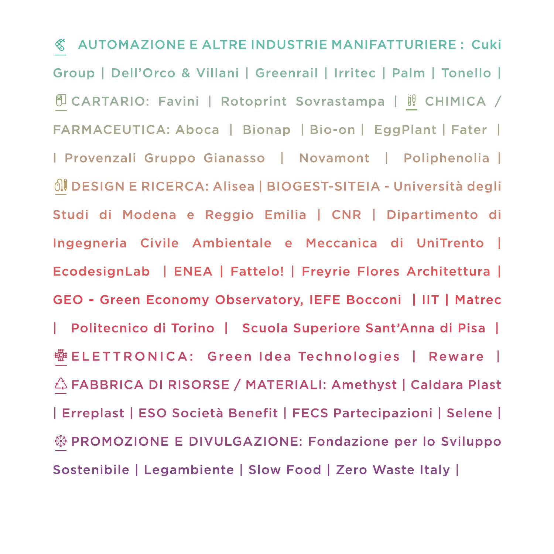AUTOMAZIONE E ALTRE INDUSTRIE MANIFATTURIERE : Cuki Group | Dell'Orco & Villani | Greenrail | Irritec | Palm | Tonello | **U CARTARIO: Favini | Rotoprint Sovrastampa | il CHIMICA /** FARMACEUTICA: Aboca | Bionap | Bio-on | EggPlant | Fater | I Provenzali Gruppo Gianasso | Novamont | Poliphenolia | DESIGN E RICERCA: Alisea | BIOGEST-SITEIA - Università degli Studi di Modena e Reggio Emilia | CNR | Dipartimento di Ingegneria Civile Ambientale e Meccanica di UniTrento | EcodesignLab | ENEA | Fattelo! | Freyrie Flores Architettura | GEO - Green Economy Observatory, IEFE Bocconi | IIT | Matrec | Politecnico di Torino | Scuola Superiore Sant'Anna di Pisa | 彎 ELETTRONICA: Green Idea Technologies │ Reware │ FABBRICA DI RISORSE / MATERIALI: Amethyst | Caldara Plast | Erreplast | ESO Società Benefit | FECS Partecipazioni | Selene | **※ PROMOZIONE E DIVULGAZIONE: Fondazione per lo Sviluppo** Sostenibile | Legambiente | Slow Food | Zero Waste Italy |